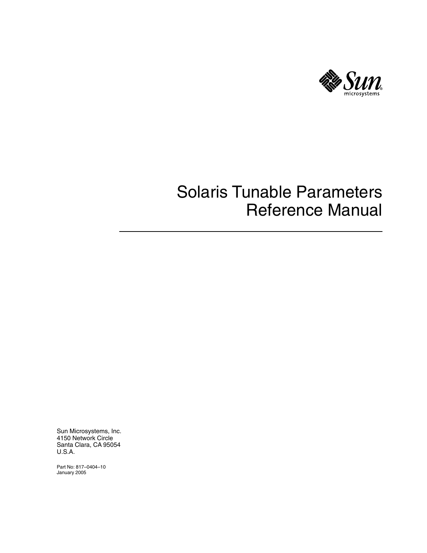

# Solaris Tunable Parameters Reference Manual

Sun Microsystems, Inc. 4150 Network Circle Santa Clara, CA 95054 U.S.A.

Part No: 817–0404–10 January 2005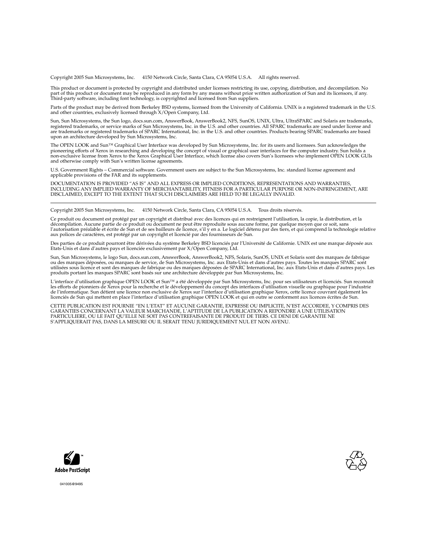Copyright 2005 Sun Microsystems, Inc. 4150 Network Circle, Santa Clara, CA 95054 U.S.A. All rights reserved.

This product or document is protected by copyright and distributed under licenses restricting its use, copying, distribution, and decompilation. No part of this product or document may be reproduced in any form by any means without prior written authorization of Sun and its licensors, if any.<br>Third-party software, including font technology, is copyrighted and licensed

Parts of the product may be derived from Berkeley BSD systems, licensed from the University of California. UNIX is a registered trademark in the U.S. and other countries, exclusively licensed through X/Open Company, Ltd.

Sun, Sun Microsystems, the Sun logo, docs.sun.com, AnswerBook, AnswerBook2, NFS, SunOS, UNIX, Ultra, UltraSPARC and Solaris are trademarks,<br>registered trademarks, or service marks of Sun Microsystems, Inc. in the U.S. and upon an architecture developed by Sun Microsystems, Inc.

The OPEN LOOK and Sun™ Graphical User Interface was developed by Sun Microsystems, Inc. for its users and licensees. Sun acknowledges the pioneering efforts of Xerox in researching and developing the concept of visual or graphical user interfaces for the computer industry. Sun holds a<br>non-exclusive license from Xerox to the Xerox Graphical User Interface, wh and otherwise comply with Sun's written license agreements.

U.S. Government Rights – Commercial software. Government users are subject to the Sun Microsystems, Inc. standard license agreement and applicable provisions of the FAR and its supplements.

DOCUMENTATION IS PROVIDED "AS IS" AND ALL EXPRESS OR IMPLIED CONDITIONS, REPRESENTATIONS AND WARRANTIES,<br>INCLUDING ANY IMPLIED WARRANTY OF MERCHANTABILITY, FITNESS FOR A PARTICULAR PURPOSE OR NON-INFRINGEMENT, ARE<br>DISCLAIM

Copyright 2005 Sun Microsystems, Inc. 4150 Network Circle, Santa Clara, CA 95054 U.S.A. Tous droits réservés.

Ce produit ou document est protégé par un copyright et distribué avec des licences qui en restreignent l'utilisation, la copie, la distribution, et la décompilation. Aucune partie de ce produit ou document ne peut être reproduite sous aucune forme, par quelque moyen que ce soit, sans<br>l'autorisation préalable et écrite de Sun et de ses bailleurs de licence, s'il y en a. L

Des parties de ce produit pourront être dérivées du système Berkeley BSD licenciés par l'Université de Californie. UNIX est une marque déposée aux Etats-Unis et dans d'autres pays et licenciée exclusivement par X/Open Company, Ltd.

Sun, Sun Microsystems, le logo Sun, docs.sun.com, AnswerBook, AnswerBook2, NFS, Solaris, SunOS, UNIX et Solaris sont des marques de fabrique ou des marques déposées, ou marques de service, de Sun Microsystems, Inc. aux Etats-Unis et dans d'autres pays. Toutes les marques SPARC sont utilisées sous licence et sont des marques de fabrique ou des marques déposées de SPARC International, Inc. aux Etats-Unis et dans d'autres pays. Les produits portant les marques SPARC sont basés sur une architecture développée par Sun Microsystems, Inc.

L'interface d'utilisation graphique OPEN LOOK et Sun™a été développée par Sun Microsystems, Inc. pour ses utilisateurs et licenciés. Sun reconnaît<br>les efforts de pionniers de Xerox pour la recherche et le développement du de l'informatique. Sun détient une licence non exclusive de Xerox sur l'interface d'utilisation graphique Xerox, cette licence couvrant également les<br>licenciés de Sun qui mettent en place l'interface d'utilisation graphiqu

CETTE PUBLICATION EST FOURNIE "EN L'ETAT" ET AUCUNE GARANTIE, EXPRESSE OU IMPLICITE, N'EST ACCORDEE, Y COMPRIS DES GARANTIES CONCERNANT LA VALEUR MARCHANDE, L'APTITUDE DE LA PUBLICATION A REPONDRE A UNE UTILISATION<br>PARTICULIERE, OU LE FAIT QU'ELLE NE SOIT PAS CONTREFAISANTE DE PRODUIT DE TIERS. CE DENI DE GARANTIE NE<br>S'APPLIQUERAIT PAS





041005@9495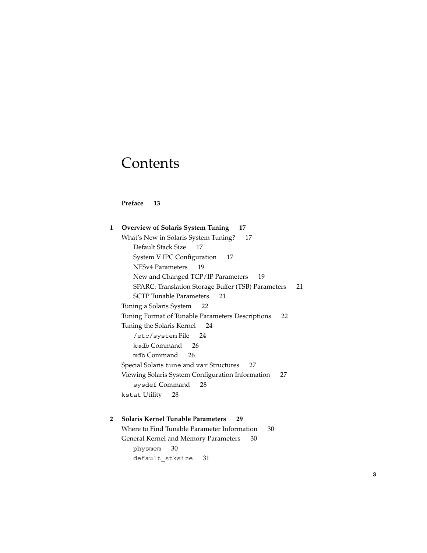# **Contents**

#### **[Preface 13](#page-12-0)**

| 1 | <b>Overview of Solaris System Tuning</b><br>17           |
|---|----------------------------------------------------------|
|   | What's New in Solaris System Tuning?<br>17               |
|   | Default Stack Size<br>17                                 |
|   | System V IPC Configuration<br>17                         |
|   | NFSv4 Parameters<br>19                                   |
|   | New and Changed TCP/IP Parameters<br>19                  |
|   | SPARC: Translation Storage Buffer (TSB) Parameters<br>21 |
|   | <b>SCTP Tunable Parameters</b><br>21                     |
|   | Tuning a Solaris System 22                               |
|   | Tuning Format of Tunable Parameters Descriptions<br>22   |
|   | Tuning the Solaris Kernel 24                             |
|   | /etc/system File 24                                      |
|   | kmdb Command 26                                          |
|   | mdb Command 26                                           |
|   | Special Solaris tune and var Structures<br>27            |
|   | Viewing Solaris System Configuration Information<br>27   |
|   | sysdef Command 28                                        |
|   | kstat Utility 28                                         |
|   |                                                          |
|   |                                                          |
| 2 | Solaris Kernel Tunable Parameters<br>29                  |
|   | Whore to Find Tupphle Perspector Information             |

[Where to Find Tunable Parameter Information 30](#page-29-0) [General Kernel and Memory Parameters 30](#page-29-0) [physmem](#page-29-0) 30 default stksize 31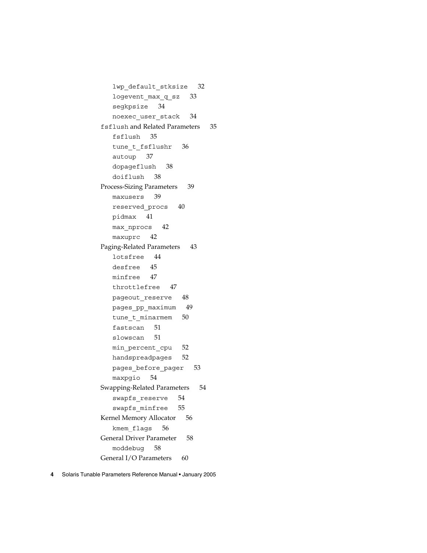[lwp\\_default\\_stksize](#page-31-0) 32 logevent max q sz 33 [segkpsize](#page-33-0) 34 [noexec\\_user\\_stack](#page-33-0) 34 fsflush [and Related Parameters 35](#page-34-0) [fsflush](#page-34-0) 35 tune t fsflushr 36 [autoup](#page-36-0) 37 [dopageflush](#page-37-0) 38 [doiflush](#page-37-0) 38 [Process-Sizing Parameters 39](#page-38-0) [maxusers](#page-38-0) 39 [reserved\\_procs](#page-39-0) 40 [pidmax](#page-40-0) 41 [max\\_nprocs](#page-41-0) 42 [maxuprc](#page-41-0) 42 [Paging-Related Parameters 43](#page-42-0) [lotsfree](#page-43-0) 44 [desfree](#page-44-0) 45 [minfree](#page-46-0) 47 [throttlefree](#page-46-0) 47 [pageout\\_reserve](#page-47-0) 48 [pages\\_pp\\_maximum](#page-48-0) 49 [tune\\_t\\_minarmem](#page-49-0) 50 [fastscan](#page-50-0) 51 [slowscan](#page-50-0) 51 min percent cpu 52 [handspreadpages](#page-51-0) 52 [pages\\_before\\_pager](#page-52-0) 53 [maxpgio](#page-53-0) 54 [Swapping-Related Parameters 54](#page-53-0) [swapfs\\_reserve](#page-53-0) 54 swapfs minfree 55 [Kernel Memory Allocator 56](#page-55-0) kmem flags 56 [General Driver Parameter 58](#page-57-0) [moddebug](#page-57-0) 58 [General I/O Parameters 60](#page-59-0)

**4** Solaris Tunable Parameters Reference Manual • January 2005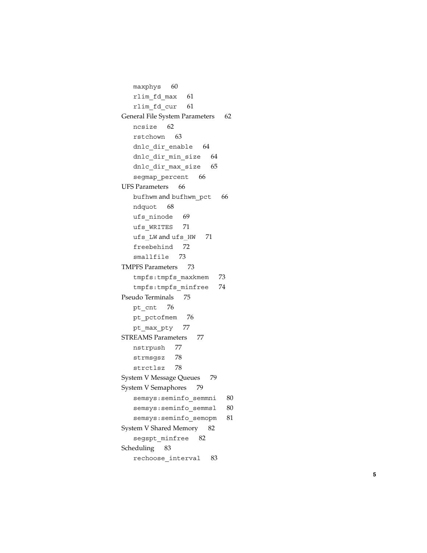[maxphys](#page-59-0) 60 [rlim\\_fd\\_max](#page-60-0) 61 [rlim\\_fd\\_cur](#page-60-0) 61 [General File System Parameters 62](#page-61-0) [ncsize](#page-61-0) 62 [rstchown](#page-62-0) 63 dnlc dir enable 64 [dnlc\\_dir\\_min\\_size](#page-63-0) 64 dnlc dir max size 65 segmap percent 66 [UFS Parameters 66](#page-65-0) bufhwm and [bufhwm\\_pct](#page-65-0) 66 [ndquot](#page-67-0) 68 [ufs\\_ninode](#page-68-0) 69 [ufs\\_WRITES](#page-70-0) 71 [ufs\\_LW](#page-70-0) and ufs\_HW 71 [freebehind](#page-71-0) 72 [smallfile](#page-72-0) 73 [TMPFS Parameters 73](#page-72-0) [tmpfs:tmpfs\\_maxkmem](#page-72-0) 73 [tmpfs:tmpfs\\_minfree](#page-73-0) 74 [Pseudo Terminals 75](#page-74-0) [pt\\_cnt](#page-75-0) 76 [pt\\_pctofmem](#page-75-0) 76 [pt\\_max\\_pty](#page-76-0) 77 [STREAMS Parameters 77](#page-76-0) [nstrpush](#page-76-0) 77 [strmsgsz](#page-77-0) 78 [strctlsz](#page-77-0) 78 [System V Message Queues 79](#page-78-0) [System V Semaphores 79](#page-78-0) [semsys:seminfo\\_semmni](#page-79-0) 80 semsys: seminfo semmsl 80 [semsys:seminfo\\_semopm](#page-80-0) 81 [System V Shared Memory 82](#page-81-0) segspt minfree 82 [Scheduling 83](#page-82-0) [rechoose\\_interval](#page-82-0) 83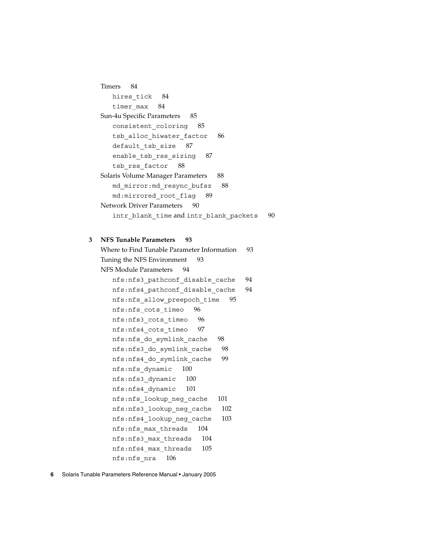[Timers 84](#page-83-0) hires tick 84 timer max 84 [Sun-4u Specific Parameters 85](#page-84-0) [consistent\\_coloring](#page-84-0) 85 tsb alloc hiwater factor 86 default tsb size 87 enable tsb rss sizing 87 tsb rss factor 88 [Solaris Volume Manager Parameters 88](#page-87-0) [md\\_mirror:md\\_resync\\_bufsz](#page-87-0) 88 [md:mirrored\\_root\\_flag](#page-88-0) 89 [Network Driver Parameters 90](#page-89-0) intr blank time and intr blank packets 90

#### **[3 NFS Tunable Parameters 93](#page-92-0)**

[Where to Find Tunable Parameter Information 93](#page-92-0) [Tuning the NFS Environment 93](#page-92-0) [NFS Module Parameters 94](#page-93-0) [nfs:nfs3\\_pathconf\\_disable\\_cache](#page-93-0) 94 [nfs:nfs4\\_pathconf\\_disable\\_cache](#page-93-0) 94 [nfs:nfs\\_allow\\_preepoch\\_time](#page-94-0) 95 [nfs:nfs\\_cots\\_timeo](#page-95-0) 96 [nfs:nfs3\\_cots\\_timeo](#page-95-0) 96 [nfs:nfs4\\_cots\\_timeo](#page-96-0) 97 [nfs:nfs\\_do\\_symlink\\_cache](#page-97-0) 98 [nfs:nfs3\\_do\\_symlink\\_cache](#page-97-0) 98 [nfs:nfs4\\_do\\_symlink\\_cache](#page-98-0) 99 [nfs:nfs\\_dynamic](#page-99-0) 100 [nfs:nfs3\\_dynamic](#page-99-0) 100 [nfs:nfs4\\_dynamic](#page-100-0) 101 [nfs:nfs\\_lookup\\_neg\\_cache](#page-100-0) 101 [nfs:nfs3\\_lookup\\_neg\\_cache](#page-101-0) 102 [nfs:nfs4\\_lookup\\_neg\\_cache](#page-102-0) 103 [nfs:nfs\\_max\\_threads](#page-103-0) 104 [nfs:nfs3\\_max\\_threads](#page-103-0) 104 [nfs:nfs4\\_max\\_threads](#page-104-0) 105 [nfs:nfs\\_nra](#page-105-0) 106

**6** Solaris Tunable Parameters Reference Manual • January 2005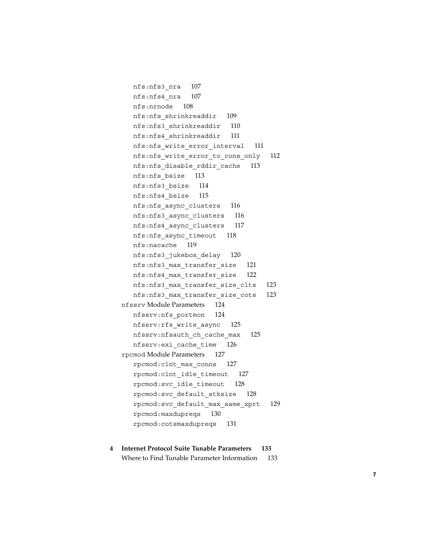[nfs:nfs3\\_nra](#page-106-0) 107 [nfs:nfs4\\_nra](#page-106-0) 107 [nfs:nrnode](#page-107-0) 108 [nfs:nfs\\_shrinkreaddir](#page-108-0) 109 [nfs:nfs3\\_shrinkreaddir](#page-109-0) 110 [nfs:nfs4\\_shrinkreaddir](#page-110-0) 111 [nfs:nfs\\_write\\_error\\_interval](#page-110-0) 111 nfs:nfs write error to cons only 112 [nfs:nfs\\_disable\\_rddir\\_cache](#page-112-0) 113 [nfs:nfs\\_bsize](#page-112-0) 113 [nfs:nfs3\\_bsize](#page-113-0) 114 [nfs:nfs4\\_bsize](#page-114-0) 115 [nfs:nfs\\_async\\_clusters](#page-115-0) 116 [nfs:nfs3\\_async\\_clusters](#page-115-0) 116 [nfs:nfs4\\_async\\_clusters](#page-116-0) 117 [nfs:nfs\\_async\\_timeout](#page-117-0) 118 [nfs:nacache](#page-118-0) 119 [nfs:nfs3\\_jukebox\\_delay](#page-119-0) 120 [nfs:nfs3\\_max\\_transfer\\_size](#page-120-0) 121 [nfs:nfs4\\_max\\_transfer\\_size](#page-121-0) 122 [nfs:nfs3\\_max\\_transfer\\_size\\_clts](#page-122-0) 123 [nfs:nfs3\\_max\\_transfer\\_size\\_cots](#page-122-0) 123 nfssrv [Module Parameters 124](#page-123-0) [nfssrv:nfs\\_portmon](#page-123-0) 124 [nfssrv:rfs\\_write\\_async](#page-124-0) 125 [nfssrv:nfsauth\\_ch\\_cache\\_max](#page-124-0) 125 [nfssrv:exi\\_cache\\_time](#page-125-0) 126 rpcmod [Module Parameters 127](#page-126-0) [rpcmod:clnt\\_max\\_conns](#page-126-0) 127 [rpcmod:clnt\\_idle\\_timeout](#page-126-0) 127 [rpcmod:svc\\_idle\\_timeout](#page-127-0) 128 [rpcmod:svc\\_default\\_stksize](#page-127-0) 128 [rpcmod:svc\\_default\\_max\\_same\\_xprt](#page-128-0) 129 [rpcmod:maxdupreqs](#page-129-0) 130 [rpcmod:cotsmaxdupreqs](#page-130-0) 131

**[4 Internet Protocol Suite Tunable Parameters 133](#page-132-0)** [Where to Find Tunable Parameter Information 133](#page-132-0)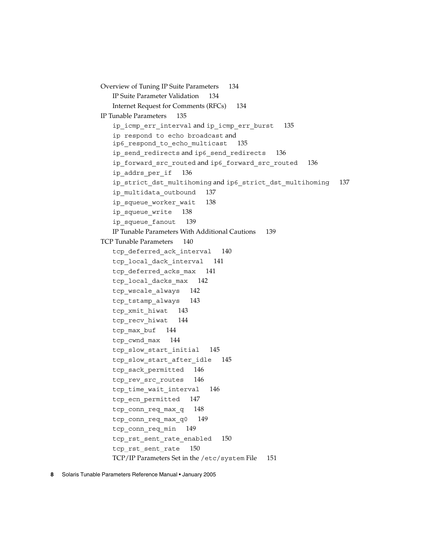```
Overview of Tuning IP Suite Parameters 134
   IP Suite Parameter Validation 134
   Internet Request for Comments (RFCs) 134
IP Tunable Parameters 135
   ip_icmp_err_interval and ip_icmp_err_burst 135
   ip respond to echo broadcast and
   ip6 respond to echo multicast 135
   ip send redirects and ip6 send redirects 136
   ip forward src routed and ip6 forward src routed 136
   ip_addrs_per_if 136
   ip_strict_dst_multihoming and ip6_strict_dst_multihoming 137
   ip multidata outbound 137
   ip squeue worker wait 138
   ip_squeue_write 138
   ip squeue fanout 139
   IP Tunable Parameters With Additional Cautions 139
TCP Tunable Parameters 140
   tcp deferred ack interval 140
   tcp_local_dack_interval 141
   tcp_deferred_acks_max 141
   tcp local dacks max 142
   tcp wscale always 142
   tcp_tstamp_always 143
   tcp_xmit_hiwat 143
   tcp recv hiwat 144
   tcp_max_buf 144
   tcp_cwnd_max 144
   tcp slow start initial 145
   tcp_slow_start_after_idle 145
   tcp sack permitted 146
   tcp_rev_src_routes 146
   tcp time wait interval 146
   tcp ecn permitted 147
   tcp conn req max q 148
   tcp conn req max q0 149
   tcp conn req min 149
   tcp rst sent rate enabled 150
   tcp_rst_sent_rate 150
   TCP/IP Parameters Set in the /etc/system File 151
```
**8** Solaris Tunable Parameters Reference Manual • January 2005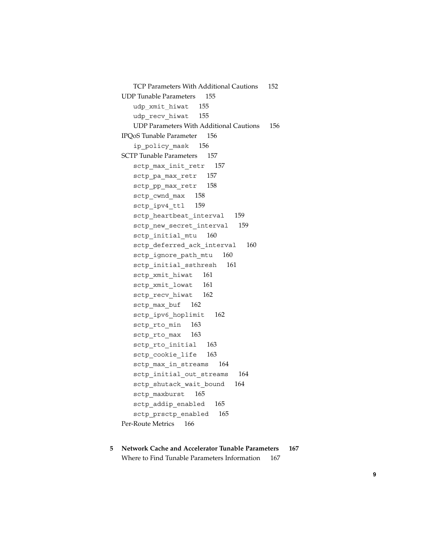[TCP Parameters With Additional Cautions 152](#page-151-0) [UDP Tunable Parameters 155](#page-154-0) udp xmit hiwat 155 [udp\\_recv\\_hiwat](#page-154-0) 155 [UDP Parameters With Additional Cautions 156](#page-155-0) [IPQoS Tunable Parameter 156](#page-155-0) [ip\\_policy\\_mask](#page-155-0) 156 [SCTP Tunable Parameters 157](#page-156-0) sctp max init retr 157 [sctp\\_pa\\_max\\_retr](#page-156-0) 157 sctp pp max retr 158 [sctp\\_cwnd\\_max](#page-157-0) 158 sctp ipv4 ttl 159 sctp heartbeat interval 159 sctp new secret interval 159 sctp initial mtu 160 sctp deferred ack interval 160 sctp ignore path mtu 160 [sctp\\_initial\\_ssthresh](#page-160-0) 161 [sctp\\_xmit\\_hiwat](#page-160-0) 161 sctp xmit lowat 161 [sctp\\_recv\\_hiwat](#page-161-0) 162 sctp max buf 162 [sctp\\_ipv6\\_hoplimit](#page-161-0) 162 [sctp\\_rto\\_min](#page-162-0) 163 sctp rto max 163 [sctp\\_rto\\_initial](#page-162-0) 163 sctp cookie life 163 sctp max in streams 164 [sctp\\_initial\\_out\\_streams](#page-163-0) 164 sctp shutack wait bound 164 sctp maxburst 165 sctp addip enabled 165 sctp prsctp enabled 165 [Per-Route Metrics 166](#page-165-0)

**[5 Network Cache and Accelerator Tunable Parameters 167](#page-166-0)** [Where to Find Tunable Parameters Information 167](#page-166-0)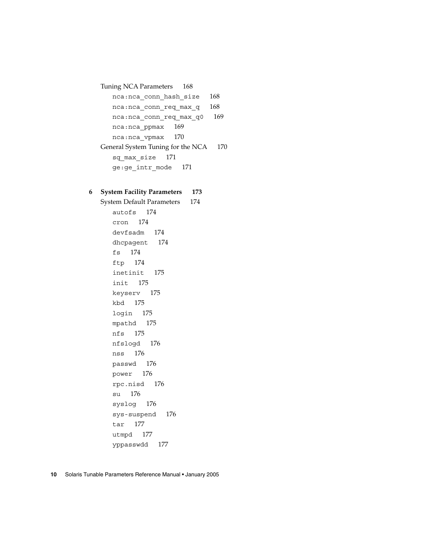#### [Tuning NCA Parameters 168](#page-167-0) nca:nca conn hash size 168 [nca:nca\\_conn\\_req\\_max\\_q](#page-167-0) 168 [nca:nca\\_conn\\_req\\_max\\_q0](#page-168-0) 169 [nca:nca\\_ppmax](#page-168-0) 169 [nca:nca\\_vpmax](#page-169-0) 170 [General System Tuning for the NCA 170](#page-169-0) [sq\\_max\\_size](#page-170-0) 171 [ge:ge\\_intr\\_mode](#page-170-0) 171

#### **[6 System Facility Parameters 173](#page-172-0)**

[System Default Parameters 174](#page-173-0) [autofs](#page-173-0) 174 [cron](#page-173-0) 174 [devfsadm](#page-173-0) 174 [dhcpagent](#page-173-0) 174 fs [174](#page-173-0) [ftp](#page-173-0) 174 [inetinit](#page-174-0) 175 [init](#page-174-0) 175 [keyserv](#page-174-0) 175 [kbd](#page-174-0) 175 [login](#page-174-0) 175 [mpathd](#page-174-0) 175 [nfs](#page-174-0) 175 [nfslogd](#page-175-0) 176 [nss](#page-175-0) 176 [passwd](#page-175-0) 176 [power](#page-175-0) 176 [rpc.nisd](#page-175-0) 176 su [176](#page-175-0) [syslog](#page-175-0) 176 [sys-suspend](#page-175-0) 176 [tar](#page-176-0) 177 [utmpd](#page-176-0) 177 [yppasswdd](#page-176-0) 177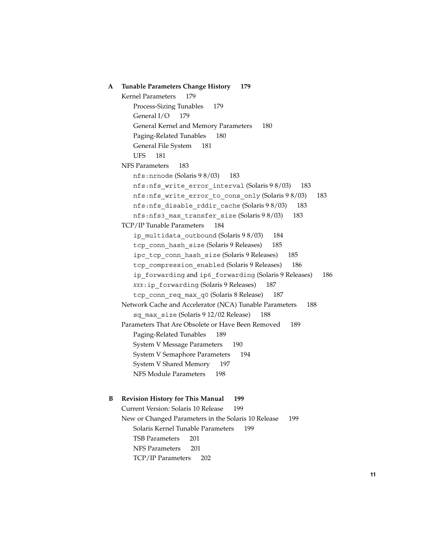**[A Tunable Parameters Change History 179](#page-178-0)** [Kernel Parameters 179](#page-178-0) [Process-Sizing Tunables 179](#page-178-0) [General I/O 179](#page-178-0) [General Kernel and Memory Parameters 180](#page-179-0) [Paging-Related Tunables 180](#page-179-0) [General File System 181](#page-180-0) [UFS 181](#page-180-0) [NFS Parameters 183](#page-182-0) nfs:nrnode [\(Solaris 9 8/03\) 183](#page-182-0) nfs:nfs write error interval (Solaris 9 8/03) 183 [nfs:nfs\\_write\\_error\\_to\\_cons\\_only](#page-182-0) (Solaris 9 8/03) 183 [nfs:nfs\\_disable\\_rddir\\_cache](#page-182-0) (Solaris 9 8/03) 183 [nfs:nfs3\\_max\\_transfer\\_size](#page-182-0) (Solaris 9 8/03) 183 [TCP/IP Tunable Parameters 184](#page-183-0) ip multidata outbound (Solaris 9 8/03) 184 tcp\_conn\_hash\_size [\(Solaris 9 Releases\) 185](#page-184-0) ipc tcp conn hash size (Solaris 9 Releases) 185 tcp compression enabled (Solaris 9 Releases) 186 ip forwarding and ip6 forwarding [\(Solaris 9 Releases\) 186](#page-185-0) *xxx*:ip\_forwarding [\(Solaris 9 Releases\) 187](#page-186-0) [tcp\\_conn\\_req\\_max\\_q0](#page-186-0) (Solaris 8 Release) 187 [Network Cache and Accelerator \(NCA\) Tunable Parameters 188](#page-187-0) sq\_max\_size [\(Solaris 9 12/02 Release\) 188](#page-187-0) [Parameters That Are Obsolete or Have Been Removed 189](#page-188-0) [Paging-Related Tunables 189](#page-188-0) [System V Message Parameters 190](#page-189-0) [System V Semaphore Parameters 194](#page-193-0) [System V Shared Memory 197](#page-196-0) [NFS Module Parameters 198](#page-197-0) **[B Revision History for This Manual 199](#page-198-0)** [Current Version: Solaris 10 Release 199](#page-198-0) [New or Changed Parameters in the Solaris 10 Release 199](#page-198-0) [Solaris Kernel Tunable Parameters 199](#page-198-0) [TSB Parameters 201](#page-200-0) [NFS Parameters 201](#page-200-0) [TCP/IP Parameters 202](#page-201-0)

**11**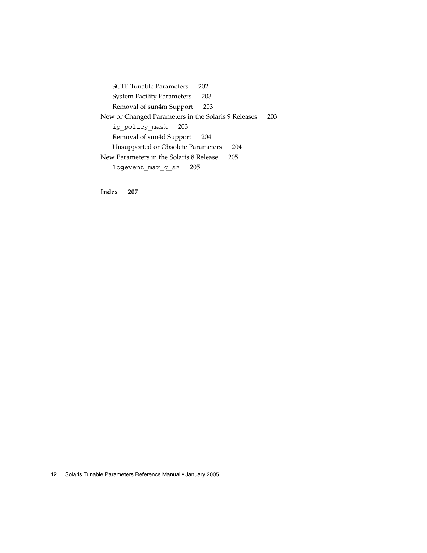[SCTP Tunable Parameters 202](#page-201-0) [System Facility Parameters 203](#page-202-0) [Removal of sun4m Support 203](#page-202-0) [New or Changed Parameters in the Solaris 9 Releases 203](#page-202-0) [ip\\_policy\\_mask](#page-202-0) 203 [Removal of sun4d Support 204](#page-203-0) [Unsupported or Obsolete Parameters 204](#page-203-0) [New Parameters in the Solaris 8 Release 205](#page-204-0) [logevent\\_max\\_q\\_sz](#page-204-0) 205

**[Index 207](#page-206-0)**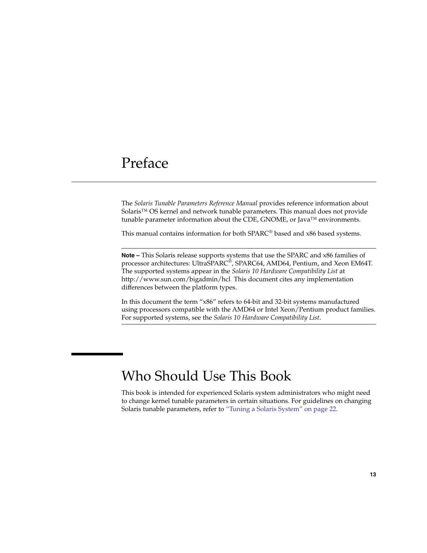## <span id="page-12-0"></span>Preface

The *Solaris Tunable Parameters Reference Manual* provides reference information about Solaris™ OS kernel and network tunable parameters. This manual does not provide tunable parameter information about the CDE, GNOME, or Java™ environments.

This manual contains information for both SPARC® based and x86 based systems.

**Note –** This Solaris release supports systems that use the SPARC and x86 families of processor architectures: UltraSPARC®, SPARC64, AMD64, Pentium, and Xeon EM64T. The supported systems appear in the *Solaris 10 Hardware Compatibility List* at [http://www.sun.com/bigadmin/hcl.](http://www.sun.com/bigadmin/hcl) This document cites any implementation differences between the platform types.

In this document the term "x86" refers to 64-bit and 32-bit systems manufactured using processors compatible with the AMD64 or Intel Xeon/Pentium product families. For supported systems, see the *Solaris 10 Hardware Compatibility List*.

## Who Should Use This Book

This book is intended for experienced Solaris system administrators who might need to change kernel tunable parameters in certain situations. For guidelines on changing Solaris tunable parameters, refer to ["Tuning a Solaris System"](#page-21-0) on page 22.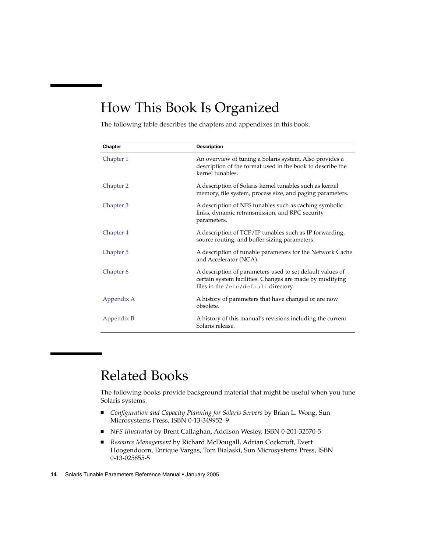# How This Book Is Organized

The following table describes the chapters and appendixes in this book.

| Chapter    | <b>Description</b>                                                                                                                                            |
|------------|---------------------------------------------------------------------------------------------------------------------------------------------------------------|
| Chapter 1  | An overview of tuning a Solaris system. Also provides a<br>description of the format used in the book to describe the<br>kernel tunables.                     |
| Chapter 2  | A description of Solaris kernel tunables such as kernel<br>memory, file system, process size, and paging parameters.                                          |
| Chapter 3  | A description of NFS tunables such as caching symbolic<br>links, dynamic retransmission, and RPC security<br>parameters.                                      |
| Chapter 4  | A description of TCP/IP tunables such as IP forwarding,<br>source routing, and buffer-sizing parameters.                                                      |
| Chapter 5  | A description of tunable parameters for the Network Cache<br>and Accelerator (NCA).                                                                           |
| Chapter 6  | A description of parameters used to set default values of<br>certain system facilities. Changes are made by modifying<br>files in the /etc/default directory. |
| Appendix A | A history of parameters that have changed or are now<br>obsolete.                                                                                             |
| Appendix B | A history of this manual's revisions including the current<br>Solaris release.                                                                                |

## Related Books

The following books provide background material that might be useful when you tune Solaris systems.

- *Configuration and Capacity Planning for Solaris Servers* by Brian L. Wong, Sun Microsystems Press, ISBN 0-13-349952–9
- *NFS Illustrated* by Brent Callaghan, Addison Wesley, ISBN 0-201-32570-5
- *Resource Management* by Richard McDougall, Adrian Cockcroft, Evert Hoogendoorn, Enrique Vargas, Tom Bialaski, Sun Microsystems Press, ISBN 0-13-025855-5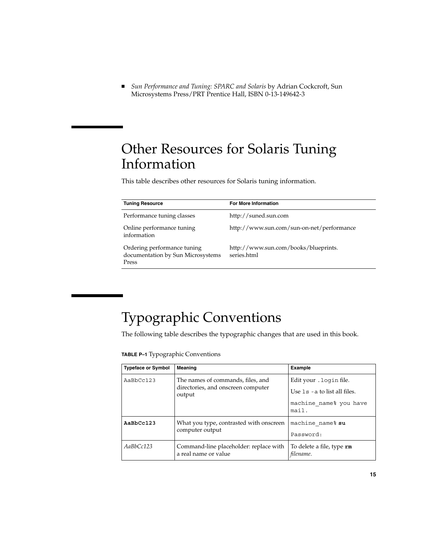■ *Sun Performance and Tuning: SPARC and Solaris* by Adrian Cockcroft, Sun Microsystems Press/PRT Prentice Hall, ISBN 0-13-149642-3

## Other Resources for Solaris Tuning Information

This table describes other resources for Solaris tuning information.

| <b>Tuning Resource</b>                                                    | <b>For More Information</b>                         |
|---------------------------------------------------------------------------|-----------------------------------------------------|
| Performance tuning classes                                                | http://suned.sun.com                                |
| Online performance tuning<br>information                                  | http://www.sun.com/sun-on-net/performance           |
| Ordering performance tuning<br>documentation by Sun Microsystems<br>Press | http://www.sun.com/books/blueprints.<br>series.html |

# Typographic Conventions

The following table describes the typographic changes that are used in this book.

**TABLE P–1** Typographic Conventions

| <b>Typeface or Symbol</b> | Meaning                                                                 | <b>Example</b>                                            |
|---------------------------|-------------------------------------------------------------------------|-----------------------------------------------------------|
| AaBbCc123                 | The names of commands, files, and<br>directories, and onscreen computer | Edit your . login file.<br>Use $1s$ -a to list all files. |
|                           | output                                                                  | machine name% you have<br>mail.                           |
| AaBbCc123                 | What you type, contrasted with onscreen                                 | machine name% su                                          |
|                           | computer output                                                         | Password:                                                 |
| AaBbCc123                 | Command-line placeholder: replace with<br>a real name or value          | To delete a file, type <b>rm</b><br>filename.             |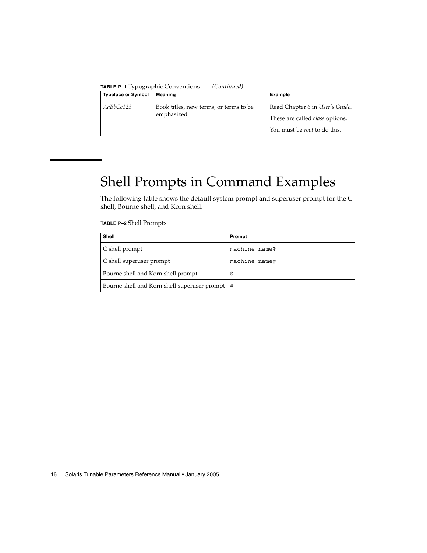#### **TABLE P–1** Typographic Conventions *(Continued)*

| <b>Typeface or Symbol</b> | Meaning                                              | <b>Example</b>                         |
|---------------------------|------------------------------------------------------|----------------------------------------|
| AaBbCc123                 | Book titles, new terms, or terms to be<br>emphasized | Read Chapter 6 in User's Guide.        |
|                           |                                                      | These are called <i>class</i> options. |
|                           |                                                      | You must be <i>root</i> to do this.    |

# Shell Prompts in Command Examples

The following table shows the default system prompt and superuser prompt for the C shell, Bourne shell, and Korn shell.

#### **TABLE P–2** Shell Prompts

| <b>Shell</b>                                     | Prompt        |
|--------------------------------------------------|---------------|
| C shell prompt                                   | machine name% |
| C shell superuser prompt                         | machine name# |
| Bourne shell and Korn shell prompt               |               |
| Bourne shell and Korn shell superuser prompt   # |               |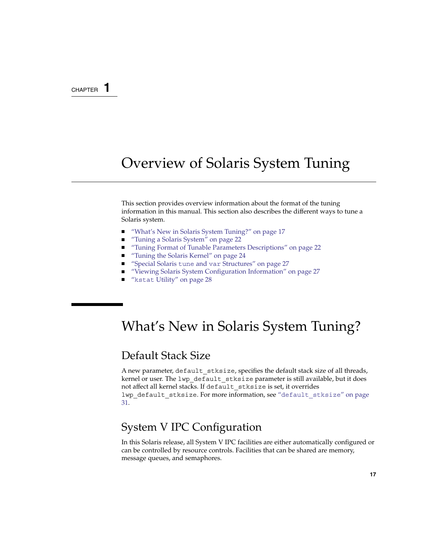#### <span id="page-16-0"></span>CHAPTER **1**

## Overview of Solaris System Tuning

This section provides overview information about the format of the tuning information in this manual. This section also describes the different ways to tune a Solaris system.

- "What's New in Solaris System Tuning?" on page 17
- *["Tuning a Solaris System"](#page-21-0)* on page 22
- ["Tuning Format of Tunable Parameters Descriptions"](#page-21-0) on page 22
- *["Tuning the Solaris Kernel"](#page-23-0)* on page 24
- ["Special Solaris](#page-26-0) tune and var Structures" on page 27
- ["Viewing Solaris System Configuration Information"](#page-26-0) on page 27
- "kstat Utility" [on page 28](#page-27-0)

## What's New in Solaris System Tuning?

### Default Stack Size

A new parameter, default stksize, specifies the default stack size of all threads, kernel or user. The lwp\_default\_stksize parameter is still available, but it does not affect all kernel stacks. If default\_stksize is set, it overrides lwp\_default\_stksize. For more information, see "[default\\_stksize](#page-30-0)" on page [31.](#page-30-0)

## System V IPC Configuration

In this Solaris release, all System V IPC facilities are either automatically configured or can be controlled by resource controls. Facilities that can be shared are memory, message queues, and semaphores.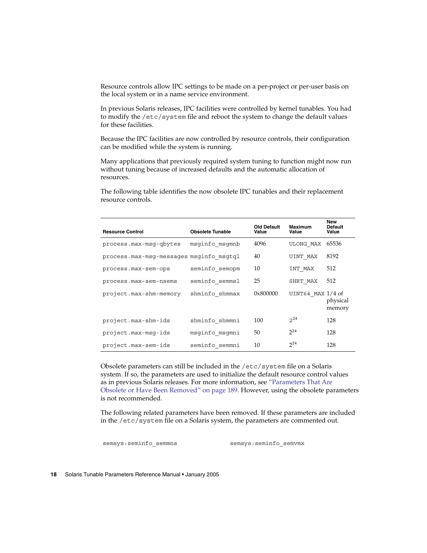Resource controls allow IPC settings to be made on a per-project or per-user basis on the local system or in a name service environment.

In previous Solaris releases, IPC facilities were controlled by kernel tunables. You had to modify the /etc/system file and reboot the system to change the default values for these facilities.

Because the IPC facilities are now controlled by resource controls, their configuration can be modified while the system is running.

Many applications that previously required system tuning to function might now run without tuning because of increased defaults and the automatic allocation of resources.

The following table identifies the now obsolete IPC tunables and their replacement resource controls.

| <b>Resource Control</b>                 | <b>Obsolete Tunable</b> | Old Default<br>Value | Maximum<br>Value    | New<br><b>Default</b><br>Value |
|-----------------------------------------|-------------------------|----------------------|---------------------|--------------------------------|
| process.max-msq-qbytes                  | msqinfo msqmnb          | 4096                 | ULONG MAX           | 65536                          |
| process.max-msq-messages msqinfo msqtql |                         | 40                   | UINT MAX            | 8192                           |
| process.max-sem-ops                     | seminfo semopm          | 10                   | INT MAX             | 512                            |
| process.max-sem-nsems                   | seminfo semmsl          | 25                   | SHRT MAX            | 512                            |
| project.max-shm-memory                  | shminfo shmmax          | 0x800000             | UINT64 MAX $1/4$ of | physical<br>memory             |
| project.max-shm-ids                     | shminfo shmmni          | 100                  | $2^{24}$            | 128                            |
| project.max-msq-ids                     | msginfo msgmni          | 50                   | $2^{24}$            | 128                            |
| project.max-sem-ids                     | seminfo semmni          | 10                   | $2^{24}$            | 128                            |

Obsolete parameters can still be included in the  $/etc/system$  file on a Solaris system. If so, the parameters are used to initialize the default resource control values as in previous Solaris releases. For more information, see ["Parameters That Are](#page-188-0) [Obsolete or Have Been Removed"](#page-188-0) on page 189. However, using the obsolete parameters is not recommended.

The following related parameters have been removed. If these parameters are included in the /etc/system file on a Solaris system, the parameters are commented out.

semsys: seminfo\_semmns semsys: seminfo\_semvmx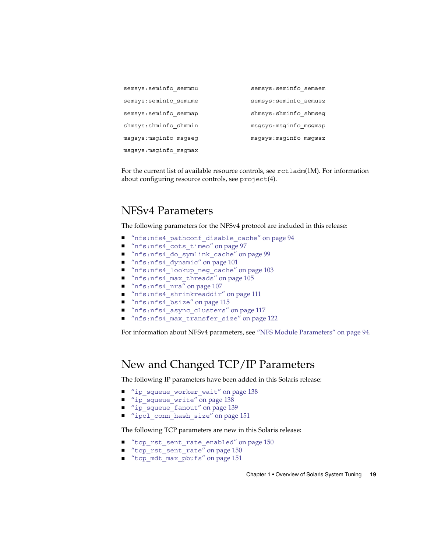<span id="page-18-0"></span>

| semsys: seminfo semmnu | semsys: seminfo semaem |
|------------------------|------------------------|
| semsys: seminfo semume | semsys:seminfo_semusz  |
| semsys: seminfo semmap | shmsys: shminfo shmseg |
| shmsys: shminfo shmmin | msgsys: msginfo msgmap |
| msgsys: msginfo msgseg | msgsys: msginfo msgssz |
| msgsys: msginfo msgmax |                        |

For the current list of available resource controls, see rctladm(1M). For information about configuring resource controls, see project(4).

### NFSv4 Parameters

The following parameters for the NFSv4 protocol are included in this release:

- "[nfs:nfs4\\_pathconf\\_disable\\_cache](#page-93-0)" on page 94
- "[nfs:nfs4\\_cots\\_timeo](#page-96-0)" on page 97
- "[nfs:nfs4\\_do\\_symlink\\_cache](#page-98-0)" on page 99
- "[nfs:nfs4\\_dynamic](#page-100-0)" on page 101
- "[nfs:nfs4\\_lookup\\_neg\\_cache](#page-102-0)" on page 103
- "nfs:nfs4 max threads" on page 105
- "[nfs:nfs4\\_nra](#page-106-0)" on page 107
- "[nfs:nfs4\\_shrinkreaddir](#page-110-0)" on page 111
- "nfs:nfs4 bsize" on page 115
- "[nfs:nfs4\\_async\\_clusters](#page-116-0)" on page 117
- "[nfs:nfs4\\_max\\_transfer\\_size](#page-121-0)" on page 122

For information about NFSv4 parameters, see ["NFS Module Parameters"](#page-93-0) on page 94.

## New and Changed TCP/IP Parameters

The following IP parameters have been added in this Solaris release:

- "[ip\\_squeue\\_worker\\_wait](#page-137-0)" on page 138
- "[ip\\_squeue\\_write](#page-137-0)" on page 138
- "[ip\\_squeue\\_fanout](#page-138-0)" on page 139
- "[ipcl\\_conn\\_hash\\_size](#page-150-0)" on page 151

The following TCP parameters are new in this Solaris release:

- "[tcp\\_rst\\_sent\\_rate\\_enabled](#page-149-0)" on page 150
- "[tcp\\_rst\\_sent\\_rate](#page-149-0)" on page 150
- "[tcp\\_mdt\\_max\\_pbufs](#page-150-0)" on page 151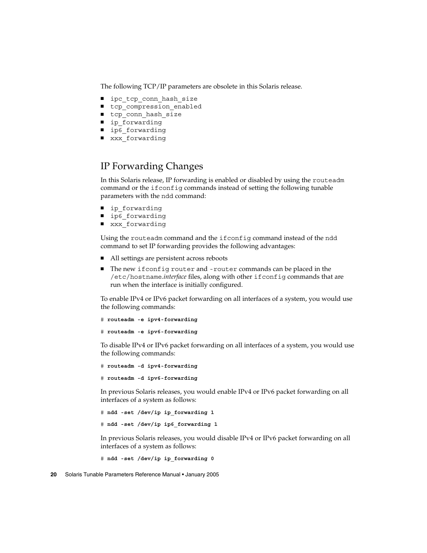The following TCP/IP parameters are obsolete in this Solaris release.

- ipc\_tcp\_conn\_hash\_size
- tcp\_compression\_enabled
- tcp\_conn\_hash\_size
- ip forwarding
- ip6 forwarding
- xxx forwarding

#### IP Forwarding Changes

In this Solaris release, IP forwarding is enabled or disabled by using the routeadm command or the ifconfig commands instead of setting the following tunable parameters with the ndd command:

- ip\_forwarding
- ip6 forwarding
- xxx forwarding

Using the routeadm command and the ifconfig command instead of the ndd command to set IP forwarding provides the following advantages:

- All settings are persistent across reboots
- The new ifconfig router and -router commands can be placed in the /etc/hostname.*interface* files, along with other ifconfig commands that are run when the interface is initially configured.

To enable IPv4 or IPv6 packet forwarding on all interfaces of a system, you would use the following commands:

```
# routeadm -e ipv4-forwarding
```
# **routeadm -e ipv6-forwarding**

To disable IPv4 or IPv6 packet forwarding on all interfaces of a system, you would use the following commands:

```
# routeadm -d ipv4-forwarding
```
# **routeadm -d ipv6-forwarding**

In previous Solaris releases, you would enable IPv4 or IPv6 packet forwarding on all interfaces of a system as follows:

```
# ndd -set /dev/ip ip_forwarding 1
```

```
# ndd -set /dev/ip ip6_forwarding 1
```
In previous Solaris releases, you would disable IPv4 or IPv6 packet forwarding on all interfaces of a system as follows:

# **ndd -set /dev/ip ip\_forwarding 0**

**20** Solaris Tunable Parameters Reference Manual • January 2005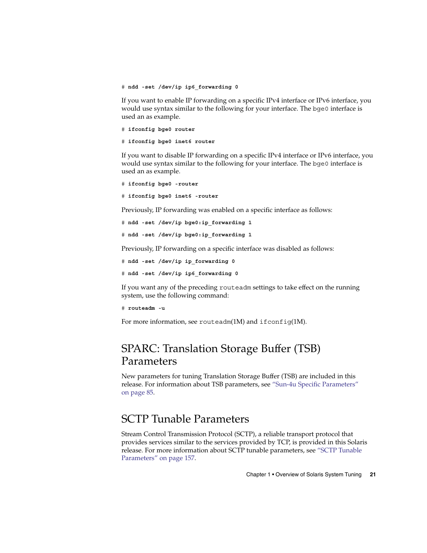<span id="page-20-0"></span># **ndd -set /dev/ip ip6\_forwarding 0**

If you want to enable IP forwarding on a specific IPv4 interface or IPv6 interface, you would use syntax similar to the following for your interface. The bge0 interface is used an as example.

```
# ifconfig bge0 router
```

```
# ifconfig bge0 inet6 router
```
If you want to disable IP forwarding on a specific IPv4 interface or IPv6 interface, you would use syntax similar to the following for your interface. The bge0 interface is used an as example.

```
# ifconfig bge0 -router
```

```
# ifconfig bge0 inet6 -router
```
Previously, IP forwarding was enabled on a specific interface as follows:

```
# ndd -set /dev/ip bge0:ip_forwarding 1
```
# **ndd -set /dev/ip bge0:ip\_forwarding 1**

Previously, IP forwarding on a specific interface was disabled as follows:

```
# ndd -set /dev/ip ip_forwarding 0
```

```
# ndd -set /dev/ip ip6_forwarding 0
```
If you want any of the preceding routeadm settings to take effect on the running system, use the following command:

```
# routeadm -u
```
For more information, see routeadm(1M) and ifconfig(1M).

## SPARC: Translation Storage Buffer (TSB) Parameters

New parameters for tuning Translation Storage Buffer (TSB) are included in this release. For information about TSB parameters, see ["Sun-4u Specific Parameters"](#page-84-0) [on page 85.](#page-84-0)

### SCTP Tunable Parameters

Stream Control Transmission Protocol (SCTP), a reliable transport protocol that provides services similar to the services provided by TCP, is provided in this Solaris release. For more information about SCTP tunable parameters, see ["SCTP Tunable](#page-156-0) [Parameters"](#page-156-0) on page 157.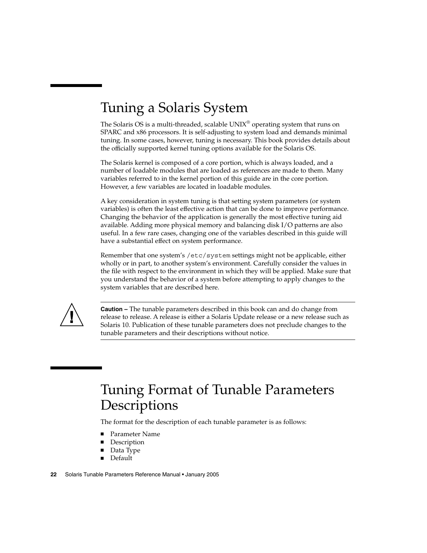## <span id="page-21-0"></span>Tuning a Solaris System

The Solaris OS is a multi-threaded, scalable UNIX® operating system that runs on SPARC and x86 processors. It is self-adjusting to system load and demands minimal tuning. In some cases, however, tuning is necessary. This book provides details about the officially supported kernel tuning options available for the Solaris OS.

The Solaris kernel is composed of a core portion, which is always loaded, and a number of loadable modules that are loaded as references are made to them. Many variables referred to in the kernel portion of this guide are in the core portion. However, a few variables are located in loadable modules.

A key consideration in system tuning is that setting system parameters (or system variables) is often the least effective action that can be done to improve performance. Changing the behavior of the application is generally the most effective tuning aid available. Adding more physical memory and balancing disk I/O patterns are also useful. In a few rare cases, changing one of the variables described in this guide will have a substantial effect on system performance.

Remember that one system's /etc/system settings might not be applicable, either wholly or in part, to another system's environment. Carefully consider the values in the file with respect to the environment in which they will be applied. Make sure that you understand the behavior of a system before attempting to apply changes to the system variables that are described here.



**Caution –** The tunable parameters described in this book can and do change from release to release. A release is either a Solaris Update release or a new release such as Solaris 10. Publication of these tunable parameters does not preclude changes to the tunable parameters and their descriptions without notice.

## Tuning Format of Tunable Parameters **Descriptions**

The format for the description of each tunable parameter is as follows:

- Parameter Name
- **Description**
- Data Type
- Default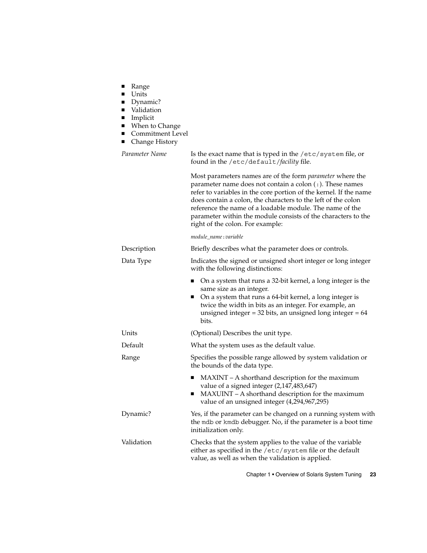- Range
- Units
- Dynamic?
- Validation
- Implicit
- When to Change
- Commitment Level
- Change History

| Parameter Name | Is the exact name that is typed in the /etc/system file, or<br>found in the /etc/default/facility file.                                                                                                                                                                                                                                                                                                                               |
|----------------|---------------------------------------------------------------------------------------------------------------------------------------------------------------------------------------------------------------------------------------------------------------------------------------------------------------------------------------------------------------------------------------------------------------------------------------|
|                | Most parameters names are of the form <i>parameter</i> where the<br>parameter name does not contain a colon $(:).$ These names<br>refer to variables in the core portion of the kernel. If the name<br>does contain a colon, the characters to the left of the colon<br>reference the name of a loadable module. The name of the<br>parameter within the module consists of the characters to the<br>right of the colon. For example: |
|                | module_name:variable                                                                                                                                                                                                                                                                                                                                                                                                                  |
| Description    | Briefly describes what the parameter does or controls.                                                                                                                                                                                                                                                                                                                                                                                |
| Data Type      | Indicates the signed or unsigned short integer or long integer<br>with the following distinctions:                                                                                                                                                                                                                                                                                                                                    |
|                | On a system that runs a 32-bit kernel, a long integer is the<br>ш<br>same size as an integer.<br>On a system that runs a 64-bit kernel, a long integer is<br>п<br>twice the width in bits as an integer. For example, an<br>unsigned integer = $32$ bits, an unsigned long integer = $64$<br>bits.                                                                                                                                    |
| Units          | (Optional) Describes the unit type.                                                                                                                                                                                                                                                                                                                                                                                                   |
| Default        | What the system uses as the default value.                                                                                                                                                                                                                                                                                                                                                                                            |
| Range          | Specifies the possible range allowed by system validation or<br>the bounds of the data type.                                                                                                                                                                                                                                                                                                                                          |
|                | MAXINT - A shorthand description for the maximum<br>■<br>value of a signed integer (2,147,483,647)<br>MAXUINT - A shorthand description for the maximum<br>п<br>value of an unsigned integer (4,294,967,295)                                                                                                                                                                                                                          |
| Dynamic?       | Yes, if the parameter can be changed on a running system with<br>the mdb or kmdb debugger. No, if the parameter is a boot time<br>initialization only.                                                                                                                                                                                                                                                                                |
| Validation     | Checks that the system applies to the value of the variable<br>either as specified in the /etc/system file or the default<br>value, as well as when the validation is applied.                                                                                                                                                                                                                                                        |

Chapter 1 • Overview of Solaris System Tuning **23**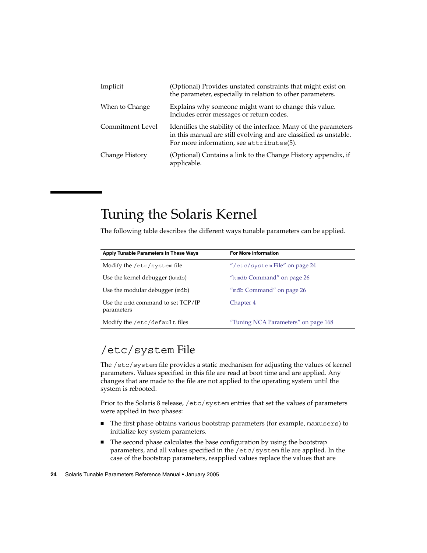<span id="page-23-0"></span>

| Implicit         | (Optional) Provides unstated constraints that might exist on<br>the parameter, especially in relation to other parameters.                                                         |
|------------------|------------------------------------------------------------------------------------------------------------------------------------------------------------------------------------|
| When to Change   | Explains why someone might want to change this value.<br>Includes error messages or return codes.                                                                                  |
| Commitment Level | Identifies the stability of the interface. Many of the parameters<br>in this manual are still evolving and are classified as unstable.<br>For more information, see attributes(5). |
| Change History   | (Optional) Contains a link to the Change History appendix, if<br>applicable.                                                                                                       |

## Tuning the Solaris Kernel

The following table describes the different ways tunable parameters can be applied.

| Apply Tunable Parameters in These Ways          | <b>For More Information</b>                                     |
|-------------------------------------------------|-----------------------------------------------------------------|
| Modify the /etc/system file                     | $^{\prime\prime}/$ etc/system File $^{\prime\prime}$ on page 24 |
| Use the kernel debugger (kmdb)                  | "kmdb Command" on page 26                                       |
| Use the modular debugger (mdb)                  | "mdb Command" on page 26                                        |
| Use the ndd command to set TCP/IP<br>parameters | Chapter 4                                                       |
| Modify the /etc/default files                   | "Tuning NCA Parameters" on page 168                             |

## /etc/system File

The /etc/system file provides a static mechanism for adjusting the values of kernel parameters. Values specified in this file are read at boot time and are applied. Any changes that are made to the file are not applied to the operating system until the system is rebooted.

Prior to the Solaris 8 release, /etc/system entries that set the values of parameters were applied in two phases:

- The first phase obtains various bootstrap parameters (for example, maxusers) to initialize key system parameters.
- The second phase calculates the base configuration by using the bootstrap parameters, and all values specified in the /etc/system file are applied. In the case of the bootstrap parameters, reapplied values replace the values that are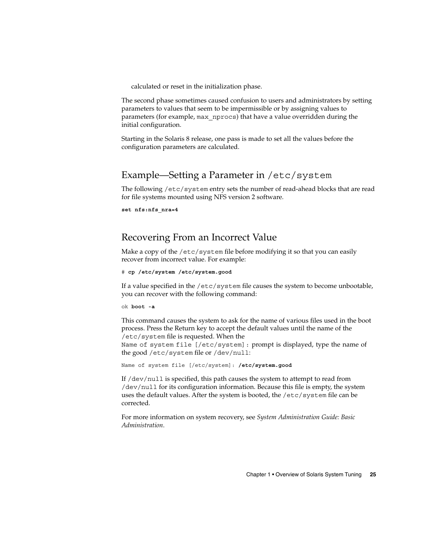calculated or reset in the initialization phase.

The second phase sometimes caused confusion to users and administrators by setting parameters to values that seem to be impermissible or by assigning values to parameters (for example, max\_nprocs) that have a value overridden during the initial configuration.

Starting in the Solaris 8 release, one pass is made to set all the values before the configuration parameters are calculated.

#### Example—Setting a Parameter in /etc/system

The following /etc/system entry sets the number of read-ahead blocks that are read for file systems mounted using NFS version 2 software.

**set nfs:nfs\_nra=4**

#### Recovering From an Incorrect Value

Make a copy of the /etc/system file before modifying it so that you can easily recover from incorrect value. For example:

```
# cp /etc/system /etc/system.good
```
If a value specified in the  $/etc/system$  file causes the system to become unbootable, you can recover with the following command:

ok **boot -a**

This command causes the system to ask for the name of various files used in the boot process. Press the Return key to accept the default values until the name of the /etc/system file is requested. When the Name of system file [/etc/system]: prompt is displayed, type the name of

the good /etc/system file or /dev/null:

Name of system file [/etc/system]: **/etc/system.good**

If /dev/null is specified, this path causes the system to attempt to read from /dev/null for its configuration information. Because this file is empty, the system uses the default values. After the system is booted, the /etc/system file can be corrected.

For more information on system recovery, see *System Administration Guide: Basic Administration*.

Chapter 1 • Overview of Solaris System Tuning **25**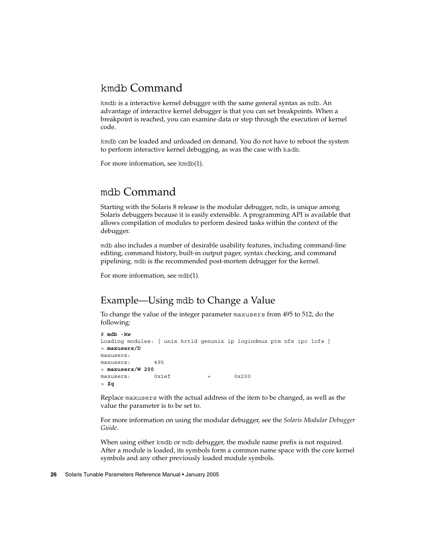### <span id="page-25-0"></span>kmdb Command

kmdb is a interactive kernel debugger with the same general syntax as mdb. An advantage of interactive kernel debugger is that you can set breakpoints. When a breakpoint is reached, you can examine data or step through the execution of kernel code.

kmdb can be loaded and unloaded on demand. You do not have to reboot the system to perform interactive kernel debugging, as was the case with kadb.

For more information, see kmdb(1).

#### mdb Command

Starting with the Solaris 8 release is the modular debugger, mdb, is unique among Solaris debuggers because it is easily extensible. A programming API is available that allows compilation of modules to perform desired tasks within the context of the debugger.

mdb also includes a number of desirable usability features, including command-line editing, command history, built-in output pager, syntax checking, and command pipelining. mdb is the recommended post-mortem debugger for the kernel.

For more information, see mdb(1).

#### Example—Using mdb to Change a Value

To change the value of the integer parameter maxusers from 495 to 512, do the following:

```
# mdb -kw
Loading modules: [ unix krtld genunix ip logindmux ptm nfs ipc lofs ]
> maxusers/D
maxusers:
maxusers: 495
> maxusers/W 200
maxusers: 0x1ef = 0x200> $q
```
Replace maxusers with the actual address of the item to be changed, as well as the value the parameter is to be set to.

For more information on using the modular debugger, see the *Solaris Modular Debugger Guide*.

When using either kmdb or mdb debugger, the module name prefix is not required. After a module is loaded, its symbols form a common name space with the core kernel symbols and any other previously loaded module symbols.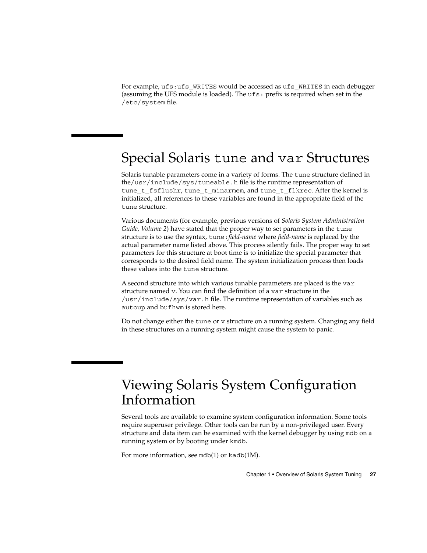<span id="page-26-0"></span>For example,  $ufs:ufs$  WRITES would be accessed as ufs WRITES in each debugger (assuming the UFS module is loaded). The ufs: prefix is required when set in the /etc/system file.

## Special Solaris tune and var Structures

Solaris tunable parameters come in a variety of forms. The tune structure defined in the/usr/include/sys/tuneable.h file is the runtime representation of tune t fsflushr, tune t minarmem, and tune t flkrec. After the kernel is initialized, all references to these variables are found in the appropriate field of the tune structure.

Various documents (for example, previous versions of *Solaris System Administration Guide, Volume 2*) have stated that the proper way to set parameters in the tune structure is to use the syntax, tune:*field-name* where *field-name* is replaced by the actual parameter name listed above. This process silently fails. The proper way to set parameters for this structure at boot time is to initialize the special parameter that corresponds to the desired field name. The system initialization process then loads these values into the tune structure.

A second structure into which various tunable parameters are placed is the var structure named v. You can find the definition of a var structure in the /usr/include/sys/var.h file. The runtime representation of variables such as autoup and bufhwm is stored here.

Do not change either the tune or v structure on a running system. Changing any field in these structures on a running system might cause the system to panic.

## Viewing Solaris System Configuration Information

Several tools are available to examine system configuration information. Some tools require superuser privilege. Other tools can be run by a non-privileged user. Every structure and data item can be examined with the kernel debugger by using mdb on a running system or by booting under kmdb.

For more information, see mdb(1) or kadb(1M).

Chapter 1 • Overview of Solaris System Tuning **27**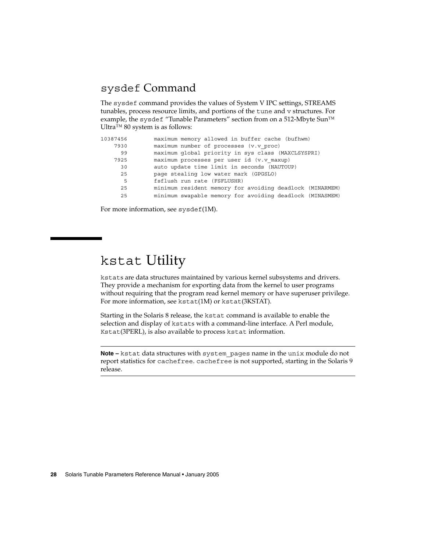#### <span id="page-27-0"></span>sysdef Command

The sysdef command provides the values of System V IPC settings, STREAMS tunables, process resource limits, and portions of the tune and v structures. For example, the sysdef "Tunable Parameters" section from on a 512-Mbyte Sun™ Ultra™ 80 system is as follows:

| 10387456 | maximum memory allowed in buffer cache (bufhwm)          |
|----------|----------------------------------------------------------|
| 7930     | maximum number of processes (v.v proc)                   |
| 99       | maximum qlobal priority in sys class (MAXCLSYSPRI)       |
| 7925     | maximum processes per user id (v.v maxup)                |
| 30       | auto update time limit in seconds (NAUTOUP)              |
| 25       | page stealing low water mark (GPGSLO)                    |
| 5        | fsflush run rate (FSFLUSHR)                              |
| 25       | minimum resident memory for avoiding deadlock (MINARMEM) |
| 25       | minimum swapable memory for avoiding deadlock (MINASMEM) |
|          |                                                          |

For more information, see sysdef(1M).

## kstat Utility

kstats are data structures maintained by various kernel subsystems and drivers. They provide a mechanism for exporting data from the kernel to user programs without requiring that the program read kernel memory or have superuser privilege. For more information, see kstat(1M) or kstat(3KSTAT).

Starting in the Solaris 8 release, the kstat command is available to enable the selection and display of kstats with a command-line interface. A Perl module, Kstat(3PERL), is also available to process kstat information.

**Note –** kstat data structures with system\_pages name in the unix module do not report statistics for cachefree. cachefree is not supported, starting in the Solaris 9 release.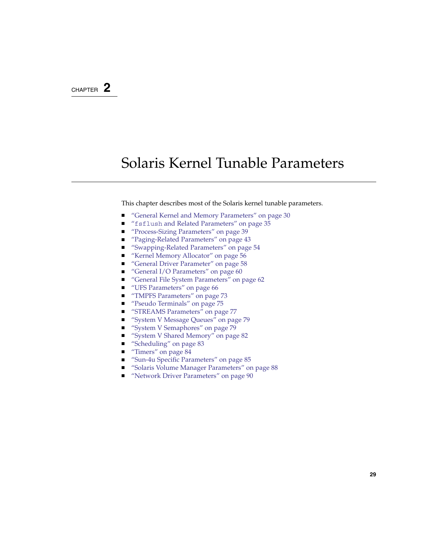### <span id="page-28-0"></span>CHAPTER **2**

# Solaris Kernel Tunable Parameters

This chapter describes most of the Solaris kernel tunable parameters.

- ["General Kernel and Memory Parameters"](#page-29-0) on page 30
- "fsflush [and Related Parameters"](#page-34-0) on page 35
- ["Process-Sizing Parameters"](#page-38-0) on page 39
- ["Paging-Related Parameters"](#page-42-0) on page 43
- ["Swapping-Related Parameters"](#page-53-0) on page 54
- ["Kernel Memory Allocator"](#page-55-0) on page 56
- ["General Driver Parameter"](#page-57-0) on page 58
- ["General I/O Parameters"](#page-59-0) on page 60
- ["General File System Parameters"](#page-61-0) on page 62
- ["UFS Parameters"](#page-65-0) on page 66
- ["TMPFS Parameters"](#page-72-0) on page 73
- ["Pseudo Terminals"](#page-74-0) on page 75
- ["STREAMS Parameters"](#page-76-0) on page 77
- ["System V Message Queues"](#page-78-0) on page 79
- ["System V Semaphores"](#page-78-0) on page 79
- ["System V Shared Memory"](#page-81-0) on page 82
- ["Scheduling"](#page-82-0) on page 83
- "Timers" [on page 84](#page-83-0)
- ["Sun-4u Specific Parameters"](#page-84-0) on page 85
- ["Solaris Volume Manager Parameters"](#page-87-0) on page 88
- ["Network Driver Parameters"](#page-89-0) on page 90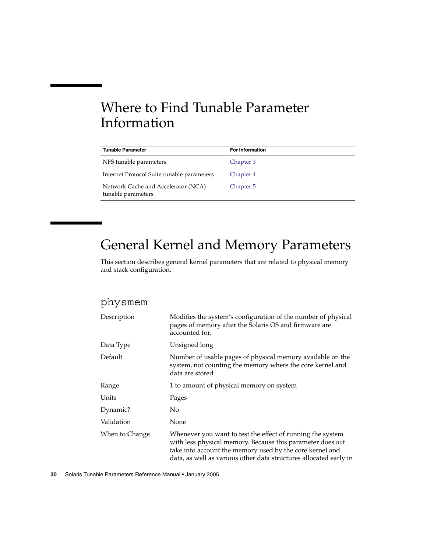## <span id="page-29-0"></span>Where to Find Tunable Parameter Information

| <b>Tunable Parameter</b>                                  | For Information |
|-----------------------------------------------------------|-----------------|
| NFS tunable parameters                                    | Chapter 3       |
| Internet Protocol Suite tunable parameters                | Chapter 4       |
| Network Cache and Accelerator (NCA)<br>tunable parameters | Chapter 5       |

# General Kernel and Memory Parameters

This section describes general kernel parameters that are related to physical memory and stack configuration.

### physmem

| Description    | Modifies the system's configuration of the number of physical<br>pages of memory after the Solaris OS and firmware are<br>accounted for.                                                                                                                  |
|----------------|-----------------------------------------------------------------------------------------------------------------------------------------------------------------------------------------------------------------------------------------------------------|
| Data Type      | Unsigned long                                                                                                                                                                                                                                             |
| Default        | Number of usable pages of physical memory available on the<br>system, not counting the memory where the core kernel and<br>data are stored                                                                                                                |
| Range          | 1 to amount of physical memory on system                                                                                                                                                                                                                  |
| Units          | Pages                                                                                                                                                                                                                                                     |
| Dynamic?       | No.                                                                                                                                                                                                                                                       |
| Validation     | None                                                                                                                                                                                                                                                      |
| When to Change | Whenever you want to test the effect of running the system<br>with less physical memory. Because this parameter does not<br>take into account the memory used by the core kernel and<br>data, as well as various other data structures allocated early in |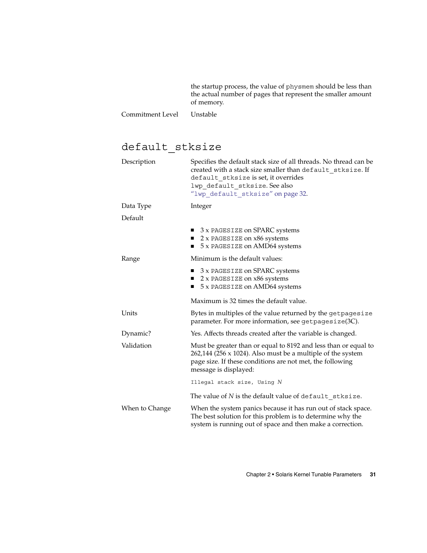the startup process, the value of physmem should be less than the actual number of pages that represent the smaller amount of memory.

<span id="page-30-0"></span>Commitment Level Unstable

## default\_stksize

| Description    | Specifies the default stack size of all threads. No thread can be<br>created with a stack size smaller than default stksize. If<br>default stksize is set, it overrides<br>lwp default stksize. See also<br>"lwp default stksize" on page 32. |
|----------------|-----------------------------------------------------------------------------------------------------------------------------------------------------------------------------------------------------------------------------------------------|
| Data Type      | Integer                                                                                                                                                                                                                                       |
| Default        |                                                                                                                                                                                                                                               |
|                | 3 x PAGESIZE on SPARC systems<br>2 x PAGESIZE on x86 systems<br>$\blacksquare$<br>5 x PAGESIZE on AMD64 systems<br>$\blacksquare$                                                                                                             |
| Range          | Minimum is the default values:                                                                                                                                                                                                                |
|                | 3 x PAGESIZE on SPARC systems<br>2 x PAGESIZE on x86 systems<br>5 x PAGESIZE on AMD64 systems<br>п                                                                                                                                            |
|                | Maximum is 32 times the default value.                                                                                                                                                                                                        |
| Units          | Bytes in multiples of the value returned by the get pagesize<br>parameter. For more information, see getpagesize(3C).                                                                                                                         |
| Dynamic?       | Yes. Affects threads created after the variable is changed.                                                                                                                                                                                   |
| Validation     | Must be greater than or equal to 8192 and less than or equal to<br>$262,144$ (256 x 1024). Also must be a multiple of the system<br>page size. If these conditions are not met, the following<br>message is displayed:                        |
|                | Illegal stack size, Using N                                                                                                                                                                                                                   |
|                | The value of $N$ is the default value of default stksize.                                                                                                                                                                                     |
| When to Change | When the system panics because it has run out of stack space.<br>The best solution for this problem is to determine why the<br>system is running out of space and then make a correction.                                                     |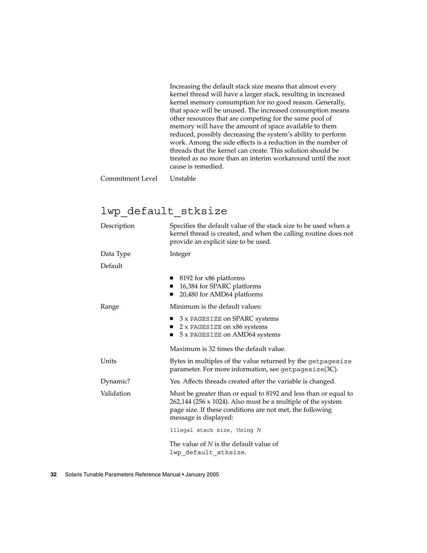<span id="page-31-0"></span>Increasing the default stack size means that almost every kernel thread will have a larger stack, resulting in increased kernel memory consumption for no good reason. Generally, that space will be unused. The increased consumption means other resources that are competing for the same pool of memory will have the amount of space available to them reduced, possibly decreasing the system's ability to perform work. Among the side effects is a reduction in the number of threads that the kernel can create. This solution should be treated as no more than an interim workaround until the root cause is remedied.

Commitment Level Unstable

## lwp default stksize

| Description | Specifies the default value of the stack size to be used when a<br>kernel thread is created, and when the calling routine does not<br>provide an explicit size to be used.                                             |
|-------------|------------------------------------------------------------------------------------------------------------------------------------------------------------------------------------------------------------------------|
| Data Type   | Integer                                                                                                                                                                                                                |
| Default     |                                                                                                                                                                                                                        |
|             | 8192 for x86 platforms<br>16,384 for SPARC platforms<br>20,480 for AMD64 platforms                                                                                                                                     |
| Range       | Minimum is the default values:                                                                                                                                                                                         |
|             | 3 x PAGESIZE on SPARC systems<br>п<br>2 x PAGESIZE on x86 systems<br>5 x PAGESIZE on AMD64 systems<br>п                                                                                                                |
|             | Maximum is 32 times the default value.                                                                                                                                                                                 |
| Units       | Bytes in multiples of the value returned by the get pagesize<br>parameter. For more information, see getpagesize(3C).                                                                                                  |
| Dynamic?    | Yes. Affects threads created after the variable is changed.                                                                                                                                                            |
| Validation  | Must be greater than or equal to 8192 and less than or equal to<br>$262,144$ (256 x 1024). Also must be a multiple of the system<br>page size. If these conditions are not met, the following<br>message is displayed: |
|             | Illegal stack size, Using N                                                                                                                                                                                            |
|             | The value of $N$ is the default value of<br>lwp default stksize.                                                                                                                                                       |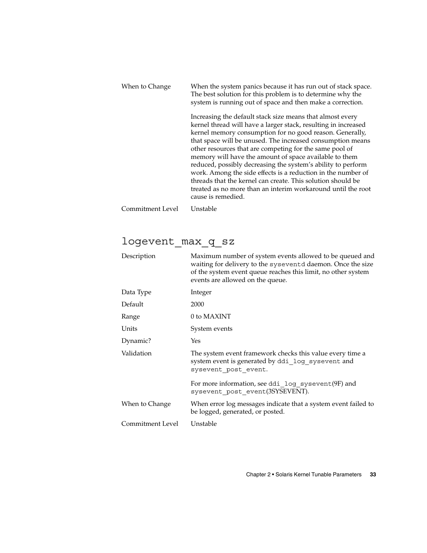<span id="page-32-0"></span>

| When to Change   | When the system panics because it has run out of stack space.<br>The best solution for this problem is to determine why the<br>system is running out of space and then make a correction.                                                                                                                                                                                                                                                                                                                                                                                                                                                                       |
|------------------|-----------------------------------------------------------------------------------------------------------------------------------------------------------------------------------------------------------------------------------------------------------------------------------------------------------------------------------------------------------------------------------------------------------------------------------------------------------------------------------------------------------------------------------------------------------------------------------------------------------------------------------------------------------------|
|                  | Increasing the default stack size means that almost every<br>kernel thread will have a larger stack, resulting in increased<br>kernel memory consumption for no good reason. Generally,<br>that space will be unused. The increased consumption means<br>other resources that are competing for the same pool of<br>memory will have the amount of space available to them<br>reduced, possibly decreasing the system's ability to perform<br>work. Among the side effects is a reduction in the number of<br>threads that the kernel can create. This solution should be<br>treated as no more than an interim workaround until the root<br>cause is remedied. |
| Commitment Level | Unstable                                                                                                                                                                                                                                                                                                                                                                                                                                                                                                                                                                                                                                                        |

## logevent\_max\_q\_sz

| Description      | Maximum number of system events allowed to be queued and<br>waiting for delivery to the syseventd daemon. Once the size<br>of the system event queue reaches this limit, no other system<br>events are allowed on the queue. |
|------------------|------------------------------------------------------------------------------------------------------------------------------------------------------------------------------------------------------------------------------|
| Data Type        | Integer                                                                                                                                                                                                                      |
| Default          | 2000                                                                                                                                                                                                                         |
| Range            | 0 to MAXINT                                                                                                                                                                                                                  |
| Units            | System events                                                                                                                                                                                                                |
| Dynamic?         | Yes                                                                                                                                                                                                                          |
| Validation       | The system event framework checks this value every time a<br>system event is generated by ddi log sysevent and<br>sysevent post event.                                                                                       |
|                  | For more information, see ddi log sysevent (9F) and<br>sysevent post event (3SYSEVENT).                                                                                                                                      |
| When to Change   | When error log messages indicate that a system event failed to<br>be logged, generated, or posted.                                                                                                                           |
| Commitment Level | Unstable                                                                                                                                                                                                                     |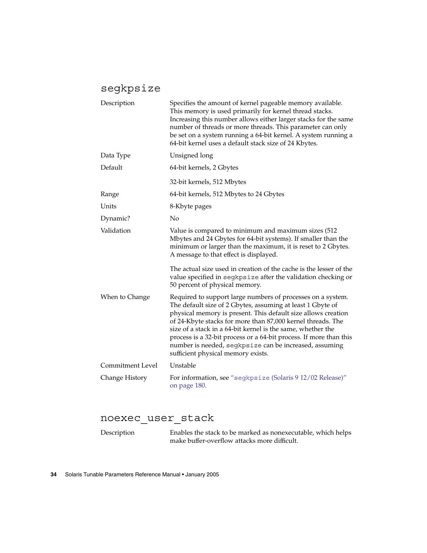## <span id="page-33-0"></span>segkpsize

| Description      | Specifies the amount of kernel pageable memory available.<br>This memory is used primarily for kernel thread stacks.<br>Increasing this number allows either larger stacks for the same<br>number of threads or more threads. This parameter can only<br>be set on a system running a 64-bit kernel. A system running a<br>64-bit kernel uses a default stack size of 24 Kbytes.                                                                                                               |
|------------------|------------------------------------------------------------------------------------------------------------------------------------------------------------------------------------------------------------------------------------------------------------------------------------------------------------------------------------------------------------------------------------------------------------------------------------------------------------------------------------------------|
| Data Type        | Unsigned long                                                                                                                                                                                                                                                                                                                                                                                                                                                                                  |
| Default          | 64-bit kernels, 2 Gbytes                                                                                                                                                                                                                                                                                                                                                                                                                                                                       |
|                  | 32-bit kernels, 512 Mbytes                                                                                                                                                                                                                                                                                                                                                                                                                                                                     |
| Range            | 64-bit kernels, 512 Mbytes to 24 Gbytes                                                                                                                                                                                                                                                                                                                                                                                                                                                        |
| Units            | 8-Kbyte pages                                                                                                                                                                                                                                                                                                                                                                                                                                                                                  |
| Dynamic?         | No                                                                                                                                                                                                                                                                                                                                                                                                                                                                                             |
| Validation       | Value is compared to minimum and maximum sizes (512<br>Mbytes and 24 Gbytes for 64-bit systems). If smaller than the<br>minimum or larger than the maximum, it is reset to 2 Gbytes.<br>A message to that effect is displayed.                                                                                                                                                                                                                                                                 |
|                  | The actual size used in creation of the cache is the lesser of the<br>value specified in segkpsize after the validation checking or<br>50 percent of physical memory.                                                                                                                                                                                                                                                                                                                          |
| When to Change   | Required to support large numbers of processes on a system.<br>The default size of 2 Gbytes, assuming at least 1 Gbyte of<br>physical memory is present. This default size allows creation<br>of 24-Kbyte stacks for more than 87,000 kernel threads. The<br>size of a stack in a 64-bit kernel is the same, whether the<br>process is a 32-bit process or a 64-bit process. If more than this<br>number is needed, segkpsize can be increased, assuming<br>sufficient physical memory exists. |
| Commitment Level | Unstable                                                                                                                                                                                                                                                                                                                                                                                                                                                                                       |
| Change History   | For information, see "segkpsize (Solaris 9 12/02 Release)"<br>on page 180.                                                                                                                                                                                                                                                                                                                                                                                                                     |

## noexec\_user\_stack

Description Enables the stack to be marked as nonexecutable, which helps make buffer-overflow attacks more difficult.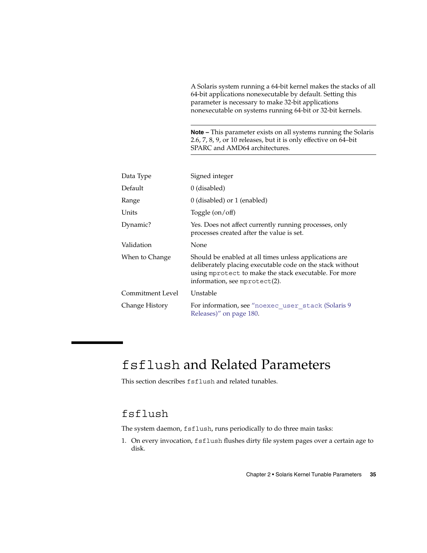<span id="page-34-0"></span>A Solaris system running a 64-bit kernel makes the stacks of all 64-bit applications nonexecutable by default. Setting this parameter is necessary to make 32-bit applications nonexecutable on systems running 64-bit or 32-bit kernels.

**Note –** This parameter exists on all systems running the Solaris 2.6, 7, 8, 9, or 10 releases, but it is only effective on 64–bit SPARC and AMD64 architectures.

| Data Type        | Signed integer                                                                                                                                                                                                |
|------------------|---------------------------------------------------------------------------------------------------------------------------------------------------------------------------------------------------------------|
| Default          | 0 (disabled)                                                                                                                                                                                                  |
| Range            | 0 (disabled) or 1 (enabled)                                                                                                                                                                                   |
| Units            | Toggle $(on/off)$                                                                                                                                                                                             |
| Dynamic?         | Yes. Does not affect currently running processes, only<br>processes created after the value is set.                                                                                                           |
| Validation       | None                                                                                                                                                                                                          |
| When to Change   | Should be enabled at all times unless applications are<br>deliberately placing executable code on the stack without<br>using mprotect to make the stack executable. For more<br>information, see mprotect(2). |
| Commitment Level | Unstable                                                                                                                                                                                                      |
| Change History   | For information, see "noexec user stack (Solaris 9<br>Releases)" on page 180.                                                                                                                                 |

## fsflush and Related Parameters

This section describes fsflush and related tunables.

#### fsflush

The system daemon, fsflush, runs periodically to do three main tasks:

1. On every invocation, fsflush flushes dirty file system pages over a certain age to disk.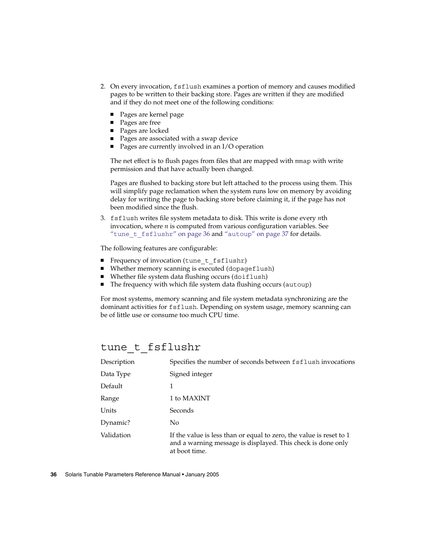- <span id="page-35-0"></span>2. On every invocation, fsflush examines a portion of memory and causes modified pages to be written to their backing store. Pages are written if they are modified and if they do not meet one of the following conditions:
	- Pages are kernel page
	- Pages are free
	- Pages are locked
	- Pages are associated with a swap device
	- Pages are currently involved in an I/O operation

The net effect is to flush pages from files that are mapped with mmap with write permission and that have actually been changed.

Pages are flushed to backing store but left attached to the process using them. This will simplify page reclamation when the system runs low on memory by avoiding delay for writing the page to backing store before claiming it, if the page has not been modified since the flush.

3. fsflush writes file system metadata to disk. This write is done every *n*th invocation, where *n* is computed from various configuration variables. See "tune\_t\_fsflushr" on page 36 and "autoup" [on page 37](#page-36-0) for details.

The following features are configurable:

- Frequency of invocation (tune t fsflushr)
- Whether memory scanning is executed (dopageflush)
- Whether file system data flushing occurs (doiflush)
- The frequency with which file system data flushing occurs (autoup)

For most systems, memory scanning and file system metadata synchronizing are the dominant activities for fsflush. Depending on system usage, memory scanning can be of little use or consume too much CPU time.

#### tune t fsflushr

| Description | Specifies the number of seconds between $f$ sflush invocations                                                                                      |
|-------------|-----------------------------------------------------------------------------------------------------------------------------------------------------|
| Data Type   | Signed integer                                                                                                                                      |
| Default     |                                                                                                                                                     |
| Range       | 1 to MAXINT                                                                                                                                         |
| Units       | <b>Seconds</b>                                                                                                                                      |
| Dynamic?    | No.                                                                                                                                                 |
| Validation  | If the value is less than or equal to zero, the value is reset to 1<br>and a warning message is displayed. This check is done only<br>at boot time. |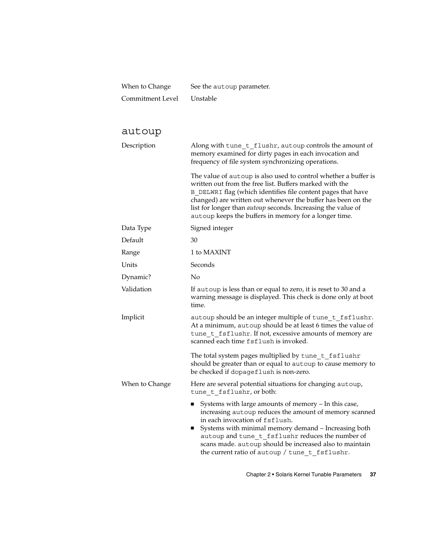| When to Change   | See the autoup parameter. |
|------------------|---------------------------|
| Commitment Level | Unstable                  |

#### autoup

| Description    | Along with tune_t_flushr, autoup controls the amount of<br>memory examined for dirty pages in each invocation and<br>frequency of file system synchronizing operations.                                                                                                                                                                                                                    |
|----------------|--------------------------------------------------------------------------------------------------------------------------------------------------------------------------------------------------------------------------------------------------------------------------------------------------------------------------------------------------------------------------------------------|
|                | The value of autoup is also used to control whether a buffer is<br>written out from the free list. Buffers marked with the<br>B_DELWRI flag (which identifies file content pages that have<br>changed) are written out whenever the buffer has been on the<br>list for longer than <i>autoup</i> seconds. Increasing the value of<br>autoup keeps the buffers in memory for a longer time. |
| Data Type      | Signed integer                                                                                                                                                                                                                                                                                                                                                                             |
| Default        | 30                                                                                                                                                                                                                                                                                                                                                                                         |
| Range          | 1 to MAXINT                                                                                                                                                                                                                                                                                                                                                                                |
| Units          | Seconds                                                                                                                                                                                                                                                                                                                                                                                    |
| Dynamic?       | No                                                                                                                                                                                                                                                                                                                                                                                         |
| Validation     | If autoup is less than or equal to zero, it is reset to 30 and a<br>warning message is displayed. This check is done only at boot<br>time.                                                                                                                                                                                                                                                 |
| Implicit       | autoup should be an integer multiple of tune t fsflushr.<br>At a minimum, autoup should be at least 6 times the value of<br>tune t fsflushr. If not, excessive amounts of memory are<br>scanned each time fsflush is invoked.                                                                                                                                                              |
|                | The total system pages multiplied by tune_t_fsflushr<br>should be greater than or equal to autoup to cause memory to<br>be checked if dopageflush is non-zero.                                                                                                                                                                                                                             |
| When to Change | Here are several potential situations for changing autoup,<br>tune t fsflushr, or both:                                                                                                                                                                                                                                                                                                    |
|                | Systems with large amounts of memory – In this case,<br>increasing autoup reduces the amount of memory scanned<br>in each invocation of fsflush.<br>Systems with minimal memory demand - Increasing both<br>ш<br>autoup and tune t fsflushr reduces the number of<br>scans made. autoup should be increased also to maintain<br>the current ratio of autoup / tune t fsflushr.             |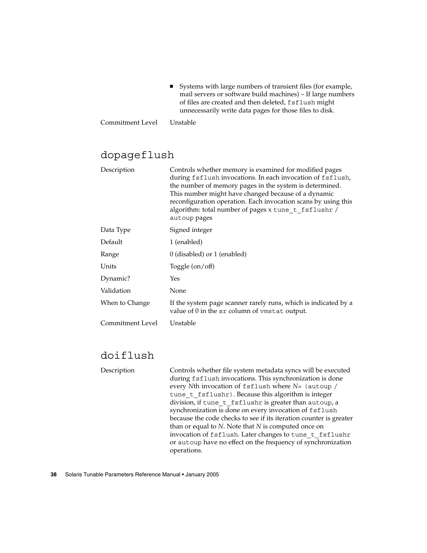■ Systems with large numbers of transient files (for example, mail servers or software build machines) – If large numbers of files are created and then deleted, fsflush might unnecessarily write data pages for those files to disk.

Commitment Level Unstable

#### dopageflush

| Description      | Controls whether memory is examined for modified pages<br>during fsflush invocations. In each invocation of fsflush,<br>the number of memory pages in the system is determined.<br>This number might have changed because of a dynamic<br>reconfiguration operation. Each invocation scans by using this<br>algorithm: total number of pages x tune t fsflushr /<br>autoup pages |
|------------------|----------------------------------------------------------------------------------------------------------------------------------------------------------------------------------------------------------------------------------------------------------------------------------------------------------------------------------------------------------------------------------|
| Data Type        | Signed integer                                                                                                                                                                                                                                                                                                                                                                   |
| Default          | 1 (enabled)                                                                                                                                                                                                                                                                                                                                                                      |
| Range            | 0 (disabled) or 1 (enabled)                                                                                                                                                                                                                                                                                                                                                      |
| Units            | Toggle $($ on $/$ off $)$                                                                                                                                                                                                                                                                                                                                                        |
| Dynamic?         | Yes                                                                                                                                                                                                                                                                                                                                                                              |
| Validation       | None                                                                                                                                                                                                                                                                                                                                                                             |
| When to Change   | If the system page scanner rarely runs, which is indicated by a<br>value of 0 in the sr column of vmstat output.                                                                                                                                                                                                                                                                 |
| Commitment Level | Unstable                                                                                                                                                                                                                                                                                                                                                                         |

#### doiflush

Description Controls whether file system metadata syncs will be executed during fsflush invocations. This synchronization is done every *N*th invocation of fsflush where *N*= (autoup / tune t fsflushr). Because this algorithm is integer division, if tune\_t\_fsflushr is greater than autoup, a synchronization is done on every invocation of fsflush because the code checks to see if its iteration counter is greater than or equal to *N*. Note that *N* is computed once on invocation of fsflush. Later changes to tune\_t\_fsflushr or autoup have no effect on the frequency of synchronization operations.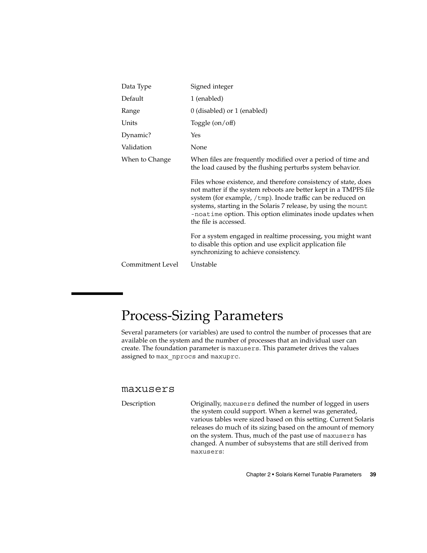| Data Type        | Signed integer                                                                                                                                                                                                                                                                                                                                              |
|------------------|-------------------------------------------------------------------------------------------------------------------------------------------------------------------------------------------------------------------------------------------------------------------------------------------------------------------------------------------------------------|
| Default          | 1 (enabled)                                                                                                                                                                                                                                                                                                                                                 |
| Range            | 0 (disabled) or 1 (enabled)                                                                                                                                                                                                                                                                                                                                 |
| Units            | Toggle $(on/off)$                                                                                                                                                                                                                                                                                                                                           |
| Dynamic?         | Yes                                                                                                                                                                                                                                                                                                                                                         |
| Validation       | None                                                                                                                                                                                                                                                                                                                                                        |
| When to Change   | When files are frequently modified over a period of time and<br>the load caused by the flushing perturbs system behavior.                                                                                                                                                                                                                                   |
|                  | Files whose existence, and therefore consistency of state, does<br>not matter if the system reboots are better kept in a TMPFS file<br>system (for example, /tmp). Inode traffic can be reduced on<br>systems, starting in the Solaris 7 release, by using the mount<br>-noatime option. This option eliminates inode updates when<br>the file is accessed. |
|                  | For a system engaged in realtime processing, you might want<br>to disable this option and use explicit application file<br>synchronizing to achieve consistency.                                                                                                                                                                                            |
| Commitment Level | Unstable                                                                                                                                                                                                                                                                                                                                                    |

## Process-Sizing Parameters

Several parameters (or variables) are used to control the number of processes that are available on the system and the number of processes that an individual user can create. The foundation parameter is maxusers. This parameter drives the values assigned to max\_nprocs and maxuprc.

#### maxusers

```
Description Originally, maxusers defined the number of logged in users
          the system could support. When a kernel was generated,
          various tables were sized based on this setting. Current Solaris
          releases do much of its sizing based on the amount of memory
          on the system. Thus, much of the past use of maxusers has
          changed. A number of subsystems that are still derived from
          maxusers:
```
Chapter 2 • Solaris Kernel Tunable Parameters **39**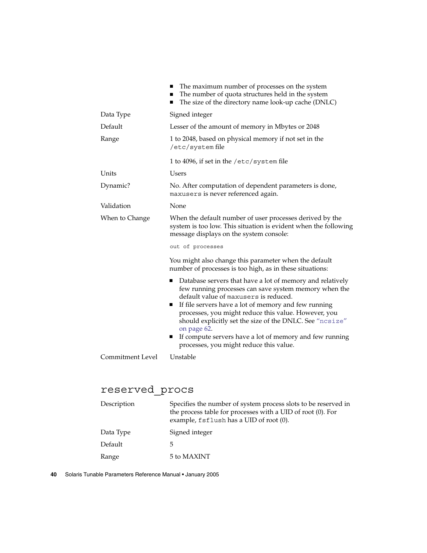|                  | The maximum number of processes on the system<br>п<br>The number of quota structures held in the system<br>■<br>The size of the directory name look-up cache (DNLC)<br>■                                                                                                                                                                                                                                                                                                              |
|------------------|---------------------------------------------------------------------------------------------------------------------------------------------------------------------------------------------------------------------------------------------------------------------------------------------------------------------------------------------------------------------------------------------------------------------------------------------------------------------------------------|
| Data Type        | Signed integer                                                                                                                                                                                                                                                                                                                                                                                                                                                                        |
| Default          | Lesser of the amount of memory in Mbytes or 2048                                                                                                                                                                                                                                                                                                                                                                                                                                      |
| Range            | 1 to 2048, based on physical memory if not set in the<br>/etc/system file                                                                                                                                                                                                                                                                                                                                                                                                             |
|                  | 1 to 4096, if set in the /etc/system file                                                                                                                                                                                                                                                                                                                                                                                                                                             |
| Units            | <b>Users</b>                                                                                                                                                                                                                                                                                                                                                                                                                                                                          |
| Dynamic?         | No. After computation of dependent parameters is done,<br>maxusers is never referenced again.                                                                                                                                                                                                                                                                                                                                                                                         |
| Validation       | None                                                                                                                                                                                                                                                                                                                                                                                                                                                                                  |
| When to Change   | When the default number of user processes derived by the<br>system is too low. This situation is evident when the following<br>message displays on the system console:                                                                                                                                                                                                                                                                                                                |
|                  | out of processes                                                                                                                                                                                                                                                                                                                                                                                                                                                                      |
|                  | You might also change this parameter when the default<br>number of processes is too high, as in these situations:                                                                                                                                                                                                                                                                                                                                                                     |
|                  | Database servers that have a lot of memory and relatively<br>ш<br>few running processes can save system memory when the<br>default value of maxusers is reduced.<br>If file servers have a lot of memory and few running<br>$\blacksquare$<br>processes, you might reduce this value. However, you<br>should explicitly set the size of the DNLC. See "ncsize"<br>on page 62.<br>■ If compute servers have a lot of memory and few running<br>processes, you might reduce this value. |
| Commitment Level | Unstable                                                                                                                                                                                                                                                                                                                                                                                                                                                                              |
|                  |                                                                                                                                                                                                                                                                                                                                                                                                                                                                                       |

### reserved\_procs

| Specifies the number of system process slots to be reserved in<br>the process table for processes with a UID of root (0). For<br>example, fsflush has a UID of root (0). |
|--------------------------------------------------------------------------------------------------------------------------------------------------------------------------|
| Signed integer                                                                                                                                                           |
|                                                                                                                                                                          |
| 5 to MAXINT                                                                                                                                                              |
|                                                                                                                                                                          |

**40** Solaris Tunable Parameters Reference Manual • January 2005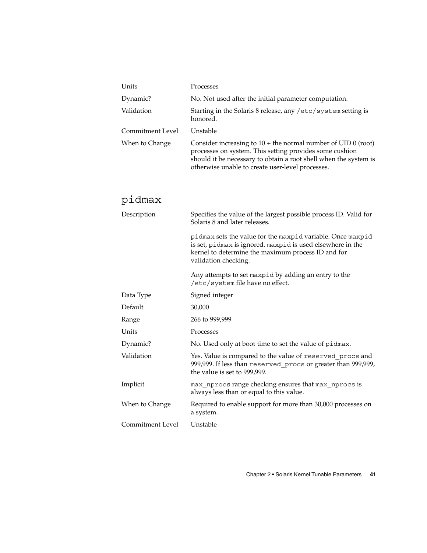| Units            | Processes                                                                                                                                                                                                                                          |
|------------------|----------------------------------------------------------------------------------------------------------------------------------------------------------------------------------------------------------------------------------------------------|
| Dynamic?         | No. Not used after the initial parameter computation.                                                                                                                                                                                              |
| Validation       | Starting in the Solaris 8 release, any /etc/system setting is<br>honored.                                                                                                                                                                          |
| Commitment Level | Unstable                                                                                                                                                                                                                                           |
| When to Change   | Consider increasing to $10 +$ the normal number of UID 0 (root)<br>processes on system. This setting provides some cushion<br>should it be necessary to obtain a root shell when the system is<br>otherwise unable to create user-level processes. |

### pidmax

| Description      | Specifies the value of the largest possible process ID. Valid for<br>Solaris 8 and later releases.                                                                                                     |
|------------------|--------------------------------------------------------------------------------------------------------------------------------------------------------------------------------------------------------|
|                  | pidmax sets the value for the maxpid variable. Once maxpid<br>is set, pidmax is ignored. maxpid is used elsewhere in the<br>kernel to determine the maximum process ID and for<br>validation checking. |
|                  | Any attempts to set maxpid by adding an entry to the<br>/etc/system file have no effect.                                                                                                               |
| Data Type        | Signed integer                                                                                                                                                                                         |
| Default          | 30,000                                                                                                                                                                                                 |
| Range            | 266 to 999,999                                                                                                                                                                                         |
| Units            | Processes                                                                                                                                                                                              |
| Dynamic?         | No. Used only at boot time to set the value of pidmax.                                                                                                                                                 |
| Validation       | Yes. Value is compared to the value of reserved procs and<br>999,999. If less than reserved procs or greater than 999,999,<br>the value is set to 999,999.                                             |
| Implicit         | max nprocs range checking ensures that max nprocs is<br>always less than or equal to this value.                                                                                                       |
| When to Change   | Required to enable support for more than 30,000 processes on<br>a system.                                                                                                                              |
| Commitment Level | Unstable                                                                                                                                                                                               |
|                  |                                                                                                                                                                                                        |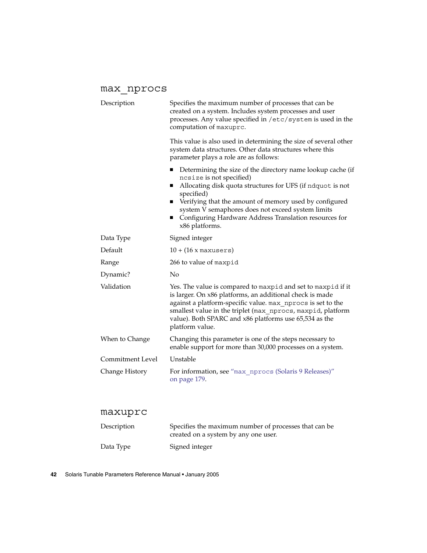#### max\_nprocs

| Description      | Specifies the maximum number of processes that can be<br>created on a system. Includes system processes and user<br>processes. Any value specified in /etc/system is used in the<br>computation of maxuprc.                                                                                                                                                                   |
|------------------|-------------------------------------------------------------------------------------------------------------------------------------------------------------------------------------------------------------------------------------------------------------------------------------------------------------------------------------------------------------------------------|
|                  | This value is also used in determining the size of several other<br>system data structures. Other data structures where this<br>parameter plays a role are as follows:                                                                                                                                                                                                        |
|                  | Determining the size of the directory name lookup cache (if<br>ncsize is not specified)<br>Allocating disk quota structures for UFS (if ndquot is not<br>п<br>specified)<br>Verifying that the amount of memory used by configured<br>п<br>system V semaphores does not exceed system limits<br>Configuring Hardware Address Translation resources for<br>ш<br>x86 platforms. |
| Data Type        | Signed integer                                                                                                                                                                                                                                                                                                                                                                |
| Default          | $10 + (16 \times$ maxusers)                                                                                                                                                                                                                                                                                                                                                   |
| Range            | 266 to value of maxpid                                                                                                                                                                                                                                                                                                                                                        |
| Dynamic?         | No                                                                                                                                                                                                                                                                                                                                                                            |
| Validation       | Yes. The value is compared to maxpid and set to maxpid if it<br>is larger. On x86 platforms, an additional check is made<br>against a platform-specific value. max_nprocs is set to the<br>smallest value in the triplet (max_nprocs, maxpid, platform<br>value). Both SPARC and x86 platforms use 65,534 as the<br>platform value.                                           |
| When to Change   | Changing this parameter is one of the steps necessary to<br>enable support for more than 30,000 processes on a system.                                                                                                                                                                                                                                                        |
| Commitment Level | Unstable                                                                                                                                                                                                                                                                                                                                                                      |
| Change History   | For information, see "max nprocs (Solaris 9 Releases)"<br>on page 179.                                                                                                                                                                                                                                                                                                        |
|                  |                                                                                                                                                                                                                                                                                                                                                                               |
| maxuprc          |                                                                                                                                                                                                                                                                                                                                                                               |
| Description      | Specifies the maximum number of processes that can be<br>created on a system by any one user.                                                                                                                                                                                                                                                                                 |
| Data Type        | Signed integer                                                                                                                                                                                                                                                                                                                                                                |

**42** Solaris Tunable Parameters Reference Manual • January 2005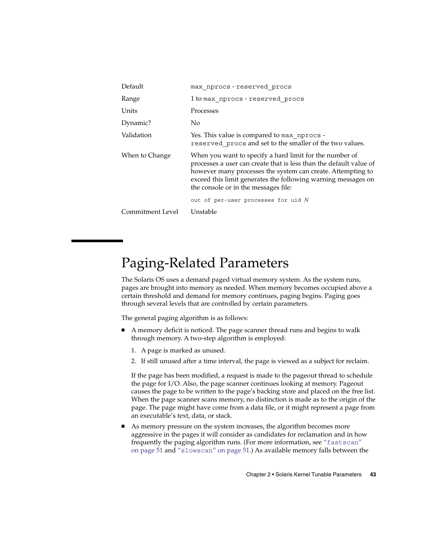| Default          | max nprocs-reserved procs                                                                                                                                                                                                                                                                             |
|------------------|-------------------------------------------------------------------------------------------------------------------------------------------------------------------------------------------------------------------------------------------------------------------------------------------------------|
| Range            | 1 to max nprocs - reserved procs                                                                                                                                                                                                                                                                      |
| Units            | Processes                                                                                                                                                                                                                                                                                             |
| Dynamic?         | No.                                                                                                                                                                                                                                                                                                   |
| Validation       | Yes. This value is compared to max nprocs -<br>reserved procs and set to the smaller of the two values.                                                                                                                                                                                               |
| When to Change   | When you want to specify a hard limit for the number of<br>processes a user can create that is less than the default value of<br>however many processes the system can create. Attempting to<br>exceed this limit generates the following warning messages on<br>the console or in the messages file: |
|                  | out of per-user processes for uid N                                                                                                                                                                                                                                                                   |
| Commitment Level | Unstable                                                                                                                                                                                                                                                                                              |

# Paging-Related Parameters

The Solaris OS uses a demand paged virtual memory system. As the system runs, pages are brought into memory as needed. When memory becomes occupied above a certain threshold and demand for memory continues, paging begins. Paging goes through several levels that are controlled by certain parameters.

The general paging algorithm is as follows:

- A memory deficit is noticed. The page scanner thread runs and begins to walk through memory. A two-step algorithm is employed:
	- 1. A page is marked as unused.
	- 2. If still unused after a time interval, the page is viewed as a subject for reclaim.

If the page has been modified, a request is made to the pageout thread to schedule the page for I/O. Also, the page scanner continues looking at memory. Pageout causes the page to be written to the page's backing store and placed on the free list. When the page scanner scans memory, no distinction is made as to the origin of the page. The page might have come from a data file, or it might represent a page from an executable's text, data, or stack.

As memory pressure on the system increases, the algorithm becomes more aggressive in the pages it will consider as candidates for reclamation and in how frequently the paging algorithm runs. (For more information, see "[fastscan](#page-50-0)" [on page 51](#page-50-0) and "slowscan" [on page 51.](#page-50-0)) As available memory falls between the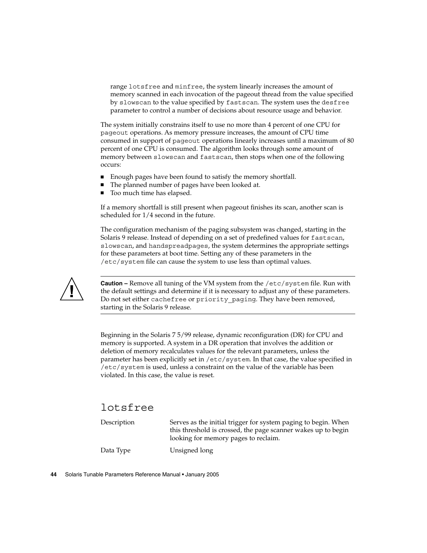range lotsfree and minfree, the system linearly increases the amount of memory scanned in each invocation of the pageout thread from the value specified by slowscan to the value specified by fastscan. The system uses the desfree parameter to control a number of decisions about resource usage and behavior.

The system initially constrains itself to use no more than 4 percent of one CPU for pageout operations. As memory pressure increases, the amount of CPU time consumed in support of pageout operations linearly increases until a maximum of 80 percent of one CPU is consumed. The algorithm looks through some amount of memory between slowscan and fastscan, then stops when one of the following occurs:

- Enough pages have been found to satisfy the memory shortfall.
- The planned number of pages have been looked at.
- Too much time has elapsed.

If a memory shortfall is still present when pageout finishes its scan, another scan is scheduled for 1/4 second in the future.

The configuration mechanism of the paging subsystem was changed, starting in the Solaris 9 release. Instead of depending on a set of predefined values for fastscan, slowscan, and handspreadpages, the system determines the appropriate settings for these parameters at boot time. Setting any of these parameters in the /etc/system file can cause the system to use less than optimal values.



**Caution –** Remove all tuning of the VM system from the /etc/system file. Run with the default settings and determine if it is necessary to adjust any of these parameters. Do not set either cachefree or priority\_paging. They have been removed, starting in the Solaris 9 release.

Beginning in the Solaris 7 5/99 release, dynamic reconfiguration (DR) for CPU and memory is supported. A system in a DR operation that involves the addition or deletion of memory recalculates values for the relevant parameters, unless the parameter has been explicitly set in /etc/system. In that case, the value specified in /etc/system is used, unless a constraint on the value of the variable has been violated. In this case, the value is reset.

#### lotsfree

Description Serves as the initial trigger for system paging to begin. When this threshold is crossed, the page scanner wakes up to begin looking for memory pages to reclaim. Data Type Unsigned long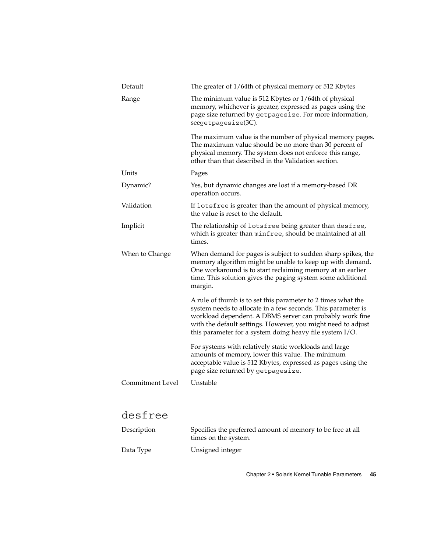| Default          | The greater of 1/64th of physical memory or 512 Kbytes                                                                                                                                                                                                                                                               |
|------------------|----------------------------------------------------------------------------------------------------------------------------------------------------------------------------------------------------------------------------------------------------------------------------------------------------------------------|
| Range            | The minimum value is 512 Kbytes or 1/64th of physical<br>memory, whichever is greater, expressed as pages using the<br>page size returned by getpagesize. For more information,<br>seegetpagesize(3C).                                                                                                               |
|                  | The maximum value is the number of physical memory pages.<br>The maximum value should be no more than 30 percent of<br>physical memory. The system does not enforce this range,<br>other than that described in the Validation section.                                                                              |
| Units            | Pages                                                                                                                                                                                                                                                                                                                |
| Dynamic?         | Yes, but dynamic changes are lost if a memory-based DR<br>operation occurs.                                                                                                                                                                                                                                          |
| Validation       | If lotsfree is greater than the amount of physical memory,<br>the value is reset to the default.                                                                                                                                                                                                                     |
| Implicit         | The relationship of lotsfree being greater than desfree,<br>which is greater than minfree, should be maintained at all<br>times.                                                                                                                                                                                     |
| When to Change   | When demand for pages is subject to sudden sharp spikes, the<br>memory algorithm might be unable to keep up with demand.<br>One workaround is to start reclaiming memory at an earlier<br>time. This solution gives the paging system some additional<br>margin.                                                     |
|                  | A rule of thumb is to set this parameter to 2 times what the<br>system needs to allocate in a few seconds. This parameter is<br>workload dependent. A DBMS server can probably work fine<br>with the default settings. However, you might need to adjust<br>this parameter for a system doing heavy file system I/O. |
|                  | For systems with relatively static workloads and large<br>amounts of memory, lower this value. The minimum<br>acceptable value is 512 Kbytes, expressed as pages using the<br>page size returned by getpagesize.                                                                                                     |
| Commitment Level | Unstable                                                                                                                                                                                                                                                                                                             |
| $\Gamma$<br>л.   |                                                                                                                                                                                                                                                                                                                      |

#### desfree

| Description | Specifies the preferred amount of memory to be free at all<br>times on the system. |
|-------------|------------------------------------------------------------------------------------|
| Data Type   | Unsigned integer                                                                   |

Chapter 2 • Solaris Kernel Tunable Parameters **45**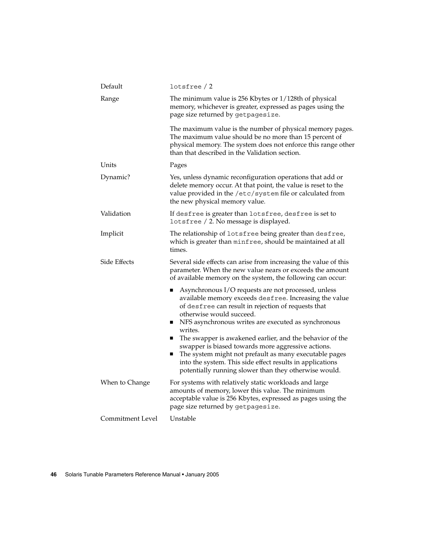| Default          | lotsfree $/2$                                                                                                                                                                                                                                                                                                       |
|------------------|---------------------------------------------------------------------------------------------------------------------------------------------------------------------------------------------------------------------------------------------------------------------------------------------------------------------|
| Range            | The minimum value is 256 Kbytes or 1/128th of physical<br>memory, whichever is greater, expressed as pages using the<br>page size returned by getpagesize.                                                                                                                                                          |
|                  | The maximum value is the number of physical memory pages.<br>The maximum value should be no more than 15 percent of<br>physical memory. The system does not enforce this range other<br>than that described in the Validation section.                                                                              |
| Units            | Pages                                                                                                                                                                                                                                                                                                               |
| Dynamic?         | Yes, unless dynamic reconfiguration operations that add or<br>delete memory occur. At that point, the value is reset to the<br>value provided in the /etc/system file or calculated from<br>the new physical memory value.                                                                                          |
| Validation       | If desfree is greater than lotsfree, desfree is set to<br>lotsfree / 2. No message is displayed.                                                                                                                                                                                                                    |
| Implicit         | The relationship of lotsfree being greater than desfree,<br>which is greater than minfree, should be maintained at all<br>times.                                                                                                                                                                                    |
| Side Effects     | Several side effects can arise from increasing the value of this<br>parameter. When the new value nears or exceeds the amount<br>of available memory on the system, the following can occur:                                                                                                                        |
|                  | Asynchronous I/O requests are not processed, unless<br>ш<br>available memory exceeds desfree. Increasing the value<br>of desfree can result in rejection of requests that<br>otherwise would succeed.<br>RFS asynchronous writes are executed as synchronous                                                        |
|                  | writes.<br>The swapper is awakened earlier, and the behavior of the<br>п<br>swapper is biased towards more aggressive actions.<br>The system might not prefault as many executable pages<br>щ<br>into the system. This side effect results in applications<br>potentially running slower than they otherwise would. |
| When to Change   | For systems with relatively static workloads and large<br>amounts of memory, lower this value. The minimum<br>acceptable value is 256 Kbytes, expressed as pages using the<br>page size returned by getpagesize.                                                                                                    |
| Commitment Level | Unstable                                                                                                                                                                                                                                                                                                            |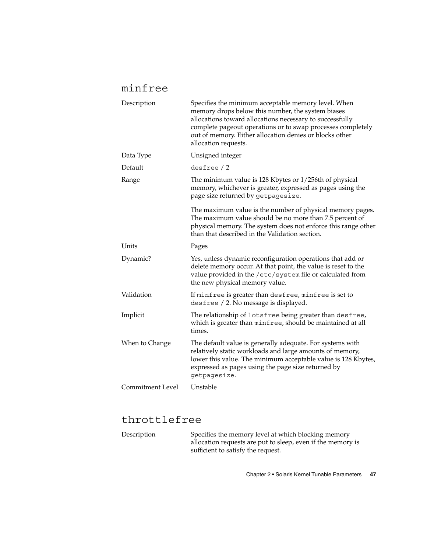#### minfree

| Description      | Specifies the minimum acceptable memory level. When<br>memory drops below this number, the system biases<br>allocations toward allocations necessary to successfully<br>complete pageout operations or to swap processes completely<br>out of memory. Either allocation denies or blocks other<br>allocation requests. |
|------------------|------------------------------------------------------------------------------------------------------------------------------------------------------------------------------------------------------------------------------------------------------------------------------------------------------------------------|
| Data Type        | Unsigned integer                                                                                                                                                                                                                                                                                                       |
| Default          | desfree/2                                                                                                                                                                                                                                                                                                              |
| Range            | The minimum value is 128 Kbytes or 1/256th of physical<br>memory, whichever is greater, expressed as pages using the<br>page size returned by getpagesize.                                                                                                                                                             |
|                  | The maximum value is the number of physical memory pages.<br>The maximum value should be no more than 7.5 percent of<br>physical memory. The system does not enforce this range other<br>than that described in the Validation section.                                                                                |
| Units            | Pages                                                                                                                                                                                                                                                                                                                  |
| Dynamic?         | Yes, unless dynamic reconfiguration operations that add or<br>delete memory occur. At that point, the value is reset to the<br>value provided in the /etc/system file or calculated from<br>the new physical memory value.                                                                                             |
| Validation       | If minfree is greater than desfree, minfree is set to<br>desfree / 2. No message is displayed.                                                                                                                                                                                                                         |
| Implicit         | The relationship of lotsfree being greater than desfree,<br>which is greater than minfree, should be maintained at all<br>times.                                                                                                                                                                                       |
| When to Change   | The default value is generally adequate. For systems with<br>relatively static workloads and large amounts of memory,<br>lower this value. The minimum acceptable value is 128 Kbytes,<br>expressed as pages using the page size returned by<br>getpagesize.                                                           |
| Commitment Level | Unstable                                                                                                                                                                                                                                                                                                               |

#### throttlefree

| Description | Specifies the memory level at which blocking memory                                               |
|-------------|---------------------------------------------------------------------------------------------------|
|             | allocation requests are put to sleep, even if the memory is<br>sufficient to satisfy the request. |
|             |                                                                                                   |

Chapter 2 • Solaris Kernel Tunable Parameters **47**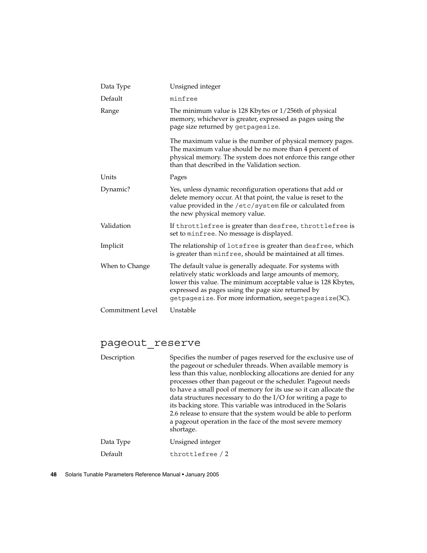| Data Type        | Unsigned integer                                                                                                                                                                                                                                                                                       |
|------------------|--------------------------------------------------------------------------------------------------------------------------------------------------------------------------------------------------------------------------------------------------------------------------------------------------------|
| Default          | minfree                                                                                                                                                                                                                                                                                                |
| Range            | The minimum value is 128 Kbytes or 1/256th of physical<br>memory, whichever is greater, expressed as pages using the<br>page size returned by getpagesize.                                                                                                                                             |
|                  | The maximum value is the number of physical memory pages.<br>The maximum value should be no more than 4 percent of<br>physical memory. The system does not enforce this range other<br>than that described in the Validation section.                                                                  |
| Units            | Pages                                                                                                                                                                                                                                                                                                  |
| Dynamic?         | Yes, unless dynamic reconfiguration operations that add or<br>delete memory occur. At that point, the value is reset to the<br>value provided in the /etc/system file or calculated from<br>the new physical memory value.                                                                             |
| Validation       | If throttlefree is greater than desfree, throttlefree is<br>set to minfree. No message is displayed.                                                                                                                                                                                                   |
| Implicit         | The relationship of lotsfree is greater than desfree, which<br>is greater than minfree, should be maintained at all times.                                                                                                                                                                             |
| When to Change   | The default value is generally adequate. For systems with<br>relatively static workloads and large amounts of memory,<br>lower this value. The minimum acceptable value is 128 Kbytes,<br>expressed as pages using the page size returned by<br>getpagesize. For more information, seegetpagesize(3C). |
| Commitment Level | Unstable                                                                                                                                                                                                                                                                                               |

#### pageout\_reserve

| Description | Specifies the number of pages reserved for the exclusive use of<br>the pageout or scheduler threads. When available memory is<br>less than this value, nonblocking allocations are denied for any<br>processes other than pageout or the scheduler. Pageout needs<br>to have a small pool of memory for its use so it can allocate the<br>data structures necessary to do the $I/O$ for writing a page to<br>its backing store. This variable was introduced in the Solaris<br>2.6 release to ensure that the system would be able to perform<br>a pageout operation in the face of the most severe memory<br>shortage. |
|-------------|-------------------------------------------------------------------------------------------------------------------------------------------------------------------------------------------------------------------------------------------------------------------------------------------------------------------------------------------------------------------------------------------------------------------------------------------------------------------------------------------------------------------------------------------------------------------------------------------------------------------------|
| Data Type   | Unsigned integer                                                                                                                                                                                                                                                                                                                                                                                                                                                                                                                                                                                                        |
| Default     | throttlefree $/2$                                                                                                                                                                                                                                                                                                                                                                                                                                                                                                                                                                                                       |

**48** Solaris Tunable Parameters Reference Manual • January 2005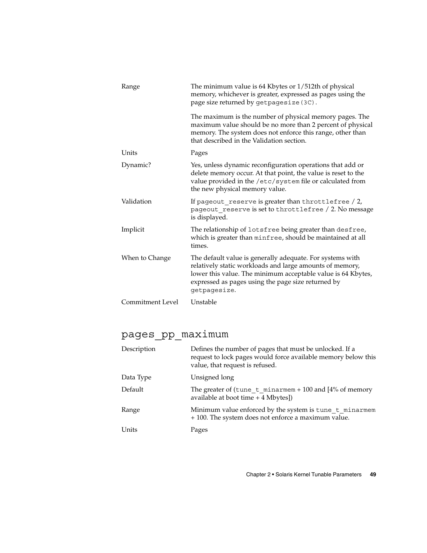| Range            | The minimum value is 64 Kbytes or 1/512th of physical<br>memory, whichever is greater, expressed as pages using the<br>page size returned by getpagesize (3C).                                                                                              |
|------------------|-------------------------------------------------------------------------------------------------------------------------------------------------------------------------------------------------------------------------------------------------------------|
|                  | The maximum is the number of physical memory pages. The<br>maximum value should be no more than 2 percent of physical<br>memory. The system does not enforce this range, other than<br>that described in the Validation section.                            |
| Units            | Pages                                                                                                                                                                                                                                                       |
| Dynamic?         | Yes, unless dynamic reconfiguration operations that add or<br>delete memory occur. At that point, the value is reset to the<br>value provided in the /etc/system file or calculated from<br>the new physical memory value.                                  |
| Validation       | If pageout reserve is greater than throttlefree $/ 2$ ,<br>pageout reserve is set to throttlefree / 2. No message<br>is displayed.                                                                                                                          |
| Implicit         | The relationship of lotsfree being greater than desfree,<br>which is greater than minfree, should be maintained at all<br>times.                                                                                                                            |
| When to Change   | The default value is generally adequate. For systems with<br>relatively static workloads and large amounts of memory,<br>lower this value. The minimum acceptable value is 64 Kbytes,<br>expressed as pages using the page size returned by<br>getpagesize. |
| Commitment Level | Unstable                                                                                                                                                                                                                                                    |

# pages\_pp\_maximum

| Description | Defines the number of pages that must be unlocked. If a<br>request to lock pages would force available memory below this<br>value, that request is refused. |
|-------------|-------------------------------------------------------------------------------------------------------------------------------------------------------------|
| Data Type   | Unsigned long                                                                                                                                               |
| Default     | The greater of (tune t minarmem $+$ 100 and [4% of memory<br>available at boot time $+4$ Mbytes])                                                           |
| Range       | Minimum value enforced by the system is tune t minarmem<br>+100. The system does not enforce a maximum value.                                               |
| Units       | Pages                                                                                                                                                       |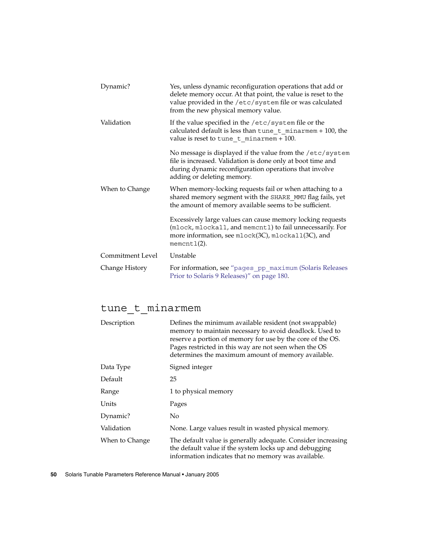| Dynamic?         | Yes, unless dynamic reconfiguration operations that add or<br>delete memory occur. At that point, the value is reset to the<br>value provided in the /etc/system file or was calculated<br>from the new physical memory value. |
|------------------|--------------------------------------------------------------------------------------------------------------------------------------------------------------------------------------------------------------------------------|
| Validation       | If the value specified in the /etc/system file or the<br>calculated default is less than tune $t$ minarmem + 100, the<br>value is reset to tune $t$ minarmem + 100.                                                            |
|                  | No message is displayed if the value from the /etc/system<br>file is increased. Validation is done only at boot time and<br>during dynamic reconfiguration operations that involve<br>adding or deleting memory.               |
| When to Change   | When memory-locking requests fail or when attaching to a<br>shared memory segment with the SHARE MMU flag fails, yet<br>the amount of memory available seems to be sufficient.                                                 |
|                  | Excessively large values can cause memory locking requests<br>(mlock, mlockall, and memcntl) to fail unnecessarily. For<br>more information, see mlock(3C), mlockall(3C), and<br>memcnt1(2).                                   |
| Commitment Level | Unstable                                                                                                                                                                                                                       |
| Change History   | For information, see "pages pp maximum (Solaris Releases<br>Prior to Solaris 9 Releases)" on page 180.                                                                                                                         |

# tune\_t\_minarmem

| Description    | Defines the minimum available resident (not swappable)<br>memory to maintain necessary to avoid deadlock. Used to<br>reserve a portion of memory for use by the core of the OS.<br>Pages restricted in this way are not seen when the OS<br>determines the maximum amount of memory available. |
|----------------|------------------------------------------------------------------------------------------------------------------------------------------------------------------------------------------------------------------------------------------------------------------------------------------------|
| Data Type      | Signed integer                                                                                                                                                                                                                                                                                 |
| Default        | 25                                                                                                                                                                                                                                                                                             |
| Range          | 1 to physical memory                                                                                                                                                                                                                                                                           |
| Units          | Pages                                                                                                                                                                                                                                                                                          |
| Dynamic?       | No.                                                                                                                                                                                                                                                                                            |
| Validation     | None. Large values result in wasted physical memory.                                                                                                                                                                                                                                           |
| When to Change | The default value is generally adequate. Consider increasing<br>the default value if the system locks up and debugging<br>information indicates that no memory was available.                                                                                                                  |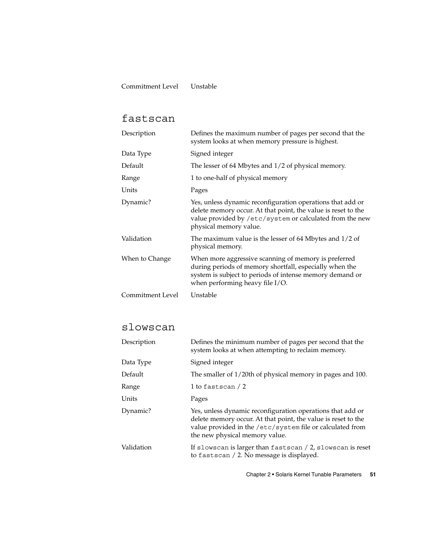<span id="page-50-0"></span>Commitment Level Unstable

#### fastscan

| Description      | Defines the maximum number of pages per second that the<br>system looks at when memory pressure is highest.                                                                                                       |
|------------------|-------------------------------------------------------------------------------------------------------------------------------------------------------------------------------------------------------------------|
| Data Type        | Signed integer                                                                                                                                                                                                    |
| Default          | The lesser of 64 Mbytes and 1/2 of physical memory.                                                                                                                                                               |
| Range            | 1 to one-half of physical memory                                                                                                                                                                                  |
| Units            | Pages                                                                                                                                                                                                             |
| Dynamic?         | Yes, unless dynamic reconfiguration operations that add or<br>delete memory occur. At that point, the value is reset to the<br>value provided by /etc/system or calculated from the new<br>physical memory value. |
| Validation       | The maximum value is the lesser of $64$ Mbytes and $1/2$ of<br>physical memory.                                                                                                                                   |
| When to Change   | When more aggressive scanning of memory is preferred<br>during periods of memory shortfall, especially when the<br>system is subject to periods of intense memory demand or<br>when performing heavy file I/O.    |
| Commitment Level | Unstable                                                                                                                                                                                                          |

#### slowscan

| Description | Defines the minimum number of pages per second that the<br>system looks at when attempting to reclaim memory.                                                                                                              |
|-------------|----------------------------------------------------------------------------------------------------------------------------------------------------------------------------------------------------------------------------|
| Data Type   | Signed integer                                                                                                                                                                                                             |
| Default     | The smaller of 1/20th of physical memory in pages and 100.                                                                                                                                                                 |
| Range       | 1 to fastscan $/2$                                                                                                                                                                                                         |
| Units       | Pages                                                                                                                                                                                                                      |
| Dynamic?    | Yes, unless dynamic reconfiguration operations that add or<br>delete memory occur. At that point, the value is reset to the<br>value provided in the /etc/system file or calculated from<br>the new physical memory value. |
| Validation  | If slowscan is larger than fastscan / 2, slowscan is reset<br>to fastscan / 2. No message is displayed.                                                                                                                    |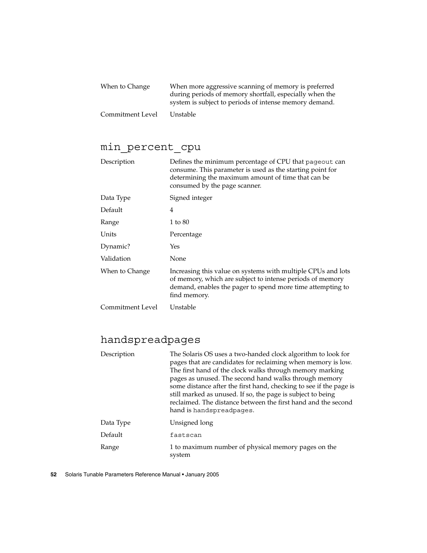| When to Change   | When more aggressive scanning of memory is preferred<br>during periods of memory shortfall, especially when the<br>system is subject to periods of intense memory demand. |
|------------------|---------------------------------------------------------------------------------------------------------------------------------------------------------------------------|
| Commitment Level | Unstable                                                                                                                                                                  |

# min\_percent\_cpu

| Description      | Defines the minimum percentage of CPU that pageout can<br>consume. This parameter is used as the starting point for<br>determining the maximum amount of time that can be<br>consumed by the page scanner. |
|------------------|------------------------------------------------------------------------------------------------------------------------------------------------------------------------------------------------------------|
| Data Type        | Signed integer                                                                                                                                                                                             |
| Default          | 4                                                                                                                                                                                                          |
| Range            | 1 to 80                                                                                                                                                                                                    |
| Units            | Percentage                                                                                                                                                                                                 |
| Dynamic?         | Yes                                                                                                                                                                                                        |
| Validation       | None                                                                                                                                                                                                       |
| When to Change   | Increasing this value on systems with multiple CPUs and lots<br>of memory, which are subject to intense periods of memory<br>demand, enables the pager to spend more time attempting to<br>find memory.    |
| Commitment Level | Unstable                                                                                                                                                                                                   |

### handspreadpages

| Description | The Solaris OS uses a two-handed clock algorithm to look for<br>pages that are candidates for reclaiming when memory is low.<br>The first hand of the clock walks through memory marking<br>pages as unused. The second hand walks through memory<br>some distance after the first hand, checking to see if the page is<br>still marked as unused. If so, the page is subject to being<br>reclaimed. The distance between the first hand and the second<br>hand is handspreadpages. |
|-------------|-------------------------------------------------------------------------------------------------------------------------------------------------------------------------------------------------------------------------------------------------------------------------------------------------------------------------------------------------------------------------------------------------------------------------------------------------------------------------------------|
| Data Type   | Unsigned long                                                                                                                                                                                                                                                                                                                                                                                                                                                                       |
| Default     | fastscan                                                                                                                                                                                                                                                                                                                                                                                                                                                                            |
| Range       | 1 to maximum number of physical memory pages on the<br>system                                                                                                                                                                                                                                                                                                                                                                                                                       |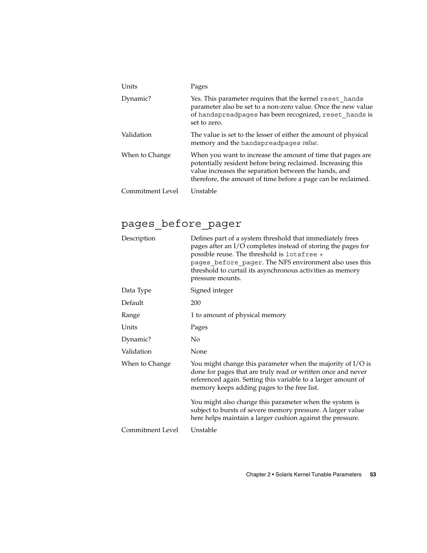| Units            | Pages                                                                                                                                                                                                                                                 |
|------------------|-------------------------------------------------------------------------------------------------------------------------------------------------------------------------------------------------------------------------------------------------------|
| Dynamic?         | Yes. This parameter requires that the kernel reset hands<br>parameter also be set to a non-zero value. Once the new value<br>of handspreadpages has been recognized, reset hands is<br>set to zero.                                                   |
| Validation       | The value is set to the lesser of either the amount of physical<br>memory and the handspreadpages value.                                                                                                                                              |
| When to Change   | When you want to increase the amount of time that pages are<br>potentially resident before being reclaimed. Increasing this<br>value increases the separation between the hands, and<br>therefore, the amount of time before a page can be reclaimed. |
| Commitment Level | Unstable                                                                                                                                                                                                                                              |

# pages\_before\_pager

| Description      | Defines part of a system threshold that immediately frees<br>pages after an I/O completes instead of storing the pages for<br>possible reuse. The threshold is lotsfree +<br>pages before pager. The NFS environment also uses this<br>threshold to curtail its asynchronous activities as memory<br>pressure mounts. |
|------------------|-----------------------------------------------------------------------------------------------------------------------------------------------------------------------------------------------------------------------------------------------------------------------------------------------------------------------|
| Data Type        | Signed integer                                                                                                                                                                                                                                                                                                        |
| Default          | 200                                                                                                                                                                                                                                                                                                                   |
| Range            | 1 to amount of physical memory                                                                                                                                                                                                                                                                                        |
| Units            | Pages                                                                                                                                                                                                                                                                                                                 |
| Dynamic?         | No                                                                                                                                                                                                                                                                                                                    |
| Validation       | None                                                                                                                                                                                                                                                                                                                  |
| When to Change   | You might change this parameter when the majority of $I/O$ is<br>done for pages that are truly read or written once and never<br>referenced again. Setting this variable to a larger amount of<br>memory keeps adding pages to the free list.                                                                         |
|                  | You might also change this parameter when the system is<br>subject to bursts of severe memory pressure. A larger value<br>here helps maintain a larger cushion against the pressure.                                                                                                                                  |
| Commitment Level | Unstable                                                                                                                                                                                                                                                                                                              |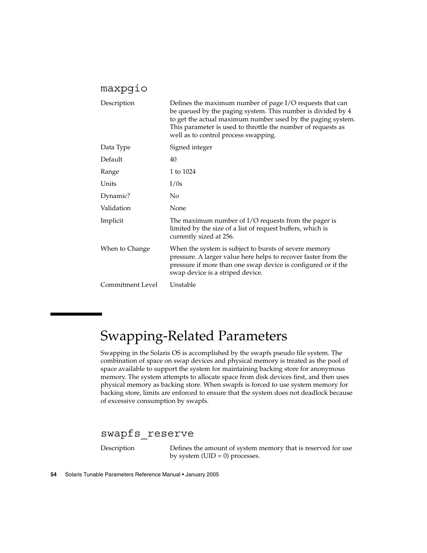#### maxpgio

| Description      | Defines the maximum number of page I/O requests that can<br>be queued by the paging system. This number is divided by 4<br>to get the actual maximum number used by the paging system.<br>This parameter is used to throttle the number of requests as<br>well as to control process swapping. |
|------------------|------------------------------------------------------------------------------------------------------------------------------------------------------------------------------------------------------------------------------------------------------------------------------------------------|
| Data Type        | Signed integer                                                                                                                                                                                                                                                                                 |
| Default          | 40                                                                                                                                                                                                                                                                                             |
| Range            | 1 to 1024                                                                                                                                                                                                                                                                                      |
| Units            | I/0s                                                                                                                                                                                                                                                                                           |
| Dynamic?         | No                                                                                                                                                                                                                                                                                             |
| Validation       | None                                                                                                                                                                                                                                                                                           |
| Implicit         | The maximum number of $I/O$ requests from the pager is<br>limited by the size of a list of request buffers, which is<br>currently sized at 256.                                                                                                                                                |
| When to Change   | When the system is subject to bursts of severe memory<br>pressure. A larger value here helps to recover faster from the<br>pressure if more than one swap device is configured or if the<br>swap device is a striped device.                                                                   |
| Commitment Level | Unstable                                                                                                                                                                                                                                                                                       |

# Swapping-Related Parameters

Swapping in the Solaris OS is accomplished by the swapfs pseudo file system. The combination of space on swap devices and physical memory is treated as the pool of space available to support the system for maintaining backing store for anonymous memory. The system attempts to allocate space from disk devices first, and then uses physical memory as backing store. When swapfs is forced to use system memory for backing store, limits are enforced to ensure that the system does not deadlock because of excessive consumption by swapfs.

#### swapfs\_reserve

Description Defines the amount of system memory that is reserved for use by system  $(UID = 0)$  processes.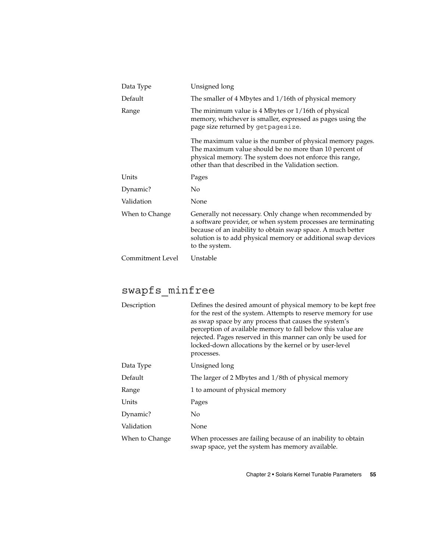| Data Type        | Unsigned long                                                                                                                                                                                                                                                               |
|------------------|-----------------------------------------------------------------------------------------------------------------------------------------------------------------------------------------------------------------------------------------------------------------------------|
| Default          | The smaller of 4 Mbytes and 1/16th of physical memory                                                                                                                                                                                                                       |
| Range            | The minimum value is 4 Mbytes or 1/16th of physical<br>memory, whichever is smaller, expressed as pages using the<br>page size returned by getpagesize.                                                                                                                     |
|                  | The maximum value is the number of physical memory pages.<br>The maximum value should be no more than 10 percent of<br>physical memory. The system does not enforce this range,<br>other than that described in the Validation section.                                     |
| Units            | Pages                                                                                                                                                                                                                                                                       |
| Dynamic?         | No.                                                                                                                                                                                                                                                                         |
| Validation       | None                                                                                                                                                                                                                                                                        |
| When to Change   | Generally not necessary. Only change when recommended by<br>a software provider, or when system processes are terminating<br>because of an inability to obtain swap space. A much better<br>solution is to add physical memory or additional swap devices<br>to the system. |
| Commitment Level | Unstable                                                                                                                                                                                                                                                                    |

# swapfs\_minfree

| Description    | Defines the desired amount of physical memory to be kept free<br>for the rest of the system. Attempts to reserve memory for use<br>as swap space by any process that causes the system's<br>perception of available memory to fall below this value are<br>rejected. Pages reserved in this manner can only be used for<br>locked-down allocations by the kernel or by user-level<br>processes. |
|----------------|-------------------------------------------------------------------------------------------------------------------------------------------------------------------------------------------------------------------------------------------------------------------------------------------------------------------------------------------------------------------------------------------------|
| Data Type      | Unsigned long                                                                                                                                                                                                                                                                                                                                                                                   |
| Default        | The larger of 2 Mbytes and 1/8th of physical memory                                                                                                                                                                                                                                                                                                                                             |
| Range          | 1 to amount of physical memory                                                                                                                                                                                                                                                                                                                                                                  |
| Units          | Pages                                                                                                                                                                                                                                                                                                                                                                                           |
| Dynamic?       | No.                                                                                                                                                                                                                                                                                                                                                                                             |
| Validation     | None                                                                                                                                                                                                                                                                                                                                                                                            |
| When to Change | When processes are failing because of an inability to obtain<br>swap space, yet the system has memory available.                                                                                                                                                                                                                                                                                |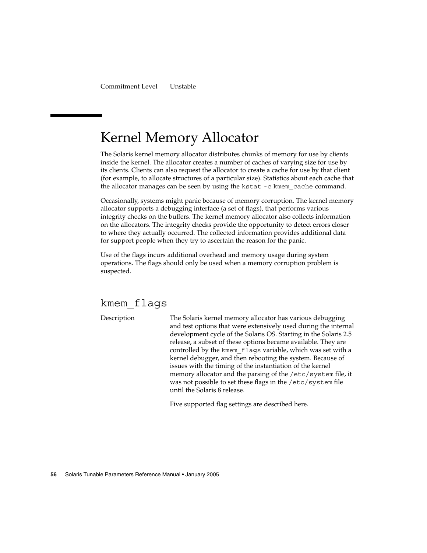Commitment Level Unstable

## Kernel Memory Allocator

The Solaris kernel memory allocator distributes chunks of memory for use by clients inside the kernel. The allocator creates a number of caches of varying size for use by its clients. Clients can also request the allocator to create a cache for use by that client (for example, to allocate structures of a particular size). Statistics about each cache that the allocator manages can be seen by using the kstat -c kmem\_cache command.

Occasionally, systems might panic because of memory corruption. The kernel memory allocator supports a debugging interface (a set of flags), that performs various integrity checks on the buffers. The kernel memory allocator also collects information on the allocators. The integrity checks provide the opportunity to detect errors closer to where they actually occurred. The collected information provides additional data for support people when they try to ascertain the reason for the panic.

Use of the flags incurs additional overhead and memory usage during system operations. The flags should only be used when a memory corruption problem is suspected.

#### kmem\_flags

Description The Solaris kernel memory allocator has various debugging and test options that were extensively used during the internal development cycle of the Solaris OS. Starting in the Solaris 2.5 release, a subset of these options became available. They are controlled by the kmem\_flags variable, which was set with a kernel debugger, and then rebooting the system. Because of issues with the timing of the instantiation of the kernel memory allocator and the parsing of the /etc/system file, it was not possible to set these flags in the /etc/system file until the Solaris 8 release.

Five supported flag settings are described here.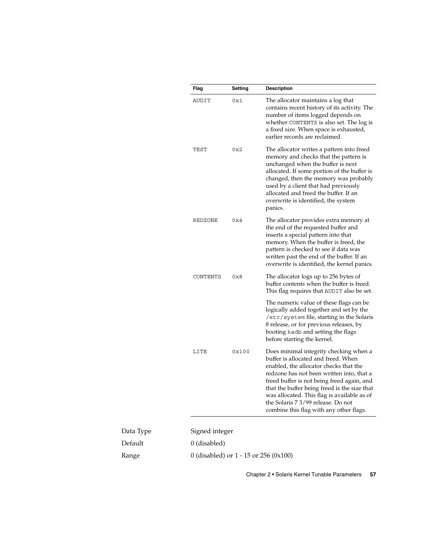| Flag     | Setting | Description                                                                                                                                                                                                                                                                                                                                                                                        |
|----------|---------|----------------------------------------------------------------------------------------------------------------------------------------------------------------------------------------------------------------------------------------------------------------------------------------------------------------------------------------------------------------------------------------------------|
| AUDIT    | 0x1     | The allocator maintains a log that<br>contains recent history of its activity. The<br>number of items logged depends on<br>whether CONTENTS is also set. The log is<br>a fixed size. When space is exhausted,<br>earlier records are reclaimed.                                                                                                                                                    |
| TEST     | 0x2     | The allocator writes a pattern into freed<br>memory and checks that the pattern is<br>unchanged when the buffer is next<br>allocated. If some portion of the buffer is<br>changed, then the memory was probably<br>used by a client that had previously<br>allocated and freed the buffer. If an<br>overwrite is identified, the system<br>panics.                                                 |
| REDZONE  | 0x4     | The allocator provides extra memory at<br>the end of the requested buffer and<br>inserts a special pattern into that<br>memory. When the buffer is freed, the<br>pattern is checked to see if data was<br>written past the end of the buffer. If an<br>overwrite is identified, the kernel panics.                                                                                                 |
| CONTENTS | 0x8     | The allocator logs up to 256 bytes of<br>buffer contents when the buffer is freed.<br>This flag requires that AUDIT also be set.                                                                                                                                                                                                                                                                   |
|          |         | The numeric value of these flags can be<br>logically added together and set by the<br>/etc/system file, starting in the Solaris<br>8 release, or for previous releases, by<br>booting kadb and setting the flags<br>before starting the kernel.                                                                                                                                                    |
| LITE     | 0x100   | Does minimal integrity checking when a<br>buffer is allocated and freed. When<br>enabled, the allocator checks that the<br>redzone has not been written into, that a<br>freed buffer is not being freed again, and<br>that the buffer being freed is the size that<br>was allocated. This flag is available as of<br>the Solaris 7 3/99 release. Do not<br>combine this flag with any other flags. |

Data Type Default Range

Chapter 2 • Solaris Kernel Tunable Parameters **57**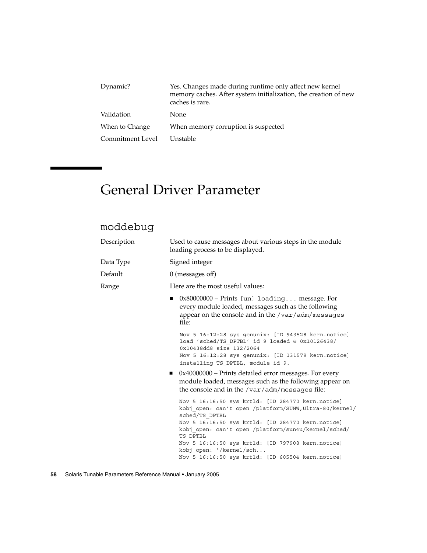| Dynamic?         | Yes. Changes made during runtime only affect new kernel<br>memory caches. After system initialization, the creation of new<br>caches is rare. |
|------------------|-----------------------------------------------------------------------------------------------------------------------------------------------|
| Validation       | None                                                                                                                                          |
| When to Change   | When memory corruption is suspected                                                                                                           |
| Commitment Level | Unstable                                                                                                                                      |

# General Driver Parameter

#### moddebug

| Description | Used to cause messages about various steps in the module<br>loading process to be displayed.                                                                                                                                                                                                               |  |
|-------------|------------------------------------------------------------------------------------------------------------------------------------------------------------------------------------------------------------------------------------------------------------------------------------------------------------|--|
| Data Type   | Signed integer                                                                                                                                                                                                                                                                                             |  |
| Default     | $0$ (messages off)                                                                                                                                                                                                                                                                                         |  |
| Range       | Here are the most useful values:                                                                                                                                                                                                                                                                           |  |
|             | $\blacksquare$ 0x80000000 - Prints [un] loading message. For<br>every module loaded, messages such as the following<br>appear on the console and in the /var/adm/messages<br>file:                                                                                                                         |  |
|             | Nov 5 16:12:28 sys qenunix: [ID 943528 kern.notice]<br>load 'sched/TS_DPTBL' id 9 loaded @ 0x10126438/<br>0x10438dd8 size 132/2064<br>Nov 5 16:12:28 sys genunix: [ID 131579 kern.notice]<br>installing TS DPTBL, module id 9.                                                                             |  |
|             | ■ 0x40000000 – Prints detailed error messages. For every<br>module loaded, messages such as the following appear on<br>the console and in the /var/adm/messages file:                                                                                                                                      |  |
|             | Nov 5 16:16:50 sys krtld: [ID 284770 kern.notice]<br>kobj open: can't open /platform/SUNW, Ultra-80/kernel/<br>sched/TS DPTBL<br>Nov 5 16:16:50 sys krtld: [ID 284770 kern.notice]<br>kobj open: can't open /platform/sun4u/kernel/sched/<br>TS DPTBL<br>Nov 5 16:16:50 sys krtld: [ID 797908 kern.notice] |  |
|             | kobj open: '/kernel/sch<br>Nov 5 16:16:50 sys krtld: [ID 605504 kern.notice]                                                                                                                                                                                                                               |  |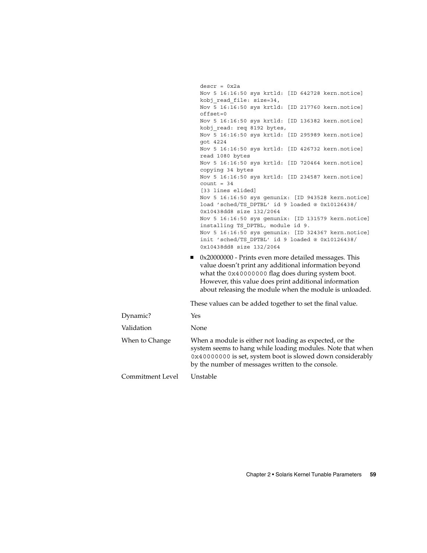|                  | $descr = 0x2a$                                                                                                                                                                                                                           |
|------------------|------------------------------------------------------------------------------------------------------------------------------------------------------------------------------------------------------------------------------------------|
|                  | Nov 5 16:16:50 sys krtld: [ID 642728 kern.notice]                                                                                                                                                                                        |
|                  | kobj read file: size=34,                                                                                                                                                                                                                 |
|                  | Nov 5 16:16:50 sys krtld: [ID 217760 kern.notice]<br>$offset=0$                                                                                                                                                                          |
|                  | Nov 5 16:16:50 sys krtld: [ID 136382 kern.notice]                                                                                                                                                                                        |
|                  | kobj read: req 8192 bytes,                                                                                                                                                                                                               |
|                  | Nov 5 16:16:50 sys krtld: [ID 295989 kern.notice]                                                                                                                                                                                        |
|                  | qot 4224                                                                                                                                                                                                                                 |
|                  | Nov 5 16:16:50 sys krtld: [ID 426732 kern.notice]                                                                                                                                                                                        |
|                  | read 1080 bytes                                                                                                                                                                                                                          |
|                  | Nov 5 16:16:50 sys krtld: [ID 720464 kern.notice]                                                                                                                                                                                        |
|                  | copying 34 bytes                                                                                                                                                                                                                         |
|                  | Nov 5 16:16:50 sys krtld: [ID 234587 kern.notice]                                                                                                                                                                                        |
|                  | $count = 34$                                                                                                                                                                                                                             |
|                  | [33 lines elided]                                                                                                                                                                                                                        |
|                  | Nov 5 16:16:50 sys genunix: [ID 943528 kern.notice]                                                                                                                                                                                      |
|                  | load 'sched/TS_DPTBL' id 9 loaded @ 0x10126438/                                                                                                                                                                                          |
|                  | 0x10438dd8 size 132/2064                                                                                                                                                                                                                 |
|                  | Nov 5 16:16:50 sys genunix: [ID 131579 kern.notice]<br>installing TS_DPTBL, module id 9.                                                                                                                                                 |
|                  | Nov 5 16:16:50 sys genunix: [ID 324367 kern.notice]                                                                                                                                                                                      |
|                  | init 'sched/TS_DPTBL' id 9 loaded @ 0x10126438/                                                                                                                                                                                          |
|                  | 0x10438dd8 size 132/2064                                                                                                                                                                                                                 |
|                  |                                                                                                                                                                                                                                          |
|                  | ■ 0x20000000 - Prints even more detailed messages. This                                                                                                                                                                                  |
|                  | value doesn't print any additional information beyond                                                                                                                                                                                    |
|                  | what the 0x40000000 flag does during system boot.                                                                                                                                                                                        |
|                  | However, this value does print additional information                                                                                                                                                                                    |
|                  | about releasing the module when the module is unloaded.                                                                                                                                                                                  |
|                  |                                                                                                                                                                                                                                          |
|                  | These values can be added together to set the final value.                                                                                                                                                                               |
| Dynamic?         | Yes                                                                                                                                                                                                                                      |
| Validation       | None                                                                                                                                                                                                                                     |
| When to Change   | When a module is either not loading as expected, or the<br>system seems to hang while loading modules. Note that when<br>0x40000000 is set, system boot is slowed down considerably<br>by the number of messages written to the console. |
| Commitment Level | Unstable                                                                                                                                                                                                                                 |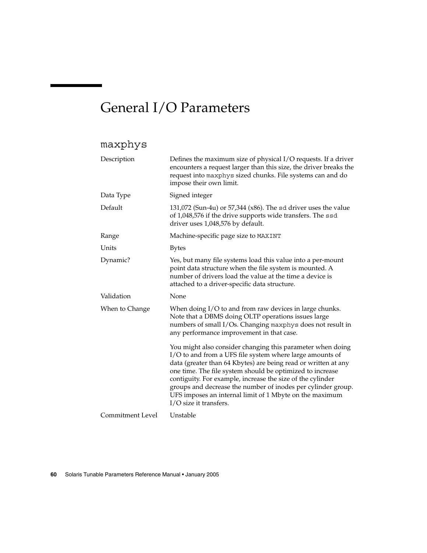# General I/O Parameters

### maxphys

| Description      | Defines the maximum size of physical I/O requests. If a driver<br>encounters a request larger than this size, the driver breaks the<br>request into maxphys sized chunks. File systems can and do<br>impose their own limit.                                                                                                                                                                                                                                               |
|------------------|----------------------------------------------------------------------------------------------------------------------------------------------------------------------------------------------------------------------------------------------------------------------------------------------------------------------------------------------------------------------------------------------------------------------------------------------------------------------------|
| Data Type        | Signed integer                                                                                                                                                                                                                                                                                                                                                                                                                                                             |
| Default          | $131,072$ (Sun-4u) or 57,344 (x86). The sd driver uses the value<br>of 1,048,576 if the drive supports wide transfers. The ssd<br>driver uses 1,048,576 by default.                                                                                                                                                                                                                                                                                                        |
| Range            | Machine-specific page size to MAXINT                                                                                                                                                                                                                                                                                                                                                                                                                                       |
| Units            | <b>Bytes</b>                                                                                                                                                                                                                                                                                                                                                                                                                                                               |
| Dynamic?         | Yes, but many file systems load this value into a per-mount<br>point data structure when the file system is mounted. A<br>number of drivers load the value at the time a device is<br>attached to a driver-specific data structure.                                                                                                                                                                                                                                        |
| Validation       | None                                                                                                                                                                                                                                                                                                                                                                                                                                                                       |
| When to Change   | When doing I/O to and from raw devices in large chunks.<br>Note that a DBMS doing OLTP operations issues large<br>numbers of small I/Os. Changing maxphys does not result in<br>any performance improvement in that case.                                                                                                                                                                                                                                                  |
|                  | You might also consider changing this parameter when doing<br>I/O to and from a UFS file system where large amounts of<br>data (greater than 64 Kbytes) are being read or written at any<br>one time. The file system should be optimized to increase<br>contiguity. For example, increase the size of the cylinder<br>groups and decrease the number of inodes per cylinder group.<br>UFS imposes an internal limit of 1 Mbyte on the maximum<br>$I/O$ size it transfers. |
| Commitment Level | Unstable                                                                                                                                                                                                                                                                                                                                                                                                                                                                   |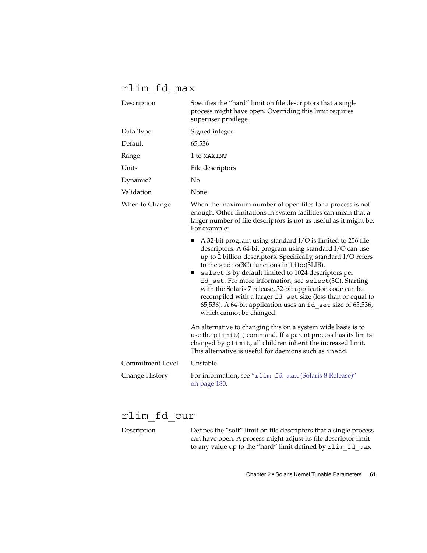## rlim\_fd\_max

| Description      | Specifies the "hard" limit on file descriptors that a single<br>process might have open. Overriding this limit requires<br>superuser privilege.                                                                                                                                                                                                                                                                                                                                                                                                                                  |
|------------------|----------------------------------------------------------------------------------------------------------------------------------------------------------------------------------------------------------------------------------------------------------------------------------------------------------------------------------------------------------------------------------------------------------------------------------------------------------------------------------------------------------------------------------------------------------------------------------|
| Data Type        | Signed integer                                                                                                                                                                                                                                                                                                                                                                                                                                                                                                                                                                   |
| Default          | 65,536                                                                                                                                                                                                                                                                                                                                                                                                                                                                                                                                                                           |
| Range            | 1 to MAXINT                                                                                                                                                                                                                                                                                                                                                                                                                                                                                                                                                                      |
| Units            | File descriptors                                                                                                                                                                                                                                                                                                                                                                                                                                                                                                                                                                 |
| Dynamic?         | No                                                                                                                                                                                                                                                                                                                                                                                                                                                                                                                                                                               |
| Validation       | None                                                                                                                                                                                                                                                                                                                                                                                                                                                                                                                                                                             |
| When to Change   | When the maximum number of open files for a process is not<br>enough. Other limitations in system facilities can mean that a<br>larger number of file descriptors is not as useful as it might be.<br>For example:                                                                                                                                                                                                                                                                                                                                                               |
|                  | A 32-bit program using standard I/O is limited to 256 file<br>descriptors. A 64-bit program using standard I/O can use<br>up to 2 billion descriptors. Specifically, standard I/O refers<br>to the stdio(3C) functions in libc(3LIB).<br>select is by default limited to 1024 descriptors per<br>fd set. For more information, see select(3C). Starting<br>with the Solaris 7 release, 32-bit application code can be<br>recompiled with a larger fd set size (less than or equal to<br>65,536). A 64-bit application uses an fd set size of 65,536,<br>which cannot be changed. |
|                  | An alternative to changing this on a system wide basis is to<br>use the $plimit(1)$ command. If a parent process has its limits<br>changed by plimit, all children inherit the increased limit.<br>This alternative is useful for daemons such as inetd.                                                                                                                                                                                                                                                                                                                         |
| Commitment Level | Unstable                                                                                                                                                                                                                                                                                                                                                                                                                                                                                                                                                                         |
| Change History   | For information, see "rlim fd max (Solaris 8 Release)"<br>on page 180.                                                                                                                                                                                                                                                                                                                                                                                                                                                                                                           |
|                  |                                                                                                                                                                                                                                                                                                                                                                                                                                                                                                                                                                                  |

# rlim\_fd\_cur

| Description | Defines the "soft" limit on file descriptors that a single process |
|-------------|--------------------------------------------------------------------|
|             | can have open. A process might adjust its file descriptor limit    |
|             | to any value up to the "hard" limit defined by rlim fd max         |

Chapter 2 • Solaris Kernel Tunable Parameters **61**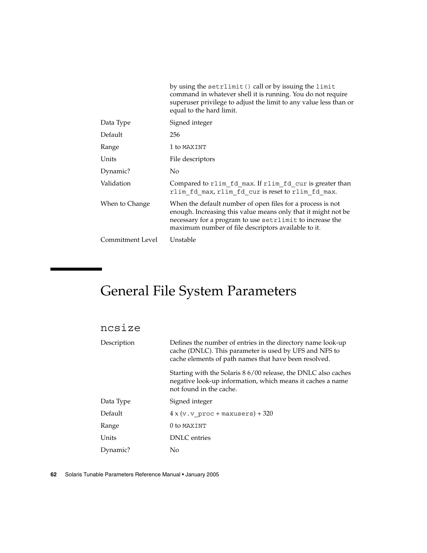<span id="page-61-0"></span>

|                  | by using the setrlimit () call or by issuing the limit<br>command in whatever shell it is running. You do not require<br>superuser privilege to adjust the limit to any value less than or<br>equal to the hard limit.                         |
|------------------|------------------------------------------------------------------------------------------------------------------------------------------------------------------------------------------------------------------------------------------------|
| Data Type        | Signed integer                                                                                                                                                                                                                                 |
| Default          | 256                                                                                                                                                                                                                                            |
| Range            | 1 to MAXINT                                                                                                                                                                                                                                    |
| Units            | File descriptors                                                                                                                                                                                                                               |
| Dynamic?         | No                                                                                                                                                                                                                                             |
| Validation       | Compared to rlim fd max. If rlim fd cur is greater than<br>rlim fd max, rlim fd cur is reset to rlim fd max.                                                                                                                                   |
| When to Change   | When the default number of open files for a process is not<br>enough. Increasing this value means only that it might not be<br>necessary for a program to use setrlimit to increase the<br>maximum number of file descriptors available to it. |
| Commitment Level | Unstable                                                                                                                                                                                                                                       |

# General File System Parameters

| ncsıze |  |  |  |
|--------|--|--|--|
|        |  |  |  |

| Description | Defines the number of entries in the directory name look-up<br>cache (DNLC). This parameter is used by UFS and NFS to<br>cache elements of path names that have been resolved. |
|-------------|--------------------------------------------------------------------------------------------------------------------------------------------------------------------------------|
|             | Starting with the Solaris 8 6/00 release, the DNLC also caches<br>negative look-up information, which means it caches a name<br>not found in the cache.                        |
| Data Type   | Signed integer                                                                                                                                                                 |
| Default     | $4x(v.v \text{ proc} + \text{maxusers}) + 320$                                                                                                                                 |
| Range       | 0 to MAXINT                                                                                                                                                                    |
| Units       | <b>DNLC</b> entries                                                                                                                                                            |
| Dynamic?    | No.                                                                                                                                                                            |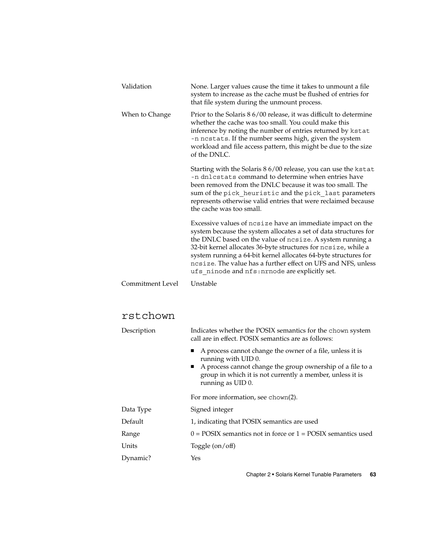| Validation       | None. Larger values cause the time it takes to unmount a file<br>system to increase as the cache must be flushed of entries for<br>that file system during the unmount process.                                                                                                                                                                                                                                                                      |
|------------------|------------------------------------------------------------------------------------------------------------------------------------------------------------------------------------------------------------------------------------------------------------------------------------------------------------------------------------------------------------------------------------------------------------------------------------------------------|
| When to Change   | Prior to the Solaris 8 6/00 release, it was difficult to determine<br>whether the cache was too small. You could make this<br>inference by noting the number of entries returned by kstat<br>-n ncstats. If the number seems high, given the system<br>workload and file access pattern, this might be due to the size<br>of the DNLC.                                                                                                               |
|                  | Starting with the Solaris 8 6/00 release, you can use the kstat<br>-n dnlcstats command to determine when entries have<br>been removed from the DNLC because it was too small. The<br>sum of the pick heuristic and the pick last parameters<br>represents otherwise valid entries that were reclaimed because<br>the cache was too small.                                                                                                           |
|                  | Excessive values of nostize have an immediate impact on the<br>system because the system allocates a set of data structures for<br>the DNLC based on the value of ncsize. A system running a<br>32-bit kernel allocates 36-byte structures for ncsize, while a<br>system running a 64-bit kernel allocates 64-byte structures for<br>ncsize. The value has a further effect on UFS and NFS, unless<br>ufs ninode and nfs: nrnode are explicitly set. |
| Commitment Level | Unstable                                                                                                                                                                                                                                                                                                                                                                                                                                             |

#### rstchown

| Description | Indicates whether the POSIX semantics for the chown system<br>call are in effect. POSIX semantics are as follows:                                                                                                                |
|-------------|----------------------------------------------------------------------------------------------------------------------------------------------------------------------------------------------------------------------------------|
|             | A process cannot change the owner of a file, unless it is<br>running with UID 0.<br>A process cannot change the group ownership of a file to a<br>group in which it is not currently a member, unless it is<br>running as UID 0. |
|             | For more information, see chown(2).                                                                                                                                                                                              |
| Data Type   | Signed integer                                                                                                                                                                                                                   |
| Default     | 1, indicating that POSIX semantics are used                                                                                                                                                                                      |
| Range       | $0 = \text{POSIX}$ semantics not in force or $1 = \text{POSIX}$ semantics used                                                                                                                                                   |
| Units       | Toggle $(on/off)$                                                                                                                                                                                                                |
| Dynamic?    | Yes                                                                                                                                                                                                                              |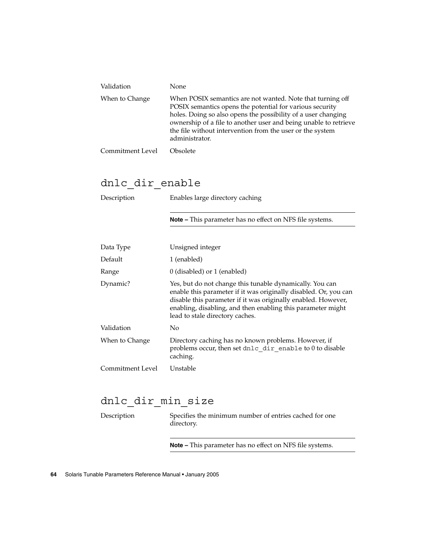| Validation       | None.                                                                                                                                                                                                                                                                                                                                      |
|------------------|--------------------------------------------------------------------------------------------------------------------------------------------------------------------------------------------------------------------------------------------------------------------------------------------------------------------------------------------|
| When to Change   | When POSIX semantics are not wanted. Note that turning off<br>POSIX semantics opens the potential for various security<br>holes. Doing so also opens the possibility of a user changing<br>ownership of a file to another user and being unable to retrieve<br>the file without intervention from the user or the system<br>administrator. |
| Commitment Level | Obsolete                                                                                                                                                                                                                                                                                                                                   |

### dnlc\_dir\_enable

| Description      | Enables large directory caching                                                                                                                                                                                                                                                                 |
|------------------|-------------------------------------------------------------------------------------------------------------------------------------------------------------------------------------------------------------------------------------------------------------------------------------------------|
|                  | <b>Note –</b> This parameter has no effect on NFS file systems.                                                                                                                                                                                                                                 |
|                  |                                                                                                                                                                                                                                                                                                 |
| Data Type        | Unsigned integer                                                                                                                                                                                                                                                                                |
| Default          | 1 (enabled)                                                                                                                                                                                                                                                                                     |
| Range            | $0$ (disabled) or 1 (enabled)                                                                                                                                                                                                                                                                   |
| Dynamic?         | Yes, but do not change this tunable dynamically. You can<br>enable this parameter if it was originally disabled. Or, you can<br>disable this parameter if it was originally enabled. However,<br>enabling, disabling, and then enabling this parameter might<br>lead to stale directory caches. |
| Validation       | No.                                                                                                                                                                                                                                                                                             |
| When to Change   | Directory caching has no known problems. However, if<br>problems occur, then set dnlc dir enable to 0 to disable<br>caching.                                                                                                                                                                    |
| Commitment Level | Unstable                                                                                                                                                                                                                                                                                        |

#### dnlc\_dir\_min\_size

Description Specifies the minimum number of entries cached for one directory.

**Note –** This parameter has no effect on NFS file systems.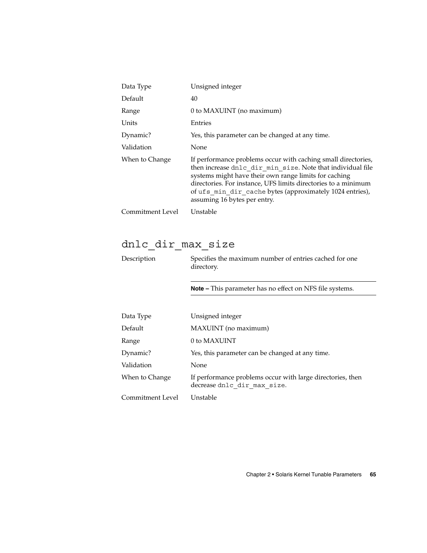| Data Type        | Unsigned integer                                                                                                                                                                                                                                                                                                                                   |
|------------------|----------------------------------------------------------------------------------------------------------------------------------------------------------------------------------------------------------------------------------------------------------------------------------------------------------------------------------------------------|
| Default          | 40                                                                                                                                                                                                                                                                                                                                                 |
| Range            | 0 to MAXUINT (no maximum)                                                                                                                                                                                                                                                                                                                          |
| Units            | Entries                                                                                                                                                                                                                                                                                                                                            |
| Dynamic?         | Yes, this parameter can be changed at any time.                                                                                                                                                                                                                                                                                                    |
| Validation       | <b>None</b>                                                                                                                                                                                                                                                                                                                                        |
| When to Change   | If performance problems occur with caching small directories,<br>then increase dnlc dir min size. Note that individual file<br>systems might have their own range limits for caching<br>directories. For instance, UFS limits directories to a minimum<br>of ufs min dir cache bytes (approximately 1024 entries),<br>assuming 16 bytes per entry. |
| Commitment Level | Unstable                                                                                                                                                                                                                                                                                                                                           |

# dnlc\_dir\_max\_size

| Description                                                     | Specifies the maximum number of entries cached for one<br>directory.                      |
|-----------------------------------------------------------------|-------------------------------------------------------------------------------------------|
| <b>Note –</b> This parameter has no effect on NFS file systems. |                                                                                           |
|                                                                 |                                                                                           |
| Data Type                                                       | Unsigned integer                                                                          |
| Default                                                         | MAXUINT (no maximum)                                                                      |
| Range                                                           | 0 to MAXUINT                                                                              |
| Dynamic?                                                        | Yes, this parameter can be changed at any time.                                           |
| Validation                                                      | None                                                                                      |
| When to Change                                                  | If performance problems occur with large directories, then<br>decrease dnlc dir max size. |
| Commitment Level                                                | Unstable                                                                                  |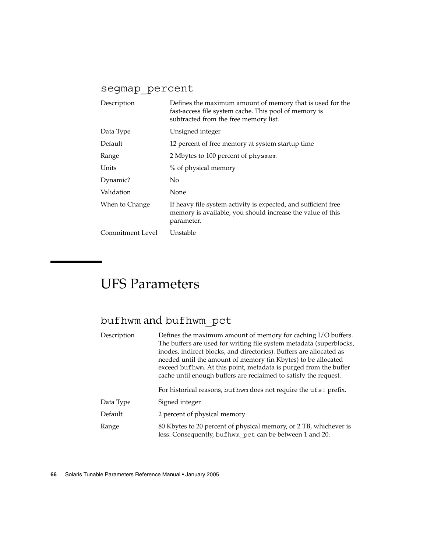#### segmap\_percent

| Description      | Defines the maximum amount of memory that is used for the<br>fast-access file system cache. This pool of memory is<br>subtracted from the free memory list. |  |
|------------------|-------------------------------------------------------------------------------------------------------------------------------------------------------------|--|
| Data Type        | Unsigned integer                                                                                                                                            |  |
| Default          | 12 percent of free memory at system startup time                                                                                                            |  |
| Range            | 2 Mbytes to 100 percent of physmem                                                                                                                          |  |
| Units            | % of physical memory                                                                                                                                        |  |
| Dynamic?         | No.                                                                                                                                                         |  |
| Validation       | None                                                                                                                                                        |  |
| When to Change   | If heavy file system activity is expected, and sufficient free<br>memory is available, you should increase the value of this<br>parameter.                  |  |
| Commitment Level | Unstable                                                                                                                                                    |  |
|                  |                                                                                                                                                             |  |

# UFS Parameters

### bufhwm and bufhwm\_pct

| Description | Defines the maximum amount of memory for caching I/O buffers.<br>The buffers are used for writing file system metadata (superblocks,<br>inodes, indirect blocks, and directories). Buffers are allocated as<br>needed until the amount of memory (in Kbytes) to be allocated<br>exceed bufhwm. At this point, metadata is purged from the buffer<br>cache until enough buffers are reclaimed to satisfy the request.<br>For historical reasons, bufhwm does not require the ufs: prefix. |
|-------------|------------------------------------------------------------------------------------------------------------------------------------------------------------------------------------------------------------------------------------------------------------------------------------------------------------------------------------------------------------------------------------------------------------------------------------------------------------------------------------------|
|             |                                                                                                                                                                                                                                                                                                                                                                                                                                                                                          |
| Data Type   | Signed integer                                                                                                                                                                                                                                                                                                                                                                                                                                                                           |
| Default     | 2 percent of physical memory                                                                                                                                                                                                                                                                                                                                                                                                                                                             |
| Range       | 80 Kbytes to 20 percent of physical memory, or 2 TB, whichever is<br>less. Consequently, bufhwm pct can be between 1 and 20.                                                                                                                                                                                                                                                                                                                                                             |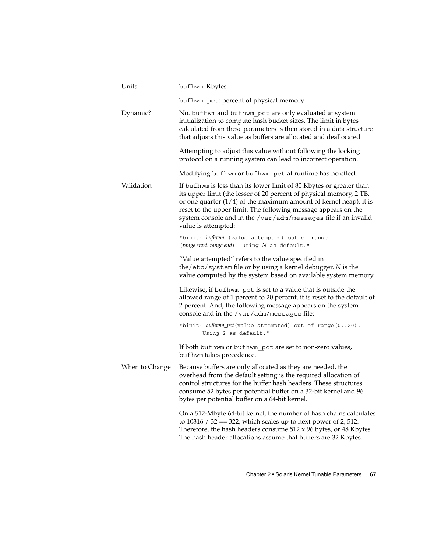| Units          | bufhwm: Kbytes                                                                                                                                                                                                                                                                                                                                                               |
|----------------|------------------------------------------------------------------------------------------------------------------------------------------------------------------------------------------------------------------------------------------------------------------------------------------------------------------------------------------------------------------------------|
|                | bufhwm_pct: percent of physical memory                                                                                                                                                                                                                                                                                                                                       |
| Dynamic?       | No. bufhwm and bufhwm_pct are only evaluated at system<br>initialization to compute hash bucket sizes. The limit in bytes<br>calculated from these parameters is then stored in a data structure<br>that adjusts this value as buffers are allocated and deallocated.                                                                                                        |
|                | Attempting to adjust this value without following the locking<br>protocol on a running system can lead to incorrect operation.                                                                                                                                                                                                                                               |
|                | Modifying bufhwm or bufhwm_pct at runtime has no effect.                                                                                                                                                                                                                                                                                                                     |
| Validation     | If bufhwm is less than its lower limit of 80 Kbytes or greater than<br>its upper limit (the lesser of 20 percent of physical memory, 2 TB,<br>or one quarter $(1/4)$ of the maximum amount of kernel heap), it is<br>reset to the upper limit. The following message appears on the<br>system console and in the /var/adm/messages file if an invalid<br>value is attempted: |
|                | "binit: bufhwm (value attempted) out of range<br>(range startrange end). Using N as default."                                                                                                                                                                                                                                                                                |
|                | "Value attempted" refers to the value specified in<br>the/etc/system file or by using a kernel debugger. N is the<br>value computed by the system based on available system memory.                                                                                                                                                                                          |
|                | Likewise, if bufhwm_pct is set to a value that is outside the<br>allowed range of 1 percent to 20 percent, it is reset to the default of<br>2 percent. And, the following message appears on the system<br>console and in the $/\text{var}/\text{adm}/\text{message}$ file:                                                                                                  |
|                | "binit: bufhwm_pct(value attempted) out of range(020).<br>Using 2 as default."                                                                                                                                                                                                                                                                                               |
|                | If both bufhwm or bufhwm pct are set to non-zero values,<br>bufhwm takes precedence.                                                                                                                                                                                                                                                                                         |
| When to Change | Because buffers are only allocated as they are needed, the<br>overhead from the default setting is the required allocation of<br>control structures for the buffer hash headers. These structures<br>consume 52 bytes per potential buffer on a 32-bit kernel and 96<br>bytes per potential buffer on a 64-bit kernel.                                                       |
|                | On a 512-Mbyte 64-bit kernel, the number of hash chains calculates<br>to $10316 / 32 == 322$ , which scales up to next power of 2, 512.<br>Therefore, the hash headers consume 512 x 96 bytes, or 48 Kbytes.<br>The hash header allocations assume that buffers are 32 Kbytes.                                                                                               |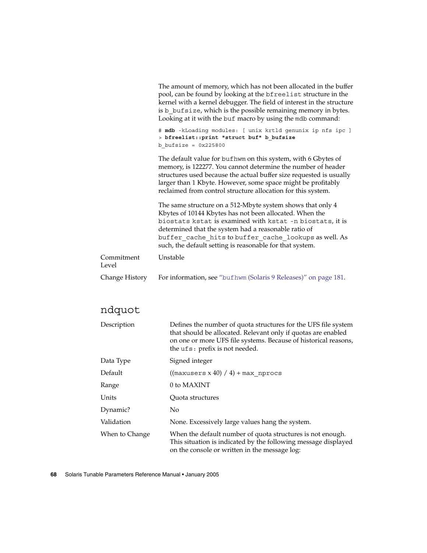|                     | The amount of memory, which has not been allocated in the buffer<br>pool, can be found by looking at the bfreelist structure in the<br>kernel with a kernel debugger. The field of interest in the structure<br>is b bufsize, which is the possible remaining memory in bytes.<br>Looking at it with the buf macro by using the mdb command:                   |
|---------------------|----------------------------------------------------------------------------------------------------------------------------------------------------------------------------------------------------------------------------------------------------------------------------------------------------------------------------------------------------------------|
|                     | # mdb -kLoading modules: [ unix krtld genunix ip nfs ipc ]<br>> bfreelist::print "struct buf" b bufsize<br>b bufsize = $0x225800$                                                                                                                                                                                                                              |
|                     | The default value for bufhwm on this system, with 6 Gbytes of<br>memory, is 122277. You cannot determine the number of header<br>structures used because the actual buffer size requested is usually<br>larger than 1 Kbyte. However, some space might be profitably<br>reclaimed from control structure allocation for this system.                           |
|                     | The same structure on a 512-Mbyte system shows that only 4<br>Kbytes of 10144 Kbytes has not been allocated. When the<br>biostats kstat is examined with kstat -n biostats, it is<br>determined that the system had a reasonable ratio of<br>buffer cache hits to buffer cache lookups as well. As<br>such, the default setting is reasonable for that system. |
| Commitment<br>Level | Unstable                                                                                                                                                                                                                                                                                                                                                       |
| Change History      | For information, see "bufhwm (Solaris 9 Releases)" on page 181.                                                                                                                                                                                                                                                                                                |

### ndquot

| Description    | Defines the number of quota structures for the UFS file system<br>that should be allocated. Relevant only if quotas are enabled<br>on one or more UFS file systems. Because of historical reasons,<br>the ufs: prefix is not needed. |
|----------------|--------------------------------------------------------------------------------------------------------------------------------------------------------------------------------------------------------------------------------------|
| Data Type      | Signed integer                                                                                                                                                                                                                       |
| Default        | $((maxusers x 40) / 4) + max nprocess$                                                                                                                                                                                               |
| Range          | 0 to MAXINT                                                                                                                                                                                                                          |
| Units          | Quota structures                                                                                                                                                                                                                     |
| Dynamic?       | No.                                                                                                                                                                                                                                  |
| Validation     | None. Excessively large values hang the system.                                                                                                                                                                                      |
| When to Change | When the default number of quota structures is not enough.<br>This situation is indicated by the following message displayed<br>on the console or written in the message log:                                                        |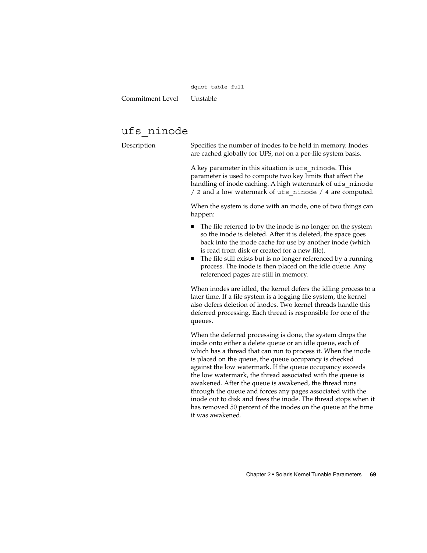#### dquot table full

Commitment Level Unstable

#### ufs\_ninode

Description Specifies the number of inodes to be held in memory. Inodes are cached globally for UFS, not on a per-file system basis.

> A key parameter in this situation is ufs\_ninode. This parameter is used to compute two key limits that affect the handling of inode caching. A high watermark of ufs ninode / 2 and a low watermark of ufs\_ninode / 4 are computed.

> When the system is done with an inode, one of two things can happen:

- The file referred to by the inode is no longer on the system so the inode is deleted. After it is deleted, the space goes back into the inode cache for use by another inode (which is read from disk or created for a new file).
- The file still exists but is no longer referenced by a running process. The inode is then placed on the idle queue. Any referenced pages are still in memory.

When inodes are idled, the kernel defers the idling process to a later time. If a file system is a logging file system, the kernel also defers deletion of inodes. Two kernel threads handle this deferred processing. Each thread is responsible for one of the queues.

When the deferred processing is done, the system drops the inode onto either a delete queue or an idle queue, each of which has a thread that can run to process it. When the inode is placed on the queue, the queue occupancy is checked against the low watermark. If the queue occupancy exceeds the low watermark, the thread associated with the queue is awakened. After the queue is awakened, the thread runs through the queue and forces any pages associated with the inode out to disk and frees the inode. The thread stops when it has removed 50 percent of the inodes on the queue at the time it was awakened.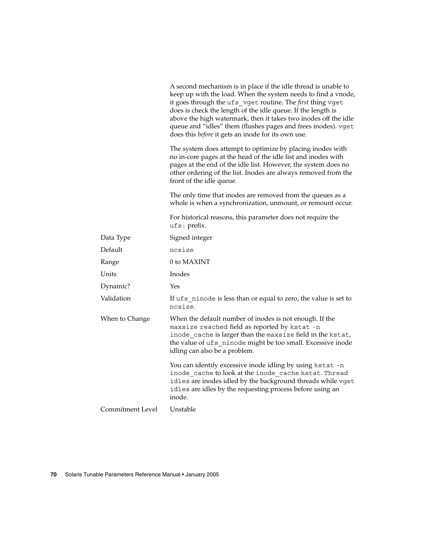| A second mechanism is in place if the idle thread is unable to    |
|-------------------------------------------------------------------|
| keep up with the load. When the system needs to find a vnode,     |
| it goes through the ufs vget routine. The <i>first</i> thing vget |
| does is check the length of the idle queue. If the length is      |
| above the high watermark, then it takes two inodes off the idle   |
| queue and "idles" them (flushes pages and frees inodes). vget     |
| does this <i>before</i> it gets an inode for its own use.         |

The system does attempt to optimize by placing inodes with no in-core pages at the head of the idle list and inodes with pages at the end of the idle list. However, the system does no other ordering of the list. Inodes are always removed from the front of the idle queue.

The only time that inodes are removed from the queues as a whole is when a synchronization, unmount, or remount occur.

For historical reasons, this parameter does not require the ufs: prefix.

| Data Type        | Signed integer                                                                                                                                                                                                                                                         |
|------------------|------------------------------------------------------------------------------------------------------------------------------------------------------------------------------------------------------------------------------------------------------------------------|
| Default          | ncsize                                                                                                                                                                                                                                                                 |
| Range            | 0 to MAXINT                                                                                                                                                                                                                                                            |
| Units            | Inodes                                                                                                                                                                                                                                                                 |
| Dynamic?         | Yes                                                                                                                                                                                                                                                                    |
| Validation       | If ufs ninode is less than or equal to zero, the value is set to<br>ncsize.                                                                                                                                                                                            |
| When to Change   | When the default number of inodes is not enough. If the<br>maxsize reached field as reported by kstat -n<br>inode cache is larger than the maxsize field in the kstat,<br>the value of ufs ninode might be too small. Excessive inode<br>idling can also be a problem. |
|                  | You can identify excessive inode idling by using kstat -n<br>inode cache to look at the inode cache kstat. Thread<br>idles are inodes idled by the background threads while vget<br>idles are idles by the requesting process before using an<br>inode.                |
| Commitment Level | Unstable                                                                                                                                                                                                                                                               |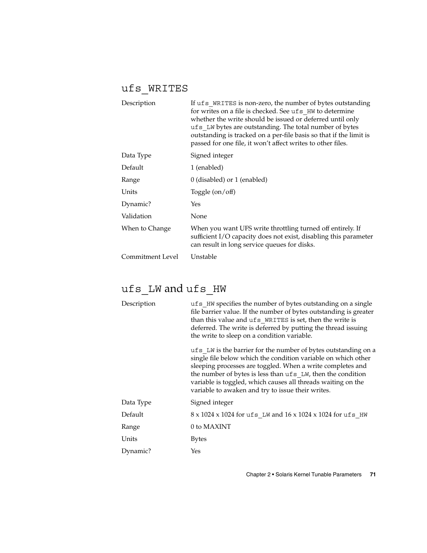#### ufs\_WRITES

| Description      | If ufs WRITES is non-zero, the number of bytes outstanding<br>for writes on a file is checked. See ufs HW to determine<br>whether the write should be issued or deferred until only<br>ufs LW bytes are outstanding. The total number of bytes<br>outstanding is tracked on a per-file basis so that if the limit is<br>passed for one file, it won't affect writes to other files. |
|------------------|-------------------------------------------------------------------------------------------------------------------------------------------------------------------------------------------------------------------------------------------------------------------------------------------------------------------------------------------------------------------------------------|
| Data Type        | Signed integer                                                                                                                                                                                                                                                                                                                                                                      |
| Default          | 1 (enabled)                                                                                                                                                                                                                                                                                                                                                                         |
| Range            | 0 (disabled) or 1 (enabled)                                                                                                                                                                                                                                                                                                                                                         |
| Units            | Toggle $($ on $/$ off $)$                                                                                                                                                                                                                                                                                                                                                           |
| Dynamic?         | Yes                                                                                                                                                                                                                                                                                                                                                                                 |
| Validation       | None                                                                                                                                                                                                                                                                                                                                                                                |
| When to Change   | When you want UFS write throttling turned off entirely. If<br>sufficient I/O capacity does not exist, disabling this parameter<br>can result in long service queues for disks.                                                                                                                                                                                                      |
| Commitment Level | Unstable                                                                                                                                                                                                                                                                                                                                                                            |

# ufs\_LW and ufs\_HW

| Description | ufs HW specifies the number of bytes outstanding on a single<br>file barrier value. If the number of bytes outstanding is greater<br>than this value and ufs WRITES is set, then the write is<br>deferred. The write is deferred by putting the thread issuing<br>the write to sleep on a condition variable.                                                                     |
|-------------|-----------------------------------------------------------------------------------------------------------------------------------------------------------------------------------------------------------------------------------------------------------------------------------------------------------------------------------------------------------------------------------|
|             | ufs LW is the barrier for the number of bytes outstanding on a<br>single file below which the condition variable on which other<br>sleeping processes are toggled. When a write completes and<br>the number of bytes is less than ufs LW, then the condition<br>variable is toggled, which causes all threads waiting on the<br>variable to awaken and try to issue their writes. |
| Data Type   | Signed integer                                                                                                                                                                                                                                                                                                                                                                    |
| Default     | 8 x 1024 x 1024 for ufs LW and 16 x 1024 x 1024 for ufs HW                                                                                                                                                                                                                                                                                                                        |
| Range       | 0 to MAXINT                                                                                                                                                                                                                                                                                                                                                                       |
| Units       | <b>Bytes</b>                                                                                                                                                                                                                                                                                                                                                                      |
| Dynamic?    | Yes                                                                                                                                                                                                                                                                                                                                                                               |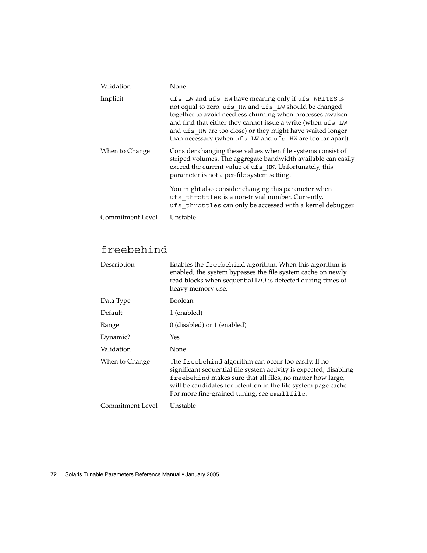| Validation       | None                                                                                                                                                                                                                                                                                                                                                                   |
|------------------|------------------------------------------------------------------------------------------------------------------------------------------------------------------------------------------------------------------------------------------------------------------------------------------------------------------------------------------------------------------------|
| Implicit         | ufs LW and ufs HW have meaning only if ufs WRITES is<br>not equal to zero. ufs HW and ufs LW should be changed<br>together to avoid needless churning when processes awaken<br>and find that either they cannot issue a write (when ufs LW<br>and ufs HW are too close) or they might have waited longer<br>than necessary (when ufs LW and ufs HW are too far apart). |
| When to Change   | Consider changing these values when file systems consist of<br>striped volumes. The aggregate bandwidth available can easily<br>exceed the current value of ufs HW. Unfortunately, this<br>parameter is not a per-file system setting.                                                                                                                                 |
|                  | You might also consider changing this parameter when<br>ufs throttles is a non-trivial number. Currently,<br>ufs throttles can only be accessed with a kernel debugger.                                                                                                                                                                                                |
| Commitment Level | Unstable                                                                                                                                                                                                                                                                                                                                                               |

#### freebehind

| Description      | Enables the freebehind algorithm. When this algorithm is<br>enabled, the system bypasses the file system cache on newly<br>read blocks when sequential I/O is detected during times of<br>heavy memory use.                                                                                                 |
|------------------|-------------------------------------------------------------------------------------------------------------------------------------------------------------------------------------------------------------------------------------------------------------------------------------------------------------|
| Data Type        | <b>Boolean</b>                                                                                                                                                                                                                                                                                              |
| Default          | 1 (enabled)                                                                                                                                                                                                                                                                                                 |
| Range            | 0 (disabled) or 1 (enabled)                                                                                                                                                                                                                                                                                 |
| Dynamic?         | Yes                                                                                                                                                                                                                                                                                                         |
| Validation       | None                                                                                                                                                                                                                                                                                                        |
| When to Change   | The freebehind algorithm can occur too easily. If no<br>significant sequential file system activity is expected, disabling<br>freebehind makes sure that all files, no matter how large,<br>will be candidates for retention in the file system page cache.<br>For more fine-grained tuning, see smallfile. |
| Commitment Level | Unstable                                                                                                                                                                                                                                                                                                    |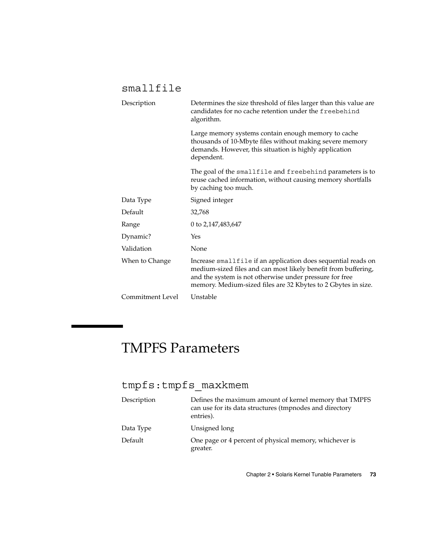#### smallfile

| Description      | Determines the size threshold of files larger than this value are<br>candidates for no cache retention under the freebehind<br>algorithm.                                                                                                                   |
|------------------|-------------------------------------------------------------------------------------------------------------------------------------------------------------------------------------------------------------------------------------------------------------|
|                  | Large memory systems contain enough memory to cache<br>thousands of 10-Mbyte files without making severe memory<br>demands. However, this situation is highly application<br>dependent.                                                                     |
|                  | The goal of the smallfile and freebehind parameters is to<br>reuse cached information, without causing memory shortfalls<br>by caching too much.                                                                                                            |
| Data Type        | Signed integer                                                                                                                                                                                                                                              |
| Default          | 32,768                                                                                                                                                                                                                                                      |
| Range            | 0 to 2,147,483,647                                                                                                                                                                                                                                          |
| Dynamic?         | Yes                                                                                                                                                                                                                                                         |
| Validation       | None                                                                                                                                                                                                                                                        |
| When to Change   | Increase smallfile if an application does sequential reads on<br>medium-sized files and can most likely benefit from buffering,<br>and the system is not otherwise under pressure for free<br>memory. Medium-sized files are 32 Kbytes to 2 Gbytes in size. |
| Commitment Level | Unstable                                                                                                                                                                                                                                                    |
|                  |                                                                                                                                                                                                                                                             |

# TMPFS Parameters

## tmpfs:tmpfs\_maxkmem

| Description | Defines the maximum amount of kernel memory that TMPFS<br>can use for its data structures (tmpnodes and directory<br>entries). |
|-------------|--------------------------------------------------------------------------------------------------------------------------------|
| Data Type   | Unsigned long                                                                                                                  |
| Default     | One page or 4 percent of physical memory, whichever is<br>greater.                                                             |

Chapter 2 • Solaris Kernel Tunable Parameters **73**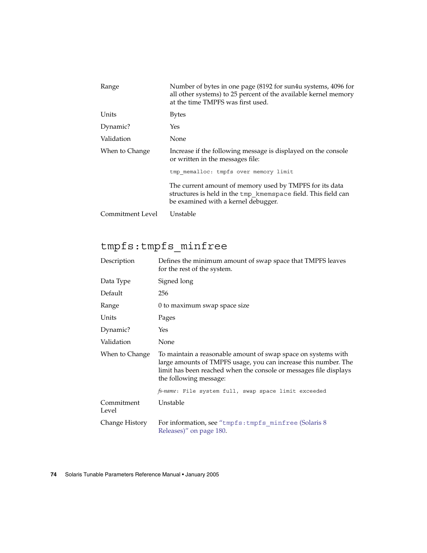| Range            | Number of bytes in one page (8192 for sun4u systems, 4096 for<br>all other systems) to 25 percent of the available kernel memory<br>at the time TMPFS was first used. |
|------------------|-----------------------------------------------------------------------------------------------------------------------------------------------------------------------|
| Units            | <b>Bytes</b>                                                                                                                                                          |
| Dynamic?         | Yes                                                                                                                                                                   |
| Validation       | None                                                                                                                                                                  |
| When to Change   | Increase if the following message is displayed on the console<br>or written in the messages file:                                                                     |
|                  | tmp memalloc: tmpfs over memory limit                                                                                                                                 |
|                  | The current amount of memory used by TMPFS for its data<br>structures is held in the tmp kmemspace field. This field can<br>be examined with a kernel debugger.       |
| Commitment Level | Unstable                                                                                                                                                              |

# tmpfs:tmpfs\_minfree

| Description         | Defines the minimum amount of swap space that TMPFS leaves<br>for the rest of the system.                                                                                                                                       |
|---------------------|---------------------------------------------------------------------------------------------------------------------------------------------------------------------------------------------------------------------------------|
| Data Type           | Signed long                                                                                                                                                                                                                     |
| Default             | 256                                                                                                                                                                                                                             |
| Range               | 0 to maximum swap space size                                                                                                                                                                                                    |
| Units               | Pages                                                                                                                                                                                                                           |
| Dynamic?            | Yes                                                                                                                                                                                                                             |
| Validation          | None                                                                                                                                                                                                                            |
| When to Change      | To maintain a reasonable amount of swap space on systems with<br>large amounts of TMPFS usage, you can increase this number. The<br>limit has been reached when the console or messages file displays<br>the following message: |
|                     | fs-name: File system full, swap space limit exceeded                                                                                                                                                                            |
| Commitment<br>Level | Unstable                                                                                                                                                                                                                        |
| Change History      | For information, see "tmpfs: tmpfs minfree (Solaris 8<br>Releases)" on page 180.                                                                                                                                                |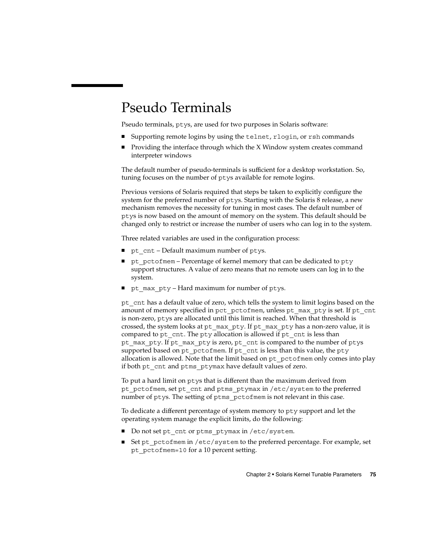## Pseudo Terminals

Pseudo terminals, ptys, are used for two purposes in Solaris software:

- Supporting remote logins by using the telnet, rlogin, or rsh commands
- Providing the interface through which the X Window system creates command interpreter windows

The default number of pseudo-terminals is sufficient for a desktop workstation. So, tuning focuses on the number of ptys available for remote logins.

Previous versions of Solaris required that steps be taken to explicitly configure the system for the preferred number of ptys. Starting with the Solaris 8 release, a new mechanism removes the necessity for tuning in most cases. The default number of ptys is now based on the amount of memory on the system. This default should be changed only to restrict or increase the number of users who can log in to the system.

Three related variables are used in the configuration process:

- pt\_cnt Default maximum number of ptys.
- pt\_pctofmem Percentage of kernel memory that can be dedicated to pty support structures. A value of zero means that no remote users can log in to the system.
- pt\_max\_pty Hard maximum for number of ptys.

pt\_cnt has a default value of zero, which tells the system to limit logins based on the amount of memory specified in pct\_pctofmem, unless pt\_max\_pty is set. If pt\_cnt is non-zero, ptys are allocated until this limit is reached. When that threshold is crossed, the system looks at pt\_max\_pty. If pt\_max\_pty has a non-zero value, it is compared to pt\_cnt. The pty allocation is allowed if pt\_cnt is less than pt\_max\_pty. If pt\_max\_pty is zero, pt\_cnt is compared to the number of ptys supported based on pt\_pctofmem. If pt\_cnt is less than this value, the pty allocation is allowed. Note that the limit based on pt\_pctofmem only comes into play if both pt cnt and ptms ptymax have default values of zero.

To put a hard limit on ptys that is different than the maximum derived from pt\_pctofmem, set pt\_cnt and ptms\_ptymax in /etc/system to the preferred number of ptys. The setting of ptms\_pctofmem is not relevant in this case.

To dedicate a different percentage of system memory to pty support and let the operating system manage the explicit limits, do the following:

- Do not set pt\_cnt or ptms\_ptymax in /etc/system.
- Set pt\_pctofmem in /etc/system to the preferred percentage. For example, set pt\_pctofmem=10 for a 10 percent setting.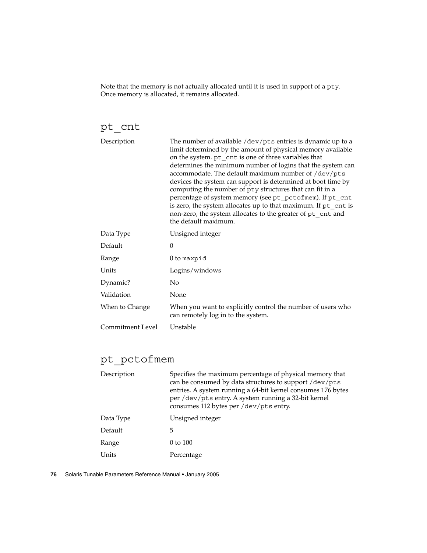Note that the memory is not actually allocated until it is used in support of a pty. Once memory is allocated, it remains allocated.

### pt\_cnt

| Description      | The number of available /dev/pts entries is dynamic up to a<br>limit determined by the amount of physical memory available<br>on the system. pt cnt is one of three variables that<br>determines the minimum number of logins that the system can<br>accommodate. The default maximum number of /dev/pts<br>devices the system can support is determined at boot time by<br>computing the number of pty structures that can fit in a<br>percentage of system memory (see pt pctofmem). If pt cnt<br>is zero, the system allocates up to that maximum. If pt cnt is<br>non-zero, the system allocates to the greater of pt cnt and<br>the default maximum. |
|------------------|-----------------------------------------------------------------------------------------------------------------------------------------------------------------------------------------------------------------------------------------------------------------------------------------------------------------------------------------------------------------------------------------------------------------------------------------------------------------------------------------------------------------------------------------------------------------------------------------------------------------------------------------------------------|
| Data Type        | Unsigned integer                                                                                                                                                                                                                                                                                                                                                                                                                                                                                                                                                                                                                                          |
| Default          | 0                                                                                                                                                                                                                                                                                                                                                                                                                                                                                                                                                                                                                                                         |
| Range            | $0$ to maxpid                                                                                                                                                                                                                                                                                                                                                                                                                                                                                                                                                                                                                                             |
| Units            | Logins/windows                                                                                                                                                                                                                                                                                                                                                                                                                                                                                                                                                                                                                                            |
| Dynamic?         | $\overline{N}_{0}$                                                                                                                                                                                                                                                                                                                                                                                                                                                                                                                                                                                                                                        |
| Validation       | None                                                                                                                                                                                                                                                                                                                                                                                                                                                                                                                                                                                                                                                      |
| When to Change   | When you want to explicitly control the number of users who<br>can remotely log in to the system.                                                                                                                                                                                                                                                                                                                                                                                                                                                                                                                                                         |
| Commitment Level | Unstable                                                                                                                                                                                                                                                                                                                                                                                                                                                                                                                                                                                                                                                  |

### pt\_pctofmem

| Description | Specifies the maximum percentage of physical memory that<br>can be consumed by data structures to support /dev/pts<br>entries. A system running a 64-bit kernel consumes 176 bytes<br>per /dev/pts entry. A system running a 32-bit kernel<br>consumes 112 bytes per /dev/pts entry. |
|-------------|--------------------------------------------------------------------------------------------------------------------------------------------------------------------------------------------------------------------------------------------------------------------------------------|
| Data Type   | Unsigned integer                                                                                                                                                                                                                                                                     |
| Default     | 5                                                                                                                                                                                                                                                                                    |
| Range       | 0 to 100                                                                                                                                                                                                                                                                             |
| Units       | Percentage                                                                                                                                                                                                                                                                           |

**76** Solaris Tunable Parameters Reference Manual • January 2005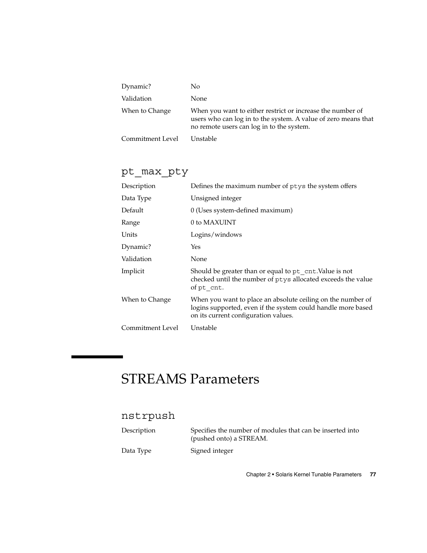| Dynamic?         | No                                                                                                                                                                        |
|------------------|---------------------------------------------------------------------------------------------------------------------------------------------------------------------------|
| Validation       | None.                                                                                                                                                                     |
| When to Change   | When you want to either restrict or increase the number of<br>users who can log in to the system. A value of zero means that<br>no remote users can log in to the system. |
| Commitment Level | Unstable                                                                                                                                                                  |

### pt\_max\_pty

| Description      | Defines the maximum number of ptys the system offers                                                                                                                |
|------------------|---------------------------------------------------------------------------------------------------------------------------------------------------------------------|
| Data Type        | Unsigned integer                                                                                                                                                    |
| Default          | 0 (Uses system-defined maximum)                                                                                                                                     |
| Range            | 0 to MAXUINT                                                                                                                                                        |
| Units            | Logins/windows                                                                                                                                                      |
| Dynamic?         | Yes                                                                                                                                                                 |
| Validation       | None                                                                                                                                                                |
| Implicit         | Should be greater than or equal to pt cnt. Value is not<br>checked until the number of ptys allocated exceeds the value<br>of pt cnt.                               |
| When to Change   | When you want to place an absolute ceiling on the number of<br>logins supported, even if the system could handle more based<br>on its current configuration values. |
| Commitment Level | Unstable                                                                                                                                                            |

# STREAMS Parameters

### nstrpush

| Description | Specifies the number of modules that can be inserted into<br>(pushed onto) a STREAM. |
|-------------|--------------------------------------------------------------------------------------|
| Data Type   | Signed integer                                                                       |

Chapter 2 • Solaris Kernel Tunable Parameters **77**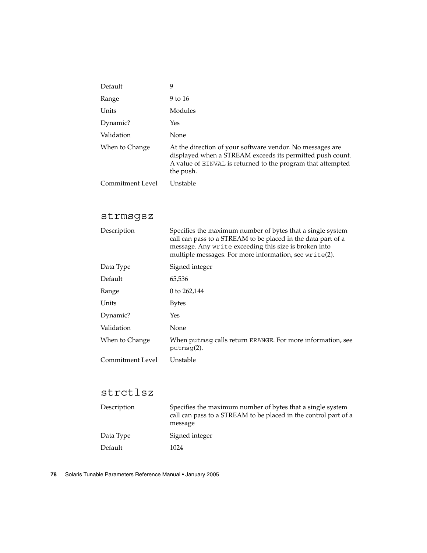| Default          | 9                                                                                                                                                                                                  |
|------------------|----------------------------------------------------------------------------------------------------------------------------------------------------------------------------------------------------|
| Range            | 9 to 16                                                                                                                                                                                            |
| Units            | Modules                                                                                                                                                                                            |
| Dynamic?         | Yes                                                                                                                                                                                                |
| Validation       | None                                                                                                                                                                                               |
| When to Change   | At the direction of your software vendor. No messages are<br>displayed when a STREAM exceeds its permitted push count.<br>A value of EINVAL is returned to the program that attempted<br>the push. |
| Commitment Level | Unstable                                                                                                                                                                                           |

### strmsgsz

| Description      | Specifies the maximum number of bytes that a single system<br>call can pass to a STREAM to be placed in the data part of a<br>message. Any write exceeding this size is broken into<br>multiple messages. For more information, see write(2). |
|------------------|-----------------------------------------------------------------------------------------------------------------------------------------------------------------------------------------------------------------------------------------------|
| Data Type        | Signed integer                                                                                                                                                                                                                                |
| Default          | 65,536                                                                                                                                                                                                                                        |
| Range            | 0 to $262,144$                                                                                                                                                                                                                                |
| Units            | <b>Bytes</b>                                                                                                                                                                                                                                  |
| Dynamic?         | Yes                                                                                                                                                                                                                                           |
| Validation       | None                                                                                                                                                                                                                                          |
| When to Change   | When put msq calls return ERANGE. For more information, see<br>putmsq(2).                                                                                                                                                                     |
| Commitment Level | Unstable                                                                                                                                                                                                                                      |

#### strctlsz

| Description | Specifies the maximum number of bytes that a single system<br>call can pass to a STREAM to be placed in the control part of a<br>message |
|-------------|------------------------------------------------------------------------------------------------------------------------------------------|
| Data Type   | Signed integer                                                                                                                           |
| Default     | 1024                                                                                                                                     |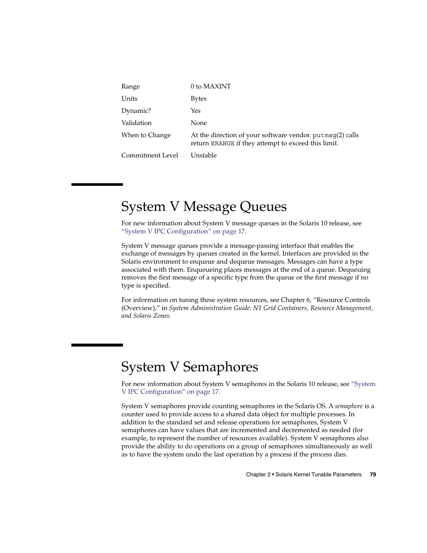| Range            | 0 to MAXINT                                                                                                      |
|------------------|------------------------------------------------------------------------------------------------------------------|
| Units            | <b>Bytes</b>                                                                                                     |
| Dynamic?         | Yes                                                                                                              |
| Validation       | None                                                                                                             |
| When to Change   | At the direction of your software vendor. putmsg(2) calls<br>return ERANGE if they attempt to exceed this limit. |
| Commitment Level | Unstable                                                                                                         |

## System V Message Queues

For new information about System V message queues in the Solaris 10 release, see ["System V IPC Configuration"](#page-16-0) on page 17.

System V message queues provide a message-passing interface that enables the exchange of messages by queues created in the kernel. Interfaces are provided in the Solaris environment to enqueue and dequeue messages. Messages can have a type associated with them. Enqueueing places messages at the end of a queue. Dequeuing removes the first message of a specific type from the queue or the first message if no type is specified.

For information on tuning these system resources, see Chapter 6, "Resource Controls (Overview)," in *System Administration Guide: N1 Grid Containers, Resource Management, and Solaris Zones*.

## System V Semaphores

For new information about System V semaphores in the Solaris 10 release, see ["System](#page-16-0) [V IPC Configuration"](#page-16-0) on page 17.

System V semaphores provide counting semaphores in the Solaris OS. A *semaphore* is a counter used to provide access to a shared data object for multiple processes. In addition to the standard set and release operations for semaphores, System V semaphores can have values that are incremented and decremented as needed (for example, to represent the number of resources available). System V semaphores also provide the ability to do operations on a group of semaphores simultaneously as well as to have the system undo the last operation by a process if the process dies.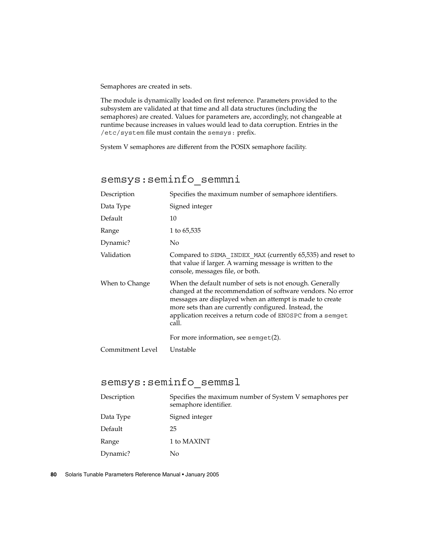Semaphores are created in sets.

The module is dynamically loaded on first reference. Parameters provided to the subsystem are validated at that time and all data structures (including the semaphores) are created. Values for parameters are, accordingly, not changeable at runtime because increases in values would lead to data corruption. Entries in the /etc/system file must contain the semsys: prefix.

System V semaphores are different from the POSIX semaphore facility.

#### semsys:seminfo\_semmni

| Description      | Specifies the maximum number of semaphore identifiers.                                                                                                                                                                                                                                                              |
|------------------|---------------------------------------------------------------------------------------------------------------------------------------------------------------------------------------------------------------------------------------------------------------------------------------------------------------------|
| Data Type        | Signed integer                                                                                                                                                                                                                                                                                                      |
| Default          | 10                                                                                                                                                                                                                                                                                                                  |
| Range            | 1 to 65,535                                                                                                                                                                                                                                                                                                         |
| Dynamic?         | No                                                                                                                                                                                                                                                                                                                  |
| Validation       | Compared to SEMA INDEX MAX (currently 65,535) and reset to<br>that value if larger. A warning message is written to the<br>console, messages file, or both.                                                                                                                                                         |
| When to Change   | When the default number of sets is not enough. Generally<br>changed at the recommendation of software vendors. No error<br>messages are displayed when an attempt is made to create<br>more sets than are currently configured. Instead, the<br>application receives a return code of ENOSPC from a semget<br>call. |
|                  | For more information, see $s$ emget $(2)$ .                                                                                                                                                                                                                                                                         |
| Commitment Level | Unstable                                                                                                                                                                                                                                                                                                            |

#### semsys:seminfo\_semmsl

| Description | Specifies the maximum number of System V semaphores per<br>semaphore identifier. |
|-------------|----------------------------------------------------------------------------------|
| Data Type   | Signed integer                                                                   |
| Default     | 25                                                                               |
| Range       | 1 to MAXINT                                                                      |
| Dynamic?    | No                                                                               |

**80** Solaris Tunable Parameters Reference Manual • January 2005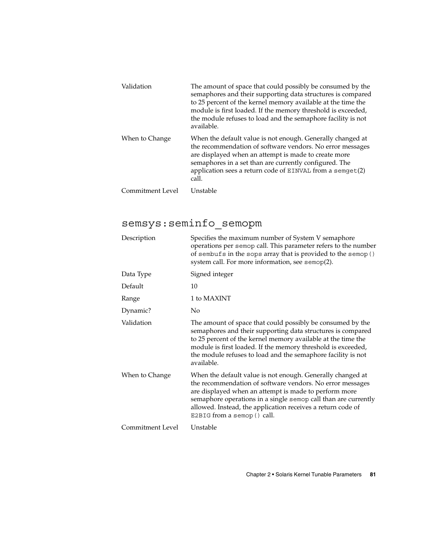| Validation       | The amount of space that could possibly be consumed by the<br>semaphores and their supporting data structures is compared<br>to 25 percent of the kernel memory available at the time the<br>module is first loaded. If the memory threshold is exceeded,<br>the module refuses to load and the semaphore facility is not<br>available. |
|------------------|-----------------------------------------------------------------------------------------------------------------------------------------------------------------------------------------------------------------------------------------------------------------------------------------------------------------------------------------|
| When to Change   | When the default value is not enough. Generally changed at<br>the recommendation of software vendors. No error messages<br>are displayed when an attempt is made to create more<br>semaphores in a set than are currently configured. The<br>application sees a return code of EINVAL from a semget(2)<br>call.                         |
| Commitment Level | Unstable                                                                                                                                                                                                                                                                                                                                |

### semsys:seminfo\_semopm

| Description      | Specifies the maximum number of System V semaphore<br>operations per semop call. This parameter refers to the number<br>of sembufs in the sops array that is provided to the semop ()<br>system call. For more information, see semop(2).                                                                                                          |
|------------------|----------------------------------------------------------------------------------------------------------------------------------------------------------------------------------------------------------------------------------------------------------------------------------------------------------------------------------------------------|
| Data Type        | Signed integer                                                                                                                                                                                                                                                                                                                                     |
| Default          | 10                                                                                                                                                                                                                                                                                                                                                 |
| Range            | 1 to MAXINT                                                                                                                                                                                                                                                                                                                                        |
| Dynamic?         | No                                                                                                                                                                                                                                                                                                                                                 |
| Validation       | The amount of space that could possibly be consumed by the<br>semaphores and their supporting data structures is compared<br>to 25 percent of the kernel memory available at the time the<br>module is first loaded. If the memory threshold is exceeded,<br>the module refuses to load and the semaphore facility is not<br>available.            |
| When to Change   | When the default value is not enough. Generally changed at<br>the recommendation of software vendors. No error messages<br>are displayed when an attempt is made to perform more<br>semaphore operations in a single semop call than are currently<br>allowed. Instead, the application receives a return code of<br>E2BIG from a semop $()$ call. |
| Commitment Level | Unstable                                                                                                                                                                                                                                                                                                                                           |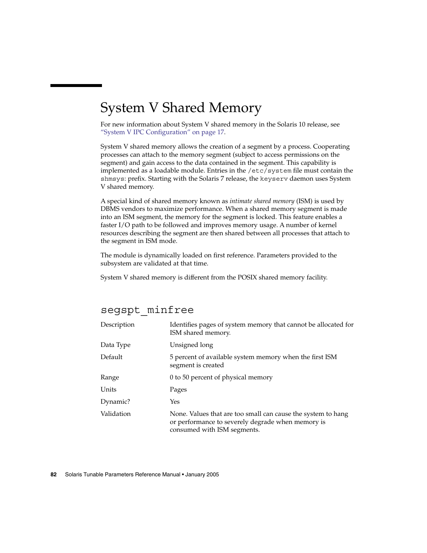## System V Shared Memory

For new information about System V shared memory in the Solaris 10 release, see ["System V IPC Configuration"](#page-16-0) on page 17.

System V shared memory allows the creation of a segment by a process. Cooperating processes can attach to the memory segment (subject to access permissions on the segment) and gain access to the data contained in the segment. This capability is implemented as a loadable module. Entries in the /etc/system file must contain the shmsys: prefix. Starting with the Solaris 7 release, the keyserv daemon uses System V shared memory.

A special kind of shared memory known as *intimate shared memory* (ISM) is used by DBMS vendors to maximize performance. When a shared memory segment is made into an ISM segment, the memory for the segment is locked. This feature enables a faster I/O path to be followed and improves memory usage. A number of kernel resources describing the segment are then shared between all processes that attach to the segment in ISM mode.

The module is dynamically loaded on first reference. Parameters provided to the subsystem are validated at that time.

System V shared memory is different from the POSIX shared memory facility.

#### segspt\_minfree

| Description | Identifies pages of system memory that cannot be allocated for<br>ISM shared memory.                                                             |
|-------------|--------------------------------------------------------------------------------------------------------------------------------------------------|
| Data Type   | Unsigned long                                                                                                                                    |
| Default     | 5 percent of available system memory when the first ISM<br>segment is created                                                                    |
| Range       | 0 to 50 percent of physical memory                                                                                                               |
| Units       | Pages                                                                                                                                            |
| Dynamic?    | Yes                                                                                                                                              |
| Validation  | None. Values that are too small can cause the system to hang<br>or performance to severely degrade when memory is<br>consumed with ISM segments. |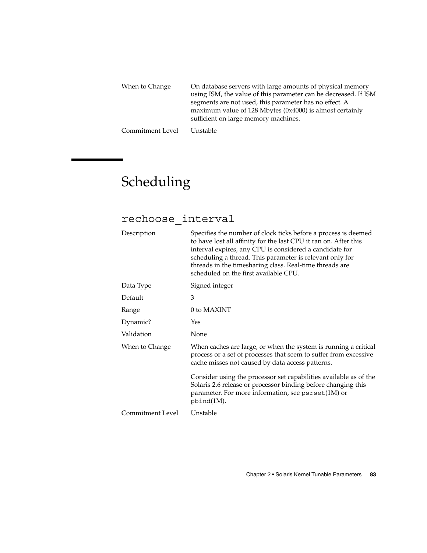| When to Change   | On database servers with large amounts of physical memory<br>using ISM, the value of this parameter can be decreased. If ISM<br>segments are not used, this parameter has no effect. A<br>maximum value of 128 Mbytes (0x4000) is almost certainly<br>sufficient on large memory machines. |
|------------------|--------------------------------------------------------------------------------------------------------------------------------------------------------------------------------------------------------------------------------------------------------------------------------------------|
| Commitment Level | Unstable                                                                                                                                                                                                                                                                                   |

# Scheduling

# rechoose\_interval

| Description      | Specifies the number of clock ticks before a process is deemed<br>to have lost all affinity for the last CPU it ran on. After this<br>interval expires, any CPU is considered a candidate for<br>scheduling a thread. This parameter is relevant only for<br>threads in the timesharing class. Real-time threads are<br>scheduled on the first available CPU. |
|------------------|---------------------------------------------------------------------------------------------------------------------------------------------------------------------------------------------------------------------------------------------------------------------------------------------------------------------------------------------------------------|
| Data Type        | Signed integer                                                                                                                                                                                                                                                                                                                                                |
| Default          | 3                                                                                                                                                                                                                                                                                                                                                             |
| Range            | 0 to MAXINT                                                                                                                                                                                                                                                                                                                                                   |
| Dynamic?         | Yes                                                                                                                                                                                                                                                                                                                                                           |
| Validation       | None                                                                                                                                                                                                                                                                                                                                                          |
| When to Change   | When caches are large, or when the system is running a critical<br>process or a set of processes that seem to suffer from excessive<br>cache misses not caused by data access patterns.                                                                                                                                                                       |
|                  | Consider using the processor set capabilities available as of the<br>Solaris 2.6 release or processor binding before changing this<br>parameter. For more information, see psrset(1M) or<br>$pbind(1M)$ .                                                                                                                                                     |
| Commitment Level | Unstable                                                                                                                                                                                                                                                                                                                                                      |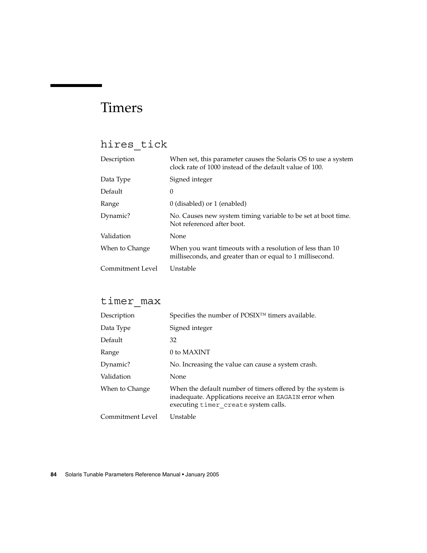# Timers

### hires\_tick

| Description      | When set, this parameter causes the Solaris OS to use a system<br>clock rate of 1000 instead of the default value of 100. |
|------------------|---------------------------------------------------------------------------------------------------------------------------|
| Data Type        | Signed integer                                                                                                            |
| Default          | 0                                                                                                                         |
| Range            | 0 (disabled) or 1 (enabled)                                                                                               |
| Dynamic?         | No. Causes new system timing variable to be set at boot time.<br>Not referenced after boot.                               |
| Validation       | None                                                                                                                      |
| When to Change   | When you want timeouts with a resolution of less than 10<br>milliseconds, and greater than or equal to 1 millisecond.     |
| Commitment Level | Unstable                                                                                                                  |

### timer\_max

| Description      | Specifies the number of POSIX™ timers available.                                                                                                            |
|------------------|-------------------------------------------------------------------------------------------------------------------------------------------------------------|
| Data Type        | Signed integer                                                                                                                                              |
| Default          | 32                                                                                                                                                          |
| Range            | 0 to MAXINT                                                                                                                                                 |
| Dynamic?         | No. Increasing the value can cause a system crash.                                                                                                          |
| Validation       | None                                                                                                                                                        |
| When to Change   | When the default number of timers offered by the system is<br>inadequate. Applications receive an EAGAIN error when<br>executing timer_create system calls. |
| Commitment Level | Unstable                                                                                                                                                    |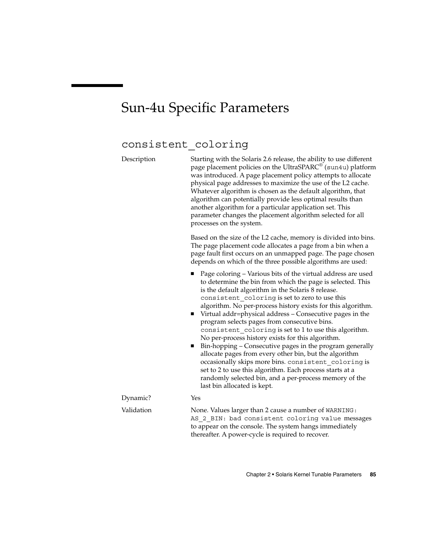### Sun-4u Specific Parameters

#### consistent\_coloring

Description Starting with the Solaris 2.6 release, the ability to use different page placement policies on the UltraSPARC<sup>®</sup> (sun4u) platform was introduced. A page placement policy attempts to allocate physical page addresses to maximize the use of the L2 cache. Whatever algorithm is chosen as the default algorithm, that algorithm can potentially provide less optimal results than another algorithm for a particular application set. This parameter changes the placement algorithm selected for all processes on the system. Based on the size of the L2 cache, memory is divided into bins. The page placement code allocates a page from a bin when a page fault first occurs on an unmapped page. The page chosen depends on which of the three possible algorithms are used: ■ Page coloring – Various bits of the virtual address are used to determine the bin from which the page is selected. This is the default algorithm in the Solaris 8 release. consistent\_coloring is set to zero to use this algorithm. No per-process history exists for this algorithm. ■ Virtual addr=physical address – Consecutive pages in the program selects pages from consecutive bins. consistent\_coloring is set to 1 to use this algorithm. No per-process history exists for this algorithm. ■ Bin-hopping – Consecutive pages in the program generally allocate pages from every other bin, but the algorithm occasionally skips more bins. consistent\_coloring is set to 2 to use this algorithm. Each process starts at a randomly selected bin, and a per-process memory of the last bin allocated is kept. Dynamic? Yes Validation None. Values larger than 2 cause a number of WARNING: AS 2 BIN: bad consistent coloring value messages to appear on the console. The system hangs immediately thereafter. A power-cycle is required to recover.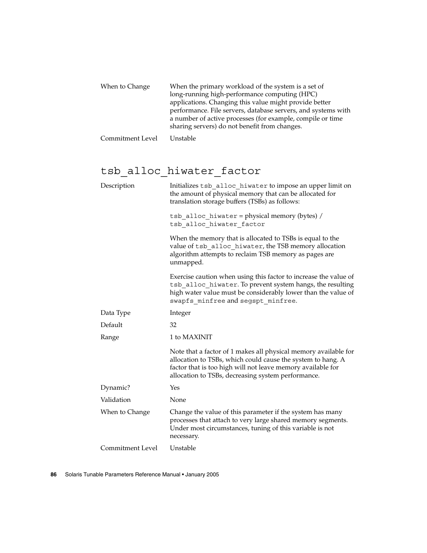| When to Change   | When the primary workload of the system is a set of<br>long-running high-performance computing (HPC)<br>applications. Changing this value might provide better<br>performance. File servers, database servers, and systems with<br>a number of active processes (for example, compile or time<br>sharing servers) do not benefit from changes. |
|------------------|------------------------------------------------------------------------------------------------------------------------------------------------------------------------------------------------------------------------------------------------------------------------------------------------------------------------------------------------|
| Commitment Level | Unstable                                                                                                                                                                                                                                                                                                                                       |

# tsb\_alloc\_hiwater\_factor

| Description      | Initializes tsb alloc hiwater to impose an upper limit on<br>the amount of physical memory that can be allocated for<br>translation storage buffers (TSBs) as follows:                                                                              |
|------------------|-----------------------------------------------------------------------------------------------------------------------------------------------------------------------------------------------------------------------------------------------------|
|                  | tsb alloc hiwater = physical memory (bytes) /<br>tsb alloc hiwater factor                                                                                                                                                                           |
|                  | When the memory that is allocated to TSBs is equal to the<br>value of tsb alloc hiwater, the TSB memory allocation<br>algorithm attempts to reclaim TSB memory as pages are<br>unmapped.                                                            |
|                  | Exercise caution when using this factor to increase the value of<br>tsb alloc hiwater. To prevent system hangs, the resulting<br>high water value must be considerably lower than the value of<br>swapfs minfree and segspt minfree.                |
| Data Type        | Integer                                                                                                                                                                                                                                             |
| Default          | 32                                                                                                                                                                                                                                                  |
| Range            | 1 to MAXINIT                                                                                                                                                                                                                                        |
|                  | Note that a factor of 1 makes all physical memory available for<br>allocation to TSBs, which could cause the system to hang. A<br>factor that is too high will not leave memory available for<br>allocation to TSBs, decreasing system performance. |
| Dynamic?         | Yes                                                                                                                                                                                                                                                 |
| Validation       | None                                                                                                                                                                                                                                                |
| When to Change   | Change the value of this parameter if the system has many<br>processes that attach to very large shared memory segments.<br>Under most circumstances, tuning of this variable is not<br>necessary.                                                  |
| Commitment Level | Unstable                                                                                                                                                                                                                                            |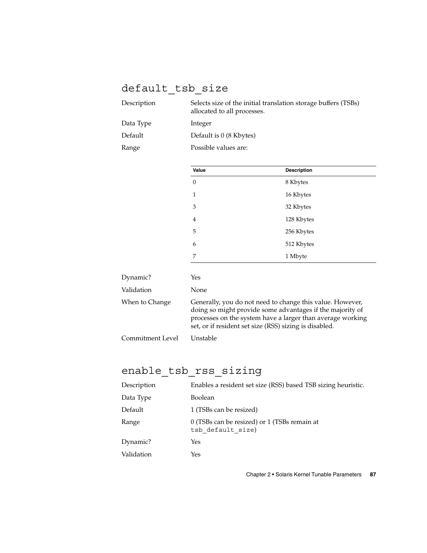## default\_tsb\_size

| Description | Selects size of the initial translation storage buffers (TSBs)<br>allocated to all processes. |
|-------------|-----------------------------------------------------------------------------------------------|
| Data Type   | Integer                                                                                       |
| Default     | Default is 0 (8 Kbytes)                                                                       |
| Range       | Possible values are:                                                                          |

|                  | Value                                                                                                                                                                                                                                          | <b>Description</b> |
|------------------|------------------------------------------------------------------------------------------------------------------------------------------------------------------------------------------------------------------------------------------------|--------------------|
|                  | $\theta$                                                                                                                                                                                                                                       | 8 Kbytes           |
|                  | 1                                                                                                                                                                                                                                              | 16 Kbytes          |
|                  | 3                                                                                                                                                                                                                                              | 32 Kbytes          |
|                  | 4                                                                                                                                                                                                                                              | 128 Kbytes         |
|                  | 5                                                                                                                                                                                                                                              | 256 Kbytes         |
|                  | 6                                                                                                                                                                                                                                              | 512 Kbytes         |
|                  | 7                                                                                                                                                                                                                                              | 1 Mbyte            |
|                  |                                                                                                                                                                                                                                                |                    |
| Dynamic?         | Yes                                                                                                                                                                                                                                            |                    |
| Validation       | None                                                                                                                                                                                                                                           |                    |
| When to Change   | Generally, you do not need to change this value. However,<br>doing so might provide some advantages if the majority of<br>processes on the system have a larger than average working<br>set, or if resident set size (RSS) sizing is disabled. |                    |
| Commitment Level | Unstable                                                                                                                                                                                                                                       |                    |

## enable\_tsb\_rss\_sizing

| Description | Enables a resident set size (RSS) based TSB sizing heuristic.     |
|-------------|-------------------------------------------------------------------|
| Data Type   | <b>Boolean</b>                                                    |
| Default     | 1 (TSBs can be resized)                                           |
| Range       | 0 (TSBs can be resized) or 1 (TSBs remain at<br>tsb default size) |
| Dynamic?    | Yes                                                               |
| Validation  | Yes                                                               |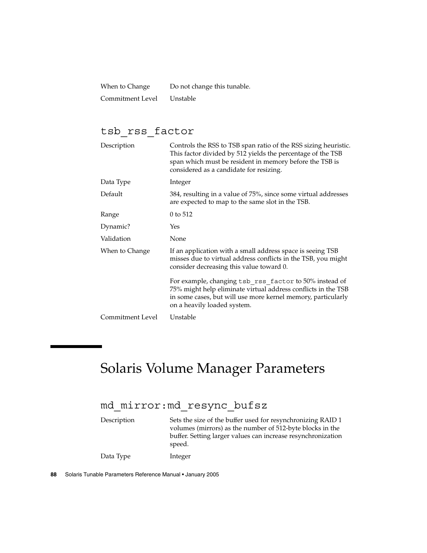| When to Change   | Do not change this tunable. |
|------------------|-----------------------------|
| Commitment Level | Unstable                    |

#### tsb\_rss\_factor

| Description      | Controls the RSS to TSB span ratio of the RSS sizing heuristic.<br>This factor divided by 512 yields the percentage of the TSB<br>span which must be resident in memory before the TSB is<br>considered as a candidate for resizing. |
|------------------|--------------------------------------------------------------------------------------------------------------------------------------------------------------------------------------------------------------------------------------|
| Data Type        | Integer                                                                                                                                                                                                                              |
| Default          | 384, resulting in a value of 75%, since some virtual addresses<br>are expected to map to the same slot in the TSB.                                                                                                                   |
| Range            | 0 to 512                                                                                                                                                                                                                             |
| Dynamic?         | Yes                                                                                                                                                                                                                                  |
| Validation       | None                                                                                                                                                                                                                                 |
| When to Change   | If an application with a small address space is seeing TSB<br>misses due to virtual address conflicts in the TSB, you might<br>consider decreasing this value toward 0.                                                              |
|                  | For example, changing tsb rss factor to 50% instead of<br>75% might help eliminate virtual address conflicts in the TSB<br>in some cases, but will use more kernel memory, particularly<br>on a heavily loaded system.               |
| Commitment Level | Unstable                                                                                                                                                                                                                             |

# Solaris Volume Manager Parameters

#### md\_mirror:md\_resync\_bufsz Description Sets the size of the buffer used for resynchronizing RAID 1 volumes (mirrors) as the number of 512-byte blocks in the buffer. Setting larger values can increase resynchronization speed. Data Type Integer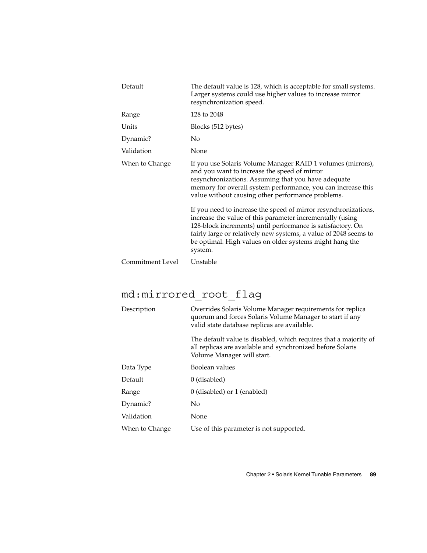| Default          | The default value is 128, which is acceptable for small systems.<br>Larger systems could use higher values to increase mirror<br>resynchronization speed.                                                                                                                                                                             |
|------------------|---------------------------------------------------------------------------------------------------------------------------------------------------------------------------------------------------------------------------------------------------------------------------------------------------------------------------------------|
| Range            | 128 to 2048                                                                                                                                                                                                                                                                                                                           |
| Units            | Blocks (512 bytes)                                                                                                                                                                                                                                                                                                                    |
| Dynamic?         | No                                                                                                                                                                                                                                                                                                                                    |
| Validation       | None                                                                                                                                                                                                                                                                                                                                  |
| When to Change   | If you use Solaris Volume Manager RAID 1 volumes (mirrors),<br>and you want to increase the speed of mirror<br>resynchronizations. Assuming that you have adequate<br>memory for overall system performance, you can increase this<br>value without causing other performance problems.                                               |
|                  | If you need to increase the speed of mirror resynchronizations,<br>increase the value of this parameter incrementally (using<br>128-block increments) until performance is satisfactory. On<br>fairly large or relatively new systems, a value of 2048 seems to<br>be optimal. High values on older systems might hang the<br>system. |
| Commitment Level | Unstable                                                                                                                                                                                                                                                                                                                              |

# md:mirrored\_root\_flag

| Description    | Overrides Solaris Volume Manager requirements for replica<br>quorum and forces Solaris Volume Manager to start if any<br>valid state database replicas are available. |
|----------------|-----------------------------------------------------------------------------------------------------------------------------------------------------------------------|
|                | The default value is disabled, which requires that a majority of<br>all replicas are available and synchronized before Solaris<br>Volume Manager will start.          |
| Data Type      | Boolean values                                                                                                                                                        |
| Default        | 0 (disabled)                                                                                                                                                          |
| Range          | 0 (disabled) or 1 (enabled)                                                                                                                                           |
| Dynamic?       | No.                                                                                                                                                                   |
| Validation     | None                                                                                                                                                                  |
| When to Change | Use of this parameter is not supported.                                                                                                                               |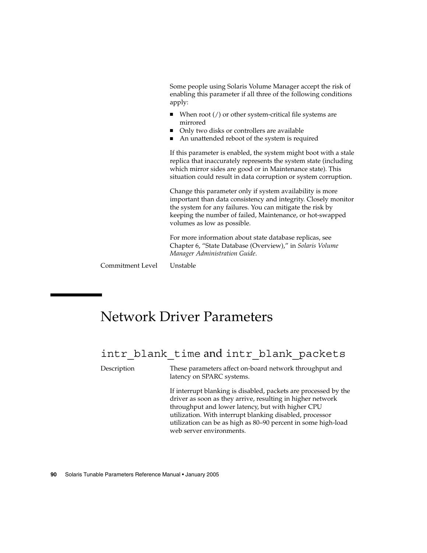Some people using Solaris Volume Manager accept the risk of enabling this parameter if all three of the following conditions apply:

- When root (/) or other system-critical file systems are mirrored
- Only two disks or controllers are available
- An unattended reboot of the system is required

If this parameter is enabled, the system might boot with a stale replica that inaccurately represents the system state (including which mirror sides are good or in Maintenance state). This situation could result in data corruption or system corruption.

Change this parameter only if system availability is more important than data consistency and integrity. Closely monitor the system for any failures. You can mitigate the risk by keeping the number of failed, Maintenance, or hot-swapped volumes as low as possible.

For more information about state database replicas, see Chapter 6, "State Database (Overview)," in *Solaris Volume Manager Administration Guide*.

Commitment Level Unstable

## Network Driver Parameters

#### intr blank time and intr blank packets

Description These parameters affect on-board network throughput and latency on SPARC systems.

> If interrupt blanking is disabled, packets are processed by the driver as soon as they arrive, resulting in higher network throughput and lower latency, but with higher CPU utilization. With interrupt blanking disabled, processor utilization can be as high as 80–90 percent in some high-load web server environments.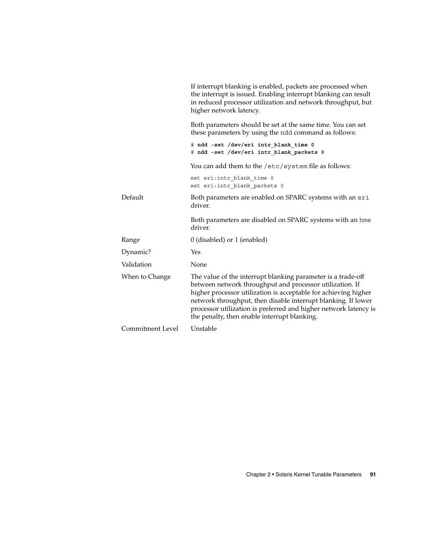|                  | If interrupt blanking is enabled, packets are processed when<br>the interrupt is issued. Enabling interrupt blanking can result<br>in reduced processor utilization and network throughput, but<br>higher network latency.                                                                                                                                                       |
|------------------|----------------------------------------------------------------------------------------------------------------------------------------------------------------------------------------------------------------------------------------------------------------------------------------------------------------------------------------------------------------------------------|
|                  | Both parameters should be set at the same time. You can set<br>these parameters by using the ndd command as follows:                                                                                                                                                                                                                                                             |
|                  | # ndd -set /dev/eri intr blank time 0<br># ndd -set /dev/eri intr blank packets 0                                                                                                                                                                                                                                                                                                |
|                  | You can add them to the /etc/system file as follows:                                                                                                                                                                                                                                                                                                                             |
|                  | set eri: intr blank time 0<br>set eri: intr blank packets 0                                                                                                                                                                                                                                                                                                                      |
| Default          | Both parameters are enabled on SPARC systems with an eri<br>driver.                                                                                                                                                                                                                                                                                                              |
|                  | Both parameters are disabled on SPARC systems with an hme<br>driver.                                                                                                                                                                                                                                                                                                             |
| Range            | 0 (disabled) or 1 (enabled)                                                                                                                                                                                                                                                                                                                                                      |
| Dynamic?         | Yes                                                                                                                                                                                                                                                                                                                                                                              |
| Validation       | None                                                                                                                                                                                                                                                                                                                                                                             |
| When to Change   | The value of the interrupt blanking parameter is a trade-off<br>between network throughput and processor utilization. If<br>higher processor utilization is acceptable for achieving higher<br>network throughput, then disable interrupt blanking. If lower<br>processor utilization is preferred and higher network latency is<br>the penalty, then enable interrupt blanking. |
| Commitment Level | Unstable                                                                                                                                                                                                                                                                                                                                                                         |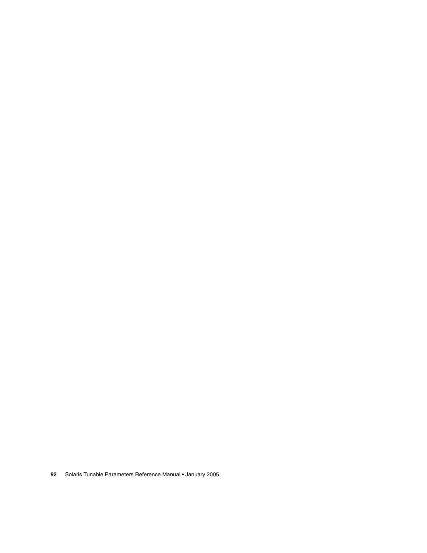Solaris Tunable Parameters Reference Manual • January 2005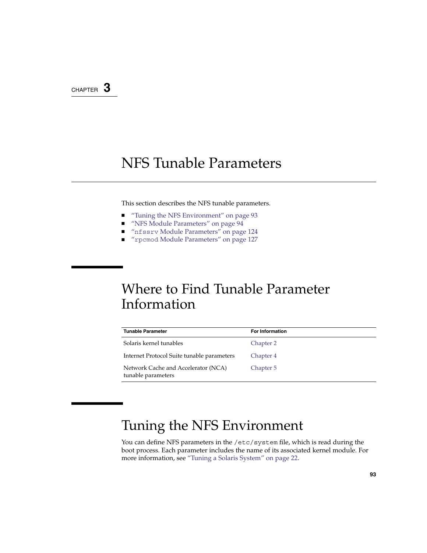### CHAPTER **3**

## NFS Tunable Parameters

This section describes the NFS tunable parameters.

- "Tuning the NFS Environment" on page 93
- ["NFS Module Parameters"](#page-93-0) on page 94
- "nfssrv [Module Parameters"](#page-123-0) on page 124
- "rpcmod [Module Parameters"](#page-126-0) on page 127

# Where to Find Tunable Parameter Information

| <b>Tunable Parameter</b>                                  | <b>For Information</b> |
|-----------------------------------------------------------|------------------------|
| Solaris kernel tunables                                   | Chapter 2              |
| Internet Protocol Suite tunable parameters                | Chapter 4              |
| Network Cache and Accelerator (NCA)<br>tunable parameters | Chapter 5              |

# Tuning the NFS Environment

You can define NFS parameters in the /etc/system file, which is read during the boot process. Each parameter includes the name of its associated kernel module. For more information, see ["Tuning a Solaris System"](#page-21-0) on page 22.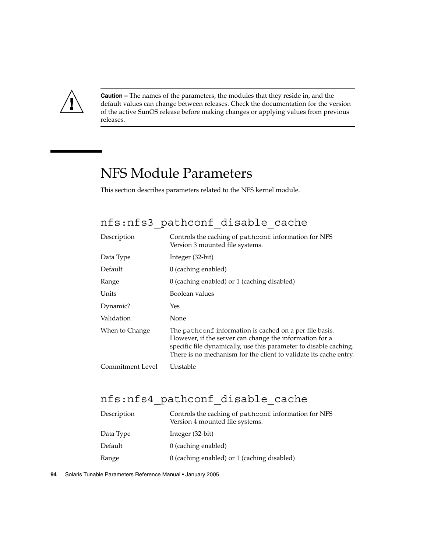<span id="page-93-0"></span>

**Caution –** The names of the parameters, the modules that they reside in, and the default values can change between releases. Check the documentation for the version of the active SunOS release before making changes or applying values from previous releases.

# NFS Module Parameters

This section describes parameters related to the NFS kernel module.

### nfs:nfs3\_pathconf\_disable\_cache

| Description      | Controls the caching of pathconf information for NFS<br>Version 3 mounted file systems.                                                                                                                                                                      |
|------------------|--------------------------------------------------------------------------------------------------------------------------------------------------------------------------------------------------------------------------------------------------------------|
| Data Type        | Integer (32-bit)                                                                                                                                                                                                                                             |
| Default          | 0 (caching enabled)                                                                                                                                                                                                                                          |
| Range            | 0 (caching enabled) or 1 (caching disabled)                                                                                                                                                                                                                  |
| Units            | Boolean values                                                                                                                                                                                                                                               |
| Dynamic?         | Yes                                                                                                                                                                                                                                                          |
| Validation       | None                                                                                                                                                                                                                                                         |
| When to Change   | The pathconf information is cached on a per file basis.<br>However, if the server can change the information for a<br>specific file dynamically, use this parameter to disable caching.<br>There is no mechanism for the client to validate its cache entry. |
| Commitment Level | Unstable                                                                                                                                                                                                                                                     |

### nfs:nfs4\_pathconf\_disable\_cache

| Description | Controls the caching of pathconf information for NFS<br>Version 4 mounted file systems. |
|-------------|-----------------------------------------------------------------------------------------|
| Data Type   | Integer (32-bit)                                                                        |
| Default     | 0 (caching enabled)                                                                     |
| Range       | 0 (caching enabled) or 1 (caching disabled)                                             |

**94** Solaris Tunable Parameters Reference Manual • January 2005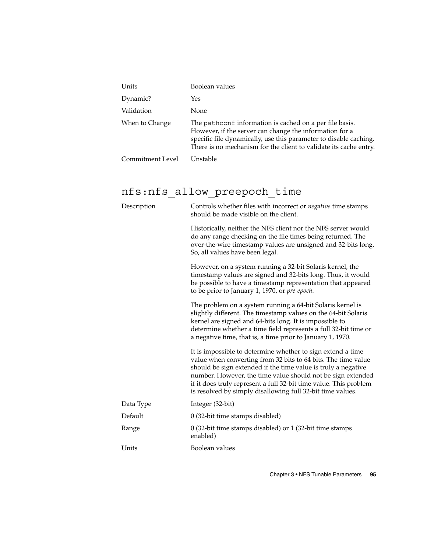| Units            | Boolean values                                                                                                                                                                                                                                               |
|------------------|--------------------------------------------------------------------------------------------------------------------------------------------------------------------------------------------------------------------------------------------------------------|
| Dynamic?         | Yes                                                                                                                                                                                                                                                          |
| Validation       | None.                                                                                                                                                                                                                                                        |
| When to Change   | The pathconf information is cached on a per file basis.<br>However, if the server can change the information for a<br>specific file dynamically, use this parameter to disable caching.<br>There is no mechanism for the client to validate its cache entry. |
| Commitment Level | Unstable                                                                                                                                                                                                                                                     |

# nfs:nfs\_allow\_preepoch\_time

| Description | Controls whether files with incorrect or <i>negative</i> time stamps<br>should be made visible on the client.                                                                                                                                                                                                                                                                                   |
|-------------|-------------------------------------------------------------------------------------------------------------------------------------------------------------------------------------------------------------------------------------------------------------------------------------------------------------------------------------------------------------------------------------------------|
|             | Historically, neither the NFS client nor the NFS server would<br>do any range checking on the file times being returned. The<br>over-the-wire timestamp values are unsigned and 32-bits long.<br>So, all values have been legal.                                                                                                                                                                |
|             | However, on a system running a 32-bit Solaris kernel, the<br>timestamp values are signed and 32-bits long. Thus, it would<br>be possible to have a timestamp representation that appeared<br>to be prior to January 1, 1970, or pre-epoch.                                                                                                                                                      |
|             | The problem on a system running a 64-bit Solaris kernel is<br>slightly different. The timestamp values on the 64-bit Solaris<br>kernel are signed and 64-bits long. It is impossible to<br>determine whether a time field represents a full 32-bit time or<br>a negative time, that is, a time prior to January 1, 1970.                                                                        |
|             | It is impossible to determine whether to sign extend a time<br>value when converting from 32 bits to 64 bits. The time value<br>should be sign extended if the time value is truly a negative<br>number. However, the time value should not be sign extended<br>if it does truly represent a full 32-bit time value. This problem<br>is resolved by simply disallowing full 32-bit time values. |
| Data Type   | Integer (32-bit)                                                                                                                                                                                                                                                                                                                                                                                |
| Default     | 0 (32-bit time stamps disabled)                                                                                                                                                                                                                                                                                                                                                                 |
| Range       | 0 (32-bit time stamps disabled) or 1 (32-bit time stamps<br>enabled)                                                                                                                                                                                                                                                                                                                            |
| Units       | Boolean values                                                                                                                                                                                                                                                                                                                                                                                  |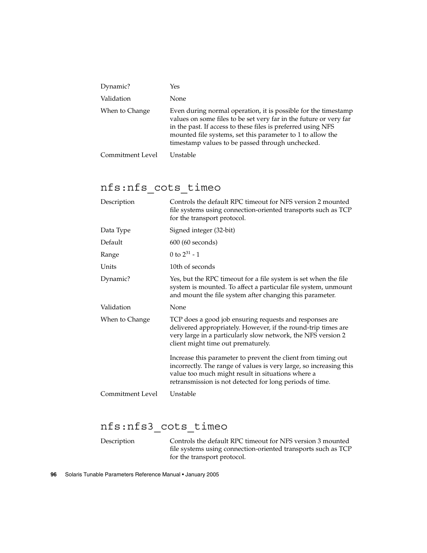| Dynamic?         | Yes                                                                                                                                                                                                                                                                                                                   |
|------------------|-----------------------------------------------------------------------------------------------------------------------------------------------------------------------------------------------------------------------------------------------------------------------------------------------------------------------|
| Validation       | None.                                                                                                                                                                                                                                                                                                                 |
| When to Change   | Even during normal operation, it is possible for the timestamp<br>values on some files to be set very far in the future or very far<br>in the past. If access to these files is preferred using NFS<br>mounted file systems, set this parameter to 1 to allow the<br>timestamp values to be passed through unchecked. |
| Commitment Level | Unstable.                                                                                                                                                                                                                                                                                                             |

# nfs:nfs\_cots\_timeo

| Description      | Controls the default RPC timeout for NFS version 2 mounted<br>file systems using connection-oriented transports such as TCP<br>for the transport protocol.                                                                                           |
|------------------|------------------------------------------------------------------------------------------------------------------------------------------------------------------------------------------------------------------------------------------------------|
| Data Type        | Signed integer (32-bit)                                                                                                                                                                                                                              |
| Default          | 600 (60 seconds)                                                                                                                                                                                                                                     |
| Range            | 0 to $2^{31}$ - 1                                                                                                                                                                                                                                    |
| Units            | 10th of seconds                                                                                                                                                                                                                                      |
| Dynamic?         | Yes, but the RPC timeout for a file system is set when the file<br>system is mounted. To affect a particular file system, unmount<br>and mount the file system after changing this parameter.                                                        |
| Validation       | None                                                                                                                                                                                                                                                 |
| When to Change   | TCP does a good job ensuring requests and responses are<br>delivered appropriately. However, if the round-trip times are<br>very large in a particularly slow network, the NFS version 2<br>client might time out prematurely.                       |
|                  | Increase this parameter to prevent the client from timing out<br>incorrectly. The range of values is very large, so increasing this<br>value too much might result in situations where a<br>retransmission is not detected for long periods of time. |
| Commitment Level | Unstable                                                                                                                                                                                                                                             |

# nfs:nfs3\_cots\_timeo

| Description | Controls the default RPC timeout for NFS version 3 mounted    |
|-------------|---------------------------------------------------------------|
|             | file systems using connection-oriented transports such as TCP |
|             | for the transport protocol.                                   |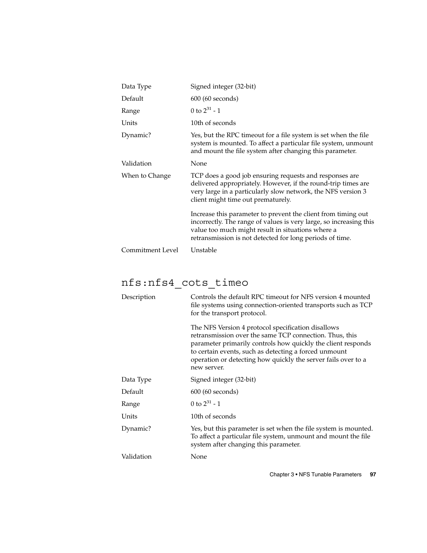| Data Type        | Signed integer (32-bit)                                                                                                                                                                                                                              |
|------------------|------------------------------------------------------------------------------------------------------------------------------------------------------------------------------------------------------------------------------------------------------|
| Default          | $600(60$ seconds)                                                                                                                                                                                                                                    |
| Range            | 0 to $2^{31}$ - 1                                                                                                                                                                                                                                    |
| Units            | 10th of seconds                                                                                                                                                                                                                                      |
| Dynamic?         | Yes, but the RPC timeout for a file system is set when the file<br>system is mounted. To affect a particular file system, unmount<br>and mount the file system after changing this parameter.                                                        |
| Validation       | None                                                                                                                                                                                                                                                 |
| When to Change   | TCP does a good job ensuring requests and responses are<br>delivered appropriately. However, if the round-trip times are<br>very large in a particularly slow network, the NFS version 3<br>client might time out prematurely.                       |
|                  | Increase this parameter to prevent the client from timing out<br>incorrectly. The range of values is very large, so increasing this<br>value too much might result in situations where a<br>retransmission is not detected for long periods of time. |
| Commitment Level | Unstable                                                                                                                                                                                                                                             |

# nfs:nfs4\_cots\_timeo

| The NFS Version 4 protocol specification disallows<br>retransmission over the same TCP connection. Thus, this<br>parameter primarily controls how quickly the client responds<br>to certain events, such as detecting a forced unmount<br>operation or detecting how quickly the server fails over to a<br>new server.<br>Signed integer (32-bit)<br>Data Type<br>Default<br>$600(60$ seconds)<br>0 to $2^{31}$ - 1<br>Range<br>10th of seconds<br>Units<br>Dynamic?<br>To affect a particular file system, unmount and mount the file<br>system after changing this parameter.<br>Validation<br>None | Description | Controls the default RPC timeout for NFS version 4 mounted<br>file systems using connection-oriented transports such as TCP<br>for the transport protocol. |
|-------------------------------------------------------------------------------------------------------------------------------------------------------------------------------------------------------------------------------------------------------------------------------------------------------------------------------------------------------------------------------------------------------------------------------------------------------------------------------------------------------------------------------------------------------------------------------------------------------|-------------|------------------------------------------------------------------------------------------------------------------------------------------------------------|
|                                                                                                                                                                                                                                                                                                                                                                                                                                                                                                                                                                                                       |             |                                                                                                                                                            |
|                                                                                                                                                                                                                                                                                                                                                                                                                                                                                                                                                                                                       |             |                                                                                                                                                            |
|                                                                                                                                                                                                                                                                                                                                                                                                                                                                                                                                                                                                       |             |                                                                                                                                                            |
|                                                                                                                                                                                                                                                                                                                                                                                                                                                                                                                                                                                                       |             |                                                                                                                                                            |
|                                                                                                                                                                                                                                                                                                                                                                                                                                                                                                                                                                                                       |             |                                                                                                                                                            |
|                                                                                                                                                                                                                                                                                                                                                                                                                                                                                                                                                                                                       |             | Yes, but this parameter is set when the file system is mounted.                                                                                            |
|                                                                                                                                                                                                                                                                                                                                                                                                                                                                                                                                                                                                       |             |                                                                                                                                                            |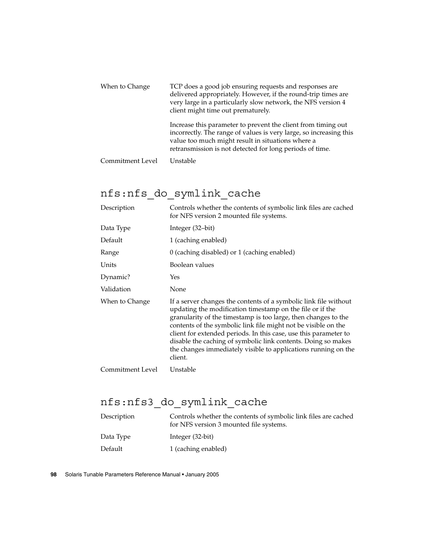| When to Change   | TCP does a good job ensuring requests and responses are<br>delivered appropriately. However, if the round-trip times are<br>very large in a particularly slow network, the NFS version 4<br>client might time out prematurely.                       |
|------------------|------------------------------------------------------------------------------------------------------------------------------------------------------------------------------------------------------------------------------------------------------|
|                  | Increase this parameter to prevent the client from timing out<br>incorrectly. The range of values is very large, so increasing this<br>value too much might result in situations where a<br>retransmission is not detected for long periods of time. |
| Commitment Level | Unstable                                                                                                                                                                                                                                             |

### nfs:nfs\_do\_symlink\_cache

| Description      | Controls whether the contents of symbolic link files are cached<br>for NFS version 2 mounted file systems.                                                                                                                                                                                                                                                                                                                                                                          |
|------------------|-------------------------------------------------------------------------------------------------------------------------------------------------------------------------------------------------------------------------------------------------------------------------------------------------------------------------------------------------------------------------------------------------------------------------------------------------------------------------------------|
| Data Type        | Integer (32-bit)                                                                                                                                                                                                                                                                                                                                                                                                                                                                    |
| Default          | 1 (caching enabled)                                                                                                                                                                                                                                                                                                                                                                                                                                                                 |
| Range            | 0 (caching disabled) or 1 (caching enabled)                                                                                                                                                                                                                                                                                                                                                                                                                                         |
| Units            | Boolean values                                                                                                                                                                                                                                                                                                                                                                                                                                                                      |
| Dynamic?         | Yes                                                                                                                                                                                                                                                                                                                                                                                                                                                                                 |
| Validation       | None                                                                                                                                                                                                                                                                                                                                                                                                                                                                                |
| When to Change   | If a server changes the contents of a symbolic link file without<br>updating the modification timestamp on the file or if the<br>granularity of the timestamp is too large, then changes to the<br>contents of the symbolic link file might not be visible on the<br>client for extended periods. In this case, use this parameter to<br>disable the caching of symbolic link contents. Doing so makes<br>the changes immediately visible to applications running on the<br>client. |
| Commitment Level | Unstable                                                                                                                                                                                                                                                                                                                                                                                                                                                                            |

# nfs:nfs3\_do\_symlink\_cache

| Description | Controls whether the contents of symbolic link files are cached<br>for NFS version 3 mounted file systems. |
|-------------|------------------------------------------------------------------------------------------------------------|
| Data Type   | Integer (32-bit)                                                                                           |
| Default     | 1 (caching enabled)                                                                                        |

**98** Solaris Tunable Parameters Reference Manual • January 2005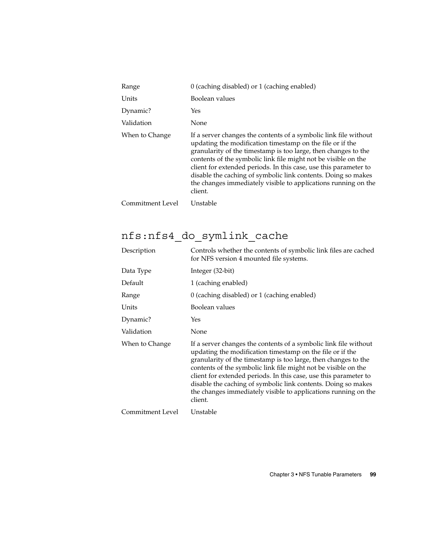| Range            | 0 (caching disabled) or 1 (caching enabled)                                                                                                                                                                                                                                                                                                                                                                                                                                         |
|------------------|-------------------------------------------------------------------------------------------------------------------------------------------------------------------------------------------------------------------------------------------------------------------------------------------------------------------------------------------------------------------------------------------------------------------------------------------------------------------------------------|
| Units            | Boolean values                                                                                                                                                                                                                                                                                                                                                                                                                                                                      |
| Dynamic?         | Yes                                                                                                                                                                                                                                                                                                                                                                                                                                                                                 |
| Validation       | None                                                                                                                                                                                                                                                                                                                                                                                                                                                                                |
| When to Change   | If a server changes the contents of a symbolic link file without<br>updating the modification timestamp on the file or if the<br>granularity of the timestamp is too large, then changes to the<br>contents of the symbolic link file might not be visible on the<br>client for extended periods. In this case, use this parameter to<br>disable the caching of symbolic link contents. Doing so makes<br>the changes immediately visible to applications running on the<br>client. |
| Commitment Level | Unstable                                                                                                                                                                                                                                                                                                                                                                                                                                                                            |

# nfs:nfs4\_do\_symlink\_cache

| Description      | Controls whether the contents of symbolic link files are cached<br>for NFS version 4 mounted file systems.                                                                                                                                                                                                                                                                                                                                                                          |
|------------------|-------------------------------------------------------------------------------------------------------------------------------------------------------------------------------------------------------------------------------------------------------------------------------------------------------------------------------------------------------------------------------------------------------------------------------------------------------------------------------------|
| Data Type        | Integer (32-bit)                                                                                                                                                                                                                                                                                                                                                                                                                                                                    |
| Default          | 1 (caching enabled)                                                                                                                                                                                                                                                                                                                                                                                                                                                                 |
| Range            | 0 (caching disabled) or 1 (caching enabled)                                                                                                                                                                                                                                                                                                                                                                                                                                         |
| Units            | Boolean values                                                                                                                                                                                                                                                                                                                                                                                                                                                                      |
| Dynamic?         | Yes                                                                                                                                                                                                                                                                                                                                                                                                                                                                                 |
| Validation       | None                                                                                                                                                                                                                                                                                                                                                                                                                                                                                |
| When to Change   | If a server changes the contents of a symbolic link file without<br>updating the modification timestamp on the file or if the<br>granularity of the timestamp is too large, then changes to the<br>contents of the symbolic link file might not be visible on the<br>client for extended periods. In this case, use this parameter to<br>disable the caching of symbolic link contents. Doing so makes<br>the changes immediately visible to applications running on the<br>client. |
| Commitment Level | Unstable                                                                                                                                                                                                                                                                                                                                                                                                                                                                            |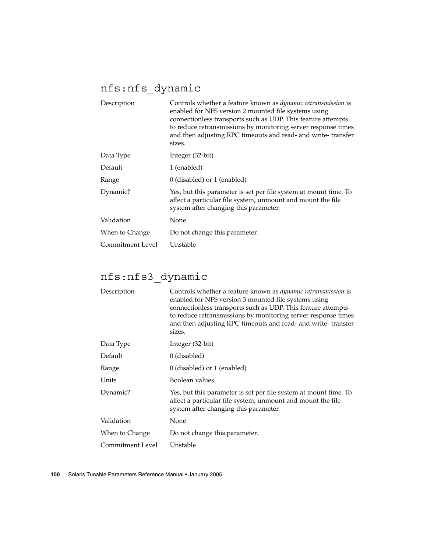# nfs:nfs\_dynamic

| Description      | Controls whether a feature known as <i>dynamic retransmission</i> is<br>enabled for NFS version 2 mounted file systems using<br>connectionless transports such as UDP. This feature attempts<br>to reduce retransmissions by monitoring server response times<br>and then adjusting RPC timeouts and read- and write-transfer<br>sizes. |
|------------------|-----------------------------------------------------------------------------------------------------------------------------------------------------------------------------------------------------------------------------------------------------------------------------------------------------------------------------------------|
| Data Type        | Integer (32-bit)                                                                                                                                                                                                                                                                                                                        |
| Default          | 1 (enabled)                                                                                                                                                                                                                                                                                                                             |
| Range            | 0 (disabled) or 1 (enabled)                                                                                                                                                                                                                                                                                                             |
| Dynamic?         | Yes, but this parameter is set per file system at mount time. To<br>affect a particular file system, unmount and mount the file<br>system after changing this parameter.                                                                                                                                                                |
| Validation       | None                                                                                                                                                                                                                                                                                                                                    |
| When to Change   | Do not change this parameter.                                                                                                                                                                                                                                                                                                           |
| Commitment Level | Unstable                                                                                                                                                                                                                                                                                                                                |

# nfs:nfs3\_dynamic

| Description      | Controls whether a feature known as <i>dynamic retransmission</i> is<br>enabled for NFS version 3 mounted file systems using<br>connectionless transports such as UDP. This feature attempts<br>to reduce retransmissions by monitoring server response times<br>and then adjusting RPC timeouts and read- and write-transfer<br>sizes. |
|------------------|-----------------------------------------------------------------------------------------------------------------------------------------------------------------------------------------------------------------------------------------------------------------------------------------------------------------------------------------|
| Data Type        | Integer (32-bit)                                                                                                                                                                                                                                                                                                                        |
| Default          | 0 (disabled)                                                                                                                                                                                                                                                                                                                            |
| Range            | 0 (disabled) or 1 (enabled)                                                                                                                                                                                                                                                                                                             |
| Units            | Boolean values                                                                                                                                                                                                                                                                                                                          |
| Dynamic?         | Yes, but this parameter is set per file system at mount time. To<br>affect a particular file system, unmount and mount the file<br>system after changing this parameter.                                                                                                                                                                |
| Validation       | None                                                                                                                                                                                                                                                                                                                                    |
| When to Change   | Do not change this parameter.                                                                                                                                                                                                                                                                                                           |
| Commitment Level | Unstable                                                                                                                                                                                                                                                                                                                                |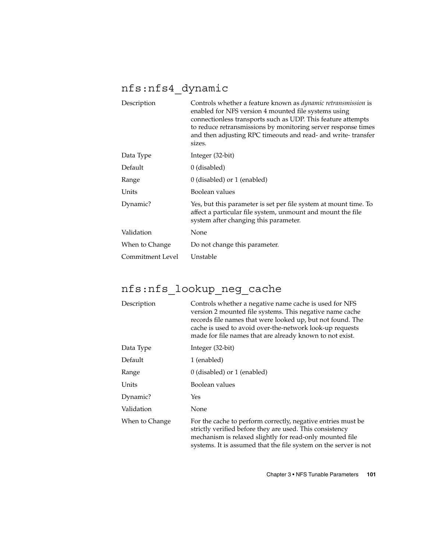# nfs:nfs4\_dynamic

| Description      | Controls whether a feature known as <i>dynamic retransmission</i> is<br>enabled for NFS version 4 mounted file systems using<br>connectionless transports such as UDP. This feature attempts<br>to reduce retransmissions by monitoring server response times<br>and then adjusting RPC timeouts and read- and write-transfer<br>sizes. |
|------------------|-----------------------------------------------------------------------------------------------------------------------------------------------------------------------------------------------------------------------------------------------------------------------------------------------------------------------------------------|
| Data Type        | Integer (32-bit)                                                                                                                                                                                                                                                                                                                        |
| Default          | 0 (disabled)                                                                                                                                                                                                                                                                                                                            |
| Range            | 0 (disabled) or 1 (enabled)                                                                                                                                                                                                                                                                                                             |
| Units            | Boolean values                                                                                                                                                                                                                                                                                                                          |
| Dynamic?         | Yes, but this parameter is set per file system at mount time. To<br>affect a particular file system, unmount and mount the file<br>system after changing this parameter.                                                                                                                                                                |
| Validation       | None                                                                                                                                                                                                                                                                                                                                    |
| When to Change   | Do not change this parameter.                                                                                                                                                                                                                                                                                                           |
| Commitment Level | Unstable                                                                                                                                                                                                                                                                                                                                |
|                  |                                                                                                                                                                                                                                                                                                                                         |

# nfs:nfs\_lookup\_neg\_cache

| Description    | Controls whether a negative name cache is used for NFS<br>version 2 mounted file systems. This negative name cache<br>records file names that were looked up, but not found. The<br>cache is used to avoid over-the-network look-up requests<br>made for file names that are already known to not exist. |
|----------------|----------------------------------------------------------------------------------------------------------------------------------------------------------------------------------------------------------------------------------------------------------------------------------------------------------|
| Data Type      | Integer (32-bit)                                                                                                                                                                                                                                                                                         |
| Default        | 1 (enabled)                                                                                                                                                                                                                                                                                              |
| Range          | 0 (disabled) or 1 (enabled)                                                                                                                                                                                                                                                                              |
| Units          | Boolean values                                                                                                                                                                                                                                                                                           |
| Dynamic?       | Yes                                                                                                                                                                                                                                                                                                      |
| Validation     | None                                                                                                                                                                                                                                                                                                     |
| When to Change | For the cache to perform correctly, negative entries must be<br>strictly verified before they are used. This consistency<br>mechanism is relaxed slightly for read-only mounted file<br>systems. It is assumed that the file system on the server is not                                                 |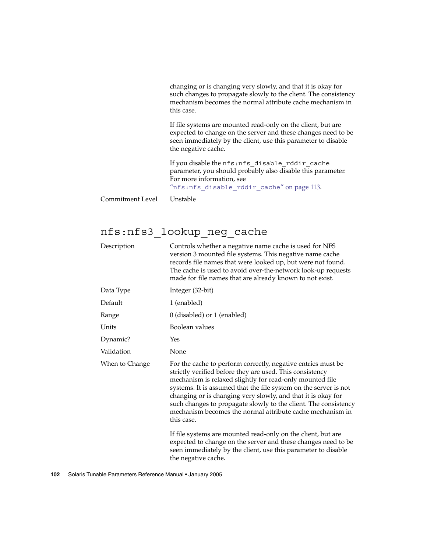| changing or is changing very slowly, and that it is okay for    |
|-----------------------------------------------------------------|
| such changes to propagate slowly to the client. The consistency |
| mechanism becomes the normal attribute cache mechanism in       |
| this case.                                                      |
|                                                                 |

If file systems are mounted read-only on the client, but are expected to change on the server and these changes need to be seen immediately by the client, use this parameter to disable the negative cache.

If you disable the nfs:nfs\_disable\_rddir\_cache parameter, you should probably also disable this parameter. For more information, see "[nfs:nfs\\_disable\\_rddir\\_cache](#page-112-0)" on page 113.

Commitment Level Unstable

### nfs:nfs3\_lookup\_neg\_cache

| Description    | Controls whether a negative name cache is used for NFS<br>version 3 mounted file systems. This negative name cache<br>records file names that were looked up, but were not found.<br>The cache is used to avoid over-the-network look-up requests<br>made for file names that are already known to not exist.                                                                                                                                                          |
|----------------|------------------------------------------------------------------------------------------------------------------------------------------------------------------------------------------------------------------------------------------------------------------------------------------------------------------------------------------------------------------------------------------------------------------------------------------------------------------------|
| Data Type      | Integer (32-bit)                                                                                                                                                                                                                                                                                                                                                                                                                                                       |
| Default        | 1 (enabled)                                                                                                                                                                                                                                                                                                                                                                                                                                                            |
| Range          | 0 (disabled) or 1 (enabled)                                                                                                                                                                                                                                                                                                                                                                                                                                            |
| Units          | Boolean values                                                                                                                                                                                                                                                                                                                                                                                                                                                         |
| Dynamic?       | Yes                                                                                                                                                                                                                                                                                                                                                                                                                                                                    |
| Validation     | None                                                                                                                                                                                                                                                                                                                                                                                                                                                                   |
| When to Change | For the cache to perform correctly, negative entries must be<br>strictly verified before they are used. This consistency<br>mechanism is relaxed slightly for read-only mounted file<br>systems. It is assumed that the file system on the server is not<br>changing or is changing very slowly, and that it is okay for<br>such changes to propagate slowly to the client. The consistency<br>mechanism becomes the normal attribute cache mechanism in<br>this case. |
|                | If file systems are mounted read-only on the client, but are<br>expected to change on the server and these changes need to be<br>seen immediately by the client, use this parameter to disable<br>the negative cache.                                                                                                                                                                                                                                                  |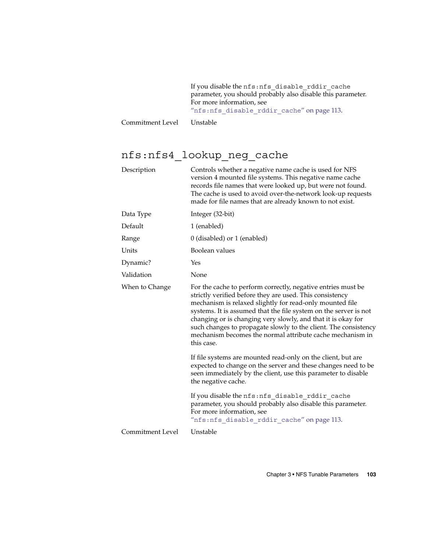If you disable the nfs:nfs\_disable\_rddir\_cache parameter, you should probably also disable this parameter. For more information, see "[nfs:nfs\\_disable\\_rddir\\_cache](#page-112-0)" on page 113.

Commitment Level Unstable

### nfs:nfs4\_lookup\_neg\_cache

| Description      | Controls whether a negative name cache is used for NFS<br>version 4 mounted file systems. This negative name cache<br>records file names that were looked up, but were not found.<br>The cache is used to avoid over-the-network look-up requests<br>made for file names that are already known to not exist.                                                                                                                                                          |
|------------------|------------------------------------------------------------------------------------------------------------------------------------------------------------------------------------------------------------------------------------------------------------------------------------------------------------------------------------------------------------------------------------------------------------------------------------------------------------------------|
| Data Type        | Integer (32-bit)                                                                                                                                                                                                                                                                                                                                                                                                                                                       |
| Default          | 1 (enabled)                                                                                                                                                                                                                                                                                                                                                                                                                                                            |
| Range            | 0 (disabled) or 1 (enabled)                                                                                                                                                                                                                                                                                                                                                                                                                                            |
| Units            | Boolean values                                                                                                                                                                                                                                                                                                                                                                                                                                                         |
| Dynamic?         | Yes                                                                                                                                                                                                                                                                                                                                                                                                                                                                    |
| Validation       | None                                                                                                                                                                                                                                                                                                                                                                                                                                                                   |
| When to Change   | For the cache to perform correctly, negative entries must be<br>strictly verified before they are used. This consistency<br>mechanism is relaxed slightly for read-only mounted file<br>systems. It is assumed that the file system on the server is not<br>changing or is changing very slowly, and that it is okay for<br>such changes to propagate slowly to the client. The consistency<br>mechanism becomes the normal attribute cache mechanism in<br>this case. |
|                  | If file systems are mounted read-only on the client, but are<br>expected to change on the server and these changes need to be<br>seen immediately by the client, use this parameter to disable<br>the negative cache.                                                                                                                                                                                                                                                  |
|                  | If you disable the nfs: nfs disable rddir cache<br>parameter, you should probably also disable this parameter.<br>For more information, see<br>"nfs:nfs disable rddir cache" on page 113.                                                                                                                                                                                                                                                                              |
| Commitment Level | Unstable                                                                                                                                                                                                                                                                                                                                                                                                                                                               |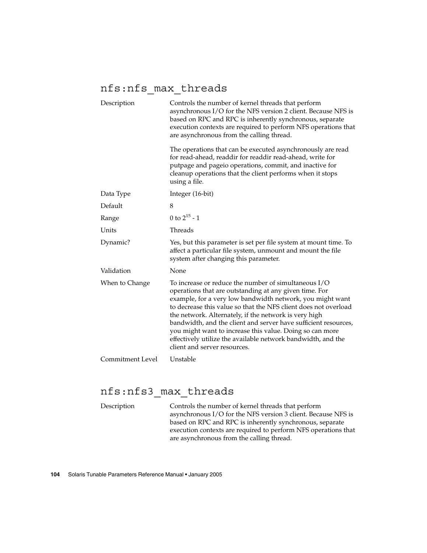# nfs:nfs\_max\_threads

| Description      | Controls the number of kernel threads that perform<br>asynchronous I/O for the NFS version 2 client. Because NFS is<br>based on RPC and RPC is inherently synchronous, separate<br>execution contexts are required to perform NFS operations that<br>are asynchronous from the calling thread.                                                                                                                                                                                                                                         |
|------------------|----------------------------------------------------------------------------------------------------------------------------------------------------------------------------------------------------------------------------------------------------------------------------------------------------------------------------------------------------------------------------------------------------------------------------------------------------------------------------------------------------------------------------------------|
|                  | The operations that can be executed asynchronously are read<br>for read-ahead, readdir for readdir read-ahead, write for<br>putpage and pageio operations, commit, and inactive for<br>cleanup operations that the client performs when it stops<br>using a file.                                                                                                                                                                                                                                                                      |
| Data Type        | Integer (16-bit)                                                                                                                                                                                                                                                                                                                                                                                                                                                                                                                       |
| Default          | 8                                                                                                                                                                                                                                                                                                                                                                                                                                                                                                                                      |
| Range            | 0 to $2^{15}$ - 1                                                                                                                                                                                                                                                                                                                                                                                                                                                                                                                      |
| Units            | Threads                                                                                                                                                                                                                                                                                                                                                                                                                                                                                                                                |
| Dynamic?         | Yes, but this parameter is set per file system at mount time. To<br>affect a particular file system, unmount and mount the file<br>system after changing this parameter.                                                                                                                                                                                                                                                                                                                                                               |
| Validation       | None                                                                                                                                                                                                                                                                                                                                                                                                                                                                                                                                   |
| When to Change   | To increase or reduce the number of simultaneous I/O<br>operations that are outstanding at any given time. For<br>example, for a very low bandwidth network, you might want<br>to decrease this value so that the NFS client does not overload<br>the network. Alternately, if the network is very high<br>bandwidth, and the client and server have sufficient resources,<br>you might want to increase this value. Doing so can more<br>effectively utilize the available network bandwidth, and the<br>client and server resources. |
| Commitment Level | Unstable                                                                                                                                                                                                                                                                                                                                                                                                                                                                                                                               |

## nfs:nfs3\_max\_threads

| Description | Controls the number of kernel threads that perform             |
|-------------|----------------------------------------------------------------|
|             | asynchronous I/O for the NFS version 3 client. Because NFS is  |
|             | based on RPC and RPC is inherently synchronous, separate       |
|             | execution contexts are required to perform NFS operations that |
|             | are asynchronous from the calling thread.                      |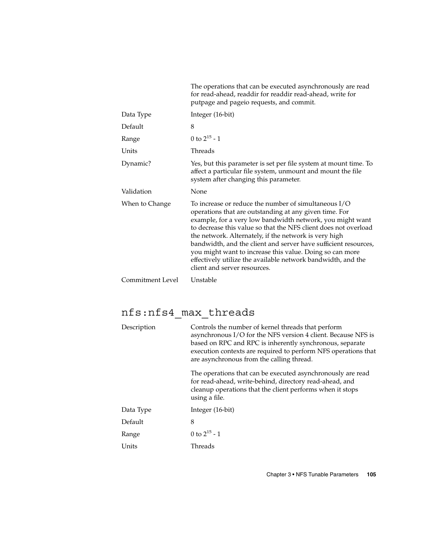|                  | The operations that can be executed asynchronously are read<br>for read-ahead, readdir for readdir read-ahead, write for<br>putpage and pageio requests, and commit.                                                                                                                                                                                                                                                                                                                                                                   |
|------------------|----------------------------------------------------------------------------------------------------------------------------------------------------------------------------------------------------------------------------------------------------------------------------------------------------------------------------------------------------------------------------------------------------------------------------------------------------------------------------------------------------------------------------------------|
| Data Type        | Integer (16-bit)                                                                                                                                                                                                                                                                                                                                                                                                                                                                                                                       |
| Default          | 8                                                                                                                                                                                                                                                                                                                                                                                                                                                                                                                                      |
| Range            | 0 to $2^{15}$ - 1                                                                                                                                                                                                                                                                                                                                                                                                                                                                                                                      |
| Units            | Threads                                                                                                                                                                                                                                                                                                                                                                                                                                                                                                                                |
| Dynamic?         | Yes, but this parameter is set per file system at mount time. To<br>affect a particular file system, unmount and mount the file<br>system after changing this parameter.                                                                                                                                                                                                                                                                                                                                                               |
| Validation       | None                                                                                                                                                                                                                                                                                                                                                                                                                                                                                                                                   |
| When to Change   | To increase or reduce the number of simultaneous I/O<br>operations that are outstanding at any given time. For<br>example, for a very low bandwidth network, you might want<br>to decrease this value so that the NFS client does not overload<br>the network. Alternately, if the network is very high<br>bandwidth, and the client and server have sufficient resources,<br>you might want to increase this value. Doing so can more<br>effectively utilize the available network bandwidth, and the<br>client and server resources. |
| Commitment Level | Unstable                                                                                                                                                                                                                                                                                                                                                                                                                                                                                                                               |

### nfs:nfs4\_max\_threads

| Description | Controls the number of kernel threads that perform<br>asynchronous I/O for the NFS version 4 client. Because NFS is<br>based on RPC and RPC is inherently synchronous, separate<br>execution contexts are required to perform NFS operations that<br>are asynchronous from the calling thread.<br>The operations that can be executed asynchronously are read<br>for read-ahead, write-behind, directory read-ahead, and<br>cleanup operations that the client performs when it stops<br>using a file. |
|-------------|--------------------------------------------------------------------------------------------------------------------------------------------------------------------------------------------------------------------------------------------------------------------------------------------------------------------------------------------------------------------------------------------------------------------------------------------------------------------------------------------------------|
| Data Type   | Integer (16-bit)                                                                                                                                                                                                                                                                                                                                                                                                                                                                                       |
| Default     | 8                                                                                                                                                                                                                                                                                                                                                                                                                                                                                                      |
| Range       | 0 to $2^{15}$ - 1                                                                                                                                                                                                                                                                                                                                                                                                                                                                                      |
| Units       | Threads                                                                                                                                                                                                                                                                                                                                                                                                                                                                                                |

Chapter 3 • NFS Tunable Parameters **105**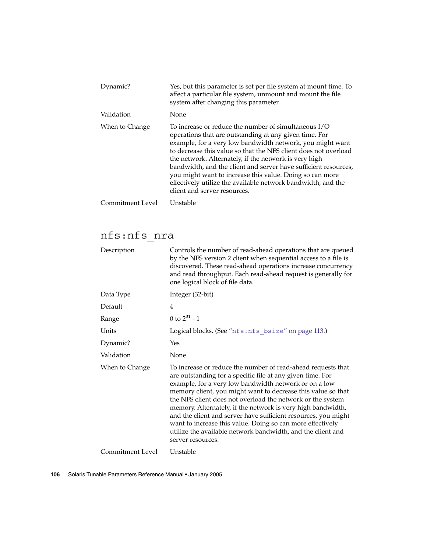| Dynamic?         | Yes, but this parameter is set per file system at mount time. To<br>affect a particular file system, unmount and mount the file<br>system after changing this parameter.                                                                                                                                                                                                                                                                                                                                                               |
|------------------|----------------------------------------------------------------------------------------------------------------------------------------------------------------------------------------------------------------------------------------------------------------------------------------------------------------------------------------------------------------------------------------------------------------------------------------------------------------------------------------------------------------------------------------|
| Validation       | None                                                                                                                                                                                                                                                                                                                                                                                                                                                                                                                                   |
| When to Change   | To increase or reduce the number of simultaneous I/O<br>operations that are outstanding at any given time. For<br>example, for a very low bandwidth network, you might want<br>to decrease this value so that the NFS client does not overload<br>the network. Alternately, if the network is very high<br>bandwidth, and the client and server have sufficient resources,<br>you might want to increase this value. Doing so can more<br>effectively utilize the available network bandwidth, and the<br>client and server resources. |
| Commitment Level | Unstable                                                                                                                                                                                                                                                                                                                                                                                                                                                                                                                               |

### nfs:nfs\_nra

| Description      | Controls the number of read-ahead operations that are queued<br>by the NFS version 2 client when sequential access to a file is<br>discovered. These read-ahead operations increase concurrency<br>and read throughput. Each read-ahead request is generally for<br>one logical block of file data.                                                                                                                                                                                                                                                                                                  |
|------------------|------------------------------------------------------------------------------------------------------------------------------------------------------------------------------------------------------------------------------------------------------------------------------------------------------------------------------------------------------------------------------------------------------------------------------------------------------------------------------------------------------------------------------------------------------------------------------------------------------|
| Data Type        | Integer (32-bit)                                                                                                                                                                                                                                                                                                                                                                                                                                                                                                                                                                                     |
| Default          | 4                                                                                                                                                                                                                                                                                                                                                                                                                                                                                                                                                                                                    |
| Range            | 0 to $2^{31}$ - 1                                                                                                                                                                                                                                                                                                                                                                                                                                                                                                                                                                                    |
| Units            | Logical blocks. (See "nfs: nfs bsize" on page 113.)                                                                                                                                                                                                                                                                                                                                                                                                                                                                                                                                                  |
| Dynamic?         | Yes                                                                                                                                                                                                                                                                                                                                                                                                                                                                                                                                                                                                  |
| Validation       | None                                                                                                                                                                                                                                                                                                                                                                                                                                                                                                                                                                                                 |
| When to Change   | To increase or reduce the number of read-ahead requests that<br>are outstanding for a specific file at any given time. For<br>example, for a very low bandwidth network or on a low<br>memory client, you might want to decrease this value so that<br>the NFS client does not overload the network or the system<br>memory. Alternately, if the network is very high bandwidth,<br>and the client and server have sufficient resources, you might<br>want to increase this value. Doing so can more effectively<br>utilize the available network bandwidth, and the client and<br>server resources. |
| Commitment Level | Unstable                                                                                                                                                                                                                                                                                                                                                                                                                                                                                                                                                                                             |

**106** Solaris Tunable Parameters Reference Manual • January 2005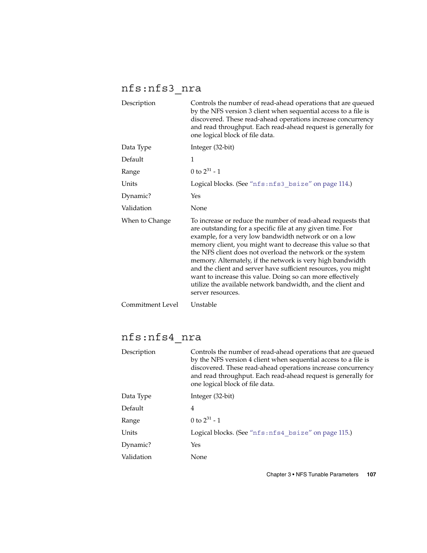## nfs:nfs3\_nra

| Description      | Controls the number of read-ahead operations that are queued<br>by the NFS version 3 client when sequential access to a file is<br>discovered. These read-ahead operations increase concurrency<br>and read throughput. Each read-ahead request is generally for<br>one logical block of file data.                                                                                                                                                                                                                                                                                                 |
|------------------|-----------------------------------------------------------------------------------------------------------------------------------------------------------------------------------------------------------------------------------------------------------------------------------------------------------------------------------------------------------------------------------------------------------------------------------------------------------------------------------------------------------------------------------------------------------------------------------------------------|
| Data Type        | Integer (32-bit)                                                                                                                                                                                                                                                                                                                                                                                                                                                                                                                                                                                    |
| Default          | 1                                                                                                                                                                                                                                                                                                                                                                                                                                                                                                                                                                                                   |
| Range            | 0 to $2^{31}$ - 1                                                                                                                                                                                                                                                                                                                                                                                                                                                                                                                                                                                   |
| Units            | Logical blocks. (See "nfs: nfs3 bsize" on page 114.)                                                                                                                                                                                                                                                                                                                                                                                                                                                                                                                                                |
| Dynamic?         | Yes                                                                                                                                                                                                                                                                                                                                                                                                                                                                                                                                                                                                 |
| Validation       | None                                                                                                                                                                                                                                                                                                                                                                                                                                                                                                                                                                                                |
| When to Change   | To increase or reduce the number of read-ahead requests that<br>are outstanding for a specific file at any given time. For<br>example, for a very low bandwidth network or on a low<br>memory client, you might want to decrease this value so that<br>the NFS client does not overload the network or the system<br>memory. Alternately, if the network is very high bandwidth<br>and the client and server have sufficient resources, you might<br>want to increase this value. Doing so can more effectively<br>utilize the available network bandwidth, and the client and<br>server resources. |
| Commitment Level | Unstable                                                                                                                                                                                                                                                                                                                                                                                                                                                                                                                                                                                            |

## nfs:nfs4\_nra

| Description | Controls the number of read-ahead operations that are queued<br>by the NFS version 4 client when sequential access to a file is<br>discovered. These read-ahead operations increase concurrency<br>and read throughput. Each read-ahead request is generally for<br>one logical block of file data. |
|-------------|-----------------------------------------------------------------------------------------------------------------------------------------------------------------------------------------------------------------------------------------------------------------------------------------------------|
| Data Type   | Integer (32-bit)                                                                                                                                                                                                                                                                                    |
| Default     | 4                                                                                                                                                                                                                                                                                                   |
| Range       | 0 to $2^{31}$ - 1                                                                                                                                                                                                                                                                                   |
| Units       | Logical blocks. (See "nfs: nfs4 bsize" on page 115.)                                                                                                                                                                                                                                                |
| Dynamic?    | Yes                                                                                                                                                                                                                                                                                                 |
| Validation  | None                                                                                                                                                                                                                                                                                                |

Chapter 3 • NFS Tunable Parameters **107**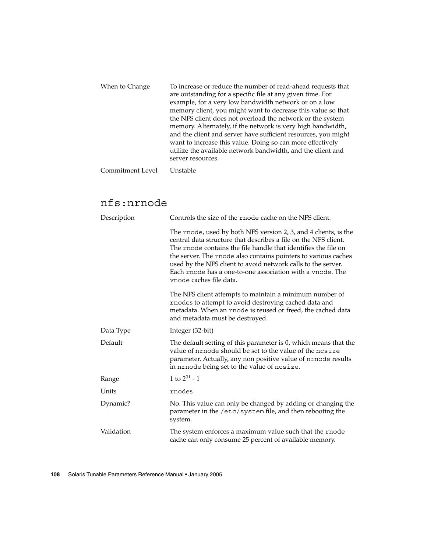| When to Change   | To increase or reduce the number of read-ahead requests that<br>are outstanding for a specific file at any given time. For<br>example, for a very low bandwidth network or on a low<br>memory client, you might want to decrease this value so that<br>the NFS client does not overload the network or the system<br>memory. Alternately, if the network is very high bandwidth,<br>and the client and server have sufficient resources, you might<br>want to increase this value. Doing so can more effectively<br>utilize the available network bandwidth, and the client and<br>server resources. |
|------------------|------------------------------------------------------------------------------------------------------------------------------------------------------------------------------------------------------------------------------------------------------------------------------------------------------------------------------------------------------------------------------------------------------------------------------------------------------------------------------------------------------------------------------------------------------------------------------------------------------|
| Commitment Level | Unstable                                                                                                                                                                                                                                                                                                                                                                                                                                                                                                                                                                                             |

### nfs:nrnode

| Description | Controls the size of the rnode cache on the NFS client.                                                                                                                                                                                                                                                                                                                                                                        |
|-------------|--------------------------------------------------------------------------------------------------------------------------------------------------------------------------------------------------------------------------------------------------------------------------------------------------------------------------------------------------------------------------------------------------------------------------------|
|             | The rnode, used by both NFS version 2, 3, and 4 clients, is the<br>central data structure that describes a file on the NFS client.<br>The rnode contains the file handle that identifies the file on<br>the server. The rnode also contains pointers to various caches<br>used by the NFS client to avoid network calls to the server.<br>Each rnode has a one-to-one association with a vnode. The<br>vnode caches file data. |
|             | The NFS client attempts to maintain a minimum number of<br>rnodes to attempt to avoid destroying cached data and<br>metadata. When an rnode is reused or freed, the cached data<br>and metadata must be destroyed.                                                                                                                                                                                                             |
| Data Type   | Integer (32-bit)                                                                                                                                                                                                                                                                                                                                                                                                               |
| Default     | The default setting of this parameter is 0, which means that the<br>value of nrnode should be set to the value of the ncsize<br>parameter. Actually, any non positive value of nrnode results<br>in nrnode being set to the value of ncsize.                                                                                                                                                                                   |
| Range       | 1 to $2^{31}$ - 1                                                                                                                                                                                                                                                                                                                                                                                                              |
| Units       | rnodes                                                                                                                                                                                                                                                                                                                                                                                                                         |
| Dynamic?    | No. This value can only be changed by adding or changing the<br>parameter in the /etc/system file, and then rebooting the<br>system.                                                                                                                                                                                                                                                                                           |
| Validation  | The system enforces a maximum value such that the rnode<br>cache can only consume 25 percent of available memory.                                                                                                                                                                                                                                                                                                              |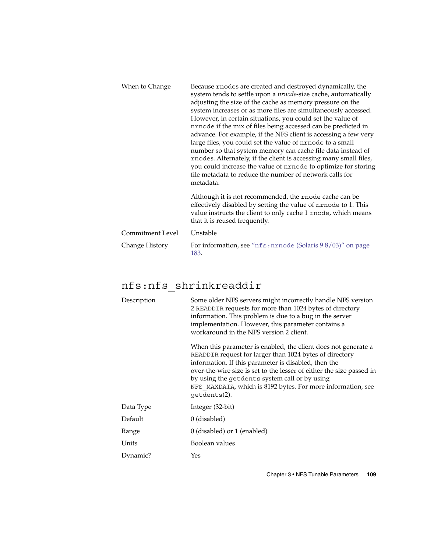| When to Change   | Because rnodes are created and destroyed dynamically, the<br>system tends to settle upon a <i>nrnode-size</i> cache, automatically<br>adjusting the size of the cache as memory pressure on the<br>system increases or as more files are simultaneously accessed.<br>However, in certain situations, you could set the value of<br>nrnode if the mix of files being accessed can be predicted in<br>advance. For example, if the NFS client is accessing a few very<br>large files, you could set the value of nrnode to a small<br>number so that system memory can cache file data instead of<br>rnodes. Alternately, if the client is accessing many small files,<br>you could increase the value of nrnode to optimize for storing<br>file metadata to reduce the number of network calls for<br>metadata.<br>Although it is not recommended, the rnode cache can be<br>effectively disabled by setting the value of nrnode to 1. This<br>value instructs the client to only cache 1 rnode, which means<br>that it is reused frequently. |
|------------------|----------------------------------------------------------------------------------------------------------------------------------------------------------------------------------------------------------------------------------------------------------------------------------------------------------------------------------------------------------------------------------------------------------------------------------------------------------------------------------------------------------------------------------------------------------------------------------------------------------------------------------------------------------------------------------------------------------------------------------------------------------------------------------------------------------------------------------------------------------------------------------------------------------------------------------------------------------------------------------------------------------------------------------------------|
| Commitment Level | Unstable                                                                                                                                                                                                                                                                                                                                                                                                                                                                                                                                                                                                                                                                                                                                                                                                                                                                                                                                                                                                                                     |
| Change History   | For information, see "nfs: nrnode (Solaris 98/03)" on page<br>183.                                                                                                                                                                                                                                                                                                                                                                                                                                                                                                                                                                                                                                                                                                                                                                                                                                                                                                                                                                           |

### nfs:nfs\_shrinkreaddir

| Description | Some older NFS servers might incorrectly handle NFS version<br>2 READDIR requests for more than 1024 bytes of directory<br>information. This problem is due to a bug in the server<br>implementation. However, this parameter contains a<br>workaround in the NFS version 2 client.                                                                                                       |
|-------------|-------------------------------------------------------------------------------------------------------------------------------------------------------------------------------------------------------------------------------------------------------------------------------------------------------------------------------------------------------------------------------------------|
|             | When this parameter is enabled, the client does not generate a<br>READDIR request for larger than 1024 bytes of directory<br>information. If this parameter is disabled, then the<br>over-the-wire size is set to the lesser of either the size passed in<br>by using the getdents system call or by using<br>NFS MAXDATA, which is 8192 bytes. For more information, see<br>qetdents(2). |
| Data Type   | Integer (32-bit)                                                                                                                                                                                                                                                                                                                                                                          |
| Default     | 0 (disabled)                                                                                                                                                                                                                                                                                                                                                                              |
| Range       | 0 (disabled) or 1 (enabled)                                                                                                                                                                                                                                                                                                                                                               |
| Units       | Boolean values                                                                                                                                                                                                                                                                                                                                                                            |
| Dynamic?    | Yes                                                                                                                                                                                                                                                                                                                                                                                       |

Chapter 3 • NFS Tunable Parameters **109**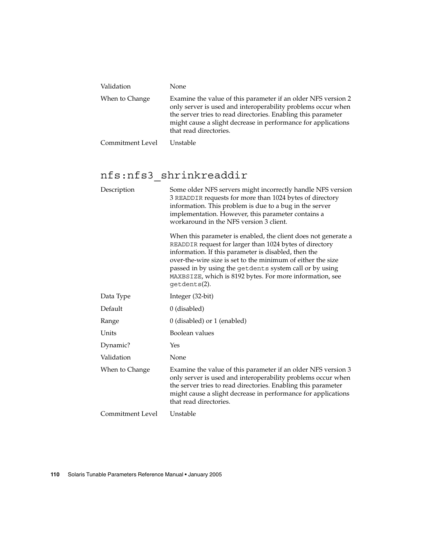| Validation       | None                                                                                                                                                                                                                                                                                      |
|------------------|-------------------------------------------------------------------------------------------------------------------------------------------------------------------------------------------------------------------------------------------------------------------------------------------|
| When to Change   | Examine the value of this parameter if an older NFS version 2<br>only server is used and interoperability problems occur when<br>the server tries to read directories. Enabling this parameter<br>might cause a slight decrease in performance for applications<br>that read directories. |
| Commitment Level | Unstable                                                                                                                                                                                                                                                                                  |

# nfs:nfs3\_shrinkreaddir

| Description      | Some older NFS servers might incorrectly handle NFS version<br>3 READDIR requests for more than 1024 bytes of directory<br>information. This problem is due to a bug in the server<br>implementation. However, this parameter contains a<br>workaround in the NFS version 3 client.                                                                                                     |
|------------------|-----------------------------------------------------------------------------------------------------------------------------------------------------------------------------------------------------------------------------------------------------------------------------------------------------------------------------------------------------------------------------------------|
|                  | When this parameter is enabled, the client does not generate a<br>READDIR request for larger than 1024 bytes of directory<br>information. If this parameter is disabled, then the<br>over-the-wire size is set to the minimum of either the size<br>passed in by using the getdents system call or by using<br>MAXBSIZE, which is 8192 bytes. For more information, see<br>getdents(2). |
| Data Type        | Integer (32-bit)                                                                                                                                                                                                                                                                                                                                                                        |
| Default          | 0 (disabled)                                                                                                                                                                                                                                                                                                                                                                            |
| Range            | 0 (disabled) or 1 (enabled)                                                                                                                                                                                                                                                                                                                                                             |
| Units            | Boolean values                                                                                                                                                                                                                                                                                                                                                                          |
| Dynamic?         | Yes                                                                                                                                                                                                                                                                                                                                                                                     |
| Validation       | None                                                                                                                                                                                                                                                                                                                                                                                    |
| When to Change   | Examine the value of this parameter if an older NFS version 3<br>only server is used and interoperability problems occur when<br>the server tries to read directories. Enabling this parameter<br>might cause a slight decrease in performance for applications<br>that read directories.                                                                                               |
| Commitment Level | Unstable                                                                                                                                                                                                                                                                                                                                                                                |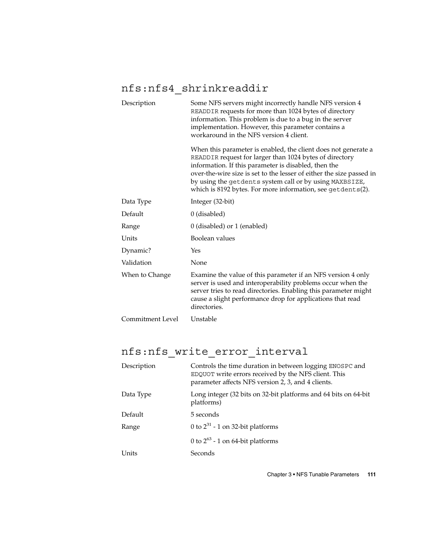# nfs:nfs4\_shrinkreaddir

| Description      | Some NFS servers might incorrectly handle NFS version 4<br>READDIR requests for more than 1024 bytes of directory<br>information. This problem is due to a bug in the server<br>implementation. However, this parameter contains a<br>workaround in the NFS version 4 client.                                                                                                       |
|------------------|-------------------------------------------------------------------------------------------------------------------------------------------------------------------------------------------------------------------------------------------------------------------------------------------------------------------------------------------------------------------------------------|
|                  | When this parameter is enabled, the client does not generate a<br>READDIR request for larger than 1024 bytes of directory<br>information. If this parameter is disabled, then the<br>over-the-wire size is set to the lesser of either the size passed in<br>by using the getdents system call or by using MAXBSIZE,<br>which is 8192 bytes. For more information, see getdents(2). |
| Data Type        | Integer (32-bit)                                                                                                                                                                                                                                                                                                                                                                    |
| Default          | 0 (disabled)                                                                                                                                                                                                                                                                                                                                                                        |
| Range            | 0 (disabled) or 1 (enabled)                                                                                                                                                                                                                                                                                                                                                         |
| Units            | Boolean values                                                                                                                                                                                                                                                                                                                                                                      |
| Dynamic?         | Yes                                                                                                                                                                                                                                                                                                                                                                                 |
| Validation       | None                                                                                                                                                                                                                                                                                                                                                                                |
| When to Change   | Examine the value of this parameter if an NFS version 4 only<br>server is used and interoperability problems occur when the<br>server tries to read directories. Enabling this parameter might<br>cause a slight performance drop for applications that read<br>directories.                                                                                                        |
| Commitment Level | Unstable                                                                                                                                                                                                                                                                                                                                                                            |

# nfs:nfs\_write\_error\_interval

| Description | Controls the time duration in between logging ENOSPC and<br>EDQUOT write errors received by the NFS client. This<br>parameter affects NFS version 2, 3, and 4 clients. |
|-------------|------------------------------------------------------------------------------------------------------------------------------------------------------------------------|
| Data Type   | Long integer (32 bits on 32-bit platforms and 64 bits on 64-bit<br>platforms)                                                                                          |
| Default     | 5 seconds                                                                                                                                                              |
| Range       | 0 to $2^{31}$ - 1 on 32-bit platforms                                                                                                                                  |
|             | 0 to $2^{63}$ - 1 on 64-bit platforms                                                                                                                                  |
| Units       | Seconds                                                                                                                                                                |

Chapter 3 • NFS Tunable Parameters **111**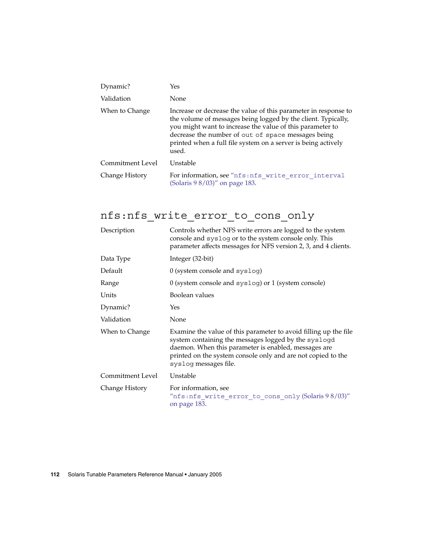| Dynamic?         | Yes                                                                                                                                                                                                                                                                                                                           |
|------------------|-------------------------------------------------------------------------------------------------------------------------------------------------------------------------------------------------------------------------------------------------------------------------------------------------------------------------------|
| Validation       | <b>None</b>                                                                                                                                                                                                                                                                                                                   |
| When to Change   | Increase or decrease the value of this parameter in response to<br>the volume of messages being logged by the client. Typically,<br>you might want to increase the value of this parameter to<br>decrease the number of out of space messages being<br>printed when a full file system on a server is being actively<br>used. |
| Commitment Level | Unstable                                                                                                                                                                                                                                                                                                                      |
| Change History   | For information, see "nfs: nfs write error interval<br>(Solaris 9 8/03)" on page 183.                                                                                                                                                                                                                                         |

# nfs:nfs\_write\_error\_to\_cons\_only

| Description      | Controls whether NFS write errors are logged to the system<br>console and syslog or to the system console only. This<br>parameter affects messages for NFS version 2, 3, and 4 clients.                                                                                   |
|------------------|---------------------------------------------------------------------------------------------------------------------------------------------------------------------------------------------------------------------------------------------------------------------------|
| Data Type        | Integer (32-bit)                                                                                                                                                                                                                                                          |
| Default          | $0$ (system console and syslog)                                                                                                                                                                                                                                           |
| Range            | $0$ (system console and syslog) or 1 (system console)                                                                                                                                                                                                                     |
| Units            | Boolean values                                                                                                                                                                                                                                                            |
| Dynamic?         | Yes                                                                                                                                                                                                                                                                       |
| Validation       | None                                                                                                                                                                                                                                                                      |
| When to Change   | Examine the value of this parameter to avoid filling up the file<br>system containing the messages logged by the syslogd<br>daemon. When this parameter is enabled, messages are<br>printed on the system console only and are not copied to the<br>syslog messages file. |
| Commitment Level | Unstable                                                                                                                                                                                                                                                                  |
| Change History   | For information, see<br>"nfs:nfs write error to cons only $(Solaris 98/03)$ "<br>on page 183.                                                                                                                                                                             |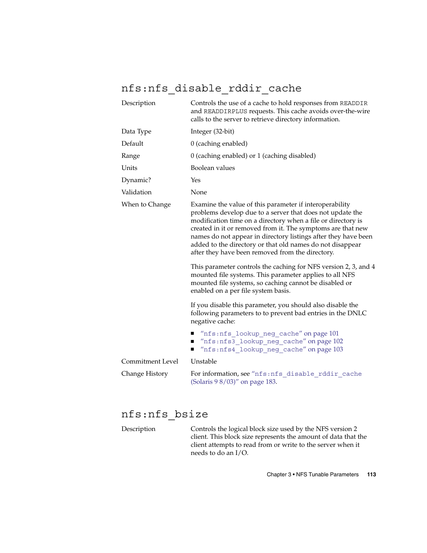### nfs:nfs\_disable\_rddir\_cache

| Description      | Controls the use of a cache to hold responses from READDIR<br>and READDIRPLUS requests. This cache avoids over-the-wire<br>calls to the server to retrieve directory information.                                                                                                                                                                                                                                                      |
|------------------|----------------------------------------------------------------------------------------------------------------------------------------------------------------------------------------------------------------------------------------------------------------------------------------------------------------------------------------------------------------------------------------------------------------------------------------|
| Data Type        | Integer (32-bit)                                                                                                                                                                                                                                                                                                                                                                                                                       |
| Default          | 0 (caching enabled)                                                                                                                                                                                                                                                                                                                                                                                                                    |
| Range            | 0 (caching enabled) or 1 (caching disabled)                                                                                                                                                                                                                                                                                                                                                                                            |
| Units            | Boolean values                                                                                                                                                                                                                                                                                                                                                                                                                         |
| Dynamic?         | Yes                                                                                                                                                                                                                                                                                                                                                                                                                                    |
| Validation       | None                                                                                                                                                                                                                                                                                                                                                                                                                                   |
| When to Change   | Examine the value of this parameter if interoperability<br>problems develop due to a server that does not update the<br>modification time on a directory when a file or directory is<br>created in it or removed from it. The symptoms are that new<br>names do not appear in directory listings after they have been<br>added to the directory or that old names do not disappear<br>after they have been removed from the directory. |
|                  | This parameter controls the caching for NFS version 2, 3, and 4<br>mounted file systems. This parameter applies to all NFS<br>mounted file systems, so caching cannot be disabled or<br>enabled on a per file system basis.                                                                                                                                                                                                            |
|                  | If you disable this parameter, you should also disable the<br>following parameters to to prevent bad entries in the DNLC<br>negative cache:                                                                                                                                                                                                                                                                                            |
|                  | "nfs:nfs lookup neg cache" on page 101<br>п<br>"nfs:nfs3 lookup neg cache" on page 102<br>"nfs:nfs4 lookup neg cache" on page 103<br>■                                                                                                                                                                                                                                                                                                 |
| Commitment Level | Unstable                                                                                                                                                                                                                                                                                                                                                                                                                               |
| Change History   | For information, see "nfs: nfs disable rddir cache<br>(Solaris 9 8/03)" on page 183.                                                                                                                                                                                                                                                                                                                                                   |

### nfs:nfs\_bsize

| Description | Controls the logical block size used by the NFS version 2      |
|-------------|----------------------------------------------------------------|
|             | client. This block size represents the amount of data that the |
|             | client attempts to read from or write to the server when it    |
|             | needs to do an $I/O$ .                                         |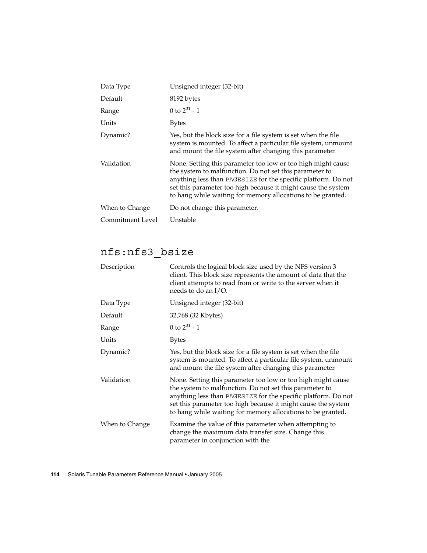<span id="page-113-0"></span>

| Data Type        | Unsigned integer (32-bit)                                                                                                                                                                                                                                                                                                |
|------------------|--------------------------------------------------------------------------------------------------------------------------------------------------------------------------------------------------------------------------------------------------------------------------------------------------------------------------|
| Default          | 8192 bytes                                                                                                                                                                                                                                                                                                               |
| Range            | 0 to $2^{31}$ - 1                                                                                                                                                                                                                                                                                                        |
| Units            | <b>Bytes</b>                                                                                                                                                                                                                                                                                                             |
| Dynamic?         | Yes, but the block size for a file system is set when the file<br>system is mounted. To affect a particular file system, unmount<br>and mount the file system after changing this parameter.                                                                                                                             |
| Validation       | None. Setting this parameter too low or too high might cause<br>the system to malfunction. Do not set this parameter to<br>anything less than PAGESIZE for the specific platform. Do not<br>set this parameter too high because it might cause the system<br>to hang while waiting for memory allocations to be granted. |
| When to Change   | Do not change this parameter.                                                                                                                                                                                                                                                                                            |
| Commitment Level | Unstable                                                                                                                                                                                                                                                                                                                 |

# nfs:nfs3\_bsize

| Description    | Controls the logical block size used by the NFS version 3<br>client. This block size represents the amount of data that the<br>client attempts to read from or write to the server when it<br>needs to do an I/O.                                                                                                        |
|----------------|--------------------------------------------------------------------------------------------------------------------------------------------------------------------------------------------------------------------------------------------------------------------------------------------------------------------------|
| Data Type      | Unsigned integer (32-bit)                                                                                                                                                                                                                                                                                                |
| Default        | 32,768 (32 Kbytes)                                                                                                                                                                                                                                                                                                       |
| Range          | 0 to $2^{31}$ - 1                                                                                                                                                                                                                                                                                                        |
| Units          | <b>Bytes</b>                                                                                                                                                                                                                                                                                                             |
| Dynamic?       | Yes, but the block size for a file system is set when the file<br>system is mounted. To affect a particular file system, unmount<br>and mount the file system after changing this parameter.                                                                                                                             |
| Validation     | None. Setting this parameter too low or too high might cause<br>the system to malfunction. Do not set this parameter to<br>anything less than PAGESIZE for the specific platform. Do not<br>set this parameter too high because it might cause the system<br>to hang while waiting for memory allocations to be granted. |
| When to Change | Examine the value of this parameter when attempting to<br>change the maximum data transfer size. Change this<br>parameter in conjunction with the                                                                                                                                                                        |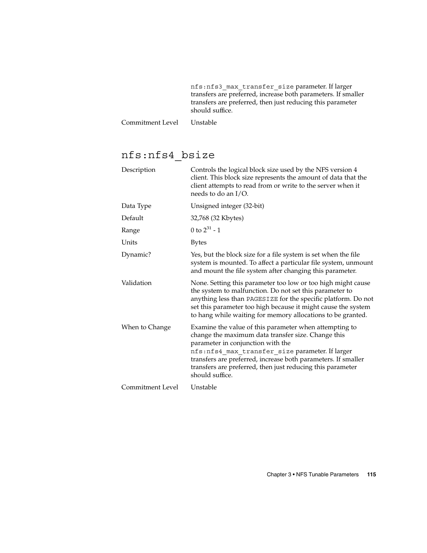nfs:nfs3\_max\_transfer\_size parameter. If larger transfers are preferred, increase both parameters. If smaller transfers are preferred, then just reducing this parameter should suffice.

<span id="page-114-0"></span>Commitment Level Unstable

#### nfs:nfs4\_bsize

| Description      | Controls the logical block size used by the NFS version 4<br>client. This block size represents the amount of data that the<br>client attempts to read from or write to the server when it<br>needs to do an I/O.                                                                                                                                     |
|------------------|-------------------------------------------------------------------------------------------------------------------------------------------------------------------------------------------------------------------------------------------------------------------------------------------------------------------------------------------------------|
| Data Type        | Unsigned integer (32-bit)                                                                                                                                                                                                                                                                                                                             |
| Default          | 32,768 (32 Kbytes)                                                                                                                                                                                                                                                                                                                                    |
| Range            | 0 to $2^{31}$ - 1                                                                                                                                                                                                                                                                                                                                     |
| Units            | <b>Bytes</b>                                                                                                                                                                                                                                                                                                                                          |
| Dynamic?         | Yes, but the block size for a file system is set when the file<br>system is mounted. To affect a particular file system, unmount<br>and mount the file system after changing this parameter.                                                                                                                                                          |
| Validation       | None. Setting this parameter too low or too high might cause<br>the system to malfunction. Do not set this parameter to<br>anything less than PAGESIZE for the specific platform. Do not<br>set this parameter too high because it might cause the system<br>to hang while waiting for memory allocations to be granted.                              |
| When to Change   | Examine the value of this parameter when attempting to<br>change the maximum data transfer size. Change this<br>parameter in conjunction with the<br>nfs:nfs4_max_transfer_sizeparameter. If larger<br>transfers are preferred, increase both parameters. If smaller<br>transfers are preferred, then just reducing this parameter<br>should suffice. |
| Commitment Level | Unstable                                                                                                                                                                                                                                                                                                                                              |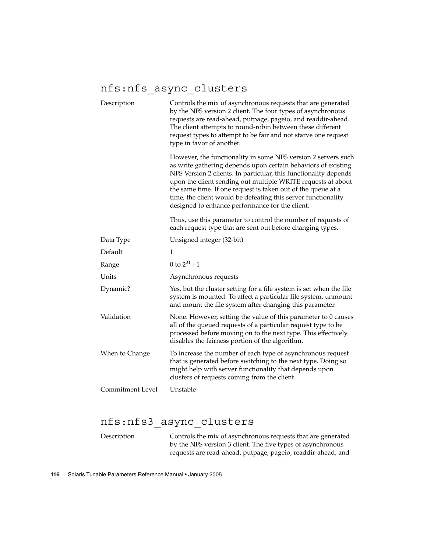#### nfs:nfs\_async\_clusters

| Description      | Controls the mix of asynchronous requests that are generated<br>by the NFS version 2 client. The four types of asynchronous<br>requests are read-ahead, putpage, pageio, and readdir-ahead.<br>The client attempts to round-robin between these different<br>request types to attempt to be fair and not starve one request<br>type in favor of another.                                                                                               |
|------------------|--------------------------------------------------------------------------------------------------------------------------------------------------------------------------------------------------------------------------------------------------------------------------------------------------------------------------------------------------------------------------------------------------------------------------------------------------------|
|                  | However, the functionality in some NFS version 2 servers such<br>as write gathering depends upon certain behaviors of existing<br>NFS Version 2 clients. In particular, this functionality depends<br>upon the client sending out multiple WRITE requests at about<br>the same time. If one request is taken out of the queue at a<br>time, the client would be defeating this server functionality<br>designed to enhance performance for the client. |
|                  | Thus, use this parameter to control the number of requests of<br>each request type that are sent out before changing types.                                                                                                                                                                                                                                                                                                                            |
| Data Type        | Unsigned integer (32-bit)                                                                                                                                                                                                                                                                                                                                                                                                                              |
| Default          | 1                                                                                                                                                                                                                                                                                                                                                                                                                                                      |
| Range            | 0 to $2^{31}$ - 1                                                                                                                                                                                                                                                                                                                                                                                                                                      |
| Units            | Asynchronous requests                                                                                                                                                                                                                                                                                                                                                                                                                                  |
| Dynamic?         | Yes, but the cluster setting for a file system is set when the file<br>system is mounted. To affect a particular file system, unmount<br>and mount the file system after changing this parameter.                                                                                                                                                                                                                                                      |
| Validation       | None. However, setting the value of this parameter to 0 causes<br>all of the queued requests of a particular request type to be<br>processed before moving on to the next type. This effectively<br>disables the fairness portion of the algorithm.                                                                                                                                                                                                    |
| When to Change   | To increase the number of each type of asynchronous request<br>that is generated before switching to the next type. Doing so<br>might help with server functionality that depends upon<br>clusters of requests coming from the client.                                                                                                                                                                                                                 |
| Commitment Level | Unstable                                                                                                                                                                                                                                                                                                                                                                                                                                               |

#### nfs:nfs3\_async\_clusters

Description Controls the mix of asynchronous requests that are generated by the NFS version 3 client. The five types of asynchronous requests are read-ahead, putpage, pageio, readdir-ahead, and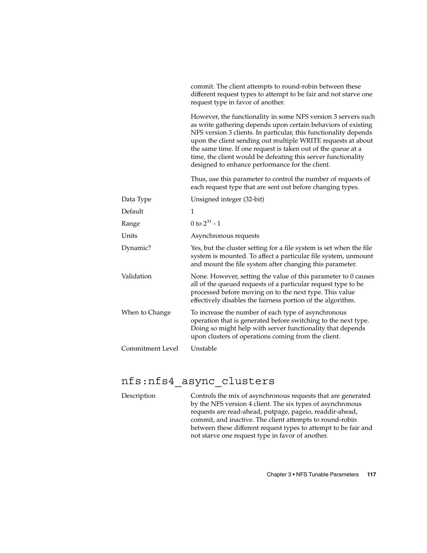|                  | commit. The client attempts to round-robin between these<br>different request types to attempt to be fair and not starve one<br>request type in favor of another.                                                                                                                                                                                                                                                                                      |
|------------------|--------------------------------------------------------------------------------------------------------------------------------------------------------------------------------------------------------------------------------------------------------------------------------------------------------------------------------------------------------------------------------------------------------------------------------------------------------|
|                  | However, the functionality in some NFS version 3 servers such<br>as write gathering depends upon certain behaviors of existing<br>NFS version 3 clients. In particular, this functionality depends<br>upon the client sending out multiple WRITE requests at about<br>the same time. If one request is taken out of the queue at a<br>time, the client would be defeating this server functionality<br>designed to enhance performance for the client. |
|                  | Thus, use this parameter to control the number of requests of<br>each request type that are sent out before changing types.                                                                                                                                                                                                                                                                                                                            |
| Data Type        | Unsigned integer (32-bit)                                                                                                                                                                                                                                                                                                                                                                                                                              |
| Default          | 1                                                                                                                                                                                                                                                                                                                                                                                                                                                      |
| Range            | 0 to $2^{31}$ - 1                                                                                                                                                                                                                                                                                                                                                                                                                                      |
| Units            | Asynchronous requests                                                                                                                                                                                                                                                                                                                                                                                                                                  |
| Dynamic?         | Yes, but the cluster setting for a file system is set when the file<br>system is mounted. To affect a particular file system, unmount<br>and mount the file system after changing this parameter.                                                                                                                                                                                                                                                      |
| Validation       | None. However, setting the value of this parameter to 0 causes<br>all of the queued requests of a particular request type to be<br>processed before moving on to the next type. This value<br>effectively disables the fairness portion of the algorithm.                                                                                                                                                                                              |
| When to Change   | To increase the number of each type of asynchronous<br>operation that is generated before switching to the next type.<br>Doing so might help with server functionality that depends<br>upon clusters of operations coming from the client.                                                                                                                                                                                                             |
| Commitment Level | Unstable                                                                                                                                                                                                                                                                                                                                                                                                                                               |
|                  |                                                                                                                                                                                                                                                                                                                                                                                                                                                        |

# nfs:nfs4\_async\_clusters

| Description | Controls the mix of asynchronous requests that are generated    |
|-------------|-----------------------------------------------------------------|
|             | by the NFS version 4 client. The six types of asynchronous      |
|             | requests are read-ahead, putpage, pageio, readdir-ahead,        |
|             | commit, and inactive. The client attempts to round-robin        |
|             | between these different request types to attempt to be fair and |
|             | not starve one request type in favor of another.                |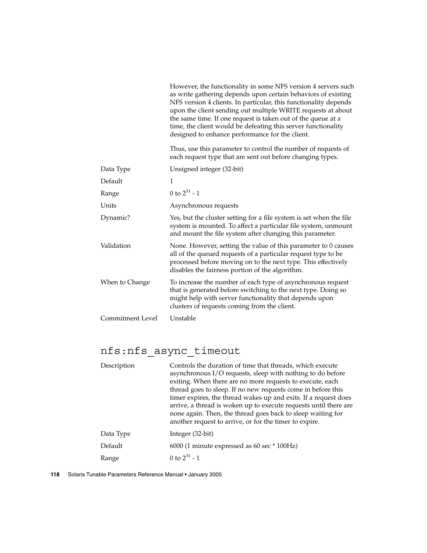|                  | However, the functionality in some NFS version 4 servers such<br>as write gathering depends upon certain behaviors of existing<br>NFS version 4 clients. In particular, this functionality depends<br>upon the client sending out multiple WRITE requests at about<br>the same time. If one request is taken out of the queue at a<br>time, the client would be defeating this server functionality<br>designed to enhance performance for the client. |
|------------------|--------------------------------------------------------------------------------------------------------------------------------------------------------------------------------------------------------------------------------------------------------------------------------------------------------------------------------------------------------------------------------------------------------------------------------------------------------|
|                  | Thus, use this parameter to control the number of requests of<br>each request type that are sent out before changing types.                                                                                                                                                                                                                                                                                                                            |
| Data Type        | Unsigned integer (32-bit)                                                                                                                                                                                                                                                                                                                                                                                                                              |
| Default          | $\mathbf{1}$                                                                                                                                                                                                                                                                                                                                                                                                                                           |
| Range            | 0 to $2^{31}$ - 1                                                                                                                                                                                                                                                                                                                                                                                                                                      |
| Units            | Asynchronous requests                                                                                                                                                                                                                                                                                                                                                                                                                                  |
| Dynamic?         | Yes, but the cluster setting for a file system is set when the file<br>system is mounted. To affect a particular file system, unmount<br>and mount the file system after changing this parameter.                                                                                                                                                                                                                                                      |
| Validation       | None. However, setting the value of this parameter to 0 causes<br>all of the queued requests of a particular request type to be<br>processed before moving on to the next type. This effectively<br>disables the fairness portion of the algorithm.                                                                                                                                                                                                    |
| When to Change   | To increase the number of each type of asynchronous request<br>that is generated before switching to the next type. Doing so<br>might help with server functionality that depends upon<br>clusters of requests coming from the client.                                                                                                                                                                                                                 |
| Commitment Level | Unstable                                                                                                                                                                                                                                                                                                                                                                                                                                               |

# nfs:nfs\_async\_timeout

| Description | Controls the duration of time that threads, which execute<br>asynchronous I/O requests, sleep with nothing to do before<br>exiting. When there are no more requests to execute, each<br>thread goes to sleep. If no new requests come in before this<br>timer expires, the thread wakes up and exits. If a request does<br>arrive, a thread is woken up to execute requests until there are<br>none again. Then, the thread goes back to sleep waiting for<br>another request to arrive, or for the timer to expire. |
|-------------|----------------------------------------------------------------------------------------------------------------------------------------------------------------------------------------------------------------------------------------------------------------------------------------------------------------------------------------------------------------------------------------------------------------------------------------------------------------------------------------------------------------------|
| Data Type   | Integer (32-bit)                                                                                                                                                                                                                                                                                                                                                                                                                                                                                                     |
| Default     | 6000 (1 minute expressed as 60 sec * 100Hz)                                                                                                                                                                                                                                                                                                                                                                                                                                                                          |
| Range       | 0 to $2^{31}$ - 1                                                                                                                                                                                                                                                                                                                                                                                                                                                                                                    |

**118** Solaris Tunable Parameters Reference Manual • January 2005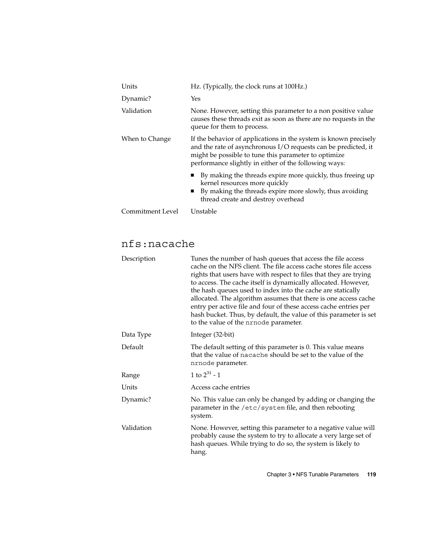| Units            | Hz. (Typically, the clock runs at 100Hz.)                                                                                                                                                                                                           |
|------------------|-----------------------------------------------------------------------------------------------------------------------------------------------------------------------------------------------------------------------------------------------------|
| Dynamic?         | Yes                                                                                                                                                                                                                                                 |
| Validation       | None. However, setting this parameter to a non positive value<br>causes these threads exit as soon as there are no requests in the<br>queue for them to process.                                                                                    |
| When to Change   | If the behavior of applications in the system is known precisely<br>and the rate of asynchronous I/O requests can be predicted, it<br>might be possible to tune this parameter to optimize<br>performance slightly in either of the following ways: |
|                  | By making the threads expire more quickly, thus freeing up<br>kernel resources more quickly<br>$\blacksquare$ By making the threads expire more slowly, thus avoiding<br>thread create and destroy overhead                                         |
| Commitment Level | Unstable                                                                                                                                                                                                                                            |

#### nfs:nacache

| Description | Tunes the number of hash queues that access the file access<br>cache on the NFS client. The file access cache stores file access<br>rights that users have with respect to files that they are trying<br>to access. The cache itself is dynamically allocated. However,<br>the hash queues used to index into the cache are statically<br>allocated. The algorithm assumes that there is one access cache<br>entry per active file and four of these access cache entries per<br>hash bucket. Thus, by default, the value of this parameter is set<br>to the value of the nrnode parameter. |
|-------------|---------------------------------------------------------------------------------------------------------------------------------------------------------------------------------------------------------------------------------------------------------------------------------------------------------------------------------------------------------------------------------------------------------------------------------------------------------------------------------------------------------------------------------------------------------------------------------------------|
| Data Type   | Integer (32-bit)                                                                                                                                                                                                                                                                                                                                                                                                                                                                                                                                                                            |
| Default     | The default setting of this parameter is 0. This value means<br>that the value of nacache should be set to the value of the<br>nrnode parameter.                                                                                                                                                                                                                                                                                                                                                                                                                                            |
| Range       | 1 to $2^{31}$ - 1                                                                                                                                                                                                                                                                                                                                                                                                                                                                                                                                                                           |
| Units       | Access cache entries                                                                                                                                                                                                                                                                                                                                                                                                                                                                                                                                                                        |
| Dynamic?    | No. This value can only be changed by adding or changing the<br>parameter in the /etc/system file, and then rebooting<br>system.                                                                                                                                                                                                                                                                                                                                                                                                                                                            |
| Validation  | None. However, setting this parameter to a negative value will<br>probably cause the system to try to allocate a very large set of<br>hash queues. While trying to do so, the system is likely to<br>hang.                                                                                                                                                                                                                                                                                                                                                                                  |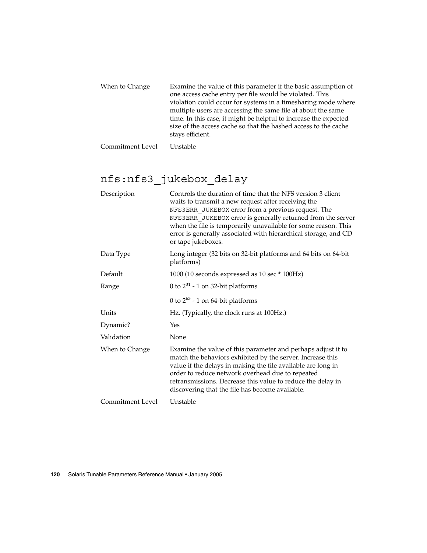| When to Change   | Examine the value of this parameter if the basic assumption of<br>one access cache entry per file would be violated. This<br>violation could occur for systems in a timesharing mode where<br>multiple users are accessing the same file at about the same<br>time. In this case, it might be helpful to increase the expected<br>size of the access cache so that the hashed access to the cache<br>stays efficient. |
|------------------|-----------------------------------------------------------------------------------------------------------------------------------------------------------------------------------------------------------------------------------------------------------------------------------------------------------------------------------------------------------------------------------------------------------------------|
| Commitment Level | Unstable                                                                                                                                                                                                                                                                                                                                                                                                              |

# nfs:nfs3\_jukebox\_delay

| Description      | Controls the duration of time that the NFS version 3 client<br>waits to transmit a new request after receiving the<br>NFS3ERR JUKEBOX error from a previous request. The<br>NFS3ERR JUKEBOX error is generally returned from the server<br>when the file is temporarily unavailable for some reason. This<br>error is generally associated with hierarchical storage, and CD<br>or tape jukeboxes. |
|------------------|----------------------------------------------------------------------------------------------------------------------------------------------------------------------------------------------------------------------------------------------------------------------------------------------------------------------------------------------------------------------------------------------------|
| Data Type        | Long integer (32 bits on 32-bit platforms and 64 bits on 64-bit<br>platforms)                                                                                                                                                                                                                                                                                                                      |
| Default          | 1000 (10 seconds expressed as 10 sec * 100Hz)                                                                                                                                                                                                                                                                                                                                                      |
| Range            | 0 to $2^{31}$ - 1 on 32-bit platforms                                                                                                                                                                                                                                                                                                                                                              |
|                  | 0 to $2^{63}$ - 1 on 64-bit platforms                                                                                                                                                                                                                                                                                                                                                              |
| Units            | Hz. (Typically, the clock runs at 100Hz.)                                                                                                                                                                                                                                                                                                                                                          |
| Dynamic?         | Yes                                                                                                                                                                                                                                                                                                                                                                                                |
| Validation       | None                                                                                                                                                                                                                                                                                                                                                                                               |
| When to Change   | Examine the value of this parameter and perhaps adjust it to<br>match the behaviors exhibited by the server. Increase this<br>value if the delays in making the file available are long in<br>order to reduce network overhead due to repeated<br>retransmissions. Decrease this value to reduce the delay in<br>discovering that the file has become available.                                   |
| Commitment Level | Unstable                                                                                                                                                                                                                                                                                                                                                                                           |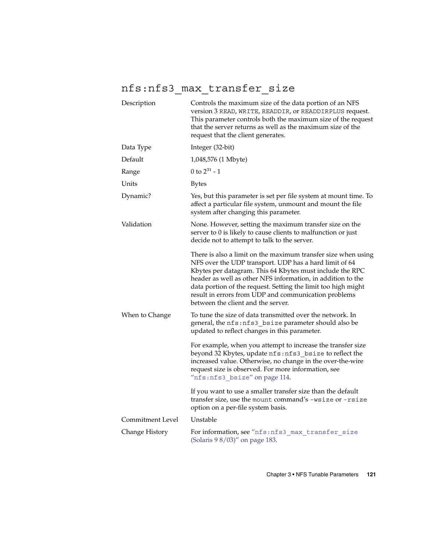# <span id="page-120-0"></span>nfs:nfs3\_max\_transfer\_size

| Description      | Controls the maximum size of the data portion of an NFS<br>version 3 READ, WRITE, READDIR, or READDIRPLUS request.<br>This parameter controls both the maximum size of the request<br>that the server returns as well as the maximum size of the<br>request that the client generates.                                                                                                                            |
|------------------|-------------------------------------------------------------------------------------------------------------------------------------------------------------------------------------------------------------------------------------------------------------------------------------------------------------------------------------------------------------------------------------------------------------------|
| Data Type        | Integer (32-bit)                                                                                                                                                                                                                                                                                                                                                                                                  |
| Default          | 1,048,576 (1 Mbyte)                                                                                                                                                                                                                                                                                                                                                                                               |
| Range            | 0 to $2^{31}$ - 1                                                                                                                                                                                                                                                                                                                                                                                                 |
| Units            | <b>Bytes</b>                                                                                                                                                                                                                                                                                                                                                                                                      |
| Dynamic?         | Yes, but this parameter is set per file system at mount time. To<br>affect a particular file system, unmount and mount the file<br>system after changing this parameter.                                                                                                                                                                                                                                          |
| Validation       | None. However, setting the maximum transfer size on the<br>server to 0 is likely to cause clients to malfunction or just<br>decide not to attempt to talk to the server.                                                                                                                                                                                                                                          |
|                  | There is also a limit on the maximum transfer size when using<br>NFS over the UDP transport. UDP has a hard limit of 64<br>Kbytes per datagram. This 64 Kbytes must include the RPC<br>header as well as other NFS information, in addition to the<br>data portion of the request. Setting the limit too high might<br>result in errors from UDP and communication problems<br>between the client and the server. |
| When to Change   | To tune the size of data transmitted over the network. In<br>general, the nfs: nfs3 bsize parameter should also be<br>updated to reflect changes in this parameter.                                                                                                                                                                                                                                               |
|                  | For example, when you attempt to increase the transfer size<br>beyond 32 Kbytes, update nfs: nfs3 bsize to reflect the<br>increased value. Otherwise, no change in the over-the-wire<br>request size is observed. For more information, see<br>"nfs:nfs3_bsize" on page 114.                                                                                                                                      |
|                  | If you want to use a smaller transfer size than the default<br>transfer size, use the mount command's -wsize or -rsize<br>option on a per-file system basis.                                                                                                                                                                                                                                                      |
| Commitment Level | Unstable                                                                                                                                                                                                                                                                                                                                                                                                          |
| Change History   | For information, see "nfs:nfs3_max_transfer_size<br>(Solaris 9 8/03)" on page 183.                                                                                                                                                                                                                                                                                                                                |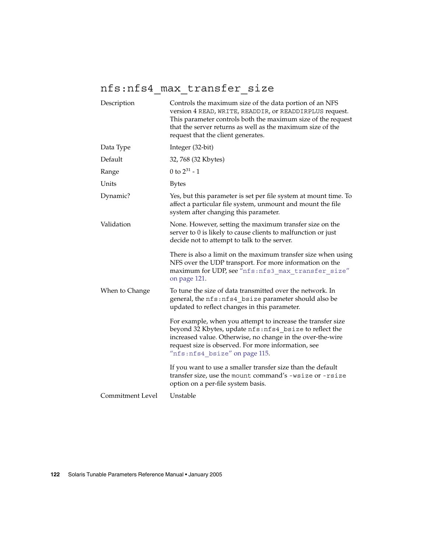# nfs:nfs4\_max\_transfer\_size

| Description      | Controls the maximum size of the data portion of an NFS<br>version 4 READ, WRITE, READDIR, or READDIRPLUS request.<br>This parameter controls both the maximum size of the request<br>that the server returns as well as the maximum size of the<br>request that the client generates. |
|------------------|----------------------------------------------------------------------------------------------------------------------------------------------------------------------------------------------------------------------------------------------------------------------------------------|
| Data Type        | Integer (32-bit)                                                                                                                                                                                                                                                                       |
| Default          | 32, 768 (32 Kbytes)                                                                                                                                                                                                                                                                    |
| Range            | 0 to $2^{31}$ - 1                                                                                                                                                                                                                                                                      |
| Units            | <b>Bytes</b>                                                                                                                                                                                                                                                                           |
| Dynamic?         | Yes, but this parameter is set per file system at mount time. To<br>affect a particular file system, unmount and mount the file<br>system after changing this parameter.                                                                                                               |
| Validation       | None. However, setting the maximum transfer size on the<br>server to 0 is likely to cause clients to malfunction or just<br>decide not to attempt to talk to the server.                                                                                                               |
|                  | There is also a limit on the maximum transfer size when using<br>NFS over the UDP transport. For more information on the<br>maximum for UDP, see "nfs:nfs3_max_transfer size"<br>on page 121.                                                                                          |
| When to Change   | To tune the size of data transmitted over the network. In<br>general, the nfs: nfs4 bsize parameter should also be<br>updated to reflect changes in this parameter.                                                                                                                    |
|                  | For example, when you attempt to increase the transfer size<br>beyond 32 Kbytes, update nfs: nfs4_bsize to reflect the<br>increased value. Otherwise, no change in the over-the-wire<br>request size is observed. For more information, see<br>"nfs:nfs4 bsize" on page 115.           |
|                  | If you want to use a smaller transfer size than the default<br>transfer size, use the mount command's -wsize or -rsize<br>option on a per-file system basis.                                                                                                                           |
| Commitment Level | Unstable                                                                                                                                                                                                                                                                               |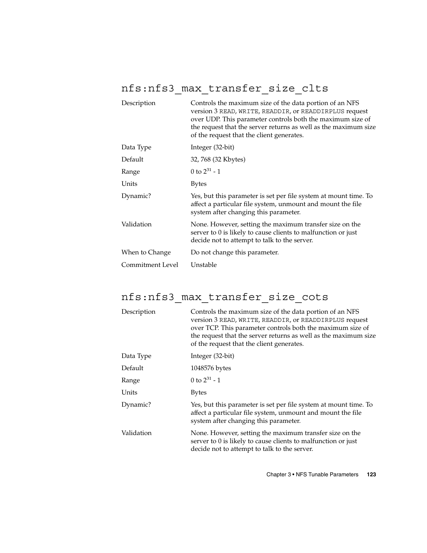### nfs:nfs3\_max\_transfer\_size\_clts

| Description      | Controls the maximum size of the data portion of an NFS<br>version 3 READ, WRITE, READDIR, or READDIRPLUS request<br>over UDP. This parameter controls both the maximum size of<br>the request that the server returns as well as the maximum size<br>of the request that the client generates. |
|------------------|-------------------------------------------------------------------------------------------------------------------------------------------------------------------------------------------------------------------------------------------------------------------------------------------------|
| Data Type        | Integer (32-bit)                                                                                                                                                                                                                                                                                |
| Default          | 32, 768 (32 Kbytes)                                                                                                                                                                                                                                                                             |
| Range            | 0 to $2^{31}$ - 1                                                                                                                                                                                                                                                                               |
| Units            | <b>Bytes</b>                                                                                                                                                                                                                                                                                    |
| Dynamic?         | Yes, but this parameter is set per file system at mount time. To<br>affect a particular file system, unmount and mount the file<br>system after changing this parameter.                                                                                                                        |
| Validation       | None. However, setting the maximum transfer size on the<br>server to 0 is likely to cause clients to malfunction or just<br>decide not to attempt to talk to the server.                                                                                                                        |
| When to Change   | Do not change this parameter.                                                                                                                                                                                                                                                                   |
| Commitment Level | Unstable                                                                                                                                                                                                                                                                                        |
|                  |                                                                                                                                                                                                                                                                                                 |

#### nfs:nfs3\_max\_transfer\_size\_cots

| Description | Controls the maximum size of the data portion of an NFS<br>version 3 READ, WRITE, READDIR, or READDIRPLUS request<br>over TCP. This parameter controls both the maximum size of<br>the request that the server returns as well as the maximum size<br>of the request that the client generates. |
|-------------|-------------------------------------------------------------------------------------------------------------------------------------------------------------------------------------------------------------------------------------------------------------------------------------------------|
| Data Type   | Integer (32-bit)                                                                                                                                                                                                                                                                                |
| Default     | 1048576 bytes                                                                                                                                                                                                                                                                                   |
| Range       | 0 to $2^{31}$ - 1                                                                                                                                                                                                                                                                               |
| Units       | <b>Bytes</b>                                                                                                                                                                                                                                                                                    |
| Dynamic?    | Yes, but this parameter is set per file system at mount time. To<br>affect a particular file system, unmount and mount the file<br>system after changing this parameter.                                                                                                                        |
| Validation  | None. However, setting the maximum transfer size on the<br>server to 0 is likely to cause clients to malfunction or just<br>decide not to attempt to talk to the server.                                                                                                                        |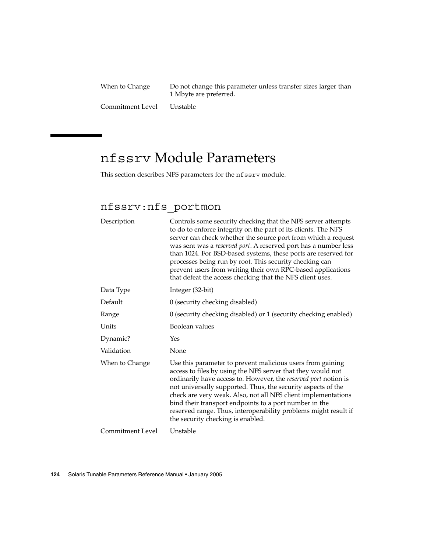| When to Change   | Do not change this parameter unless transfer sizes larger than<br>1 Mbyte are preferred. |
|------------------|------------------------------------------------------------------------------------------|
| Commitment Level | Unstable                                                                                 |

# nfssrv Module Parameters

This section describes NFS parameters for the nfssrv module.

### nfssrv:nfs\_portmon

۰

| Description      | Controls some security checking that the NFS server attempts<br>to do to enforce integrity on the part of its clients. The NFS<br>server can check whether the source port from which a request<br>was sent was a reserved port. A reserved port has a number less<br>than 1024. For BSD-based systems, these ports are reserved for<br>processes being run by root. This security checking can<br>prevent users from writing their own RPC-based applications<br>that defeat the access checking that the NFS client uses. |
|------------------|-----------------------------------------------------------------------------------------------------------------------------------------------------------------------------------------------------------------------------------------------------------------------------------------------------------------------------------------------------------------------------------------------------------------------------------------------------------------------------------------------------------------------------|
| Data Type        | Integer (32-bit)                                                                                                                                                                                                                                                                                                                                                                                                                                                                                                            |
| Default          | 0 (security checking disabled)                                                                                                                                                                                                                                                                                                                                                                                                                                                                                              |
| Range            | 0 (security checking disabled) or 1 (security checking enabled)                                                                                                                                                                                                                                                                                                                                                                                                                                                             |
| Units            | Boolean values                                                                                                                                                                                                                                                                                                                                                                                                                                                                                                              |
| Dynamic?         | Yes                                                                                                                                                                                                                                                                                                                                                                                                                                                                                                                         |
| Validation       | None                                                                                                                                                                                                                                                                                                                                                                                                                                                                                                                        |
| When to Change   | Use this parameter to prevent malicious users from gaining<br>access to files by using the NFS server that they would not<br>ordinarily have access to. However, the reserved port notion is<br>not universally supported. Thus, the security aspects of the<br>check are very weak. Also, not all NFS client implementations<br>bind their transport endpoints to a port number in the<br>reserved range. Thus, interoperability problems might result if<br>the security checking is enabled.                             |
| Commitment Level | Unstable                                                                                                                                                                                                                                                                                                                                                                                                                                                                                                                    |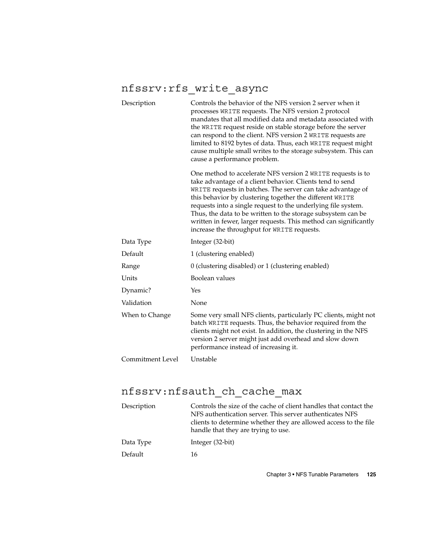# nfssrv:rfs\_write\_async

| Description      | Controls the behavior of the NFS version 2 server when it<br>processes WRITE requests. The NFS version 2 protocol<br>mandates that all modified data and metadata associated with<br>the WRITE request reside on stable storage before the server<br>can respond to the client. NFS version 2 WRITE requests are<br>limited to 8192 bytes of data. Thus, each WRITE request might<br>cause multiple small writes to the storage subsystem. This can<br>cause a performance problem.<br>One method to accelerate NFS version 2 WRITE requests is to<br>take advantage of a client behavior. Clients tend to send<br>WRITE requests in batches. The server can take advantage of<br>this behavior by clustering together the different WRITE<br>requests into a single request to the underlying file system.<br>Thus, the data to be written to the storage subsystem can be<br>written in fewer, larger requests. This method can significantly<br>increase the throughput for WRITE requests. |
|------------------|------------------------------------------------------------------------------------------------------------------------------------------------------------------------------------------------------------------------------------------------------------------------------------------------------------------------------------------------------------------------------------------------------------------------------------------------------------------------------------------------------------------------------------------------------------------------------------------------------------------------------------------------------------------------------------------------------------------------------------------------------------------------------------------------------------------------------------------------------------------------------------------------------------------------------------------------------------------------------------------------|
| Data Type        | Integer (32-bit)                                                                                                                                                                                                                                                                                                                                                                                                                                                                                                                                                                                                                                                                                                                                                                                                                                                                                                                                                                               |
| Default          | 1 (clustering enabled)                                                                                                                                                                                                                                                                                                                                                                                                                                                                                                                                                                                                                                                                                                                                                                                                                                                                                                                                                                         |
| Range            | 0 (clustering disabled) or 1 (clustering enabled)                                                                                                                                                                                                                                                                                                                                                                                                                                                                                                                                                                                                                                                                                                                                                                                                                                                                                                                                              |
| Units            | Boolean values                                                                                                                                                                                                                                                                                                                                                                                                                                                                                                                                                                                                                                                                                                                                                                                                                                                                                                                                                                                 |
| Dynamic?         | Yes                                                                                                                                                                                                                                                                                                                                                                                                                                                                                                                                                                                                                                                                                                                                                                                                                                                                                                                                                                                            |
| Validation       | None                                                                                                                                                                                                                                                                                                                                                                                                                                                                                                                                                                                                                                                                                                                                                                                                                                                                                                                                                                                           |
| When to Change   | Some very small NFS clients, particularly PC clients, might not<br>batch WRITE requests. Thus, the behavior required from the<br>clients might not exist. In addition, the clustering in the NFS<br>version 2 server might just add overhead and slow down<br>performance instead of increasing it.                                                                                                                                                                                                                                                                                                                                                                                                                                                                                                                                                                                                                                                                                            |
| Commitment Level | Unstable                                                                                                                                                                                                                                                                                                                                                                                                                                                                                                                                                                                                                                                                                                                                                                                                                                                                                                                                                                                       |

# nfssrv:nfsauth\_ch\_cache\_max

| Description | Controls the size of the cache of client handles that contact the<br>NFS authentication server. This server authenticates NFS<br>clients to determine whether they are allowed access to the file<br>handle that they are trying to use. |
|-------------|------------------------------------------------------------------------------------------------------------------------------------------------------------------------------------------------------------------------------------------|
| Data Type   | Integer (32-bit)                                                                                                                                                                                                                         |
| Default     | 16                                                                                                                                                                                                                                       |

Chapter 3 • NFS Tunable Parameters **125**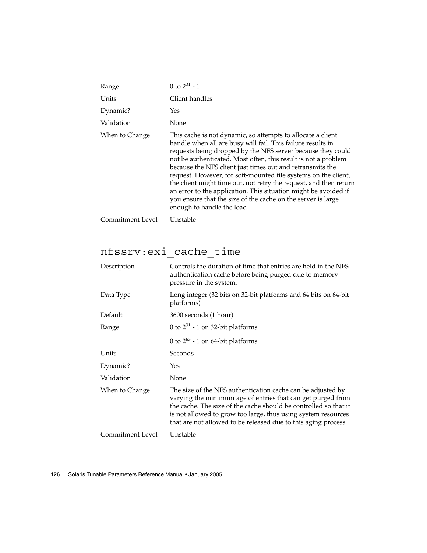| Range            | 0 to $2^{31}$ - 1                                                                                                                                                                                                                                                                                                                                                                                                                                                                                                                                                                                                                |
|------------------|----------------------------------------------------------------------------------------------------------------------------------------------------------------------------------------------------------------------------------------------------------------------------------------------------------------------------------------------------------------------------------------------------------------------------------------------------------------------------------------------------------------------------------------------------------------------------------------------------------------------------------|
| Units            | Client handles                                                                                                                                                                                                                                                                                                                                                                                                                                                                                                                                                                                                                   |
| Dynamic?         | Yes                                                                                                                                                                                                                                                                                                                                                                                                                                                                                                                                                                                                                              |
| Validation       | None                                                                                                                                                                                                                                                                                                                                                                                                                                                                                                                                                                                                                             |
| When to Change   | This cache is not dynamic, so attempts to allocate a client<br>handle when all are busy will fail. This failure results in<br>requests being dropped by the NFS server because they could<br>not be authenticated. Most often, this result is not a problem<br>because the NFS client just times out and retransmits the<br>request. However, for soft-mounted file systems on the client,<br>the client might time out, not retry the request, and then return<br>an error to the application. This situation might be avoided if<br>you ensure that the size of the cache on the server is large<br>enough to handle the load. |
| Commitment Level | Unstable                                                                                                                                                                                                                                                                                                                                                                                                                                                                                                                                                                                                                         |

# nfssrv:exi\_cache\_time

| Description      | Controls the duration of time that entries are held in the NFS<br>authentication cache before being purged due to memory<br>pressure in the system.                                                                                                                                                                               |
|------------------|-----------------------------------------------------------------------------------------------------------------------------------------------------------------------------------------------------------------------------------------------------------------------------------------------------------------------------------|
| Data Type        | Long integer (32 bits on 32-bit platforms and 64 bits on 64-bit<br>platforms)                                                                                                                                                                                                                                                     |
| Default          | 3600 seconds (1 hour)                                                                                                                                                                                                                                                                                                             |
| Range            | 0 to $2^{31}$ - 1 on 32-bit platforms                                                                                                                                                                                                                                                                                             |
|                  | 0 to $2^{63}$ - 1 on 64-bit platforms                                                                                                                                                                                                                                                                                             |
| Units            | Seconds                                                                                                                                                                                                                                                                                                                           |
| Dynamic?         | Yes                                                                                                                                                                                                                                                                                                                               |
| Validation       | None                                                                                                                                                                                                                                                                                                                              |
| When to Change   | The size of the NFS authentication cache can be adjusted by<br>varying the minimum age of entries that can get purged from<br>the cache. The size of the cache should be controlled so that it<br>is not allowed to grow too large, thus using system resources<br>that are not allowed to be released due to this aging process. |
| Commitment Level | Unstable                                                                                                                                                                                                                                                                                                                          |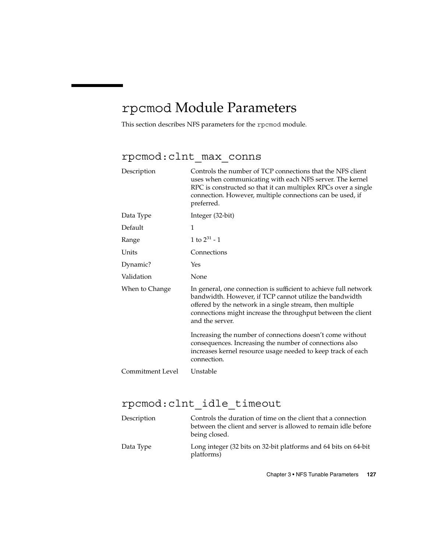# rpcmod Module Parameters

This section describes NFS parameters for the rpcmod module.

#### rpcmod:clnt\_max\_conns

| Description      | Controls the number of TCP connections that the NFS client<br>uses when communicating with each NFS server. The kernel<br>RPC is constructed so that it can multiplex RPCs over a single<br>connection. However, multiple connections can be used, if<br>preferred.        |
|------------------|----------------------------------------------------------------------------------------------------------------------------------------------------------------------------------------------------------------------------------------------------------------------------|
| Data Type        | Integer (32-bit)                                                                                                                                                                                                                                                           |
| Default          | 1                                                                                                                                                                                                                                                                          |
| Range            | 1 to $2^{31}$ - 1                                                                                                                                                                                                                                                          |
| Units            | Connections                                                                                                                                                                                                                                                                |
| Dynamic?         | Yes                                                                                                                                                                                                                                                                        |
| Validation       | None                                                                                                                                                                                                                                                                       |
| When to Change   | In general, one connection is sufficient to achieve full network<br>bandwidth. However, if TCP cannot utilize the bandwidth<br>offered by the network in a single stream, then multiple<br>connections might increase the throughput between the client<br>and the server. |
|                  | Increasing the number of connections doesn't come without<br>consequences. Increasing the number of connections also<br>increases kernel resource usage needed to keep track of each<br>connection.                                                                        |
| Commitment Level | Unstable                                                                                                                                                                                                                                                                   |

### rpcmod:clnt\_idle\_timeout

| Description | Controls the duration of time on the client that a connection<br>between the client and server is allowed to remain idle before<br>being closed. |
|-------------|--------------------------------------------------------------------------------------------------------------------------------------------------|
| Data Type   | Long integer (32 bits on 32-bit platforms and 64 bits on 64-bit)<br>platforms)                                                                   |

Chapter 3 • NFS Tunable Parameters **127**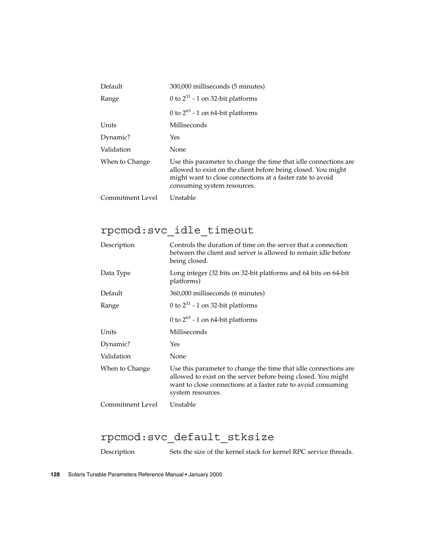| Default          | 300,000 milliseconds (5 minutes)                                                                                                                                                                                             |
|------------------|------------------------------------------------------------------------------------------------------------------------------------------------------------------------------------------------------------------------------|
| Range            | 0 to $2^{31}$ - 1 on 32-bit platforms                                                                                                                                                                                        |
|                  | 0 to $2^{63}$ - 1 on 64-bit platforms                                                                                                                                                                                        |
| Units            | Milliseconds                                                                                                                                                                                                                 |
| Dynamic?         | Yes                                                                                                                                                                                                                          |
| Validation       | None                                                                                                                                                                                                                         |
| When to Change   | Use this parameter to change the time that idle connections are<br>allowed to exist on the client before being closed. You might<br>might want to close connections at a faster rate to avoid<br>consuming system resources. |
| Commitment Level | Unstable                                                                                                                                                                                                                     |

### rpcmod:svc\_idle\_timeout

| Description      | Controls the duration of time on the server that a connection<br>between the client and server is allowed to remain idle before<br>being closed.                                                                       |
|------------------|------------------------------------------------------------------------------------------------------------------------------------------------------------------------------------------------------------------------|
| Data Type        | Long integer (32 bits on 32-bit platforms and 64 bits on 64-bit<br>platforms)                                                                                                                                          |
| Default          | 360,000 milliseconds (6 minutes)                                                                                                                                                                                       |
| Range            | 0 to $2^{31}$ - 1 on 32-bit platforms                                                                                                                                                                                  |
|                  | 0 to $2^{63}$ - 1 on 64-bit platforms                                                                                                                                                                                  |
| Units            | Milliseconds                                                                                                                                                                                                           |
| Dynamic?         | Yes                                                                                                                                                                                                                    |
| Validation       | None                                                                                                                                                                                                                   |
| When to Change   | Use this parameter to change the time that idle connections are<br>allowed to exist on the server before being closed. You might<br>want to close connections at a faster rate to avoid consuming<br>system resources. |
| Commitment Level | Unstable                                                                                                                                                                                                               |
|                  |                                                                                                                                                                                                                        |

### rpcmod:svc\_default\_stksize

Description Sets the size of the kernel stack for kernel RPC service threads.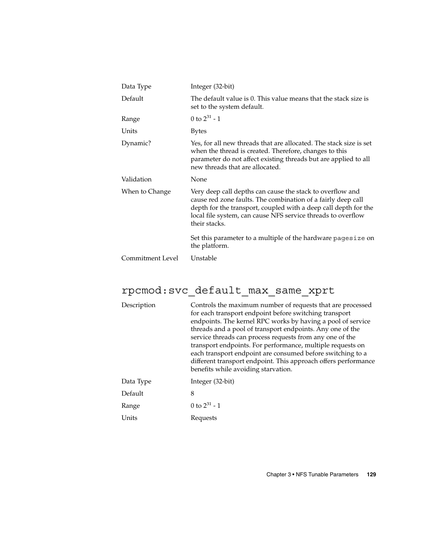| Data Type        | Integer (32-bit)                                                                                                                                                                                                                                                              |
|------------------|-------------------------------------------------------------------------------------------------------------------------------------------------------------------------------------------------------------------------------------------------------------------------------|
| Default          | The default value is 0. This value means that the stack size is<br>set to the system default.                                                                                                                                                                                 |
| Range            | 0 to $2^{31}$ - 1                                                                                                                                                                                                                                                             |
| Units            | <b>Bytes</b>                                                                                                                                                                                                                                                                  |
| Dynamic?         | Yes, for all new threads that are allocated. The stack size is set<br>when the thread is created. Therefore, changes to this<br>parameter do not affect existing threads but are applied to all<br>new threads that are allocated.                                            |
| Validation       | None                                                                                                                                                                                                                                                                          |
| When to Change   | Very deep call depths can cause the stack to overflow and<br>cause red zone faults. The combination of a fairly deep call<br>depth for the transport, coupled with a deep call depth for the<br>local file system, can cause NFS service threads to overflow<br>their stacks. |
|                  | Set this parameter to a multiple of the hardware pagesize on<br>the platform.                                                                                                                                                                                                 |
| Commitment Level | Unstable                                                                                                                                                                                                                                                                      |

# rpcmod:svc\_default\_max\_same\_xprt

| Description | Controls the maximum number of requests that are processed<br>for each transport endpoint before switching transport<br>endpoints. The kernel RPC works by having a pool of service<br>threads and a pool of transport endpoints. Any one of the<br>service threads can process requests from any one of the<br>transport endpoints. For performance, multiple requests on<br>each transport endpoint are consumed before switching to a<br>different transport endpoint. This approach offers performance<br>benefits while avoiding starvation. |
|-------------|---------------------------------------------------------------------------------------------------------------------------------------------------------------------------------------------------------------------------------------------------------------------------------------------------------------------------------------------------------------------------------------------------------------------------------------------------------------------------------------------------------------------------------------------------|
| Data Type   | Integer (32-bit)                                                                                                                                                                                                                                                                                                                                                                                                                                                                                                                                  |
| Default     | 8                                                                                                                                                                                                                                                                                                                                                                                                                                                                                                                                                 |
| Range       | 0 to $2^{31}$ - 1                                                                                                                                                                                                                                                                                                                                                                                                                                                                                                                                 |
| Units       | Requests                                                                                                                                                                                                                                                                                                                                                                                                                                                                                                                                          |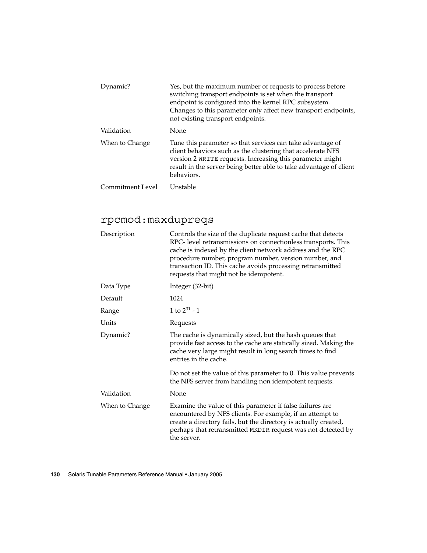| Dynamic?         | Yes, but the maximum number of requests to process before<br>switching transport endpoints is set when the transport<br>endpoint is configured into the kernel RPC subsystem.<br>Changes to this parameter only affect new transport endpoints,<br>not existing transport endpoints. |
|------------------|--------------------------------------------------------------------------------------------------------------------------------------------------------------------------------------------------------------------------------------------------------------------------------------|
| Validation       | None                                                                                                                                                                                                                                                                                 |
| When to Change   | Tune this parameter so that services can take advantage of<br>client behaviors such as the clustering that accelerate NFS<br>version 2 WRITE requests. Increasing this parameter might<br>result in the server being better able to take advantage of client<br>behaviors.           |
| Commitment Level | Unstable                                                                                                                                                                                                                                                                             |

# rpcmod:maxdupreqs

| Description    | Controls the size of the duplicate request cache that detects<br>RPC- level retransmissions on connectionless transports. This<br>cache is indexed by the client network address and the RPC<br>procedure number, program number, version number, and<br>transaction ID. This cache avoids processing retransmitted<br>requests that might not be idempotent. |
|----------------|---------------------------------------------------------------------------------------------------------------------------------------------------------------------------------------------------------------------------------------------------------------------------------------------------------------------------------------------------------------|
| Data Type      | Integer (32-bit)                                                                                                                                                                                                                                                                                                                                              |
| Default        | 1024                                                                                                                                                                                                                                                                                                                                                          |
| Range          | 1 to $2^{31}$ - 1                                                                                                                                                                                                                                                                                                                                             |
| Units          | Requests                                                                                                                                                                                                                                                                                                                                                      |
| Dynamic?       | The cache is dynamically sized, but the hash queues that<br>provide fast access to the cache are statically sized. Making the<br>cache very large might result in long search times to find<br>entries in the cache.                                                                                                                                          |
|                | Do not set the value of this parameter to 0. This value prevents<br>the NFS server from handling non idempotent requests.                                                                                                                                                                                                                                     |
| Validation     | None                                                                                                                                                                                                                                                                                                                                                          |
| When to Change | Examine the value of this parameter if false failures are<br>encountered by NFS clients. For example, if an attempt to<br>create a directory fails, but the directory is actually created,<br>perhaps that retransmitted MKDIR request was not detected by<br>the server.                                                                                     |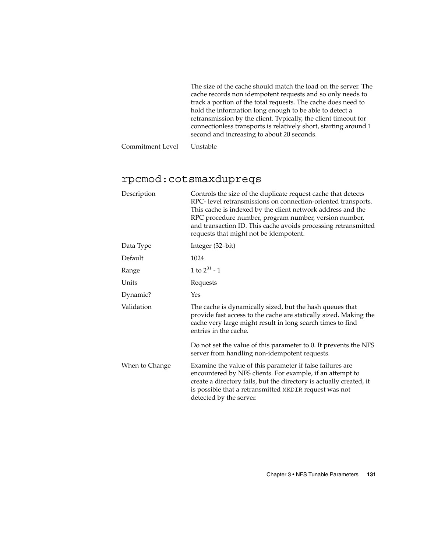| The size of the cache should match the load on the server. The   |
|------------------------------------------------------------------|
| cache records non idempotent requests and so only needs to       |
| track a portion of the total requests. The cache does need to    |
| hold the information long enough to be able to detect a          |
| retransmission by the client. Typically, the client timeout for  |
| connectionless transports is relatively short, starting around 1 |
| second and increasing to about 20 seconds.                       |
|                                                                  |

Commitment Level Unstable

### rpcmod:cotsmaxdupreqs

| Description    | Controls the size of the duplicate request cache that detects<br>RPC- level retransmissions on connection-oriented transports.<br>This cache is indexed by the client network address and the<br>RPC procedure number, program number, version number,<br>and transaction ID. This cache avoids processing retransmitted<br>requests that might not be idempotent. |
|----------------|--------------------------------------------------------------------------------------------------------------------------------------------------------------------------------------------------------------------------------------------------------------------------------------------------------------------------------------------------------------------|
| Data Type      | Integer (32-bit)                                                                                                                                                                                                                                                                                                                                                   |
| Default        | 1024                                                                                                                                                                                                                                                                                                                                                               |
| Range          | 1 to $2^{31}$ - 1                                                                                                                                                                                                                                                                                                                                                  |
| Units          | Requests                                                                                                                                                                                                                                                                                                                                                           |
| Dynamic?       | Yes                                                                                                                                                                                                                                                                                                                                                                |
| Validation     | The cache is dynamically sized, but the hash queues that<br>provide fast access to the cache are statically sized. Making the<br>cache very large might result in long search times to find<br>entries in the cache.                                                                                                                                               |
|                | Do not set the value of this parameter to 0. It prevents the NFS<br>server from handling non-idempotent requests.                                                                                                                                                                                                                                                  |
| When to Change | Examine the value of this parameter if false failures are<br>encountered by NFS clients. For example, if an attempt to<br>create a directory fails, but the directory is actually created, it<br>is possible that a retransmitted MKDIR request was not<br>detected by the server.                                                                                 |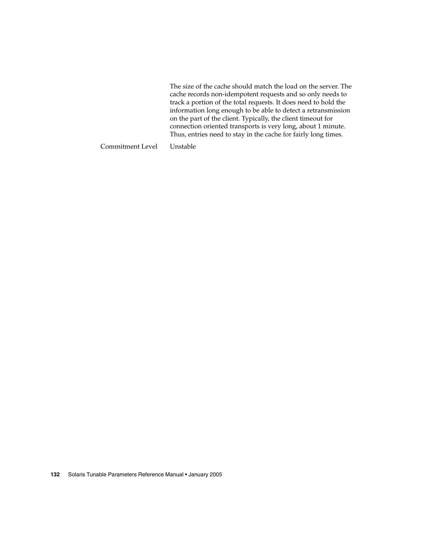The size of the cache should match the load on the server. The cache records non-idempotent requests and so only needs to track a portion of the total requests. It does need to hold the information long enough to be able to detect a retransmission on the part of the client. Typically, the client timeout for connection oriented transports is very long, about 1 minute. Thus, entries need to stay in the cache for fairly long times.

#### Commitment Level Unstable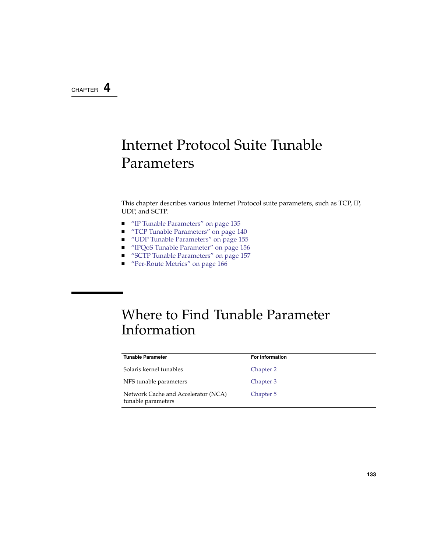#### CHAPTER **4**

# Internet Protocol Suite Tunable Parameters

This chapter describes various Internet Protocol suite parameters, such as TCP, IP, UDP, and SCTP.

- ["IP Tunable Parameters"](#page-134-0) on page 135
- ["TCP Tunable Parameters"](#page-139-0) on page 140
- ["UDP Tunable Parameters"](#page-154-0) on page 155
- ["IPQoS Tunable Parameter"](#page-155-0) on page 156
- ["SCTP Tunable Parameters"](#page-156-0) on page 157
- ["Per-Route Metrics"](#page-165-0) on page 166

# Where to Find Tunable Parameter Information

| <b>Tunable Parameter</b>                                  | <b>For Information</b> |
|-----------------------------------------------------------|------------------------|
| Solaris kernel tunables                                   | Chapter 2              |
| NFS tunable parameters                                    | Chapter 3              |
| Network Cache and Accelerator (NCA)<br>tunable parameters | Chapter 5              |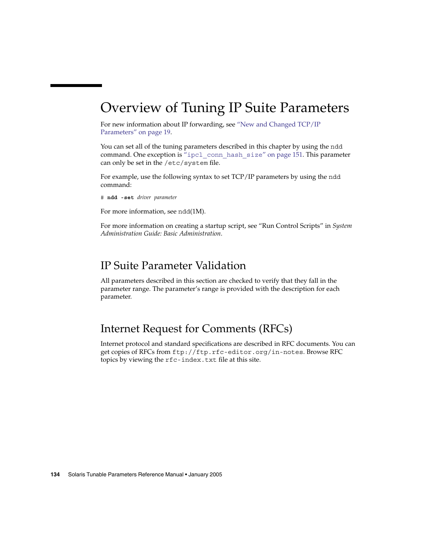### Overview of Tuning IP Suite Parameters

For new information about IP forwarding, see ["New and Changed TCP/IP](#page-18-0) [Parameters"](#page-18-0) on page 19.

You can set all of the tuning parameters described in this chapter by using the ndd command. One exception is "[ipcl\\_conn\\_hash\\_size](#page-150-0)" on page 151. This parameter can only be set in the /etc/system file.

For example, use the following syntax to set TCP/IP parameters by using the ndd command:

# **ndd -set** *driver parameter*

For more information, see ndd(1M).

For more information on creating a startup script, see "Run Control Scripts" in *System Administration Guide: Basic Administration*.

#### IP Suite Parameter Validation

All parameters described in this section are checked to verify that they fall in the parameter range. The parameter's range is provided with the description for each parameter.

#### Internet Request for Comments (RFCs)

Internet protocol and standard specifications are described in RFC documents. You can get copies of RFCs from ftp://ftp.rfc-editor.org/in-notes. Browse RFC topics by viewing the rfc-index.txt file at this site.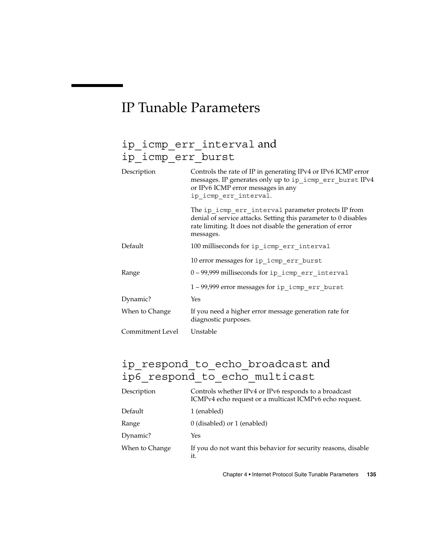# <span id="page-134-0"></span>IP Tunable Parameters

#### ip\_icmp\_err\_interval and ip\_icmp\_err\_burst

| Description      | Controls the rate of IP in generating IPv4 or IPv6 ICMP error<br>messages. IP generates only up to ip icmp err burst IPv4<br>or IPv6 ICMP error messages in any<br>ip icmp err interval.          |
|------------------|---------------------------------------------------------------------------------------------------------------------------------------------------------------------------------------------------|
|                  | The ip icmp err interval parameter protects IP from<br>denial of service attacks. Setting this parameter to 0 disables<br>rate limiting. It does not disable the generation of error<br>messages. |
| Default          | 100 milliseconds for ip icmp err interval                                                                                                                                                         |
|                  | 10 error messages for ip icmp err burst                                                                                                                                                           |
| Range            | 0-99,999 milliseconds for ip icmp err interval                                                                                                                                                    |
|                  | 1-99,999 error messages for ip_icmp_err_burst                                                                                                                                                     |
| Dynamic?         | Yes                                                                                                                                                                                               |
| When to Change   | If you need a higher error message generation rate for<br>diagnostic purposes.                                                                                                                    |
| Commitment Level | Unstable                                                                                                                                                                                          |

#### ip\_respond\_to\_echo\_broadcast and ip6\_respond\_to\_echo\_multicast

| Description    | Controls whether IPv4 or IPv6 responds to a broadcast<br>ICMPv4 echo request or a multicast ICMPv6 echo request. |
|----------------|------------------------------------------------------------------------------------------------------------------|
| Default        | 1 (enabled)                                                                                                      |
| Range          | 0 (disabled) or 1 (enabled)                                                                                      |
| Dynamic?       | Yes                                                                                                              |
| When to Change | If you do not want this behavior for security reasons, disable<br>it.                                            |

Chapter 4 • Internet Protocol Suite Tunable Parameters **135**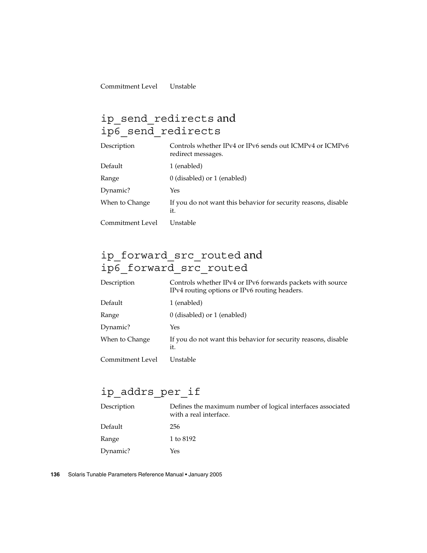Commitment Level Unstable

#### ip\_send\_redirects and ip6\_send\_redirects

| Description      | Controls whether IPv4 or IPv6 sends out ICMPv4 or ICMPv6<br>redirect messages. |
|------------------|--------------------------------------------------------------------------------|
| Default          | 1 (enabled)                                                                    |
| Range            | 0 (disabled) or 1 (enabled)                                                    |
| Dynamic?         | Yes                                                                            |
| When to Change   | If you do not want this behavior for security reasons, disable<br>it.          |
| Commitment Level | Unstable                                                                       |

#### ip\_forward\_src\_routed and ip6 forward src routed

| Description      | Controls whether IPv4 or IPv6 forwards packets with source<br>IPv4 routing options or IPv6 routing headers. |
|------------------|-------------------------------------------------------------------------------------------------------------|
| Default          | 1 (enabled)                                                                                                 |
| Range            | 0 (disabled) or 1 (enabled)                                                                                 |
| Dynamic?         | Yes                                                                                                         |
| When to Change   | If you do not want this behavior for security reasons, disable<br>it.                                       |
| Commitment Level | Unstable                                                                                                    |

#### ip\_addrs\_per\_if

| Description | Defines the maximum number of logical interfaces associated<br>with a real interface. |
|-------------|---------------------------------------------------------------------------------------|
| Default     | 256                                                                                   |
| Range       | 1 to 8192                                                                             |
| Dynamic?    | Yes                                                                                   |

**136** Solaris Tunable Parameters Reference Manual • January 2005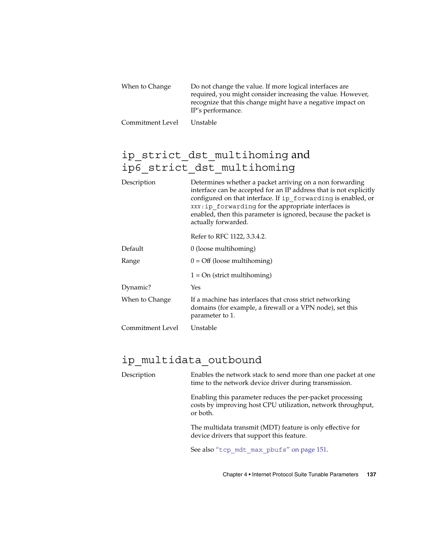| When to Change   | Do not change the value. If more logical interfaces are<br>required, you might consider increasing the value. However,<br>recognize that this change might have a negative impact on<br>IP's performance. |
|------------------|-----------------------------------------------------------------------------------------------------------------------------------------------------------------------------------------------------------|
| Commitment Level | Unstable                                                                                                                                                                                                  |

#### ip\_strict\_dst\_multihoming and ip6\_strict\_dst\_multihoming

| Description      | Determines whether a packet arriving on a non forwarding<br>interface can be accepted for an IP address that is not explicitly<br>configured on that interface. If ip forwarding is enabled, or<br>$xxx:$ ip forwarding for the appropriate interfaces is<br>enabled, then this parameter is ignored, because the packet is<br>actually forwarded.<br>Refer to RFC 1122, 3.3.4.2. |
|------------------|-----------------------------------------------------------------------------------------------------------------------------------------------------------------------------------------------------------------------------------------------------------------------------------------------------------------------------------------------------------------------------------|
| Default          | 0 (loose multihoming)                                                                                                                                                                                                                                                                                                                                                             |
| Range            | $0 = \text{Off}$ (loose multihoming)                                                                                                                                                                                                                                                                                                                                              |
|                  | $1 = On$ (strict multihoming)                                                                                                                                                                                                                                                                                                                                                     |
| Dynamic?         | Yes                                                                                                                                                                                                                                                                                                                                                                               |
| When to Change   | If a machine has interfaces that cross strict networking<br>domains (for example, a firewall or a VPN node), set this<br>parameter to 1.                                                                                                                                                                                                                                          |
| Commitment Level | Unstable                                                                                                                                                                                                                                                                                                                                                                          |

#### ip\_multidata\_outbound

| Description | Enables the network stack to send more than one packet at one<br>time to the network device driver during transmission.               |
|-------------|---------------------------------------------------------------------------------------------------------------------------------------|
|             | Enabling this parameter reduces the per-packet processing<br>costs by improving host CPU utilization, network throughput,<br>or both. |
|             | The multidata transmit (MDT) feature is only effective for<br>device drivers that support this feature.                               |
|             | See also "tcp mdt max pbufs" on page 151.                                                                                             |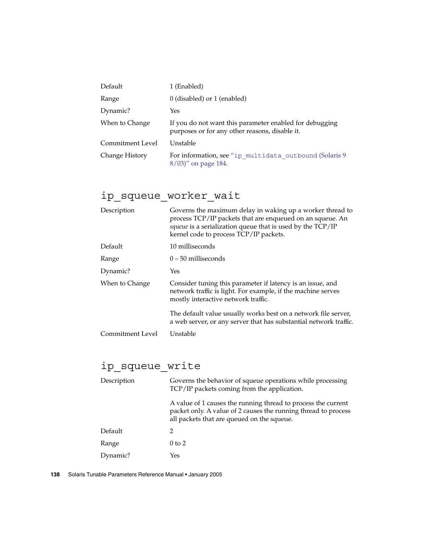| Default          | 1 (Enabled)                                                                                               |
|------------------|-----------------------------------------------------------------------------------------------------------|
| Range            | 0 (disabled) or 1 (enabled)                                                                               |
| Dynamic?         | Yes                                                                                                       |
| When to Change   | If you do not want this parameter enabled for debugging<br>purposes or for any other reasons, disable it. |
| Commitment Level | Unstable                                                                                                  |
| Change History   | For information, see "ip multidata outbound (Solaris 9<br>$8/03$ " on page 184.                           |

# ip\_squeue\_worker\_wait

| Description      | Governs the maximum delay in waking up a worker thread to<br>process TCP/IP packets that are enqueued on an squeue. An<br>squeue is a serialization queue that is used by the TCP/IP<br>kernel code to process TCP/IP packets. |
|------------------|--------------------------------------------------------------------------------------------------------------------------------------------------------------------------------------------------------------------------------|
| Default          | 10 milliseconds                                                                                                                                                                                                                |
| Range            | $0 - 50$ milliseconds                                                                                                                                                                                                          |
| Dynamic?         | Yes                                                                                                                                                                                                                            |
| When to Change   | Consider tuning this parameter if latency is an issue, and<br>network traffic is light. For example, if the machine serves<br>mostly interactive network traffic.                                                              |
|                  | The default value usually works best on a network file server,<br>a web server, or any server that has substantial network traffic.                                                                                            |
| Commitment Level | Unstable                                                                                                                                                                                                                       |

### ip\_squeue\_write

| Description | Governs the behavior of squeue operations while processing<br>TCP/IP packets coming from the application.                                                                     |
|-------------|-------------------------------------------------------------------------------------------------------------------------------------------------------------------------------|
|             | A value of 1 causes the running thread to process the current<br>packet only. A value of 2 causes the running thread to process<br>all packets that are queued on the squeue. |
| Default     |                                                                                                                                                                               |
| Range       | $0$ to $2$                                                                                                                                                                    |
| Dynamic?    | Yes                                                                                                                                                                           |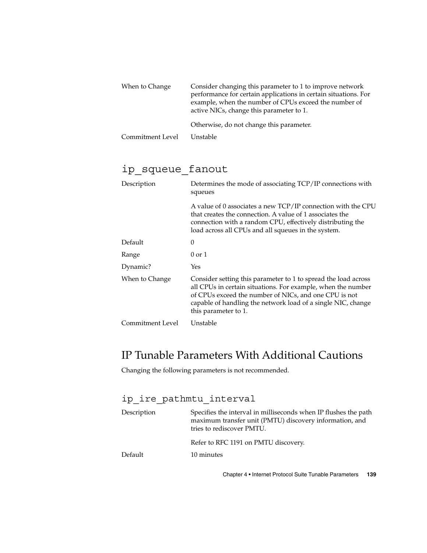| When to Change   | Consider changing this parameter to 1 to improve network<br>performance for certain applications in certain situations. For<br>example, when the number of CPUs exceed the number of<br>active NICs, change this parameter to 1. |
|------------------|----------------------------------------------------------------------------------------------------------------------------------------------------------------------------------------------------------------------------------|
|                  | Otherwise, do not change this parameter.                                                                                                                                                                                         |
| Commitment Level | Unstable                                                                                                                                                                                                                         |

### ip\_squeue\_fanout

| Description      | Determines the mode of associating TCP/IP connections with<br>squeues                                                                                                                                                                                                           |
|------------------|---------------------------------------------------------------------------------------------------------------------------------------------------------------------------------------------------------------------------------------------------------------------------------|
|                  | A value of 0 associates a new TCP/IP connection with the CPU<br>that creates the connection. A value of 1 associates the<br>connection with a random CPU, effectively distributing the<br>load across all CPUs and all squeues in the system.                                   |
| Default          | 0                                                                                                                                                                                                                                                                               |
| Range            | $0 \text{ or } 1$                                                                                                                                                                                                                                                               |
| Dynamic?         | Yes                                                                                                                                                                                                                                                                             |
| When to Change   | Consider setting this parameter to 1 to spread the load across<br>all CPUs in certain situations. For example, when the number<br>of CPUs exceed the number of NICs, and one CPU is not<br>capable of handling the network load of a single NIC, change<br>this parameter to 1. |
| Commitment Level | Unstable                                                                                                                                                                                                                                                                        |

### IP Tunable Parameters With Additional Cautions

Changing the following parameters is not recommended.

#### ip\_ire\_pathmtu\_interval

| Description | Specifies the interval in milliseconds when IP flushes the path<br>maximum transfer unit (PMTU) discovery information, and<br>tries to rediscover PMTU. |
|-------------|---------------------------------------------------------------------------------------------------------------------------------------------------------|
|             | Refer to RFC 1191 on PMTU discovery.                                                                                                                    |
| Default     | 10 minutes                                                                                                                                              |

Chapter 4 • Internet Protocol Suite Tunable Parameters **139**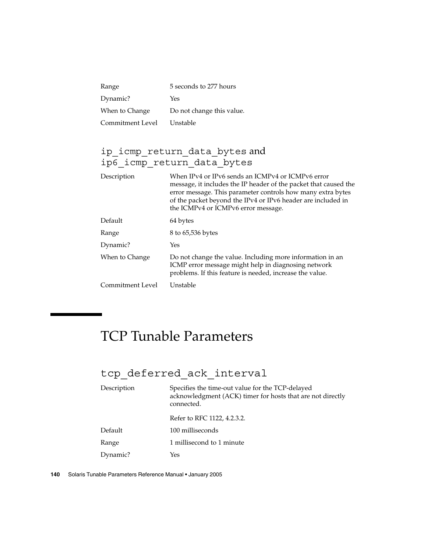<span id="page-139-0"></span>

| Range            | 5 seconds to 277 hours    |
|------------------|---------------------------|
| Dynamic?         | Yes                       |
| When to Change   | Do not change this value. |
| Commitment Level | Unstable                  |

#### ip\_icmp\_return\_data\_bytes and ip6\_icmp\_return\_data\_bytes

| Description      | When IPv4 or IPv6 sends an ICMPv4 or ICMPv6 error<br>message, it includes the IP header of the packet that caused the<br>error message. This parameter controls how many extra bytes<br>of the packet beyond the IPv4 or IPv6 header are included in<br>the ICMPv4 or ICMPv6 error message. |
|------------------|---------------------------------------------------------------------------------------------------------------------------------------------------------------------------------------------------------------------------------------------------------------------------------------------|
| Default          | 64 bytes                                                                                                                                                                                                                                                                                    |
| Range            | 8 to 65,536 bytes                                                                                                                                                                                                                                                                           |
| Dynamic?         | Yes                                                                                                                                                                                                                                                                                         |
| When to Change   | Do not change the value. Including more information in an<br>ICMP error message might help in diagnosing network<br>problems. If this feature is needed, increase the value.                                                                                                                |
| Commitment Level | Unstable                                                                                                                                                                                                                                                                                    |

# TCP Tunable Parameters

#### tcp\_deferred\_ack\_interval

| Description | Specifies the time-out value for the TCP-delayed<br>acknowledgment (ACK) timer for hosts that are not directly<br>connected. |
|-------------|------------------------------------------------------------------------------------------------------------------------------|
|             | Refer to RFC 1122, 4.2.3.2.                                                                                                  |
| Default     | 100 milliseconds                                                                                                             |
| Range       | 1 millisecond to 1 minute                                                                                                    |
| Dynamic?    | Yes                                                                                                                          |
|             |                                                                                                                              |

**140** Solaris Tunable Parameters Reference Manual • January 2005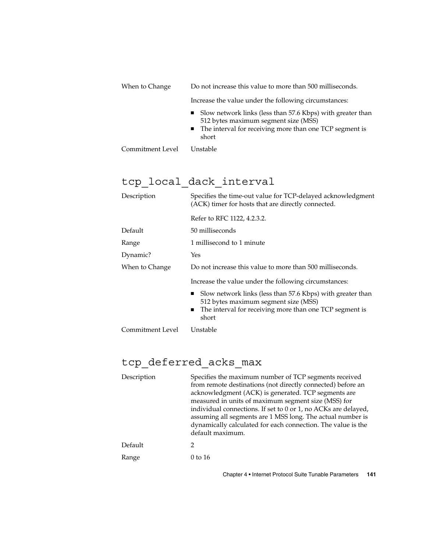| When to Change   | Do not increase this value to more than 500 milliseconds.                                                                                                                  |
|------------------|----------------------------------------------------------------------------------------------------------------------------------------------------------------------------|
|                  | Increase the value under the following circumstances:                                                                                                                      |
|                  | • Slow network links (less than 57.6 Kbps) with greater than<br>512 bytes maximum segment size (MSS)<br>• The interval for receiving more than one TCP segment is<br>short |
| Commitment Level | Unstable                                                                                                                                                                   |

### tcp\_local\_dack\_interval

| Description      | Specifies the time-out value for TCP-delayed acknowledgment<br>(ACK) timer for hosts that are directly connected.                                                      |
|------------------|------------------------------------------------------------------------------------------------------------------------------------------------------------------------|
|                  | Refer to RFC 1122, 4.2.3.2.                                                                                                                                            |
| Default          | 50 milliseconds                                                                                                                                                        |
| Range            | 1 millisecond to 1 minute                                                                                                                                              |
| Dynamic?         | Yes                                                                                                                                                                    |
| When to Change   | Do not increase this value to more than 500 milliseconds.                                                                                                              |
|                  | Increase the value under the following circumstances:                                                                                                                  |
|                  | Slow network links (less than 57.6 Kbps) with greater than<br>512 bytes maximum segment size (MSS)<br>The interval for receiving more than one TCP segment is<br>short |
| Commitment Level | Unstable                                                                                                                                                               |

# tcp\_deferred\_acks\_max

| Description | Specifies the maximum number of TCP segments received<br>from remote destinations (not directly connected) before an<br>acknowledgment (ACK) is generated. TCP segments are<br>measured in units of maximum segment size (MSS) for<br>individual connections. If set to 0 or 1, no ACKs are delayed,<br>assuming all segments are 1 MSS long. The actual number is<br>dynamically calculated for each connection. The value is the<br>default maximum. |
|-------------|--------------------------------------------------------------------------------------------------------------------------------------------------------------------------------------------------------------------------------------------------------------------------------------------------------------------------------------------------------------------------------------------------------------------------------------------------------|
| Default     | 2                                                                                                                                                                                                                                                                                                                                                                                                                                                      |
| Range       | 0 to 16                                                                                                                                                                                                                                                                                                                                                                                                                                                |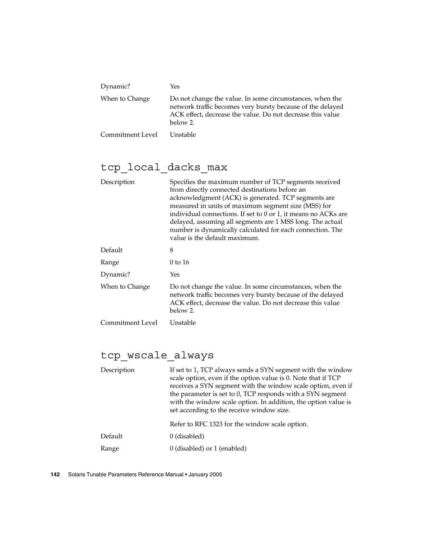| Dynamic?         | Yes.                                                                                                                                                                                             |
|------------------|--------------------------------------------------------------------------------------------------------------------------------------------------------------------------------------------------|
| When to Change   | Do not change the value. In some circumstances, when the<br>network traffic becomes very bursty because of the delayed<br>ACK effect, decrease the value. Do not decrease this value<br>below 2. |
| Commitment Level | <b>Unstable</b>                                                                                                                                                                                  |

# tcp\_local\_dacks\_max

| Description      | Specifies the maximum number of TCP segments received<br>from directly connected destinations before an<br>acknowledgment (ACK) is generated. TCP segments are<br>measured in units of maximum segment size (MSS) for<br>individual connections. If set to 0 or 1, it means no ACKs are<br>delayed, assuming all segments are 1 MSS long. The actual<br>number is dynamically calculated for each connection. The<br>value is the default maximum. |
|------------------|----------------------------------------------------------------------------------------------------------------------------------------------------------------------------------------------------------------------------------------------------------------------------------------------------------------------------------------------------------------------------------------------------------------------------------------------------|
| Default          | 8                                                                                                                                                                                                                                                                                                                                                                                                                                                  |
| Range            | $0$ to 16                                                                                                                                                                                                                                                                                                                                                                                                                                          |
| Dynamic?         | Yes                                                                                                                                                                                                                                                                                                                                                                                                                                                |
| When to Change   | Do not change the value. In some circumstances, when the<br>network traffic becomes very bursty because of the delayed<br>ACK effect, decrease the value. Do not decrease this value<br>below 2.                                                                                                                                                                                                                                                   |
| Commitment Level | Unstable                                                                                                                                                                                                                                                                                                                                                                                                                                           |

# tcp\_wscale\_always

| Description | If set to 1, TCP always sends a SYN segment with the window<br>scale option, even if the option value is 0. Note that if TCP<br>receives a SYN segment with the window scale option, even if<br>the parameter is set to 0, TCP responds with a SYN segment<br>with the window scale option. In addition, the option value is<br>set according to the receive window size.<br>Refer to RFC 1323 for the window scale option. |
|-------------|-----------------------------------------------------------------------------------------------------------------------------------------------------------------------------------------------------------------------------------------------------------------------------------------------------------------------------------------------------------------------------------------------------------------------------|
| Default     | 0 (disabled)                                                                                                                                                                                                                                                                                                                                                                                                                |
| Range       | $0$ (disabled) or $1$ (enabled)                                                                                                                                                                                                                                                                                                                                                                                             |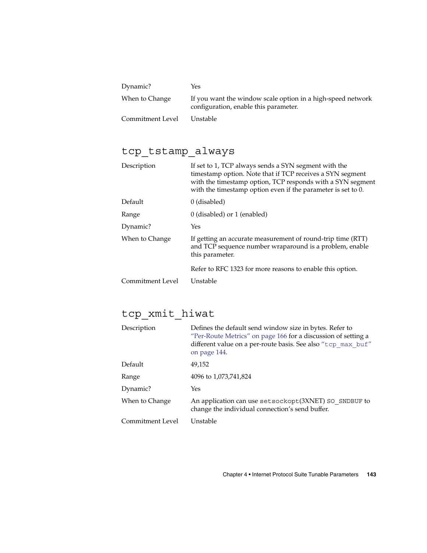| Dynamic?         | Yes                                                                                                  |
|------------------|------------------------------------------------------------------------------------------------------|
| When to Change   | If you want the window scale option in a high-speed network<br>configuration, enable this parameter. |
| Commitment Level | Unstable                                                                                             |

#### tcp\_tstamp\_always

| Description      | If set to 1, TCP always sends a SYN segment with the<br>timestamp option. Note that if TCP receives a SYN segment<br>with the timestamp option, TCP responds with a SYN segment<br>with the timestamp option even if the parameter is set to 0. |
|------------------|-------------------------------------------------------------------------------------------------------------------------------------------------------------------------------------------------------------------------------------------------|
| Default          | 0 (disabled)                                                                                                                                                                                                                                    |
| Range            | 0 (disabled) or 1 (enabled)                                                                                                                                                                                                                     |
| Dynamic?         | Yes                                                                                                                                                                                                                                             |
| When to Change   | If getting an accurate measurement of round-trip time (RTT)<br>and TCP sequence number wraparound is a problem, enable<br>this parameter.                                                                                                       |
|                  | Refer to RFC 1323 for more reasons to enable this option.                                                                                                                                                                                       |
| Commitment Level | Unstable                                                                                                                                                                                                                                        |
|                  |                                                                                                                                                                                                                                                 |

### tcp\_xmit\_hiwat

| Description      | Defines the default send window size in bytes. Refer to<br>"Per-Route Metrics" on page 166 for a discussion of setting a<br>different value on a per-route basis. See also "tcp max buf"<br>on page 144. |
|------------------|----------------------------------------------------------------------------------------------------------------------------------------------------------------------------------------------------------|
| Default          | 49,152                                                                                                                                                                                                   |
| Range            | 4096 to 1,073,741,824                                                                                                                                                                                    |
| Dynamic?         | Yes                                                                                                                                                                                                      |
| When to Change   | An application can use set sockopt (3XNET) SO SNDBUF to<br>change the individual connection's send buffer.                                                                                               |
| Commitment Level | Unstable                                                                                                                                                                                                 |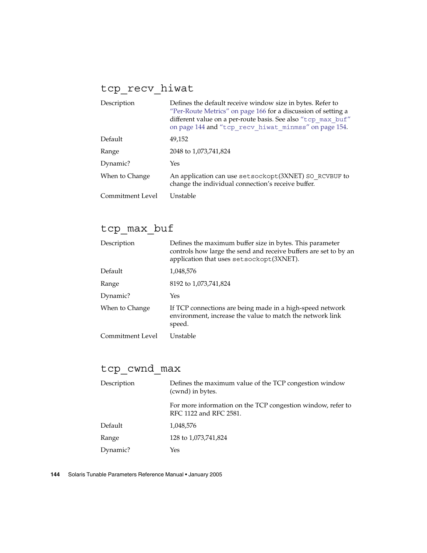### <span id="page-143-0"></span>tcp\_recv\_hiwat

| Description      | Defines the default receive window size in bytes. Refer to<br>"Per-Route Metrics" on page 166 for a discussion of setting a<br>different value on a per-route basis. See also "tcp max buf"<br>on page 144 and "tcp recv hiwat minmss" on page 154. |
|------------------|-----------------------------------------------------------------------------------------------------------------------------------------------------------------------------------------------------------------------------------------------------|
| Default          | 49,152                                                                                                                                                                                                                                              |
| Range            | 2048 to 1,073,741,824                                                                                                                                                                                                                               |
| Dynamic?         | Yes                                                                                                                                                                                                                                                 |
| When to Change   | An application can use setsockopt (3XNET) SO RCVBUF to<br>change the individual connection's receive buffer.                                                                                                                                        |
| Commitment Level | Unstable                                                                                                                                                                                                                                            |

### tcp\_max\_buf

| Description      | Defines the maximum buffer size in bytes. This parameter<br>controls how large the send and receive buffers are set to by an<br>application that uses setsockopt(3XNET). |
|------------------|--------------------------------------------------------------------------------------------------------------------------------------------------------------------------|
| Default          | 1,048,576                                                                                                                                                                |
| Range            | 8192 to 1,073,741,824                                                                                                                                                    |
| Dynamic?         | Yes                                                                                                                                                                      |
| When to Change   | If TCP connections are being made in a high-speed network<br>environment, increase the value to match the network link<br>speed.                                         |
| Commitment Level | Unstable                                                                                                                                                                 |

#### tcp\_cwnd\_max

| Description | Defines the maximum value of the TCP congestion window<br>(cwnd) in bytes.            |
|-------------|---------------------------------------------------------------------------------------|
|             | For more information on the TCP congestion window, refer to<br>RFC 1122 and RFC 2581. |
| Default     | 1,048,576                                                                             |
| Range       | 128 to 1,073,741,824                                                                  |
| Dynamic?    | Yes                                                                                   |

**144** Solaris Tunable Parameters Reference Manual • January 2005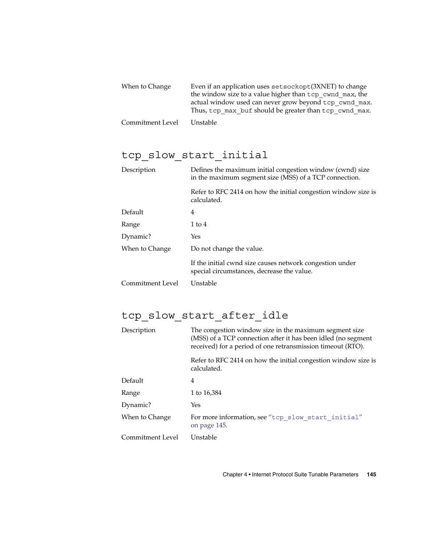| When to Change   | Even if an application uses setsockopt (3XNET) to change<br>the window size to a value higher than tcp cwnd max, the<br>actual window used can never grow beyond tcp cwnd max.<br>Thus, tcp max buf should be greater than tcp cwnd max. |
|------------------|------------------------------------------------------------------------------------------------------------------------------------------------------------------------------------------------------------------------------------------|
| Commitment Level | Unstable                                                                                                                                                                                                                                 |

## tcp\_slow\_start\_initial

| Description      | Defines the maximum initial congestion window (cwnd) size<br>in the maximum segment size (MSS) of a TCP connection. |
|------------------|---------------------------------------------------------------------------------------------------------------------|
|                  | Refer to RFC 2414 on how the initial congestion window size is<br>calculated.                                       |
| Default          | 4                                                                                                                   |
| Range            | $1$ to $4$                                                                                                          |
| Dynamic?         | Yes                                                                                                                 |
| When to Change   | Do not change the value.                                                                                            |
|                  | If the initial cwnd size causes network congestion under<br>special circumstances, decrease the value.              |
| Commitment Level | Unstable                                                                                                            |

## tcp\_slow\_start\_after\_idle

| Description      | The congestion window size in the maximum segment size<br>(MSS) of a TCP connection after it has been idled (no segment<br>received) for a period of one retransmission timeout (RTO). |
|------------------|----------------------------------------------------------------------------------------------------------------------------------------------------------------------------------------|
|                  | Refer to RFC 2414 on how the initial congestion window size is<br>calculated.                                                                                                          |
| Default          | 4                                                                                                                                                                                      |
| Range            | 1 to 16,384                                                                                                                                                                            |
| Dynamic?         | Yes                                                                                                                                                                                    |
| When to Change   | For more information, see "top slow start initial"<br>on page 145.                                                                                                                     |
| Commitment Level | Unstable                                                                                                                                                                               |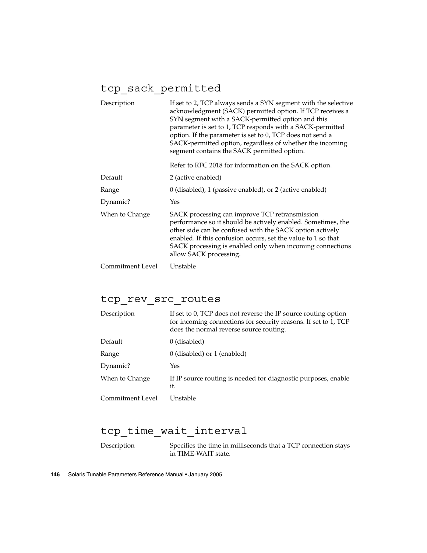## tcp\_sack\_permitted

| Description      | If set to 2, TCP always sends a SYN segment with the selective<br>acknowledgment (SACK) permitted option. If TCP receives a<br>SYN segment with a SACK-permitted option and this<br>parameter is set to 1, TCP responds with a SACK-permitted<br>option. If the parameter is set to 0, TCP does not send a<br>SACK-permitted option, regardless of whether the incoming<br>segment contains the SACK permitted option.<br>Refer to RFC 2018 for information on the SACK option. |
|------------------|---------------------------------------------------------------------------------------------------------------------------------------------------------------------------------------------------------------------------------------------------------------------------------------------------------------------------------------------------------------------------------------------------------------------------------------------------------------------------------|
| Default          | 2 (active enabled)                                                                                                                                                                                                                                                                                                                                                                                                                                                              |
| Range            | 0 (disabled), 1 (passive enabled), or 2 (active enabled)                                                                                                                                                                                                                                                                                                                                                                                                                        |
| Dynamic?         | Yes                                                                                                                                                                                                                                                                                                                                                                                                                                                                             |
| When to Change   | SACK processing can improve TCP retransmission<br>performance so it should be actively enabled. Sometimes, the<br>other side can be confused with the SACK option actively<br>enabled. If this confusion occurs, set the value to 1 so that<br>SACK processing is enabled only when incoming connections<br>allow SACK processing.                                                                                                                                              |
| Commitment Level | Unstable                                                                                                                                                                                                                                                                                                                                                                                                                                                                        |

#### tcp\_rev\_src\_routes

| Description      | If set to 0, TCP does not reverse the IP source routing option<br>for incoming connections for security reasons. If set to 1, TCP<br>does the normal reverse source routing. |
|------------------|------------------------------------------------------------------------------------------------------------------------------------------------------------------------------|
| Default          | 0 (disabled)                                                                                                                                                                 |
| Range            | 0 (disabled) or 1 (enabled)                                                                                                                                                  |
| Dynamic?         | Yes                                                                                                                                                                          |
| When to Change   | If IP source routing is needed for diagnostic purposes, enable<br>it.                                                                                                        |
| Commitment Level | Unstable                                                                                                                                                                     |

### tcp\_time\_wait\_interval

Description Specifies the time in milliseconds that a TCP connection stays in TIME-WAIT state.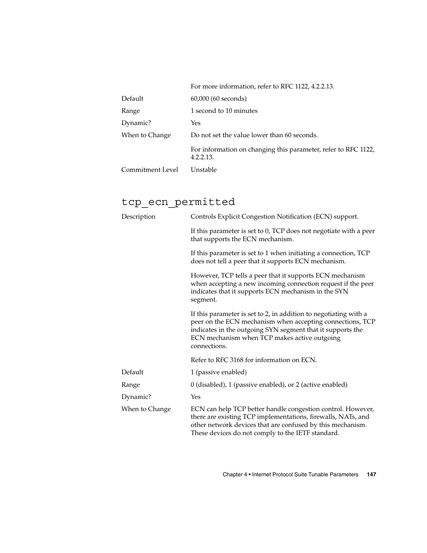|                  | For more information, refer to RFC 1122, 4.2.2.13.                          |
|------------------|-----------------------------------------------------------------------------|
| Default          | $60,000$ $(60$ seconds)                                                     |
| Range            | 1 second to 10 minutes                                                      |
| Dynamic?         | Yes                                                                         |
| When to Change   | Do not set the value lower than 60 seconds.                                 |
|                  | For information on changing this parameter, refer to RFC 1122,<br>4.2.2.13. |
| Commitment Level | Unstable                                                                    |

## tcp\_ecn\_permitted

| Description    | Controls Explicit Congestion Notification (ECN) support.                                                                                                                                                                                                    |
|----------------|-------------------------------------------------------------------------------------------------------------------------------------------------------------------------------------------------------------------------------------------------------------|
|                | If this parameter is set to 0, TCP does not negotiate with a peer<br>that supports the ECN mechanism.                                                                                                                                                       |
|                | If this parameter is set to 1 when initiating a connection, TCP<br>does not tell a peer that it supports ECN mechanism.                                                                                                                                     |
|                | However, TCP tells a peer that it supports ECN mechanism<br>when accepting a new incoming connection request if the peer<br>indicates that it supports ECN mechanism in the SYN<br>segment.                                                                 |
|                | If this parameter is set to 2, in addition to negotiating with a<br>peer on the ECN mechanism when accepting connections, TCP<br>indicates in the outgoing SYN segment that it supports the<br>ECN mechanism when TCP makes active outgoing<br>connections. |
|                | Refer to RFC 3168 for information on ECN.                                                                                                                                                                                                                   |
| Default        | 1 (passive enabled)                                                                                                                                                                                                                                         |
| Range          | 0 (disabled), 1 (passive enabled), or 2 (active enabled)                                                                                                                                                                                                    |
| Dynamic?       | Yes                                                                                                                                                                                                                                                         |
| When to Change | ECN can help TCP better handle congestion control. However,<br>there are existing TCP implementations, firewalls, NATs, and<br>other network devices that are confused by this mechanism.<br>These devices do not comply to the IETF standard.              |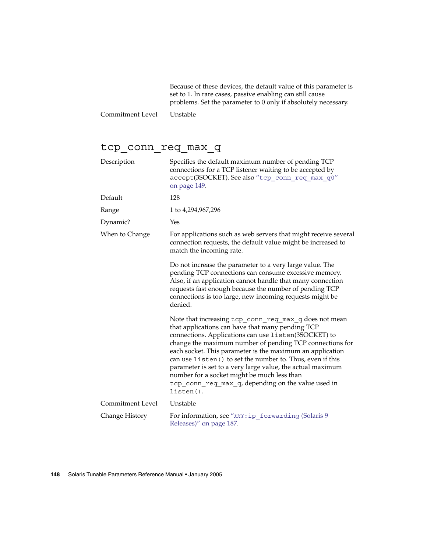<span id="page-147-0"></span>

|                  | Because of these devices, the default value of this parameter is |
|------------------|------------------------------------------------------------------|
|                  | set to 1. In rare cases, passive enabling can still cause        |
|                  | problems. Set the parameter to 0 only if absolutely necessary.   |
| Commitment Level | Unstable                                                         |

## tcp\_conn\_req\_max\_q

| Description      | Specifies the default maximum number of pending TCP<br>connections for a TCP listener waiting to be accepted by<br>accept(3SOCKET). See also "tcp conn req max q0"<br>on page 149.                                                                                                                                                                                                                                                                                                                                                       |
|------------------|------------------------------------------------------------------------------------------------------------------------------------------------------------------------------------------------------------------------------------------------------------------------------------------------------------------------------------------------------------------------------------------------------------------------------------------------------------------------------------------------------------------------------------------|
| Default          | 128                                                                                                                                                                                                                                                                                                                                                                                                                                                                                                                                      |
| Range            | 1 to 4,294,967,296                                                                                                                                                                                                                                                                                                                                                                                                                                                                                                                       |
| Dynamic?         | Yes                                                                                                                                                                                                                                                                                                                                                                                                                                                                                                                                      |
| When to Change   | For applications such as web servers that might receive several<br>connection requests, the default value might be increased to<br>match the incoming rate.                                                                                                                                                                                                                                                                                                                                                                              |
|                  | Do not increase the parameter to a very large value. The<br>pending TCP connections can consume excessive memory.<br>Also, if an application cannot handle that many connection<br>requests fast enough because the number of pending TCP<br>connections is too large, new incoming requests might be<br>denied.                                                                                                                                                                                                                         |
|                  | Note that increasing tcp_conn_req_max_q does not mean<br>that applications can have that many pending TCP<br>connections. Applications can use listen(3SOCKET) to<br>change the maximum number of pending TCP connections for<br>each socket. This parameter is the maximum an application<br>can use listen () to set the number to. Thus, even if this<br>parameter is set to a very large value, the actual maximum<br>number for a socket might be much less than<br>tcp conn req max q, depending on the value used in<br>listen(). |
| Commitment Level | Unstable                                                                                                                                                                                                                                                                                                                                                                                                                                                                                                                                 |
| Change History   | For information, see "xxx: ip_forwarding (Solaris 9<br>Releases)" on page 187.                                                                                                                                                                                                                                                                                                                                                                                                                                                           |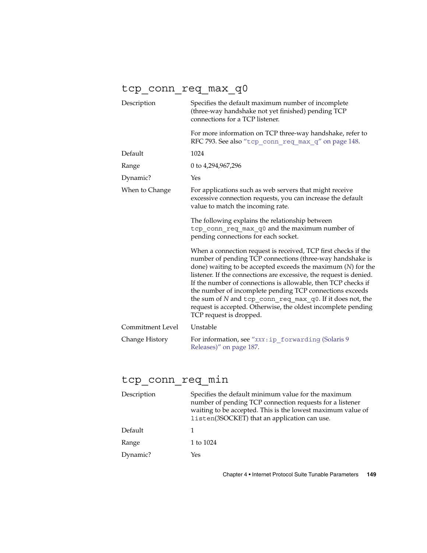### <span id="page-148-0"></span>tcp\_conn\_req\_max\_q0

| Description      | Specifies the default maximum number of incomplete<br>(three-way handshake not yet finished) pending TCP<br>connections for a TCP listener.                                                                                                                                                                                                                                                                                                                                                                                                                   |
|------------------|---------------------------------------------------------------------------------------------------------------------------------------------------------------------------------------------------------------------------------------------------------------------------------------------------------------------------------------------------------------------------------------------------------------------------------------------------------------------------------------------------------------------------------------------------------------|
|                  | For more information on TCP three-way handshake, refer to<br>RFC 793. See also "tcp conn req max q" on page 148.                                                                                                                                                                                                                                                                                                                                                                                                                                              |
| Default          | 1024                                                                                                                                                                                                                                                                                                                                                                                                                                                                                                                                                          |
| Range            | 0 to 4,294,967,296                                                                                                                                                                                                                                                                                                                                                                                                                                                                                                                                            |
| Dynamic?         | Yes                                                                                                                                                                                                                                                                                                                                                                                                                                                                                                                                                           |
| When to Change   | For applications such as web servers that might receive<br>excessive connection requests, you can increase the default<br>value to match the incoming rate.                                                                                                                                                                                                                                                                                                                                                                                                   |
|                  | The following explains the relationship between<br>tcp conn req max q0 and the maximum number of<br>pending connections for each socket.                                                                                                                                                                                                                                                                                                                                                                                                                      |
|                  | When a connection request is received, TCP first checks if the<br>number of pending TCP connections (three-way handshake is<br>done) waiting to be accepted exceeds the maximum $(N)$ for the<br>listener. If the connections are excessive, the request is denied.<br>If the number of connections is allowable, then TCP checks if<br>the number of incomplete pending TCP connections exceeds<br>the sum of $N$ and $tcp$ conn req max q0. If it does not, the<br>request is accepted. Otherwise, the oldest incomplete pending<br>TCP request is dropped. |
| Commitment Level | Unstable                                                                                                                                                                                                                                                                                                                                                                                                                                                                                                                                                      |
| Change History   | For information, see "xxx: ip_forwarding (Solaris 9<br>Releases)" on page 187.                                                                                                                                                                                                                                                                                                                                                                                                                                                                                |

## tcp\_conn\_req\_min

| Description | Specifies the default minimum value for the maximum<br>number of pending TCP connection requests for a listener<br>waiting to be accepted. This is the lowest maximum value of<br>listen(3SOCKET) that an application can use. |
|-------------|--------------------------------------------------------------------------------------------------------------------------------------------------------------------------------------------------------------------------------|
| Default     |                                                                                                                                                                                                                                |
| Range       | 1 to 1024                                                                                                                                                                                                                      |
| Dynamic?    | Yes                                                                                                                                                                                                                            |

Chapter 4 • Internet Protocol Suite Tunable Parameters **149**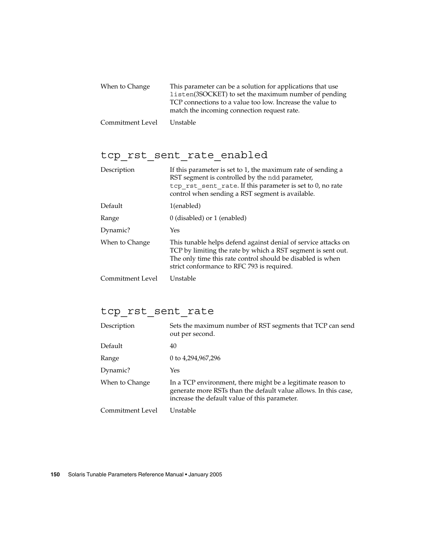| When to Change   | This parameter can be a solution for applications that use<br>listen(3SOCKET) to set the maximum number of pending<br>TCP connections to a value too low. Increase the value to<br>match the incoming connection request rate. |
|------------------|--------------------------------------------------------------------------------------------------------------------------------------------------------------------------------------------------------------------------------|
| Commitment Level | Unstable                                                                                                                                                                                                                       |

## tcp\_rst\_sent\_rate\_enabled

| Description      | If this parameter is set to 1, the maximum rate of sending a<br>RST segment is controlled by the ndd parameter,<br>tcp rst sent rate. If this parameter is set to 0, no rate<br>control when sending a RST segment is available.           |
|------------------|--------------------------------------------------------------------------------------------------------------------------------------------------------------------------------------------------------------------------------------------|
| Default          | 1(enabled)                                                                                                                                                                                                                                 |
| Range            | 0 (disabled) or 1 (enabled)                                                                                                                                                                                                                |
| Dynamic?         | Yes                                                                                                                                                                                                                                        |
| When to Change   | This tunable helps defend against denial of service attacks on<br>TCP by limiting the rate by which a RST segment is sent out.<br>The only time this rate control should be disabled is when<br>strict conformance to RFC 793 is required. |
| Commitment Level | Unstable                                                                                                                                                                                                                                   |

## tcp\_rst\_sent\_rate

| Description      | Sets the maximum number of RST segments that TCP can send<br>out per second.                                                                                                    |
|------------------|---------------------------------------------------------------------------------------------------------------------------------------------------------------------------------|
| Default          | 40                                                                                                                                                                              |
| Range            | 0 to 4,294,967,296                                                                                                                                                              |
| Dynamic?         | Yes                                                                                                                                                                             |
| When to Change   | In a TCP environment, there might be a legitimate reason to<br>generate more RSTs than the default value allows. In this case,<br>increase the default value of this parameter. |
| Commitment Level | Unstable                                                                                                                                                                        |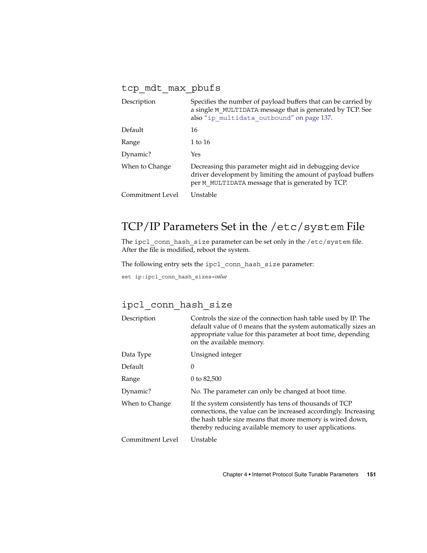#### tcp\_mdt\_max\_pbufs

| Description      | Specifies the number of payload buffers that can be carried by<br>a single M MULTIDATA message that is generated by TCP. See<br>also "ip multidata outbound" on page 137.    |
|------------------|------------------------------------------------------------------------------------------------------------------------------------------------------------------------------|
| Default          | 16                                                                                                                                                                           |
| Range            | 1 to 16                                                                                                                                                                      |
| Dynamic?         | Yes                                                                                                                                                                          |
| When to Change   | Decreasing this parameter might aid in debugging device<br>driver development by limiting the amount of payload buffers<br>per M MULTIDATA message that is generated by TCP. |
| Commitment Level | Unstable                                                                                                                                                                     |

### TCP/IP Parameters Set in the /etc/system File

The ipcl\_conn\_hash\_size parameter can be set only in the /etc/system file. After the file is modified, reboot the system.

The following entry sets the ipcl\_conn\_hash\_size parameter:

set ip:ipcl\_conn\_hash\_sizes=*value*

#### ipcl\_conn\_hash\_size

| Description      | Controls the size of the connection hash table used by IP. The<br>default value of 0 means that the system automatically sizes an<br>appropriate value for this parameter at boot time, depending<br>on the available memory.                      |
|------------------|----------------------------------------------------------------------------------------------------------------------------------------------------------------------------------------------------------------------------------------------------|
| Data Type        | Unsigned integer                                                                                                                                                                                                                                   |
| Default          | 0                                                                                                                                                                                                                                                  |
| Range            | 0 to $82,500$                                                                                                                                                                                                                                      |
| Dynamic?         | No. The parameter can only be changed at boot time.                                                                                                                                                                                                |
| When to Change   | If the system consistently has tens of thousands of TCP<br>connections, the value can be increased accordingly. Increasing<br>the hash table size means that more memory is wired down,<br>thereby reducing available memory to user applications. |
| Commitment Level | Unstable                                                                                                                                                                                                                                           |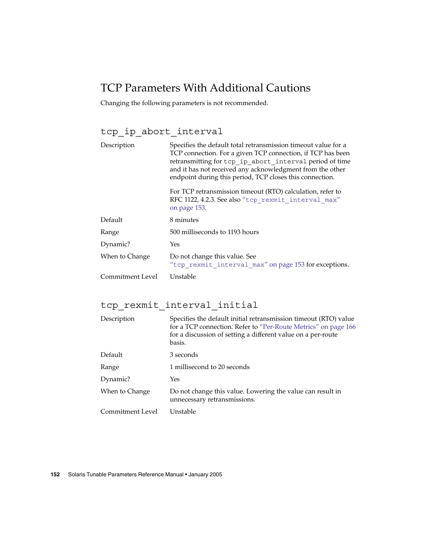## <span id="page-151-0"></span>TCP Parameters With Additional Cautions

Changing the following parameters is not recommended.

## tcp\_ip\_abort\_interval

| Description      | Specifies the default total retransmission timeout value for a<br>TCP connection. For a given TCP connection, if TCP has been<br>retransmitting for tcp ip abort interval period of time<br>and it has not received any acknowledgment from the other<br>endpoint during this period, TCP closes this connection. |
|------------------|-------------------------------------------------------------------------------------------------------------------------------------------------------------------------------------------------------------------------------------------------------------------------------------------------------------------|
|                  | For TCP retransmission timeout (RTO) calculation, refer to<br>RFC 1122, 4.2.3. See also "tcp rexmit interval max"<br>on page 153.                                                                                                                                                                                 |
| Default          | 8 minutes                                                                                                                                                                                                                                                                                                         |
| Range            | 500 milliseconds to 1193 hours                                                                                                                                                                                                                                                                                    |
| Dynamic?         | Yes                                                                                                                                                                                                                                                                                                               |
| When to Change   | Do not change this value. See<br>"tcp rexmit interval max" on page 153 for exceptions.                                                                                                                                                                                                                            |
| Commitment Level | Unstable                                                                                                                                                                                                                                                                                                          |

### tcp\_rexmit\_interval\_initial

| Description      | Specifies the default initial retransmission timeout (RTO) value<br>for a TCP connection. Refer to "Per-Route Metrics" on page 166<br>for a discussion of setting a different value on a per-route<br>basis. |
|------------------|--------------------------------------------------------------------------------------------------------------------------------------------------------------------------------------------------------------|
| Default          | 3 seconds                                                                                                                                                                                                    |
| Range            | 1 millisecond to 20 seconds                                                                                                                                                                                  |
| Dynamic?         | Yes                                                                                                                                                                                                          |
| When to Change   | Do not change this value. Lowering the value can result in<br>unnecessary retransmissions.                                                                                                                   |
| Commitment Level | Unstable                                                                                                                                                                                                     |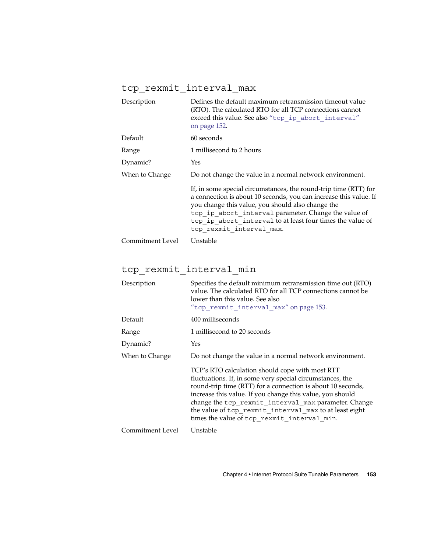<span id="page-152-0"></span>

|                  | tcp rexmit interval max                                                                                                                                                                                                                                                                                                                     |
|------------------|---------------------------------------------------------------------------------------------------------------------------------------------------------------------------------------------------------------------------------------------------------------------------------------------------------------------------------------------|
| Description      | Defines the default maximum retransmission timeout value<br>(RTO). The calculated RTO for all TCP connections cannot<br>exceed this value. See also "tcp ip abort interval"<br>on page 152.                                                                                                                                                 |
| Default          | 60 seconds                                                                                                                                                                                                                                                                                                                                  |
| Range            | 1 millisecond to 2 hours                                                                                                                                                                                                                                                                                                                    |
| Dynamic?         | Yes                                                                                                                                                                                                                                                                                                                                         |
| When to Change   | Do not change the value in a normal network environment.                                                                                                                                                                                                                                                                                    |
|                  | If, in some special circumstances, the round-trip time (RTT) for<br>a connection is about 10 seconds, you can increase this value. If<br>you change this value, you should also change the<br>tcp ip abort interval parameter. Change the value of<br>tcp ip abort interval to at least four times the value of<br>tcp rexmit interval max. |
| Commitment Level | Unstable                                                                                                                                                                                                                                                                                                                                    |

## tcp\_rexmit\_interval\_min

| Description      | Specifies the default minimum retransmission time out (RTO)<br>value. The calculated RTO for all TCP connections cannot be<br>lower than this value. See also<br>"tcp rexmit interval max" on page 153.                                                                                                                                                                                                   |
|------------------|-----------------------------------------------------------------------------------------------------------------------------------------------------------------------------------------------------------------------------------------------------------------------------------------------------------------------------------------------------------------------------------------------------------|
| Default          | 400 milliseconds                                                                                                                                                                                                                                                                                                                                                                                          |
| Range            | 1 millisecond to 20 seconds                                                                                                                                                                                                                                                                                                                                                                               |
| Dynamic?         | Yes                                                                                                                                                                                                                                                                                                                                                                                                       |
| When to Change   | Do not change the value in a normal network environment.                                                                                                                                                                                                                                                                                                                                                  |
|                  | TCP's RTO calculation should cope with most RTT<br>fluctuations. If, in some very special circumstances, the<br>round-trip time (RTT) for a connection is about 10 seconds,<br>increase this value. If you change this value, you should<br>change the tcp rexmit interval max parameter. Change<br>the value of tcp rexmit interval max to at least eight<br>times the value of tcp rexmit interval min. |
| Commitment Level | Unstable                                                                                                                                                                                                                                                                                                                                                                                                  |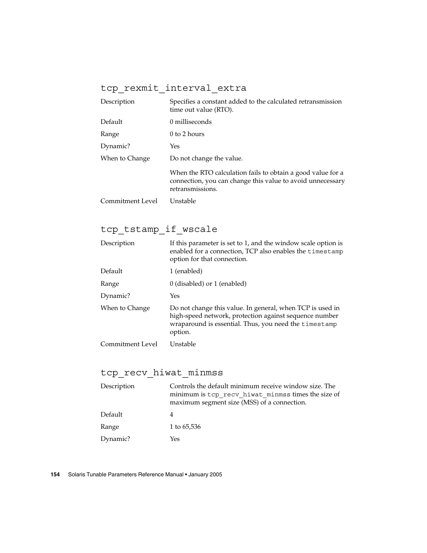### tcp\_rexmit\_interval\_extra

| Description      | Specifies a constant added to the calculated retransmission<br>time out value (RTO).                                                          |
|------------------|-----------------------------------------------------------------------------------------------------------------------------------------------|
| Default          | 0 milliseconds                                                                                                                                |
| Range            | 0 <sub>to</sub> 2 hours                                                                                                                       |
| Dynamic?         | Yes                                                                                                                                           |
| When to Change   | Do not change the value.                                                                                                                      |
|                  | When the RTO calculation fails to obtain a good value for a<br>connection, you can change this value to avoid unnecessary<br>retransmissions. |
| Commitment Level | Unstable                                                                                                                                      |

### tcp\_tstamp\_if\_wscale

| Description      | If this parameter is set to $1$ , and the window scale option is<br>enabled for a connection, TCP also enables the timestamp<br>option for that connection.                             |
|------------------|-----------------------------------------------------------------------------------------------------------------------------------------------------------------------------------------|
| Default          | 1 (enabled)                                                                                                                                                                             |
| Range            | $0$ (disabled) or $1$ (enabled)                                                                                                                                                         |
| Dynamic?         | Yes                                                                                                                                                                                     |
| When to Change   | Do not change this value. In general, when TCP is used in<br>high-speed network, protection against sequence number<br>wraparound is essential. Thus, you need the timestamp<br>option. |
| Commitment Level | Unstable                                                                                                                                                                                |

## tcp\_recv\_hiwat\_minmss

| Description | Controls the default minimum receive window size. The<br>minimum is tcp recv hiwat minmss times the size of<br>maximum segment size (MSS) of a connection. |
|-------------|------------------------------------------------------------------------------------------------------------------------------------------------------------|
| Default     |                                                                                                                                                            |
| Range       | 1 to 65,536                                                                                                                                                |
| Dynamic?    | Yes                                                                                                                                                        |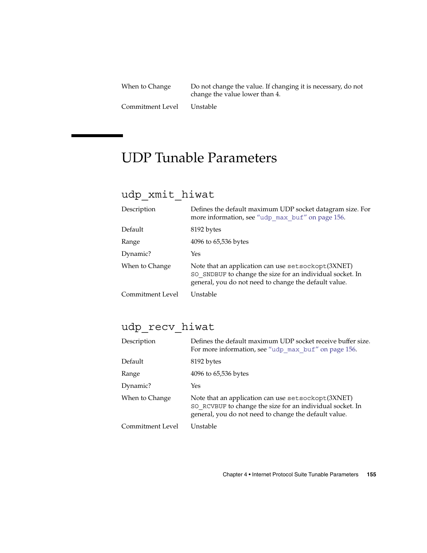| When to Change   | Do not change the value. If changing it is necessary, do not<br>change the value lower than 4. |
|------------------|------------------------------------------------------------------------------------------------|
| Commitment Level | Unstable                                                                                       |

# UDP Tunable Parameters

## udp\_xmit\_hiwat

| Description      | Defines the default maximum UDP socket datagram size. For<br>more information, see "udp max buf" on page 156.                                                              |
|------------------|----------------------------------------------------------------------------------------------------------------------------------------------------------------------------|
| Default          | 8192 bytes                                                                                                                                                                 |
| Range            | 4096 to 65,536 bytes                                                                                                                                                       |
| Dynamic?         | Yes                                                                                                                                                                        |
| When to Change   | Note that an application can use set sockopt (3XNET)<br>SO SNDBUF to change the size for an individual socket. In<br>general, you do not need to change the default value. |
| Commitment Level | Unstable                                                                                                                                                                   |

## udp\_recv\_hiwat

| Description      | Defines the default maximum UDP socket receive buffer size.<br>For more information, see "udp max buf" on page 156.                                                        |
|------------------|----------------------------------------------------------------------------------------------------------------------------------------------------------------------------|
| Default          | 8192 bytes                                                                                                                                                                 |
| Range            | 4096 to 65,536 bytes                                                                                                                                                       |
| Dynamic?         | Yes                                                                                                                                                                        |
| When to Change   | Note that an application can use set sockopt (3XNET)<br>SO RCVBUF to change the size for an individual socket. In<br>general, you do not need to change the default value. |
| Commitment Level | Unstable                                                                                                                                                                   |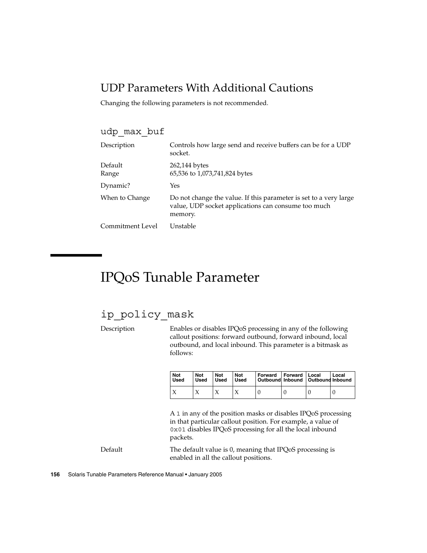### <span id="page-155-0"></span>UDP Parameters With Additional Cautions

Changing the following parameters is not recommended.

#### udp\_max\_buf

| Description      | Controls how large send and receive buffers can be for a UDP<br>socket.                                                             |
|------------------|-------------------------------------------------------------------------------------------------------------------------------------|
| Default<br>Range | 262,144 bytes<br>65,536 to 1,073,741,824 bytes                                                                                      |
| Dynamic?         | Yes                                                                                                                                 |
| When to Change   | Do not change the value. If this parameter is set to a very large<br>value, UDP socket applications can consume too much<br>memory. |
| Commitment Level | Unstable                                                                                                                            |

## IPQoS Tunable Parameter

### ip\_policy\_mask

Description Enables or disables IPQoS processing in any of the following callout positions: forward outbound, forward inbound, local outbound, and local inbound. This parameter is a bitmask as follows:

| ' Not<br>l Used | <b>Not</b><br>Used | Not<br><b>Used</b> | <b>Not</b><br>Used | Forward Forward Local<br>  Outbound  Inbound   Outbound Inbound |  | Local |
|-----------------|--------------------|--------------------|--------------------|-----------------------------------------------------------------|--|-------|
|                 |                    |                    |                    |                                                                 |  |       |

A 1 in any of the position masks or disables IPQoS processing in that particular callout position. For example, a value of 0x01 disables IPQoS processing for all the local inbound packets.

Default The default value is 0, meaning that IPQoS processing is enabled in all the callout positions.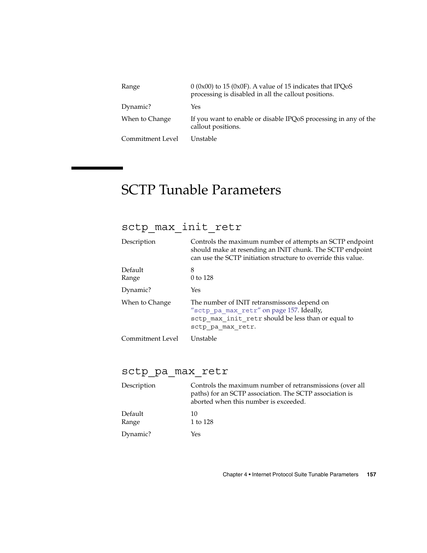| Range            | $(0)(0)(0)(0)$ to 15 (0x0F). A value of 15 indicates that IPQoS<br>processing is disabled in all the callout positions. |
|------------------|-------------------------------------------------------------------------------------------------------------------------|
| Dynamic?         | Yes                                                                                                                     |
| When to Change   | If you want to enable or disable IPQoS processing in any of the<br>callout positions.                                   |
| Commitment Level | <b>Unstable</b>                                                                                                         |

## SCTP Tunable Parameters

## sctp\_max\_init\_retr

| Description      | Controls the maximum number of attempts an SCTP endpoint<br>should make at resending an INIT chunk. The SCTP endpoint<br>can use the SCTP initiation structure to override this value. |
|------------------|----------------------------------------------------------------------------------------------------------------------------------------------------------------------------------------|
| Default<br>Range | 8<br>0 to 128                                                                                                                                                                          |
| Dynamic?         | Yes                                                                                                                                                                                    |
| When to Change   | The number of INIT retransmissons depend on<br>"sctp pa max retr" on page 157. Ideally,<br>sctp max init retr should be less than or equal to<br>sctp pa max retr.                     |
| Commitment Level | Unstable                                                                                                                                                                               |

#### sctp\_pa\_max\_retr

| Description      | Controls the maximum number of retransmissions (over all<br>paths) for an SCTP association. The SCTP association is<br>aborted when this number is exceeded. |
|------------------|--------------------------------------------------------------------------------------------------------------------------------------------------------------|
| Default<br>Range | 10<br>1 to 128                                                                                                                                               |
| Dynamic?         | Yes                                                                                                                                                          |

Chapter 4 • Internet Protocol Suite Tunable Parameters **157**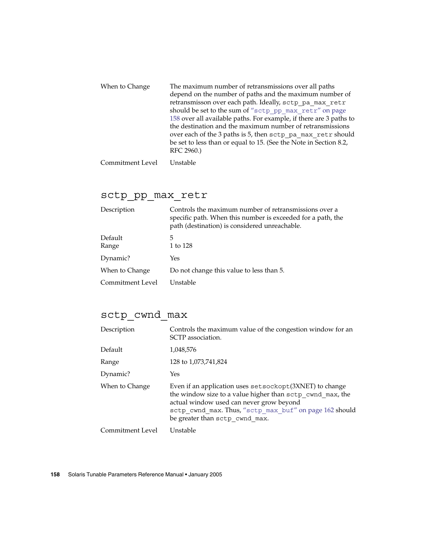| When to Change | The maximum number of retransmissions over all paths               |
|----------------|--------------------------------------------------------------------|
|                | depend on the number of paths and the maximum number of            |
|                | retransmisson over each path. Ideally, sctp pa max retr            |
|                | should be set to the sum of "sctp pp max retr" on page             |
|                | 158 over all available paths. For example, if there are 3 paths to |
|                | the destination and the maximum number of retransmissions          |
|                | over each of the 3 paths is 5, then sctp pa max retr should        |
|                | be set to less than or equal to 15. (See the Note in Section 8.2,  |
|                | RFC 2960.)                                                         |
|                |                                                                    |

Commitment Level Unstable

## sctp\_pp\_max\_retr

| Description      | Controls the maximum number of retransmissions over a<br>specific path. When this number is exceeded for a path, the<br>path (destination) is considered unreachable. |
|------------------|-----------------------------------------------------------------------------------------------------------------------------------------------------------------------|
| Default<br>Range | 5<br>1 to 128                                                                                                                                                         |
| Dynamic?         | Yes                                                                                                                                                                   |
| When to Change   | Do not change this value to less than 5.                                                                                                                              |
| Commitment Level | Unstable                                                                                                                                                              |

## sctp\_cwnd\_max

| Description      | Controls the maximum value of the congestion window for an<br>SCTP association.                                                                                                                                                                                |
|------------------|----------------------------------------------------------------------------------------------------------------------------------------------------------------------------------------------------------------------------------------------------------------|
| Default          | 1,048,576                                                                                                                                                                                                                                                      |
| Range            | 128 to 1,073,741,824                                                                                                                                                                                                                                           |
| Dynamic?         | Yes                                                                                                                                                                                                                                                            |
| When to Change   | Even if an application uses set sockopt (3XNET) to change<br>the window size to a value higher than sctp cwnd max, the<br>actual window used can never grow beyond<br>sctp cwnd max. Thus, "sctp max buf" on page 162 should<br>be greater than sctp cwnd max. |
| Commitment Level | Unstable                                                                                                                                                                                                                                                       |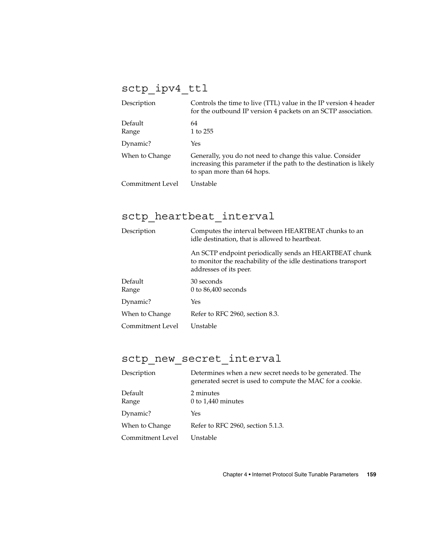## sctp\_ipv4\_ttl

| Description      | Controls the time to live (TTL) value in the IP version 4 header<br>for the outbound IP version 4 packets on an SCTP association.                             |
|------------------|---------------------------------------------------------------------------------------------------------------------------------------------------------------|
| Default<br>Range | 64<br>1 to 255                                                                                                                                                |
| Dynamic?         | Yes                                                                                                                                                           |
| When to Change   | Generally, you do not need to change this value. Consider<br>increasing this parameter if the path to the destination is likely<br>to span more than 64 hops. |
| Commitment Level | Unstable                                                                                                                                                      |

## sctp\_heartbeat\_interval

| Description      | Computes the interval between HEARTBEAT chunks to an<br>idle destination, that is allowed to heartbeat.                                            |
|------------------|----------------------------------------------------------------------------------------------------------------------------------------------------|
|                  | An SCTP endpoint periodically sends an HEARTBEAT chunk<br>to monitor the reachability of the idle destinations transport<br>addresses of its peer. |
| Default<br>Range | 30 seconds<br>0 to $86,400$ seconds                                                                                                                |
| Dynamic?         | Yes                                                                                                                                                |
| When to Change   | Refer to RFC 2960, section 8.3.                                                                                                                    |
| Commitment Level | Unstable                                                                                                                                           |
|                  |                                                                                                                                                    |

## sctp\_new\_secret\_interval

| Description      | Determines when a new secret needs to be generated. The<br>generated secret is used to compute the MAC for a cookie. |
|------------------|----------------------------------------------------------------------------------------------------------------------|
| Default<br>Range | 2 minutes<br>$0$ to 1,440 minutes                                                                                    |
| Dynamic?         | Yes                                                                                                                  |
| When to Change   | Refer to RFC 2960, section 5.1.3.                                                                                    |
| Commitment Level | Unstable                                                                                                             |

Chapter 4 • Internet Protocol Suite Tunable Parameters **159**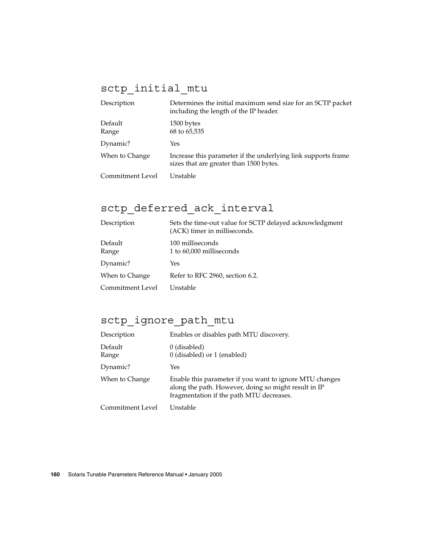## sctp\_initial\_mtu

| Description      | Determines the initial maximum send size for an SCTP packet<br>including the length of the IP header.    |
|------------------|----------------------------------------------------------------------------------------------------------|
| Default<br>Range | 1500 bytes<br>68 to 65,535                                                                               |
| Dynamic?         | Yes                                                                                                      |
| When to Change   | Increase this parameter if the underlying link supports frame<br>sizes that are greater than 1500 bytes. |
| Commitment Level | Unstable                                                                                                 |

## sctp\_deferred\_ack\_interval

| Description      | Sets the time-out value for SCTP delayed acknowledgment<br>(ACK) timer in milliseconds. |
|------------------|-----------------------------------------------------------------------------------------|
| Default<br>Range | 100 milliseconds<br>1 to 60,000 milliseconds                                            |
| Dynamic?         | Yes                                                                                     |
| When to Change   | Refer to RFC 2960, section 6.2.                                                         |
| Commitment Level | Unstable                                                                                |
|                  |                                                                                         |

## sctp\_ignore\_path\_mtu

| Description      | Enables or disables path MTU discovery.                                                                                                                     |
|------------------|-------------------------------------------------------------------------------------------------------------------------------------------------------------|
| Default<br>Range | 0 (disabled)<br>0 (disabled) or 1 (enabled)                                                                                                                 |
| Dynamic?         | Yes                                                                                                                                                         |
| When to Change   | Enable this parameter if you want to ignore MTU changes<br>along the path. However, doing so might result in IP<br>fragmentation if the path MTU decreases. |
| Commitment Level | Unstable                                                                                                                                                    |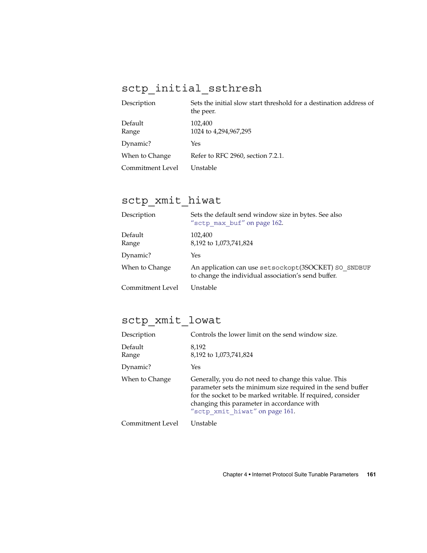## sctp\_initial\_ssthresh

| Description      | Sets the initial slow start threshold for a destination address of<br>the peer. |
|------------------|---------------------------------------------------------------------------------|
| Default<br>Range | 102,400<br>1024 to 4,294,967,295                                                |
| Dynamic?         | Yes                                                                             |
| When to Change   | Refer to RFC 2960, section 7.2.1.                                               |
| Commitment Level | Unstable                                                                        |

## sctp\_xmit\_hiwat

| Description      | Sets the default send window size in bytes. See also<br>"sctp max buf" on page 162.                           |
|------------------|---------------------------------------------------------------------------------------------------------------|
| Default<br>Range | 102,400<br>8,192 to 1,073,741,824                                                                             |
| Dynamic?         | Yes                                                                                                           |
| When to Change   | An application can use set sockopt (3SOCKET) SO SNDBUF<br>to change the individual association's send buffer. |
| Commitment Level | Unstable                                                                                                      |

## sctp\_xmit\_lowat

| Description      | Controls the lower limit on the send window size.                                                                                                                                                                                                                   |
|------------------|---------------------------------------------------------------------------------------------------------------------------------------------------------------------------------------------------------------------------------------------------------------------|
| Default<br>Range | 8.192<br>8,192 to 1,073,741,824                                                                                                                                                                                                                                     |
| Dynamic?         | Yes                                                                                                                                                                                                                                                                 |
| When to Change   | Generally, you do not need to change this value. This<br>parameter sets the minimum size required in the send buffer<br>for the socket to be marked writable. If required, consider<br>changing this parameter in accordance with<br>"sctp xmit hiwat" on page 161. |
| Commitment Level | Unstable                                                                                                                                                                                                                                                            |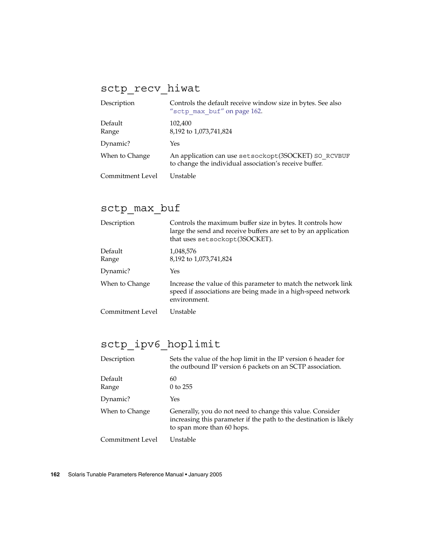## <span id="page-161-0"></span>sctp\_recv\_hiwat

| Description      | Controls the default receive window size in bytes. See also<br>"sctp max buf" on page 162.                      |
|------------------|-----------------------------------------------------------------------------------------------------------------|
| Default<br>Range | 102,400<br>8,192 to 1,073,741,824                                                                               |
| Dynamic?         | Yes                                                                                                             |
| When to Change   | An application can use setsockopt (3SOCKET) SO RCVBUF<br>to change the individual association's receive buffer. |
| Commitment Level | Unstable                                                                                                        |

## sctp\_max\_buf

| Description      | Controls the maximum buffer size in bytes. It controls how<br>large the send and receive buffers are set to by an application<br>that uses setsockopt(3SOCKET). |
|------------------|-----------------------------------------------------------------------------------------------------------------------------------------------------------------|
| Default<br>Range | 1,048,576<br>8,192 to 1,073,741,824                                                                                                                             |
| Dynamic?         | Yes                                                                                                                                                             |
| When to Change   | Increase the value of this parameter to match the network link<br>speed if associations are being made in a high-speed network<br>environment.                  |
| Commitment Level | Unstable                                                                                                                                                        |

## sctp\_ipv6\_hoplimit

| Description      | Sets the value of the hop limit in the IP version 6 header for<br>the outbound IP version 6 packets on an SCTP association.                                   |
|------------------|---------------------------------------------------------------------------------------------------------------------------------------------------------------|
| Default<br>Range | 60<br>$0$ to 255                                                                                                                                              |
| Dynamic?         | Yes                                                                                                                                                           |
| When to Change   | Generally, you do not need to change this value. Consider<br>increasing this parameter if the path to the destination is likely<br>to span more than 60 hops. |
| Commitment Level | Unstable                                                                                                                                                      |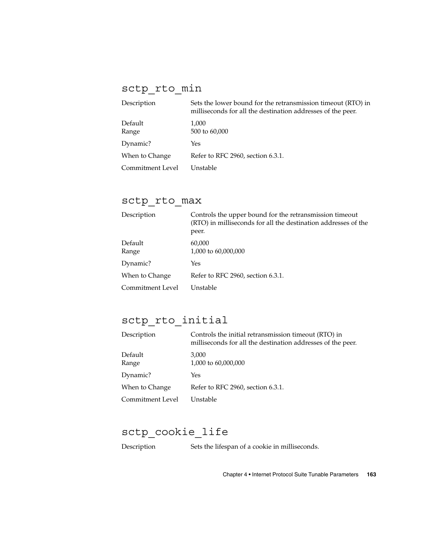## <span id="page-162-0"></span>sctp\_rto\_min

| Description      | Sets the lower bound for the retransmission timeout (RTO) in<br>milliseconds for all the destination addresses of the peer. |
|------------------|-----------------------------------------------------------------------------------------------------------------------------|
| Default<br>Range | 1.000<br>500 to 60,000                                                                                                      |
| Dynamic?         | Yes                                                                                                                         |
| When to Change   | Refer to RFC 2960, section 6.3.1.                                                                                           |
| Commitment Level | Unstable                                                                                                                    |

### sctp\_rto\_max

| Description      | Controls the upper bound for the retransmission timeout<br>(RTO) in milliseconds for all the destination addresses of the<br>peer. |
|------------------|------------------------------------------------------------------------------------------------------------------------------------|
| Default<br>Range | 60,000<br>1,000 to 60,000,000                                                                                                      |
| Dynamic?         | Yes                                                                                                                                |
| When to Change   | Refer to RFC 2960, section 6.3.1.                                                                                                  |
| Commitment Level | Unstable                                                                                                                           |

## sctp\_rto\_initial

| Description      | Controls the initial retransmission timeout (RTO) in<br>milliseconds for all the destination addresses of the peer. |
|------------------|---------------------------------------------------------------------------------------------------------------------|
| Default<br>Range | 3,000<br>1,000 to 60,000,000                                                                                        |
| Dynamic?         | Yes                                                                                                                 |
| When to Change   | Refer to RFC 2960, section 6.3.1.                                                                                   |
| Commitment Level | Unstable                                                                                                            |

## sctp\_cookie\_life

Description Sets the lifespan of a cookie in milliseconds.

Chapter 4 • Internet Protocol Suite Tunable Parameters **163**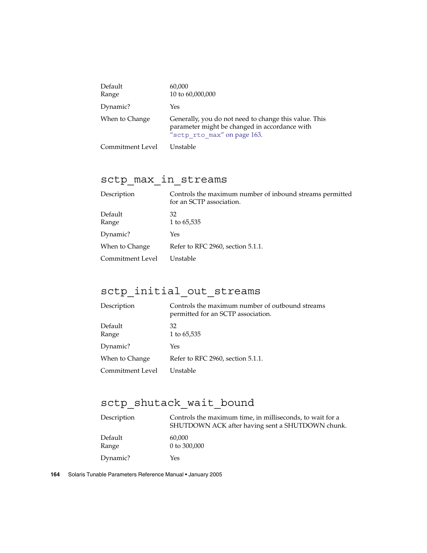| Default<br>Range | 60,000<br>10 to 60,000,000                                                                                                            |
|------------------|---------------------------------------------------------------------------------------------------------------------------------------|
| Dynamic?         | Yes                                                                                                                                   |
| When to Change   | Generally, you do not need to change this value. This<br>parameter might be changed in accordance with<br>"sctp rto max" on page 163. |
| Commitment Level | Unstable                                                                                                                              |

### sctp\_max\_in\_streams

| Description      | Controls the maximum number of inbound streams permitted<br>for an SCTP association. |
|------------------|--------------------------------------------------------------------------------------|
| Default<br>Range | 32<br>1 to 65,535                                                                    |
| Dynamic?         | Yes                                                                                  |
| When to Change   | Refer to RFC 2960, section 5.1.1.                                                    |
| Commitment Level | Unstable                                                                             |

## sctp\_initial\_out\_streams

| Description      | Controls the maximum number of outbound streams<br>permitted for an SCTP association. |
|------------------|---------------------------------------------------------------------------------------|
| Default<br>Range | 32<br>1 to 65,535                                                                     |
| Dynamic?         | Yes                                                                                   |
| When to Change   | Refer to RFC 2960, section 5.1.1.                                                     |
| Commitment Level | Unstable                                                                              |

## sctp\_shutack\_wait\_bound

| Description      | Controls the maximum time, in milliseconds, to wait for a<br>SHUTDOWN ACK after having sent a SHUTDOWN chunk. |
|------------------|---------------------------------------------------------------------------------------------------------------|
| Default<br>Range | 60,000<br>$0 \text{ to } 300,000$                                                                             |
| Dynamic?         | Yes                                                                                                           |

**164** Solaris Tunable Parameters Reference Manual • January 2005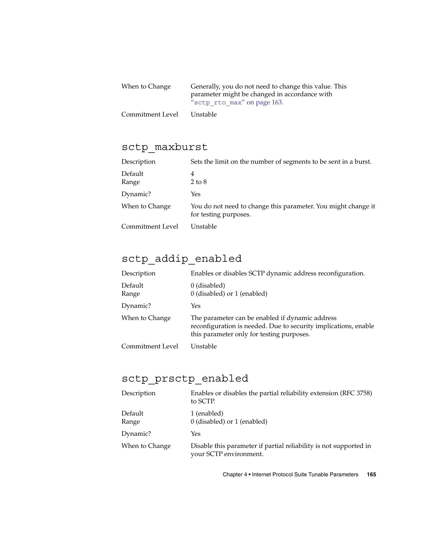| When to Change   | Generally, you do not need to change this value. This<br>parameter might be changed in accordance with<br>"sctp rto max" on page 163. |
|------------------|---------------------------------------------------------------------------------------------------------------------------------------|
| Commitment Level | Unstable                                                                                                                              |

## sctp\_maxburst

| Description      | Sets the limit on the number of segments to be sent in a burst.                        |
|------------------|----------------------------------------------------------------------------------------|
| Default<br>Range | 4<br>$2 \text{ to } 8$                                                                 |
| Dynamic?         | Yes                                                                                    |
| When to Change   | You do not need to change this parameter. You might change it<br>for testing purposes. |
| Commitment Level | Unstable                                                                               |

## sctp\_addip\_enabled

| Description      | Enables or disables SCTP dynamic address reconfiguration.                                                                                                       |
|------------------|-----------------------------------------------------------------------------------------------------------------------------------------------------------------|
| Default<br>Range | 0 (disabled)<br>0 (disabled) or 1 (enabled)                                                                                                                     |
| Dynamic?         | Yes                                                                                                                                                             |
| When to Change   | The parameter can be enabled if dynamic address<br>reconfiguration is needed. Due to security implications, enable<br>this parameter only for testing purposes. |
| Commitment Level | Unstable                                                                                                                                                        |

## sctp\_prsctp\_enabled

| Description      | Enables or disables the partial reliability extension (RFC 3758)<br>to SCTP.                |
|------------------|---------------------------------------------------------------------------------------------|
| Default<br>Range | 1 (enabled)<br>0 (disabled) or 1 (enabled)                                                  |
| Dynamic?         | Yes                                                                                         |
| When to Change   | Disable this parameter if partial reliability is not supported in<br>your SCTP environment. |

Chapter 4 • Internet Protocol Suite Tunable Parameters **165**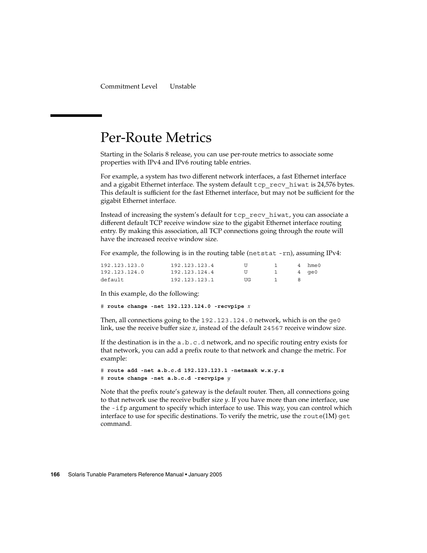<span id="page-165-0"></span>Commitment Level Unstable

## Per-Route Metrics

Starting in the Solaris 8 release, you can use per-route metrics to associate some properties with IPv4 and IPv6 routing table entries.

For example, a system has two different network interfaces, a fast Ethernet interface and a gigabit Ethernet interface. The system default  $tcp$  recv hiwat is 24,576 bytes. This default is sufficient for the fast Ethernet interface, but may not be sufficient for the gigabit Ethernet interface.

Instead of increasing the system's default for tcp\_recv\_hiwat, you can associate a different default TCP receive window size to the gigabit Ethernet interface routing entry. By making this association, all TCP connections going through the route will have the increased receive window size.

For example, the following is in the routing table (netstat -rn), assuming IPv4:

| 192.123.123.0 | 192.123.123.4 |    |              | 4 hme0 |
|---------------|---------------|----|--------------|--------|
| 192.123.124.0 | 192.123.124.4 |    | $\mathbf{1}$ | 4 geO  |
| default       | 192.123.123.1 | UG |              |        |

In this example, do the following:

```
# route change -net 192.123.124.0 -recvpipe x
```
Then, all connections going to the 192.123.124.0 network, which is on the ge0 link, use the receive buffer size *x*, instead of the default 24567 receive window size.

If the destination is in the  $a.b.c.d$  network, and no specific routing entry exists for that network, you can add a prefix route to that network and change the metric. For example:

```
# route add -net a.b.c.d 192.123.123.1 -netmask w.x.y.z
# route change -net a.b.c.d -recvpipe y
```
Note that the prefix route's gateway is the default router. Then, all connections going to that network use the receive buffer size *y*. If you have more than one interface, use the -ifp argument to specify which interface to use. This way, you can control which interface to use for specific destinations. To verify the metric, use the route $(1M)$  get command.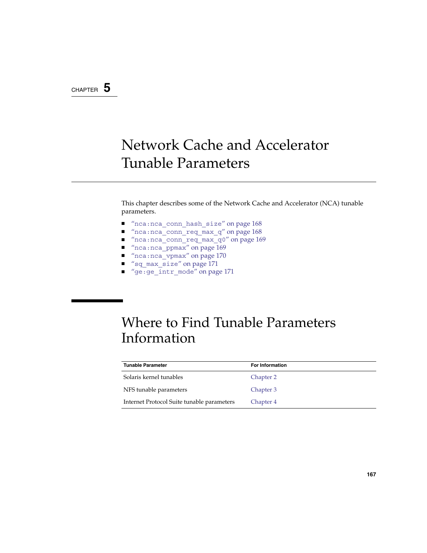### CHAPTER **5**

# Network Cache and Accelerator Tunable Parameters

This chapter describes some of the Network Cache and Accelerator (NCA) tunable parameters.

- "[nca:nca\\_conn\\_hash\\_size](#page-167-0)" on page 168
- "[nca:nca\\_conn\\_req\\_max\\_q](#page-167-0)" on page 168
- "[nca:nca\\_conn\\_req\\_max\\_q0](#page-168-0)" on page 169
- "[nca:nca\\_ppmax](#page-168-0)" on page 169
- "[nca:nca\\_vpmax](#page-169-0)" on page 170
- "[sq\\_max\\_size](#page-170-0)" on page 171
- "[ge:ge\\_intr\\_mode](#page-170-0)" on page 171

## Where to Find Tunable Parameters Information

| <b>Tunable Parameter</b>                   | <b>For Information</b> |
|--------------------------------------------|------------------------|
| Solaris kernel tunables                    | Chapter 2              |
| NFS tunable parameters                     | Chapter 3              |
| Internet Protocol Suite tunable parameters | Chapter 4              |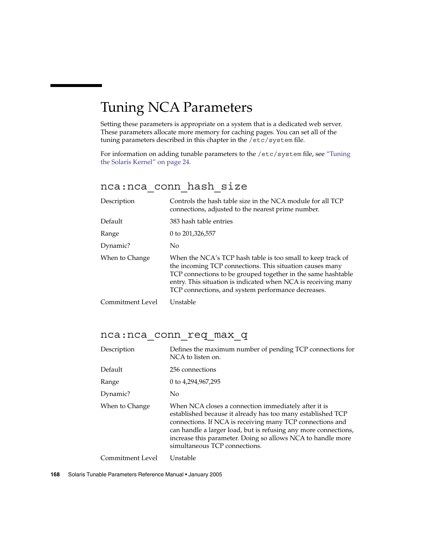## <span id="page-167-0"></span>Tuning NCA Parameters

Setting these parameters is appropriate on a system that is a dedicated web server. These parameters allocate more memory for caching pages. You can set all of the tuning parameters described in this chapter in the /etc/system file.

For information on adding tunable parameters to the /etc/system file, see ["Tuning](#page-23-0) [the Solaris Kernel"](#page-23-0) on page 24.

#### nca:nca\_conn\_hash\_size

| Description      | Controls the hash table size in the NCA module for all TCP<br>connections, adjusted to the nearest prime number.                                                                                                                                                                                               |
|------------------|----------------------------------------------------------------------------------------------------------------------------------------------------------------------------------------------------------------------------------------------------------------------------------------------------------------|
| Default          | 383 hash table entries                                                                                                                                                                                                                                                                                         |
| Range            | 0 to 201,326,557                                                                                                                                                                                                                                                                                               |
| Dynamic?         | No.                                                                                                                                                                                                                                                                                                            |
| When to Change   | When the NCA's TCP hash table is too small to keep track of<br>the incoming TCP connections. This situation causes many<br>TCP connections to be grouped together in the same hashtable<br>entry. This situation is indicated when NCA is receiving many<br>TCP connections, and system performance decreases. |
| Commitment Level | Unstable                                                                                                                                                                                                                                                                                                       |

nca:nca\_conn\_req\_max\_q

| Description      | Defines the maximum number of pending TCP connections for<br>NCA to listen on.                                                                                                                                                                                                                                                                      |
|------------------|-----------------------------------------------------------------------------------------------------------------------------------------------------------------------------------------------------------------------------------------------------------------------------------------------------------------------------------------------------|
| Default          | 256 connections                                                                                                                                                                                                                                                                                                                                     |
| Range            | 0 to 4,294,967,295                                                                                                                                                                                                                                                                                                                                  |
| Dynamic?         | No.                                                                                                                                                                                                                                                                                                                                                 |
| When to Change   | When NCA closes a connection immediately after it is<br>established because it already has too many established TCP<br>connections. If NCA is receiving many TCP connections and<br>can handle a larger load, but is refusing any more connections,<br>increase this parameter. Doing so allows NCA to handle more<br>simultaneous TCP connections. |
| Commitment Level | Unstable                                                                                                                                                                                                                                                                                                                                            |

**168** Solaris Tunable Parameters Reference Manual • January 2005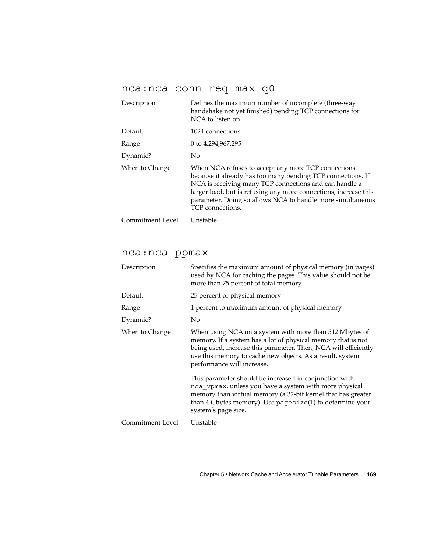### <span id="page-168-0"></span>nca:nca\_conn\_req\_max\_q0

| Description      | Defines the maximum number of incomplete (three-way<br>handshake not yet finished) pending TCP connections for<br>NCA to listen on.                                                                                                                                                                                                |
|------------------|------------------------------------------------------------------------------------------------------------------------------------------------------------------------------------------------------------------------------------------------------------------------------------------------------------------------------------|
| Default          | 1024 connections                                                                                                                                                                                                                                                                                                                   |
| Range            | 0 to 4,294,967,295                                                                                                                                                                                                                                                                                                                 |
| Dynamic?         | No.                                                                                                                                                                                                                                                                                                                                |
| When to Change   | When NCA refuses to accept any more TCP connections<br>because it already has too many pending TCP connections. If<br>NCA is receiving many TCP connections and can handle a<br>larger load, but is refusing any more connections, increase this<br>parameter. Doing so allows NCA to handle more simultaneous<br>TCP connections. |
| Commitment Level | Unstable                                                                                                                                                                                                                                                                                                                           |

#### nca:nca\_ppmax

| Description      | Specifies the maximum amount of physical memory (in pages)<br>used by NCA for caching the pages. This value should not be<br>more than 75 percent of total memory.                                                                                                                    |
|------------------|---------------------------------------------------------------------------------------------------------------------------------------------------------------------------------------------------------------------------------------------------------------------------------------|
| Default          | 25 percent of physical memory                                                                                                                                                                                                                                                         |
| Range            | 1 percent to maximum amount of physical memory                                                                                                                                                                                                                                        |
| Dynamic?         | No.                                                                                                                                                                                                                                                                                   |
| When to Change   | When using NCA on a system with more than 512 Mbytes of<br>memory. If a system has a lot of physical memory that is not<br>being used, increase this parameter. Then, NCA will efficiently<br>use this memory to cache new objects. As a result, system<br>performance will increase. |
|                  | This parameter should be increased in conjunction with<br>nca vpmax, unless you have a system with more physical<br>memory than virtual memory (a 32-bit kernel that has greater<br>than $4$ Gbytes memory). Use pagesize(1) to determine your<br>system's page size.                 |
| Commitment Level | Unstable                                                                                                                                                                                                                                                                              |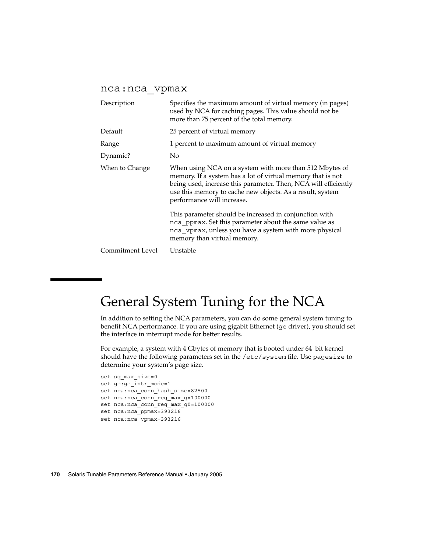#### <span id="page-169-0"></span>nca:nca\_vpmax

| Description      | Specifies the maximum amount of virtual memory (in pages)<br>used by NCA for caching pages. This value should not be<br>more than 75 percent of the total memory.                                                                                                                    |
|------------------|--------------------------------------------------------------------------------------------------------------------------------------------------------------------------------------------------------------------------------------------------------------------------------------|
| Default          | 25 percent of virtual memory                                                                                                                                                                                                                                                         |
| Range            | 1 percent to maximum amount of virtual memory                                                                                                                                                                                                                                        |
| Dynamic?         | No.                                                                                                                                                                                                                                                                                  |
| When to Change   | When using NCA on a system with more than 512 Mbytes of<br>memory. If a system has a lot of virtual memory that is not<br>being used, increase this parameter. Then, NCA will efficiently<br>use this memory to cache new objects. As a result, system<br>performance will increase. |
|                  | This parameter should be increased in conjunction with<br>nca ppmax. Set this parameter about the same value as<br>nca vpmax, unless you have a system with more physical<br>memory than virtual memory.                                                                             |
| Commitment Level | Unstable                                                                                                                                                                                                                                                                             |

## General System Tuning for the NCA

In addition to setting the NCA parameters, you can do some general system tuning to benefit NCA performance. If you are using gigabit Ethernet (ge driver), you should set the interface in interrupt mode for better results.

For example, a system with 4 Gbytes of memory that is booted under 64–bit kernel should have the following parameters set in the /etc/system file. Use pagesize to determine your system's page size.

```
set sq_max_size=0
set ge:ge_intr_mode=1
set nca:nca conn hash size=82500
set nca:nca_conn_req_max_q=100000
set nca:nca_conn_req_max_q0=100000
set nca:nca_ppmax=393216
set nca:nca_vpmax=393216
```
**170** Solaris Tunable Parameters Reference Manual • January 2005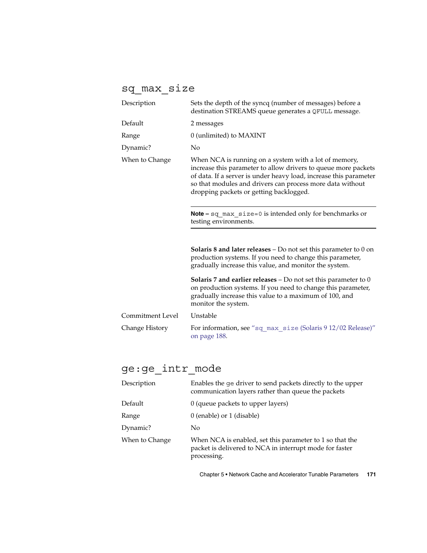## <span id="page-170-0"></span>sq\_max\_size

| Description      | Sets the depth of the syncq (number of messages) before a<br>destination STREAMS queue generates a QFULL message.                                                                                                                                                                                    |
|------------------|------------------------------------------------------------------------------------------------------------------------------------------------------------------------------------------------------------------------------------------------------------------------------------------------------|
| Default          | 2 messages                                                                                                                                                                                                                                                                                           |
| Range            | 0 (unlimited) to MAXINT                                                                                                                                                                                                                                                                              |
| Dynamic?         | No                                                                                                                                                                                                                                                                                                   |
| When to Change   | When NCA is running on a system with a lot of memory,<br>increase this parameter to allow drivers to queue more packets<br>of data. If a server is under heavy load, increase this parameter<br>so that modules and drivers can process more data without<br>dropping packets or getting backlogged. |
|                  | <b>Note</b> $-$ sq max size=0 is intended only for benchmarks or<br>testing environments.                                                                                                                                                                                                            |
|                  | <b>Solaris 8 and later releases</b> $-$ Do not set this parameter to 0 on<br>production systems. If you need to change this parameter,<br>gradually increase this value, and monitor the system.                                                                                                     |
|                  | Solaris 7 and earlier releases $-$ Do not set this parameter to $0$<br>on production systems. If you need to change this parameter,<br>gradually increase this value to a maximum of 100, and<br>monitor the system.                                                                                 |
| Commitment Level | Unstable                                                                                                                                                                                                                                                                                             |
| Change History   | For information, see "sq max size (Solaris 9 12/02 Release)"<br>on page 188.                                                                                                                                                                                                                         |

## ge:ge\_intr\_mode

| Description    | Enables the ge driver to send packets directly to the upper<br>communication layers rather than queue the packets                  |
|----------------|------------------------------------------------------------------------------------------------------------------------------------|
| Default        | 0 (queue packets to upper layers)                                                                                                  |
| Range          | $0$ (enable) or $1$ (disable)                                                                                                      |
| Dynamic?       | No.                                                                                                                                |
| When to Change | When NCA is enabled, set this parameter to 1 so that the<br>packet is delivered to NCA in interrupt mode for faster<br>processing. |

Chapter 5 • Network Cache and Accelerator Tunable Parameters **171**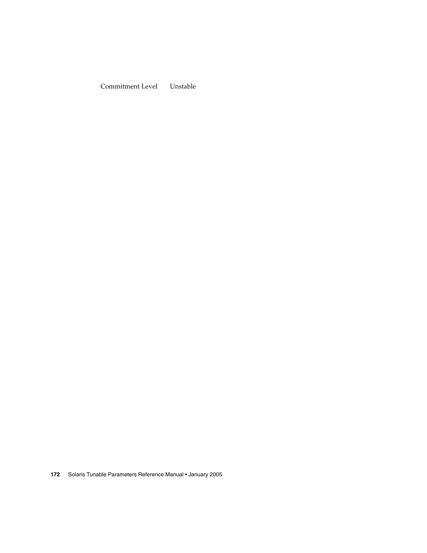Commitment Level Unstable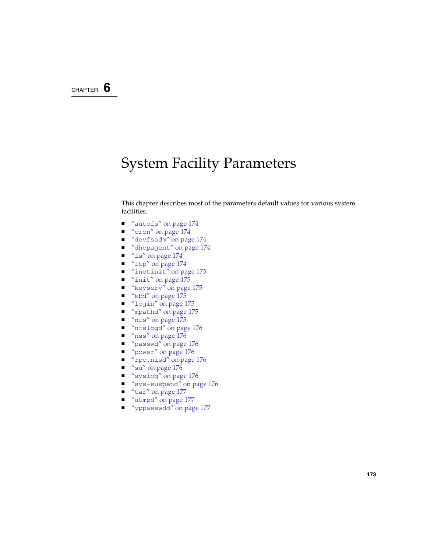### CHAPTER **6**

## System Facility Parameters

This chapter describes most of the parameters default values for various system facilities.

- "autofs" [on page 174](#page-173-0)
- "cron" [on page 174](#page-173-0)
- "devfsadm" [on page 174](#page-173-0)
- "[dhcpagent](#page-173-0)" on page 174
- "fs" [on page 174](#page-173-0)
- "ftp" [on page 174](#page-173-0)
- "inetinit" [on page 175](#page-174-0)
- "init" [on page 175](#page-174-0)
- "keyserv" [on page 175](#page-174-0)
- "kbd" [on page 175](#page-174-0)
- "login" [on page 175](#page-174-0)
- "mpathd" [on page 175](#page-174-0)
- "nfs" [on page 175](#page-174-0)
- "nfslogd" [on page 176](#page-175-0)
- "nss" [on page 176](#page-175-0)
- "passwd" [on page 176](#page-175-0)
- "power" [on page 176](#page-175-0)
- "rpc.nisd" [on page 176](#page-175-0)
- "su" [on page 176](#page-175-0)
- "syslog" [on page 176](#page-175-0)
- "[sys-suspend](#page-175-0)" on page 176
- "tar" [on page 177](#page-176-0)
- "utmpd" [on page 177](#page-176-0)
- "[yppasswdd](#page-176-0)" on page 177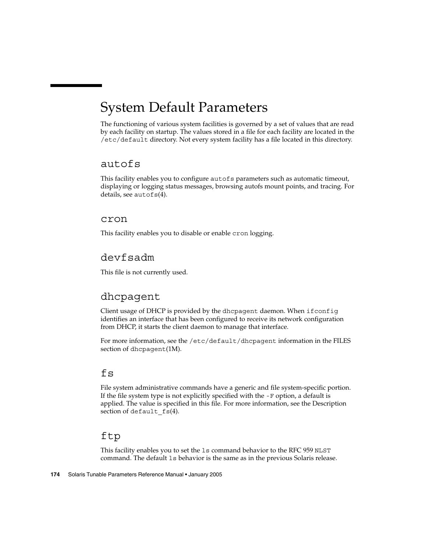## <span id="page-173-0"></span>System Default Parameters

The functioning of various system facilities is governed by a set of values that are read by each facility on startup. The values stored in a file for each facility are located in the /etc/default directory. Not every system facility has a file located in this directory.

#### autofs

This facility enables you to configure autofs parameters such as automatic timeout, displaying or logging status messages, browsing autofs mount points, and tracing. For details, see autofs(4).

#### cron

This facility enables you to disable or enable cron logging.

#### devfsadm

This file is not currently used.

#### dhcpagent

Client usage of DHCP is provided by the dhcpagent daemon. When ifconfig identifies an interface that has been configured to receive its network configuration from DHCP, it starts the client daemon to manage that interface.

For more information, see the /etc/default/dhcpagent information in the FILES section of dhcpagent(1M).

#### fs

File system administrative commands have a generic and file system-specific portion. If the file system type is not explicitly specified with the -F option, a default is applied. The value is specified in this file. For more information, see the Description section of default  $fs(4)$ .

#### ftp

This facility enables you to set the ls command behavior to the RFC 959 NLST command. The default ls behavior is the same as in the previous Solaris release.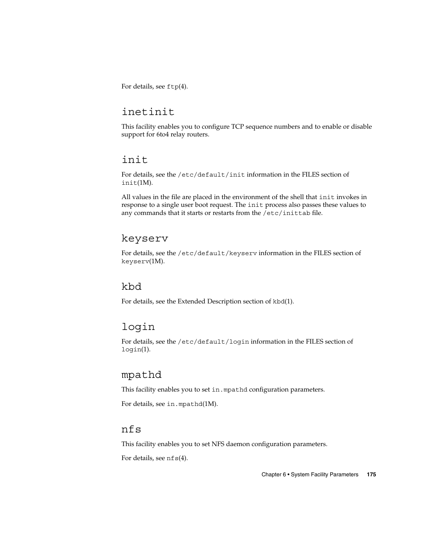<span id="page-174-0"></span>For details, see ftp(4).

#### inetinit

This facility enables you to configure TCP sequence numbers and to enable or disable support for 6to4 relay routers.

#### init

For details, see the /etc/default/init information in the FILES section of init(1M).

All values in the file are placed in the environment of the shell that init invokes in response to a single user boot request. The init process also passes these values to any commands that it starts or restarts from the /etc/inittab file.

#### keyserv

For details, see the /etc/default/keyserv information in the FILES section of keyserv(1M).

#### kbd

For details, see the Extended Description section of kbd(1).

#### login

For details, see the /etc/default/login information in the FILES section of login(1).

#### mpathd

This facility enables you to set in.mpathd configuration parameters.

For details, see in.mpathd(1M).

#### nfs

This facility enables you to set NFS daemon configuration parameters.

For details, see nfs(4).

Chapter 6 • System Facility Parameters **175**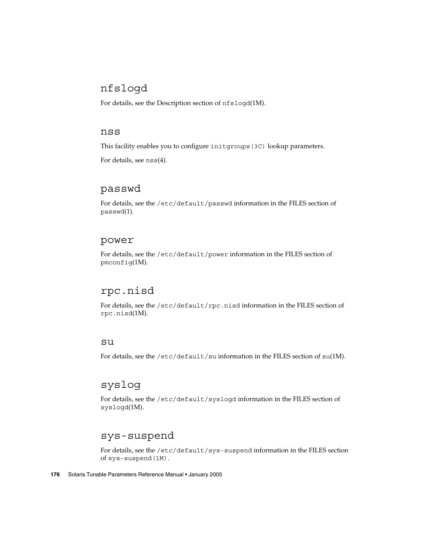#### <span id="page-175-0"></span>nfslogd

For details, see the Description section of nfslogd(1M).

#### nss

This facility enables you to configure initgroups(3C) lookup parameters.

For details, see nss(4).

#### passwd

For details, see the /etc/default/passwd information in the FILES section of passwd(1).

#### power

For details, see the /etc/default/power information in the FILES section of pmconfig(1M).

#### rpc.nisd

For details, see the /etc/default/rpc.nisd information in the FILES section of rpc.nisd(1M).

#### su

For details, see the /etc/default/su information in the FILES section of su(1M).

#### syslog

For details, see the /etc/default/syslogd information in the FILES section of syslogd(1M).

#### sys-suspend

For details, see the /etc/default/sys-suspend information in the FILES section of sys-suspend(1M).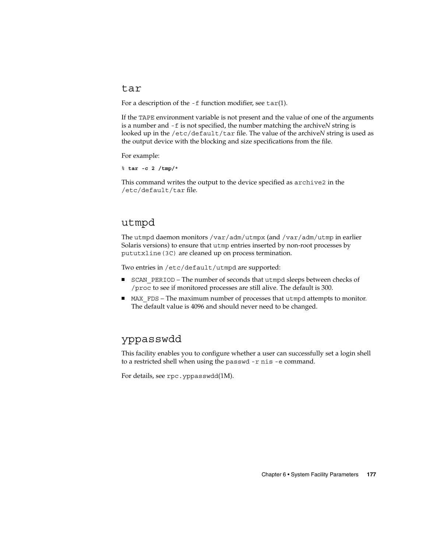#### <span id="page-176-0"></span>tar

For a description of the  $- f$  function modifier, see  $\tan(1)$ .

If the TAPE environment variable is not present and the value of one of the arguments is a number and -f is not specified, the number matching the archive*N* string is looked up in the /etc/default/tar file. The value of the archive*N* string is used as the output device with the blocking and size specifications from the file.

For example:

```
% tar -c 2 /tmp/*
```
This command writes the output to the device specified as archive2 in the /etc/default/tar file.

#### utmpd

The utmpd daemon monitors /var/adm/utmpx (and /var/adm/utmp in earlier Solaris versions) to ensure that utmp entries inserted by non-root processes by pututxline(3C) are cleaned up on process termination.

Two entries in /etc/default/utmpd are supported:

- SCAN PERIOD The number of seconds that utmpd sleeps between checks of /proc to see if monitored processes are still alive. The default is 300.
- MAX FDS The maximum number of processes that utmpd attempts to monitor. The default value is 4096 and should never need to be changed.

#### yppasswdd

This facility enables you to configure whether a user can successfully set a login shell to a restricted shell when using the passwd -r nis -e command.

For details, see rpc.yppasswdd(1M).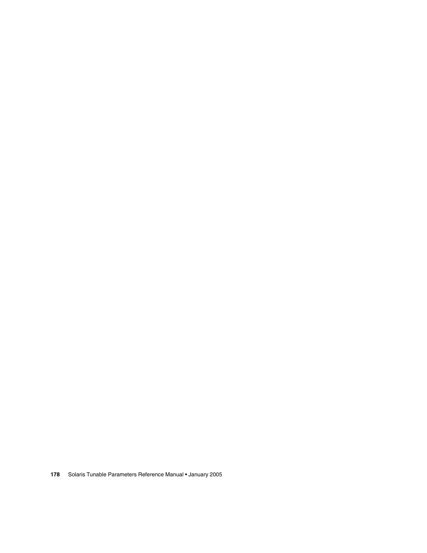Solaris Tunable Parameters Reference Manual • January 2005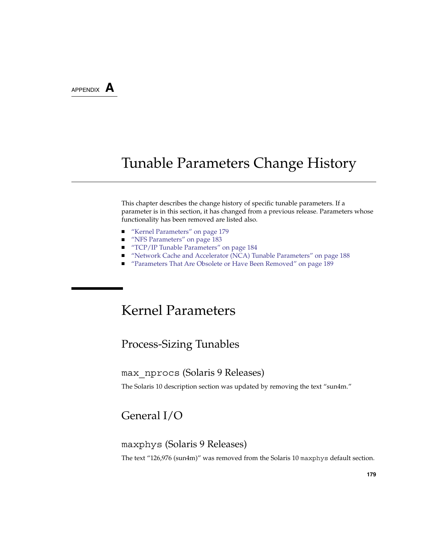APPENDIX **A**

## Tunable Parameters Change History

This chapter describes the change history of specific tunable parameters. If a parameter is in this section, it has changed from a previous release. Parameters whose functionality has been removed are listed also.

- "Kernel Parameters" on page 179
- ["NFS Parameters"](#page-182-0) on page 183
- ["TCP/IP Tunable Parameters"](#page-183-0) on page 184
- ["Network Cache and Accelerator \(NCA\) Tunable Parameters"](#page-187-0) on page 188
- ["Parameters That Are Obsolete or Have Been Removed"](#page-188-0) on page 189

## Kernel Parameters

#### Process-Sizing Tunables

#### max\_nprocs (Solaris 9 Releases)

The Solaris 10 description section was updated by removing the text "sun4m."

#### General I/O

#### maxphys (Solaris 9 Releases)

The text "126,976 (sun4m)" was removed from the Solaris 10 maxphys default section.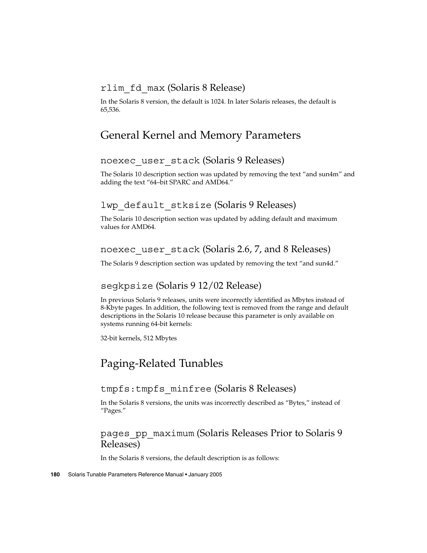#### rlim\_fd\_max (Solaris 8 Release)

In the Solaris 8 version, the default is 1024. In later Solaris releases, the default is 65,536.

### General Kernel and Memory Parameters

#### noexec\_user\_stack (Solaris 9 Releases)

The Solaris 10 description section was updated by removing the text "and sun4m" and adding the text "64–bit SPARC and AMD64."

#### lwp\_default\_stksize (Solaris 9 Releases)

The Solaris 10 description section was updated by adding default and maximum values for AMD64.

#### noexec user stack (Solaris 2.6, 7, and 8 Releases)

The Solaris 9 description section was updated by removing the text "and sun4d."

#### segkpsize (Solaris 9 12/02 Release)

In previous Solaris 9 releases, units were incorrectly identified as Mbytes instead of 8-Kbyte pages. In addition, the following text is removed from the range and default descriptions in the Solaris 10 release because this parameter is only available on systems running 64-bit kernels:

32-bit kernels, 512 Mbytes

### Paging-Related Tunables

#### tmpfs:tmpfs\_minfree (Solaris 8 Releases)

In the Solaris 8 versions, the units was incorrectly described as "Bytes," instead of "Pages."

#### pages\_pp\_maximum (Solaris Releases Prior to Solaris 9 Releases)

In the Solaris 8 versions, the default description is as follows: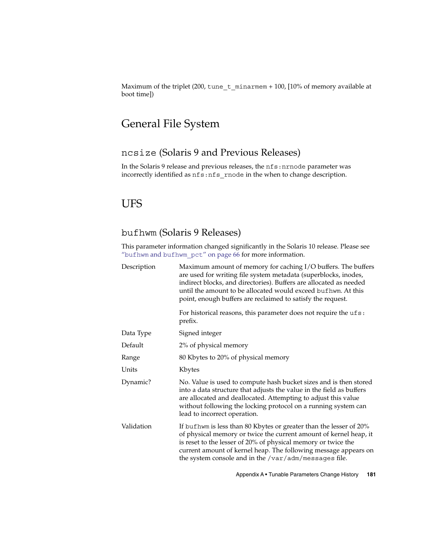<span id="page-180-0"></span>Maximum of the triplet (200, tune\_t\_minarmem + 100, [10% of memory available at boot time])

## General File System

## ncsize (Solaris 9 and Previous Releases)

In the Solaris 9 release and previous releases, the nfs:nrnode parameter was incorrectly identified as nfs:nfs\_rnode in the when to change description.

## UFS

### bufhwm (Solaris 9 Releases)

This parameter information changed significantly in the Solaris 10 release. Please see "bufhwm and [bufhwm\\_pct](#page-65-0)" on page 66 for more information.

| Description | Maximum amount of memory for caching I/O buffers. The buffers<br>are used for writing file system metadata (superblocks, inodes,<br>indirect blocks, and directories). Buffers are allocated as needed<br>until the amount to be allocated would exceed bufhwm. At this<br>point, enough buffers are reclaimed to satisfy the request. |
|-------------|----------------------------------------------------------------------------------------------------------------------------------------------------------------------------------------------------------------------------------------------------------------------------------------------------------------------------------------|
|             | For historical reasons, this parameter does not require the ufs:<br>prefix.                                                                                                                                                                                                                                                            |
| Data Type   | Signed integer                                                                                                                                                                                                                                                                                                                         |
| Default     | 2% of physical memory                                                                                                                                                                                                                                                                                                                  |
| Range       | 80 Kbytes to 20% of physical memory                                                                                                                                                                                                                                                                                                    |
| Units       | Kbytes                                                                                                                                                                                                                                                                                                                                 |
| Dynamic?    | No. Value is used to compute hash bucket sizes and is then stored<br>into a data structure that adjusts the value in the field as buffers<br>are allocated and deallocated. Attempting to adjust this value<br>without following the locking protocol on a running system can<br>lead to incorrect operation.                          |
| Validation  | If bufhwm is less than 80 Kbytes or greater than the lesser of 20%<br>of physical memory or twice the current amount of kernel heap, it<br>is reset to the lesser of 20% of physical memory or twice the<br>current amount of kernel heap. The following message appears on<br>the system console and in the /var/adm/messages file.   |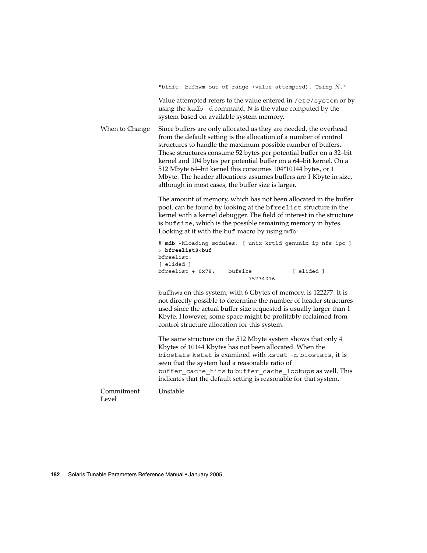"binit: bufhwm out of range (value attempted). Using *N*."

Value attempted refers to the value entered in /etc/system or by using the kadb -d command. *N* is the value computed by the system based on available system memory.

When to Change Since buffers are only allocated as they are needed, the overhead from the default setting is the allocation of a number of control structures to handle the maximum possible number of buffers. These structures consume 52 bytes per potential buffer on a 32–bit kernel and 104 bytes per potential buffer on a 64–bit kernel. On a 512 Mbyte 64–bit kernel this consumes 104\*10144 bytes, or 1 Mbyte. The header allocations assumes buffers are 1 Kbyte in size, although in most cases, the buffer size is larger.

> The amount of memory, which has not been allocated in the buffer pool, can be found by looking at the bfreelist structure in the kernel with a kernel debugger. The field of interest in the structure is bufsize, which is the possible remaining memory in bytes. Looking at it with the buf macro by using mdb:

```
# mdb -kLoading modules: [ unix krtld genunix ip nfs ipc ]
> bfreelist$<buf
bfreelist:
[ elided ]
bfreelist + 0x78: bufsize [ elided ]
                        75734016
```
bufhwm on this system, with 6 Gbytes of memory, is 122277. It is not directly possible to determine the number of header structures used since the actual buffer size requested is usually larger than 1 Kbyte. However, some space might be profitably reclaimed from control structure allocation for this system.

The same structure on the 512 Mbyte system shows that only 4 Kbytes of 10144 Kbytes has not been allocated. When the biostats kstat is examined with kstat -n biostats, it is seen that the system had a reasonable ratio of buffer cache hits to buffer cache lookups as well. This indicates that the default setting is reasonable for that system.

Commitment Level

Unstable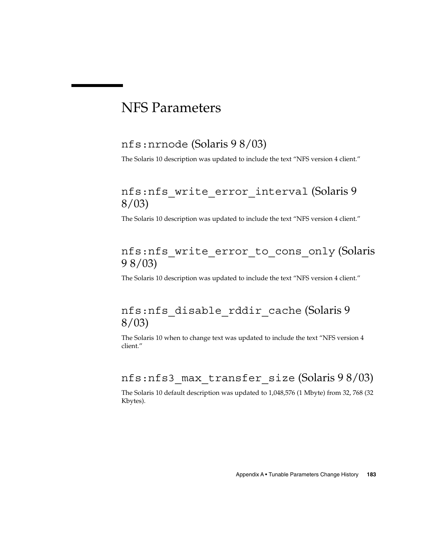# <span id="page-182-0"></span>NFS Parameters

## nfs:nrnode (Solaris 9 8/03)

The Solaris 10 description was updated to include the text "NFS version 4 client."

## nfs:nfs write error interval (Solaris 9 8/03)

The Solaris 10 description was updated to include the text "NFS version 4 client."

## nfs:nfs\_write\_error\_to\_cons\_only (Solaris 9 8/03)

The Solaris 10 description was updated to include the text "NFS version 4 client."

## nfs:nfs\_disable\_rddir\_cache (Solaris 9 8/03)

The Solaris 10 when to change text was updated to include the text "NFS version 4 client."

## nfs:nfs3 max transfer size (Solaris  $9\frac{8}{03}$ )

The Solaris 10 default description was updated to 1,048,576 (1 Mbyte) from 32, 768 (32 Kbytes).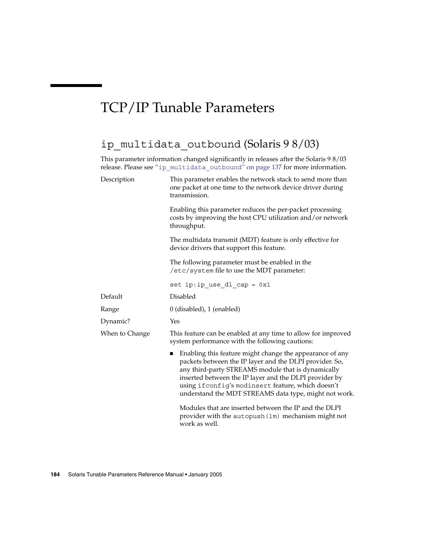# <span id="page-183-0"></span>TCP/IP Tunable Parameters

# ip\_multidata\_outbound (Solaris 9 8/03)

This parameter information changed significantly in releases after the Solaris 9 8/03 release. Please see "[ip\\_multidata\\_outbound](#page-136-0)" on page 137 for more information.

| Description    | This parameter enables the network stack to send more than<br>one packet at one time to the network device driver during<br>transmission.                                                                                                                                                                                                          |
|----------------|----------------------------------------------------------------------------------------------------------------------------------------------------------------------------------------------------------------------------------------------------------------------------------------------------------------------------------------------------|
|                | Enabling this parameter reduces the per-packet processing<br>costs by improving the host CPU utilization and/or network<br>throughput.                                                                                                                                                                                                             |
|                | The multidata transmit (MDT) feature is only effective for<br>device drivers that support this feature.                                                                                                                                                                                                                                            |
|                | The following parameter must be enabled in the<br>/etc/system file to use the MDT parameter:                                                                                                                                                                                                                                                       |
|                | $set$ ip:ip use dl cap = $0x1$                                                                                                                                                                                                                                                                                                                     |
| Default        | Disabled                                                                                                                                                                                                                                                                                                                                           |
| Range          | 0 (disabled), 1 (enabled)                                                                                                                                                                                                                                                                                                                          |
| Dynamic?       | Yes                                                                                                                                                                                                                                                                                                                                                |
| When to Change | This feature can be enabled at any time to allow for improved<br>system performance with the following cautions:                                                                                                                                                                                                                                   |
|                | Enabling this feature might change the appearance of any<br>packets between the IP layer and the DLPI provider. So,<br>any third-party STREAMS module that is dynamically<br>inserted between the IP layer and the DLPI provider by<br>using if config's modinsert feature, which doesn't<br>understand the MDT STREAMS data type, might not work. |
|                | Modules that are inserted between the IP and the DLPI<br>provider with the autopush (1m) mechanism might not<br>work as well.                                                                                                                                                                                                                      |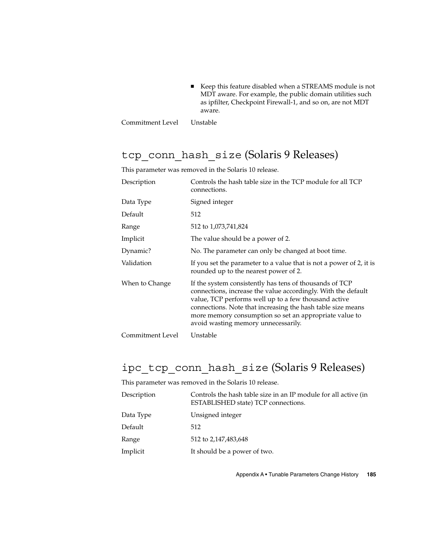■ Keep this feature disabled when a STREAMS module is not MDT aware. For example, the public domain utilities such as ipfilter, Checkpoint Firewall-1, and so on, are not MDT aware.

<span id="page-184-0"></span>Commitment Level Unstable

## tcp\_conn\_hash\_size (Solaris 9 Releases)

This parameter was removed in the Solaris 10 release.

| Description      | Controls the hash table size in the TCP module for all TCP<br>connections.                                                                                                                                                                                                                                                                       |
|------------------|--------------------------------------------------------------------------------------------------------------------------------------------------------------------------------------------------------------------------------------------------------------------------------------------------------------------------------------------------|
| Data Type        | Signed integer                                                                                                                                                                                                                                                                                                                                   |
| Default          | 512                                                                                                                                                                                                                                                                                                                                              |
| Range            | 512 to 1,073,741,824                                                                                                                                                                                                                                                                                                                             |
| Implicit         | The value should be a power of 2.                                                                                                                                                                                                                                                                                                                |
| Dynamic?         | No. The parameter can only be changed at boot time.                                                                                                                                                                                                                                                                                              |
| Validation       | If you set the parameter to a value that is not a power of 2, it is<br>rounded up to the nearest power of 2.                                                                                                                                                                                                                                     |
| When to Change   | If the system consistently has tens of thousands of TCP<br>connections, increase the value accordingly. With the default<br>value, TCP performs well up to a few thousand active<br>connections. Note that increasing the hash table size means<br>more memory consumption so set an appropriate value to<br>avoid wasting memory unnecessarily. |
| Commitment Level | Unstable                                                                                                                                                                                                                                                                                                                                         |

## ipc\_tcp\_conn\_hash\_size (Solaris 9 Releases)

This parameter was removed in the Solaris 10 release.

| Description | Controls the hash table size in an IP module for all active (in<br>ESTABLISHED state) TCP connections. |
|-------------|--------------------------------------------------------------------------------------------------------|
| Data Type   | Unsigned integer                                                                                       |
| Default     | 512                                                                                                    |
| Range       | 512 to 2,147,483,648                                                                                   |
| Implicit    | It should be a power of two.                                                                           |

Appendix A • Tunable Parameters Change History **185**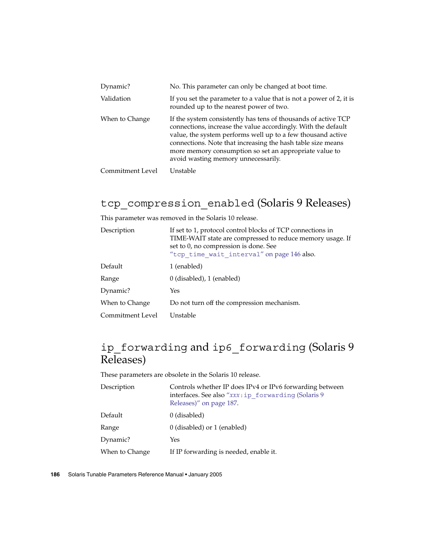<span id="page-185-0"></span>

| Dynamic?         | No. This parameter can only be changed at boot time.                                                                                                                                                                                                                                                                                                           |
|------------------|----------------------------------------------------------------------------------------------------------------------------------------------------------------------------------------------------------------------------------------------------------------------------------------------------------------------------------------------------------------|
| Validation       | If you set the parameter to a value that is not a power of 2, it is<br>rounded up to the nearest power of two.                                                                                                                                                                                                                                                 |
| When to Change   | If the system consistently has tens of thousands of active TCP<br>connections, increase the value accordingly. With the default<br>value, the system performs well up to a few thousand active<br>connections. Note that increasing the hash table size means<br>more memory consumption so set an appropriate value to<br>avoid wasting memory unnecessarily. |
| Commitment Level | Unstable                                                                                                                                                                                                                                                                                                                                                       |

# tcp\_compression\_enabled (Solaris 9 Releases)

This parameter was removed in the Solaris 10 release.

| Description      | If set to 1, protocol control blocks of TCP connections in<br>TIME-WAIT state are compressed to reduce memory usage. If<br>set to 0, no compression is done. See<br>"tcp time wait interval" on page 146 also. |
|------------------|----------------------------------------------------------------------------------------------------------------------------------------------------------------------------------------------------------------|
| Default          | 1 (enabled)                                                                                                                                                                                                    |
| Range            | $0$ (disabled), 1 (enabled)                                                                                                                                                                                    |
| Dynamic?         | Yes                                                                                                                                                                                                            |
| When to Change   | Do not turn off the compression mechanism.                                                                                                                                                                     |
| Commitment Level | Unstable                                                                                                                                                                                                       |

## ip\_forwarding and ip6\_forwarding (Solaris 9 Releases)

These parameters are obsolete in the Solaris 10 release.

| Description    | Controls whether IP does IPv4 or IPv6 forwarding between<br>interfaces. See also "xxx: ip forwarding (Solaris 9)<br>Releases)" on page 187. |
|----------------|---------------------------------------------------------------------------------------------------------------------------------------------|
| Default        | 0 (disabled)                                                                                                                                |
| Range          | 0 (disabled) or 1 (enabled)                                                                                                                 |
| Dynamic?       | Yes                                                                                                                                         |
| When to Change | If IP forwarding is needed, enable it.                                                                                                      |

**186** Solaris Tunable Parameters Reference Manual • January 2005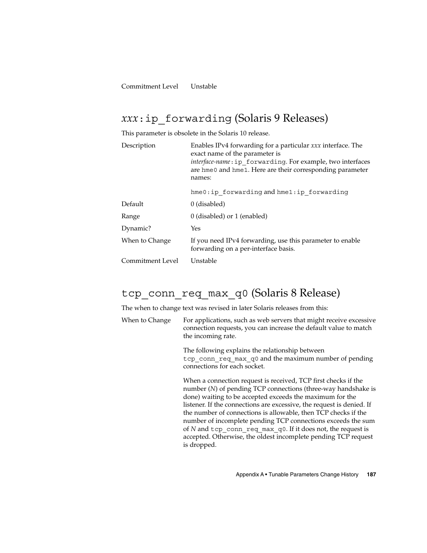<span id="page-186-0"></span>Commitment Level Unstable

## *xxx*:ip\_forwarding (Solaris 9 Releases)

This parameter is obsolete in the Solaris 10 release.

| Description      | Enables IPv4 forwarding for a particular xxx interface. The<br>exact name of the parameter is<br><i>interface-name</i> : ip forwarding. For example, two interfaces<br>are hme0 and hme1. Here are their corresponding parameter<br>names: |
|------------------|--------------------------------------------------------------------------------------------------------------------------------------------------------------------------------------------------------------------------------------------|
|                  | $h$ me0:ip forwarding and $h$ me1:ip forwarding                                                                                                                                                                                            |
| Default          | 0 (disabled)                                                                                                                                                                                                                               |
| Range            | 0 (disabled) or 1 (enabled)                                                                                                                                                                                                                |
| Dynamic?         | Yes                                                                                                                                                                                                                                        |
| When to Change   | If you need IPv4 forwarding, use this parameter to enable<br>forwarding on a per-interface basis.                                                                                                                                          |
| Commitment Level | Unstable                                                                                                                                                                                                                                   |

## tcp\_conn\_req\_max\_q0 (Solaris 8 Release)

The when to change text was revised in later Solaris releases from this:

When to Change For applications, such as web servers that might receive excessive connection requests, you can increase the default value to match the incoming rate. The following explains the relationship between tcp\_conn\_req\_max\_q0 and the maximum number of pending connections for each socket. When a connection request is received, TCP first checks if the

number (*N*) of pending TCP connections (three-way handshake is done) waiting to be accepted exceeds the maximum for the listener. If the connections are excessive, the request is denied. If the number of connections is allowable, then TCP checks if the number of incomplete pending TCP connections exceeds the sum of *N* and tcp\_conn\_req\_max\_q0. If it does not, the request is accepted. Otherwise, the oldest incomplete pending TCP request is dropped.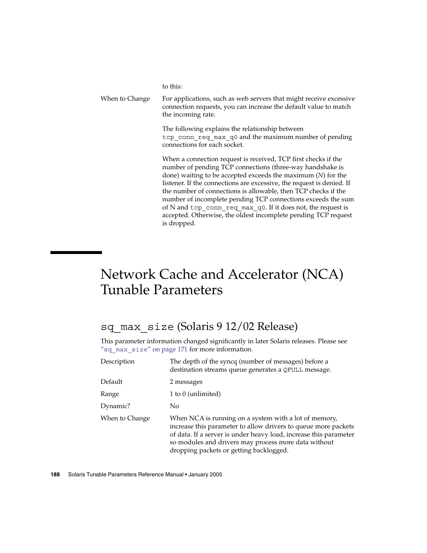to this:

is dropped.

<span id="page-187-0"></span>When to Change For applications, such as web servers that might receive excessive connection requests, you can increase the default value to match the incoming rate. The following explains the relationship between tcp\_conn\_req\_max\_q0 and the maximum number of pending connections for each socket. When a connection request is received, TCP first checks if the number of pending TCP connections (three-way handshake is done) waiting to be accepted exceeds the maximum (*N*) for the listener. If the connections are excessive, the request is denied. If the number of connections is allowable, then TCP checks if the number of incomplete pending TCP connections exceeds the sum of N and tcp\_conn\_req\_max\_q0. If it does not, the request is accepted. Otherwise, the oldest incomplete pending TCP request

# Network Cache and Accelerator (NCA) Tunable Parameters

## sq\_max\_size (Solaris 9 12/02 Release)

This parameter information changed significantly in later Solaris releases. Please see "sq max size" on page 171 for more information.

| Description    | The depth of the syncq (number of messages) before a<br>destination streams queue generates a QFULL message.                                                                                                                                                                                    |
|----------------|-------------------------------------------------------------------------------------------------------------------------------------------------------------------------------------------------------------------------------------------------------------------------------------------------|
| Default        | 2 messages                                                                                                                                                                                                                                                                                      |
| Range          | 1 to 0 (unlimited)                                                                                                                                                                                                                                                                              |
| Dynamic?       | No.                                                                                                                                                                                                                                                                                             |
| When to Change | When NCA is running on a system with a lot of memory,<br>increase this parameter to allow drivers to queue more packets<br>of data. If a server is under heavy load, increase this parameter<br>so modules and drivers may process more data without<br>dropping packets or getting backlogged. |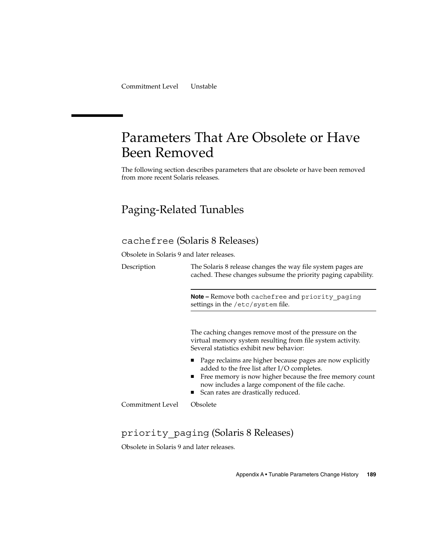# <span id="page-188-0"></span>Parameters That Are Obsolete or Have Been Removed

The following section describes parameters that are obsolete or have been removed from more recent Solaris releases.

## Paging-Related Tunables

## cachefree (Solaris 8 Releases)

Obsolete in Solaris 9 and later releases.

| Description      | The Solaris 8 release changes the way file system pages are<br>cached. These changes subsume the priority paging capability.                                                                                                                                    |
|------------------|-----------------------------------------------------------------------------------------------------------------------------------------------------------------------------------------------------------------------------------------------------------------|
|                  | <b>Note –</b> Remove both cachefree and priority paging<br>settings in the /etc/system file.                                                                                                                                                                    |
|                  | The caching changes remove most of the pressure on the<br>virtual memory system resulting from file system activity.<br>Several statistics exhibit new behavior:                                                                                                |
|                  | Page reclaims are higher because pages are now explicitly<br>added to the free list after I/O completes.<br>Free memory is now higher because the free memory count<br>now includes a large component of the file cache.<br>Scan rates are drastically reduced. |
| Commitment Level | Obsolete                                                                                                                                                                                                                                                        |

## priority paging (Solaris 8 Releases)

Obsolete in Solaris 9 and later releases.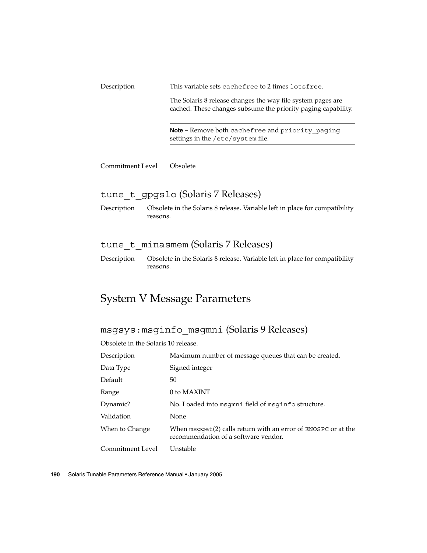<span id="page-189-0"></span>

| Description | This variable sets cachefree to 2 times lotsfree.                                                                            |
|-------------|------------------------------------------------------------------------------------------------------------------------------|
|             | The Solaris 8 release changes the way file system pages are<br>cached. These changes subsume the priority paging capability. |
|             | <b>Note –</b> Remove both cachefree and priority paging<br>settings in the /etc/system file.                                 |

Commitment Level Obsolete

### tune\_t\_gpgslo (Solaris 7 Releases)

Description Obsolete in the Solaris 8 release. Variable left in place for compatibility reasons.

### tune t minasmem (Solaris 7 Releases)

Description Obsolete in the Solaris 8 release. Variable left in place for compatibility reasons.

# System V Message Parameters

### msgsys:msginfo\_msgmni (Solaris 9 Releases)

Obsolete in the Solaris 10 release.

| Description      | Maximum number of message queues that can be created.                                                   |
|------------------|---------------------------------------------------------------------------------------------------------|
| Data Type        | Signed integer                                                                                          |
| Default          | 50                                                                                                      |
| Range            | 0 to MAXINT                                                                                             |
| Dynamic?         | No. Loaded into msqmni field of msqinfo structure.                                                      |
| Validation       | None                                                                                                    |
| When to Change   | When $msgget(2)$ calls return with an error of ENOSPC or at the<br>recommendation of a software vendor. |
| Commitment Level | Unstable                                                                                                |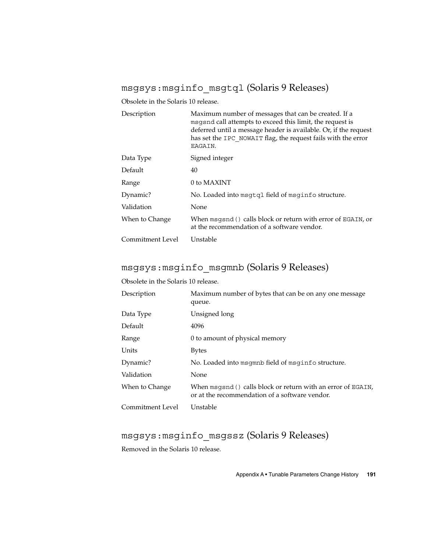## <span id="page-190-0"></span>msgsys:msginfo\_msgtql (Solaris 9 Releases)

Obsolete in the Solaris 10 release.

| Description      | Maximum number of messages that can be created. If a<br>msgsnd call attempts to exceed this limit, the request is<br>deferred until a message header is available. Or, if the request<br>has set the IPC NOWAIT flag, the request fails with the error<br>EAGAIN. |
|------------------|-------------------------------------------------------------------------------------------------------------------------------------------------------------------------------------------------------------------------------------------------------------------|
| Data Type        | Signed integer                                                                                                                                                                                                                                                    |
| Default          | 40                                                                                                                                                                                                                                                                |
| Range            | 0 to MAXINT                                                                                                                                                                                                                                                       |
| Dynamic?         | No. Loaded into msqtql field of msqinfo structure.                                                                                                                                                                                                                |
| Validation       | <b>None</b>                                                                                                                                                                                                                                                       |
| When to Change   | When msqsnd() calls block or return with error of EGAIN, or<br>at the recommendation of a software vendor.                                                                                                                                                        |
| Commitment Level | Unstable                                                                                                                                                                                                                                                          |

## msgsys:msginfo\_msgmnb (Solaris 9 Releases)

Obsolete in the Solaris 10 release.

| Description      | Maximum number of bytes that can be on any one message<br>queue.                                               |
|------------------|----------------------------------------------------------------------------------------------------------------|
| Data Type        | Unsigned long                                                                                                  |
| Default          | 4096                                                                                                           |
| Range            | 0 to amount of physical memory                                                                                 |
| Units            | <b>Bytes</b>                                                                                                   |
| Dynamic?         | No. Loaded into msqmnb field of msqinfo structure.                                                             |
| Validation       | None                                                                                                           |
| When to Change   | When msgsnd () calls block or return with an error of EGAIN,<br>or at the recommendation of a software vendor. |
| Commitment Level | Unstable                                                                                                       |

# msgsys:msginfo\_msgssz (Solaris 9 Releases)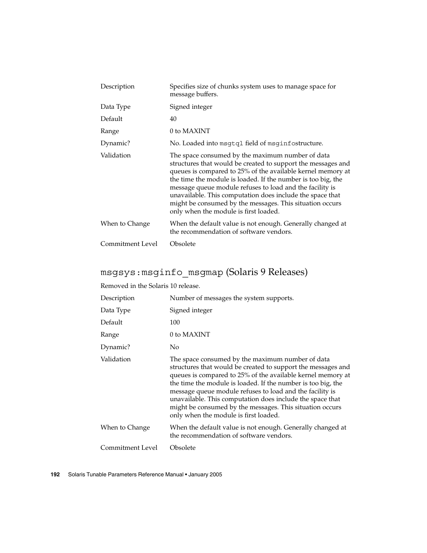<span id="page-191-0"></span>

| Description      | Specifies size of chunks system uses to manage space for<br>message buffers.                                                                                                                                                                                                                                                                                                                                                                                                  |
|------------------|-------------------------------------------------------------------------------------------------------------------------------------------------------------------------------------------------------------------------------------------------------------------------------------------------------------------------------------------------------------------------------------------------------------------------------------------------------------------------------|
| Data Type        | Signed integer                                                                                                                                                                                                                                                                                                                                                                                                                                                                |
| Default          | 40                                                                                                                                                                                                                                                                                                                                                                                                                                                                            |
| Range            | 0 to MAXINT                                                                                                                                                                                                                                                                                                                                                                                                                                                                   |
| Dynamic?         | No. Loaded into msqtql field of msqinfostructure.                                                                                                                                                                                                                                                                                                                                                                                                                             |
| Validation       | The space consumed by the maximum number of data<br>structures that would be created to support the messages and<br>queues is compared to 25% of the available kernel memory at<br>the time the module is loaded. If the number is too big, the<br>message queue module refuses to load and the facility is<br>unavailable. This computation does include the space that<br>might be consumed by the messages. This situation occurs<br>only when the module is first loaded. |
| When to Change   | When the default value is not enough. Generally changed at<br>the recommendation of software vendors.                                                                                                                                                                                                                                                                                                                                                                         |
| Commitment Level | Obsolete                                                                                                                                                                                                                                                                                                                                                                                                                                                                      |

# msgsys:msginfo\_msgmap (Solaris 9 Releases)

| Description      | Number of messages the system supports.                                                                                                                                                                                                                                                                                                                                                                                                                                       |
|------------------|-------------------------------------------------------------------------------------------------------------------------------------------------------------------------------------------------------------------------------------------------------------------------------------------------------------------------------------------------------------------------------------------------------------------------------------------------------------------------------|
| Data Type        | Signed integer                                                                                                                                                                                                                                                                                                                                                                                                                                                                |
| Default          | 100                                                                                                                                                                                                                                                                                                                                                                                                                                                                           |
| Range            | 0 to MAXINT                                                                                                                                                                                                                                                                                                                                                                                                                                                                   |
| Dynamic?         | No.                                                                                                                                                                                                                                                                                                                                                                                                                                                                           |
| Validation       | The space consumed by the maximum number of data<br>structures that would be created to support the messages and<br>queues is compared to 25% of the available kernel memory at<br>the time the module is loaded. If the number is too big, the<br>message queue module refuses to load and the facility is<br>unavailable. This computation does include the space that<br>might be consumed by the messages. This situation occurs<br>only when the module is first loaded. |
| When to Change   | When the default value is not enough. Generally changed at<br>the recommendation of software vendors.                                                                                                                                                                                                                                                                                                                                                                         |
| Commitment Level | Obsolete                                                                                                                                                                                                                                                                                                                                                                                                                                                                      |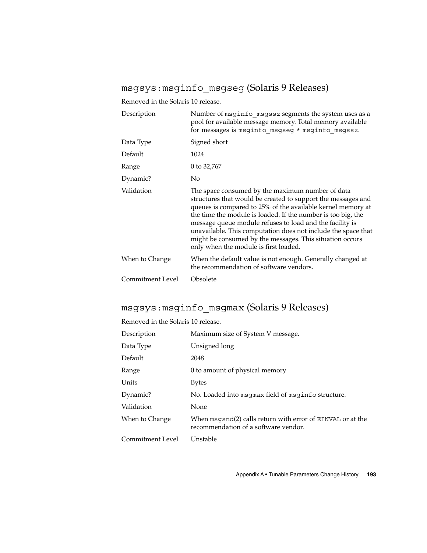## <span id="page-192-0"></span>msgsys:msginfo\_msgseg (Solaris 9 Releases)

Removed in the Solaris 10 release.

| Description      | Number of msginfo msgssz segments the system uses as a<br>pool for available message memory. Total memory available<br>for messages is msginfo_msgseg * msginfo msgssz.                                                                                                                                                                                                                                                                                                           |
|------------------|-----------------------------------------------------------------------------------------------------------------------------------------------------------------------------------------------------------------------------------------------------------------------------------------------------------------------------------------------------------------------------------------------------------------------------------------------------------------------------------|
| Data Type        | Signed short                                                                                                                                                                                                                                                                                                                                                                                                                                                                      |
| Default          | 1024                                                                                                                                                                                                                                                                                                                                                                                                                                                                              |
| Range            | 0 to 32,767                                                                                                                                                                                                                                                                                                                                                                                                                                                                       |
| Dynamic?         | No                                                                                                                                                                                                                                                                                                                                                                                                                                                                                |
| Validation       | The space consumed by the maximum number of data<br>structures that would be created to support the messages and<br>queues is compared to 25% of the available kernel memory at<br>the time the module is loaded. If the number is too big, the<br>message queue module refuses to load and the facility is<br>unavailable. This computation does not include the space that<br>might be consumed by the messages. This situation occurs<br>only when the module is first loaded. |
| When to Change   | When the default value is not enough. Generally changed at<br>the recommendation of software vendors.                                                                                                                                                                                                                                                                                                                                                                             |
| Commitment Level | Obsolete                                                                                                                                                                                                                                                                                                                                                                                                                                                                          |

## msgsys:msginfo\_msgmax (Solaris 9 Releases)

| Description      | Maximum size of System V message.                                                                  |
|------------------|----------------------------------------------------------------------------------------------------|
| Data Type        | Unsigned long                                                                                      |
| Default          | 2048                                                                                               |
| Range            | 0 to amount of physical memory                                                                     |
| Units            | <b>Bytes</b>                                                                                       |
| Dynamic?         | No. Loaded into msqmax field of msqinfo structure.                                                 |
| Validation       | None                                                                                               |
| When to Change   | When msqsnd(2) calls return with error of EINVAL or at the<br>recommendation of a software vendor. |
| Commitment Level | Unstable                                                                                           |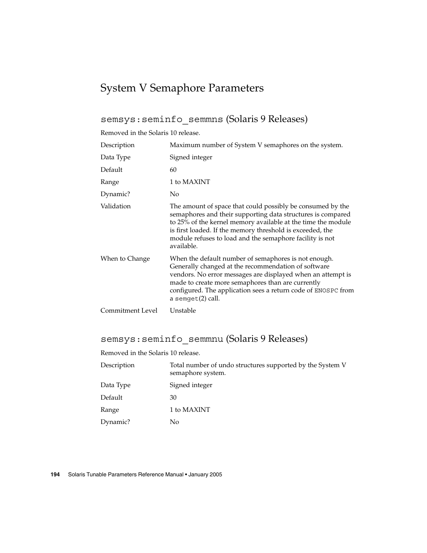# <span id="page-193-0"></span>System V Semaphore Parameters

## semsys:seminfo\_semmns (Solaris 9 Releases)

Removed in the Solaris 10 release.

| Description      | Maximum number of System V semaphores on the system.                                                                                                                                                                                                                                                                             |
|------------------|----------------------------------------------------------------------------------------------------------------------------------------------------------------------------------------------------------------------------------------------------------------------------------------------------------------------------------|
| Data Type        | Signed integer                                                                                                                                                                                                                                                                                                                   |
| Default          | 60                                                                                                                                                                                                                                                                                                                               |
| Range            | 1 to MAXINT                                                                                                                                                                                                                                                                                                                      |
| Dynamic?         | No.                                                                                                                                                                                                                                                                                                                              |
| Validation       | The amount of space that could possibly be consumed by the<br>semaphores and their supporting data structures is compared<br>to 25% of the kernel memory available at the time the module<br>is first loaded. If the memory threshold is exceeded, the<br>module refuses to load and the semaphore facility is not<br>available. |
| When to Change   | When the default number of semaphores is not enough.<br>Generally changed at the recommendation of software<br>vendors. No error messages are displayed when an attempt is<br>made to create more semaphores than are currently<br>configured. The application sees a return code of ENOSPC from<br>a semget(2) call.            |
| Commitment Level | Unstable                                                                                                                                                                                                                                                                                                                         |

## semsys:seminfo\_semmnu (Solaris 9 Releases)

| Description | Total number of undo structures supported by the System V<br>semaphore system. |
|-------------|--------------------------------------------------------------------------------|
| Data Type   | Signed integer                                                                 |
| Default     | 30                                                                             |
| Range       | 1 to MAXINT                                                                    |
| Dynamic?    | No                                                                             |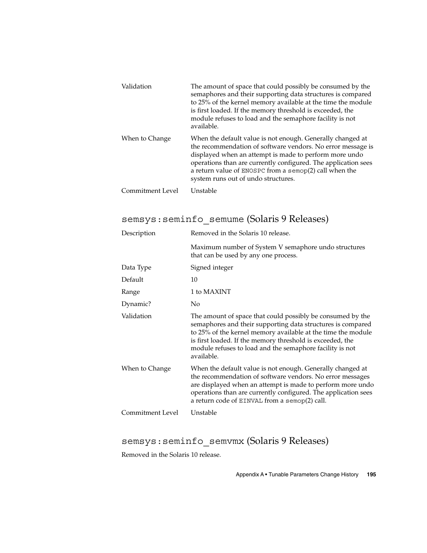<span id="page-194-0"></span>

| Validation       | The amount of space that could possibly be consumed by the<br>semaphores and their supporting data structures is compared<br>to 25% of the kernel memory available at the time the module<br>is first loaded. If the memory threshold is exceeded, the<br>module refuses to load and the semaphore facility is not<br>available.                       |
|------------------|--------------------------------------------------------------------------------------------------------------------------------------------------------------------------------------------------------------------------------------------------------------------------------------------------------------------------------------------------------|
| When to Change   | When the default value is not enough. Generally changed at<br>the recommendation of software vendors. No error message is<br>displayed when an attempt is made to perform more undo<br>operations than are currently configured. The application sees<br>a return value of ENOSPC from a semop(2) call when the<br>system runs out of undo structures. |
| Commitment Level | Unstable                                                                                                                                                                                                                                                                                                                                               |

# semsys:seminfo\_semume (Solaris 9 Releases)

| Description      | Removed in the Solaris 10 release.                                                                                                                                                                                                                                                                                               |
|------------------|----------------------------------------------------------------------------------------------------------------------------------------------------------------------------------------------------------------------------------------------------------------------------------------------------------------------------------|
|                  | Maximum number of System V semaphore undo structures<br>that can be used by any one process.                                                                                                                                                                                                                                     |
| Data Type        | Signed integer                                                                                                                                                                                                                                                                                                                   |
| Default          | 10                                                                                                                                                                                                                                                                                                                               |
| Range            | 1 to MAXINT                                                                                                                                                                                                                                                                                                                      |
| Dynamic?         | No.                                                                                                                                                                                                                                                                                                                              |
| Validation       | The amount of space that could possibly be consumed by the<br>semaphores and their supporting data structures is compared<br>to 25% of the kernel memory available at the time the module<br>is first loaded. If the memory threshold is exceeded, the<br>module refuses to load and the semaphore facility is not<br>available. |
| When to Change   | When the default value is not enough. Generally changed at<br>the recommendation of software vendors. No error messages<br>are displayed when an attempt is made to perform more undo<br>operations than are currently configured. The application sees<br>a return code of EINVAL from a semop(2) call.                         |
| Commitment Level | Unstable                                                                                                                                                                                                                                                                                                                         |

## semsys:seminfo\_semvmx (Solaris 9 Releases)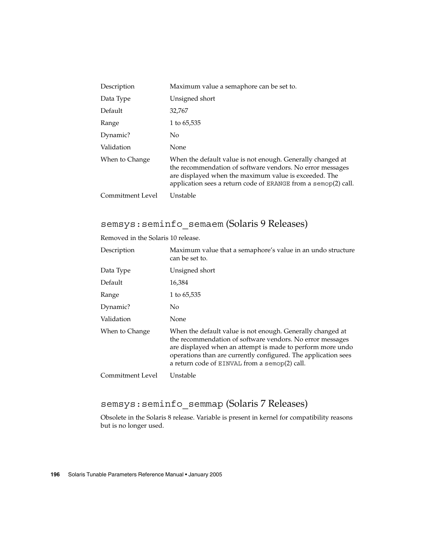<span id="page-195-0"></span>

| Description      | Maximum value a semaphore can be set to.                                                                                                                                                                                                           |
|------------------|----------------------------------------------------------------------------------------------------------------------------------------------------------------------------------------------------------------------------------------------------|
| Data Type        | Unsigned short                                                                                                                                                                                                                                     |
| Default          | 32.767                                                                                                                                                                                                                                             |
| Range            | 1 to 65,535                                                                                                                                                                                                                                        |
| Dynamic?         | No.                                                                                                                                                                                                                                                |
| Validation       | <b>None</b>                                                                                                                                                                                                                                        |
| When to Change   | When the default value is not enough. Generally changed at<br>the recommendation of software vendors. No error messages<br>are displayed when the maximum value is exceeded. The<br>application sees a return code of ERANGE from a semop(2) call. |
| Commitment Level | Unstable                                                                                                                                                                                                                                           |

## semsys:seminfo\_semaem (Solaris 9 Releases)

| Description      | Maximum value that a semaphore's value in an undo structure<br>can be set to.                                                                                                                                                                                                                            |
|------------------|----------------------------------------------------------------------------------------------------------------------------------------------------------------------------------------------------------------------------------------------------------------------------------------------------------|
| Data Type        | Unsigned short                                                                                                                                                                                                                                                                                           |
| Default          | 16,384                                                                                                                                                                                                                                                                                                   |
| Range            | 1 to 65,535                                                                                                                                                                                                                                                                                              |
| Dynamic?         | No                                                                                                                                                                                                                                                                                                       |
| Validation       | <b>None</b>                                                                                                                                                                                                                                                                                              |
| When to Change   | When the default value is not enough. Generally changed at<br>the recommendation of software vendors. No error messages<br>are displayed when an attempt is made to perform more undo<br>operations than are currently configured. The application sees<br>a return code of EINVAL from a semop(2) call. |
| Commitment Level | Unstable                                                                                                                                                                                                                                                                                                 |

### Removed in the Solaris 10 release.

# semsys:seminfo\_semmap (Solaris 7 Releases)

Obsolete in the Solaris 8 release. Variable is present in kernel for compatibility reasons but is no longer used.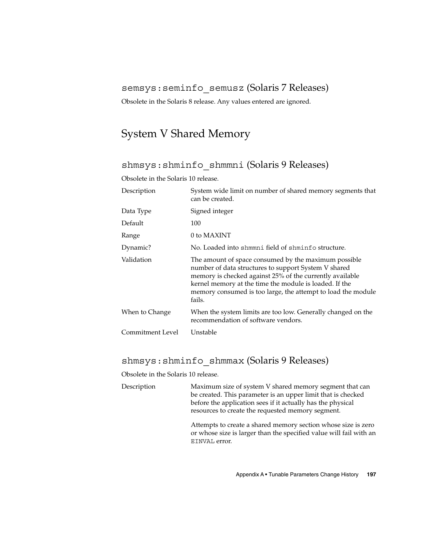## <span id="page-196-0"></span>semsys:seminfo\_semusz (Solaris 7 Releases)

Obsolete in the Solaris 8 release. Any values entered are ignored.

# System V Shared Memory

### shmsys:shminfo\_shmmni (Solaris 9 Releases)

Obsolete in the Solaris 10 release.

| Description      | System wide limit on number of shared memory segments that<br>can be created.                                                                                                                                                                                                                                |
|------------------|--------------------------------------------------------------------------------------------------------------------------------------------------------------------------------------------------------------------------------------------------------------------------------------------------------------|
| Data Type        | Signed integer                                                                                                                                                                                                                                                                                               |
| Default          | 100                                                                                                                                                                                                                                                                                                          |
| Range            | 0 to MAXINT                                                                                                                                                                                                                                                                                                  |
| Dynamic?         | No. Loaded into shmmni field of shminfo structure.                                                                                                                                                                                                                                                           |
| Validation       | The amount of space consumed by the maximum possible<br>number of data structures to support System V shared<br>memory is checked against 25% of the currently available<br>kernel memory at the time the module is loaded. If the<br>memory consumed is too large, the attempt to load the module<br>fails. |
| When to Change   | When the system limits are too low. Generally changed on the<br>recommendation of software vendors.                                                                                                                                                                                                          |
| Commitment Level | Unstable                                                                                                                                                                                                                                                                                                     |

### shmsys:shminfo\_shmmax (Solaris 9 Releases)

Obsolete in the Solaris 10 release.

| Description | Maximum size of system V shared memory segment that can<br>be created. This parameter is an upper limit that is checked<br>before the application sees if it actually has the physical<br>resources to create the requested memory segment. |
|-------------|---------------------------------------------------------------------------------------------------------------------------------------------------------------------------------------------------------------------------------------------|
|             | Attempts to create a shared memory section whose size is zero<br>or whose size is larger than the specified value will fail with an<br>EINVAL error.                                                                                        |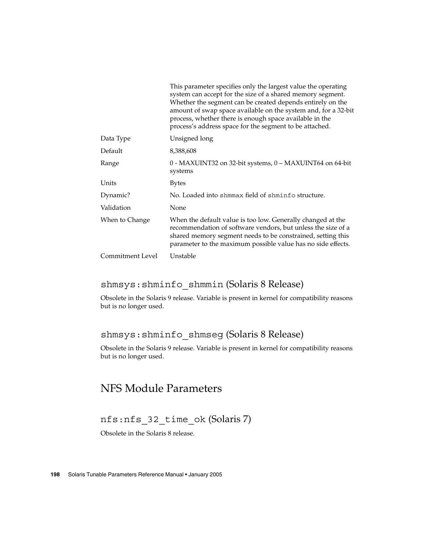<span id="page-197-0"></span>

|                  | This parameter specifies only the largest value the operating<br>system can accept for the size of a shared memory segment.<br>Whether the segment can be created depends entirely on the<br>amount of swap space available on the system and, for a 32-bit<br>process, whether there is enough space available in the<br>process's address space for the segment to be attached. |
|------------------|-----------------------------------------------------------------------------------------------------------------------------------------------------------------------------------------------------------------------------------------------------------------------------------------------------------------------------------------------------------------------------------|
| Data Type        | Unsigned long                                                                                                                                                                                                                                                                                                                                                                     |
| Default          | 8,388,608                                                                                                                                                                                                                                                                                                                                                                         |
| Range            | 0 - MAXUINT32 on 32-bit systems, 0 – MAXUINT64 on 64-bit<br>systems                                                                                                                                                                                                                                                                                                               |
| Units            | <b>Bytes</b>                                                                                                                                                                                                                                                                                                                                                                      |
| Dynamic?         | No. Loaded into shmmax field of shminfo structure.                                                                                                                                                                                                                                                                                                                                |
| Validation       | None                                                                                                                                                                                                                                                                                                                                                                              |
| When to Change   | When the default value is too low. Generally changed at the<br>recommendation of software vendors, but unless the size of a<br>shared memory segment needs to be constrained, setting this<br>parameter to the maximum possible value has no side effects.                                                                                                                        |
| Commitment Level | Unstable                                                                                                                                                                                                                                                                                                                                                                          |

### shmsys:shminfo\_shmmin (Solaris 8 Release)

Obsolete in the Solaris 9 release. Variable is present in kernel for compatibility reasons but is no longer used.

## shmsys:shminfo\_shmseg (Solaris 8 Release)

Obsolete in the Solaris 9 release. Variable is present in kernel for compatibility reasons but is no longer used.

## NFS Module Parameters

nfs:nfs\_32\_time\_ok (Solaris 7)

Obsolete in the Solaris 8 release.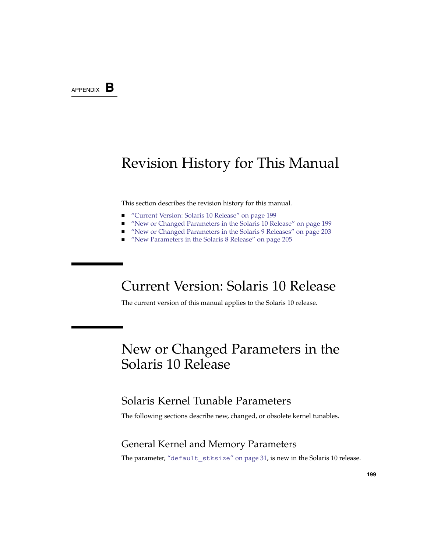APPENDIX **B**

# Revision History for This Manual

This section describes the revision history for this manual.

- "Current Version: Solaris 10 Release" on page 199
- "New or Changed Parameters in the Solaris 10 Release" on page 199
- ["New or Changed Parameters in the Solaris 9 Releases"](#page-202-0) on page 203
- ["New Parameters in the Solaris 8 Release"](#page-204-0) on page 205

# Current Version: Solaris 10 Release

The current version of this manual applies to the Solaris 10 release.

# New or Changed Parameters in the Solaris 10 Release

## Solaris Kernel Tunable Parameters

The following sections describe new, changed, or obsolete kernel tunables.

#### General Kernel and Memory Parameters

The parameter, "default stksize" on page 31, is new in the Solaris 10 release.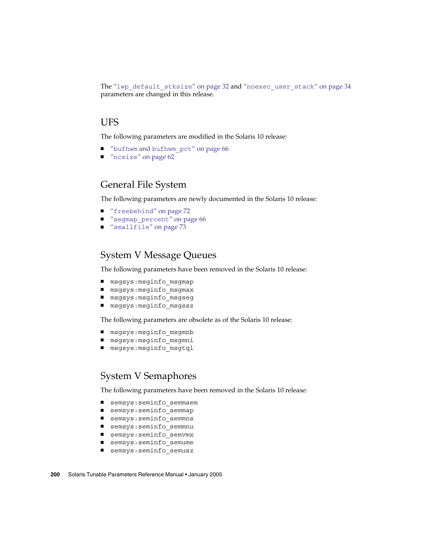The "[lwp\\_default\\_stksize](#page-31-0)" on page 32 and "[noexec\\_user\\_stack](#page-33-0)" on page 34 parameters are changed in this release.

#### UFS

The following parameters are modified in the Solaris 10 release:

- "bufhwm and bufhwm pct" on page 66
- "ncsize" [on page 62](#page-61-0)

### General File System

The following parameters are newly documented in the Solaris 10 release:

- "[freebehind](#page-71-0)" on page 72
- "segmap percent" on page 66
- "[smallfile](#page-72-0)" on page 73

### System V Message Queues

The following parameters have been removed in the Solaris 10 release:

- msgsys:msginfo msgmap
- msgsys:msginfo msgmax
- msgsys:msginfo\_msgseg
- msgsys:msginfo\_msgssz

The following parameters are obsolete as of the Solaris 10 release:

- msgsys:msginfo msgmnb
- msgsys:msginfo msgmni
- msgsys:msginfo msgtql

### System V Semaphores

The following parameters have been removed in the Solaris 10 release:

- semsys: seminfo semmaem
- semsys: seminfo semmap
- semsys: seminfo semmns
- semsys: seminfo semmnu
- semsys: seminfo semvmx
- semsys:seminfo\_semume
- semsys: seminfo semusz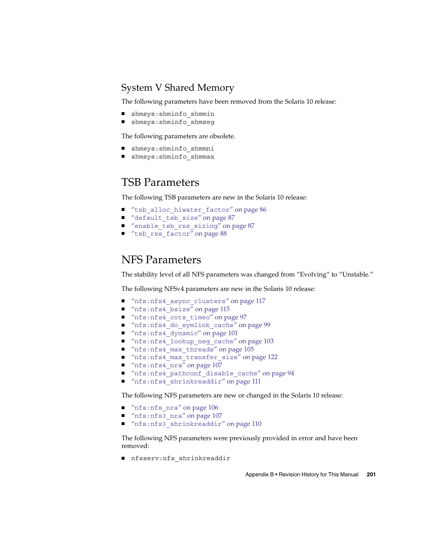### <span id="page-200-0"></span>System V Shared Memory

The following parameters have been removed from the Solaris 10 release:

- shmsys: shminfo shmmin
- shmsys:shminfo\_shmseg

The following parameters are obsolete.

- shmsys:shminfo\_shmmni
- shmsys: shminfo shmmax

## TSB Parameters

The following TSB parameters are new in the Solaris 10 release:

- "[tsb\\_alloc\\_hiwater\\_factor](#page-85-0)" on page 86
- "default tsb\_size" on page 87
- "[enable\\_tsb\\_rss\\_sizing](#page-86-0)" on page 87
- "[tsb\\_rss\\_factor](#page-87-0)" on page 88

## NFS Parameters

The stability level of all NFS parameters was changed from "Evolving" to "Unstable."

The following NFSv4 parameters are new in the Solaris 10 release:

- "nfs:nfs4 async\_clusters" on page 117
- "nfs:nfs4 bsize" on page 115
- "[nfs:nfs4\\_cots\\_timeo](#page-96-0)" on page 97
- "nfs:nfs4 do symlink cache" on page 99
- "[nfs:nfs4\\_dynamic](#page-100-0)" on page 101
- "[nfs:nfs4\\_lookup\\_neg\\_cache](#page-102-0)" on page 103
- "[nfs:nfs4\\_max\\_threads](#page-104-0)" on page 105
- "[nfs:nfs4\\_max\\_transfer\\_size](#page-121-0)" on page 122
- "[nfs:nfs4\\_nra](#page-106-0)" on page 107
- "nfs:nfs4 pathconf disable cache" on page 94
- "nfs:nfs4 shrinkreaddir" on page 111

The following NFS parameters are new or changed in the Solaris 10 release:

- "nfs:nfs nra" on page 106
- "[nfs:nfs3\\_nra](#page-106-0)" on page 107
- "[nfs:nfs3\\_shrinkreaddir](#page-109-0)" on page 110

The following NFS parameters were previously provided in error and have been removed:

■ nfsserv:nfs shrinkreaddir

Appendix B • Revision History for This Manual **201**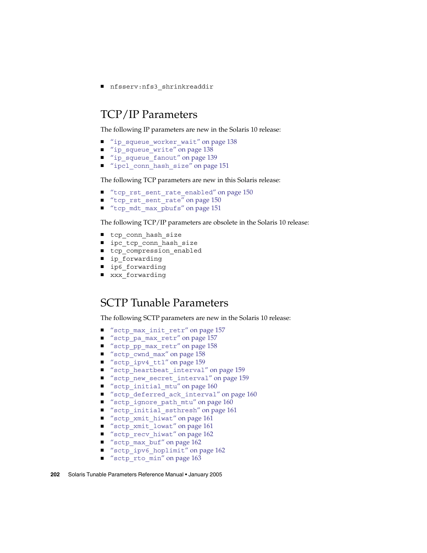■ nfsserv:nfs3 shrinkreaddir

## TCP/IP Parameters

The following IP parameters are new in the Solaris 10 release:

- "[ip\\_squeue\\_worker\\_wait](#page-137-0)" on page 138
- "[ip\\_squeue\\_write](#page-137-0)" on page 138
- "[ip\\_squeue\\_fanout](#page-138-0)" on page 139
- "[ipcl\\_conn\\_hash\\_size](#page-150-0)" on page 151

The following TCP parameters are new in this Solaris release:

- "[tcp\\_rst\\_sent\\_rate\\_enabled](#page-149-0)" on page 150
- "[tcp\\_rst\\_sent\\_rate](#page-149-0)" on page 150
- "[tcp\\_mdt\\_max\\_pbufs](#page-150-0)" on page 151

The following TCP/IP parameters are obsolete in the Solaris 10 release:

- tcp\_conn\_hash\_size
- ipc\_tcp\_conn\_hash\_size
- tcp\_compression\_enabled
- ip\_forwarding
- ip6 forwarding
- xxx forwarding

## SCTP Tunable Parameters

The following SCTP parameters are new in the Solaris 10 release:

- "[sctp\\_max\\_init\\_retr](#page-156-0)" on page 157
- "[sctp\\_pa\\_max\\_retr](#page-156-0)" on page 157
- "[sctp\\_pp\\_max\\_retr](#page-157-0)" on page 158
- "[sctp\\_cwnd\\_max](#page-157-0)" on page 158
- "[sctp\\_ipv4\\_ttl](#page-158-0)" on page 159
- "[sctp\\_heartbeat\\_interval](#page-158-0)" on page 159
- "[sctp\\_new\\_secret\\_interval](#page-158-0)" on page 159
- "[sctp\\_initial\\_mtu](#page-159-0)" on page 160
- "[sctp\\_deferred\\_ack\\_interval](#page-159-0)" on page 160
- "[sctp\\_ignore\\_path\\_mtu](#page-159-0)" on page 160
- "[sctp\\_initial\\_ssthresh](#page-160-0)" on page 161
- "[sctp\\_xmit\\_hiwat](#page-160-0)" on page 161
- "[sctp\\_xmit\\_lowat](#page-160-0)" on page 161
- "[sctp\\_recv\\_hiwat](#page-161-0)" on page 162
- "[sctp\\_max\\_buf](#page-161-0)" on page 162
- "[sctp\\_ipv6\\_hoplimit](#page-161-0)" on page 162
- "[sctp\\_rto\\_min](#page-162-0)" on page 163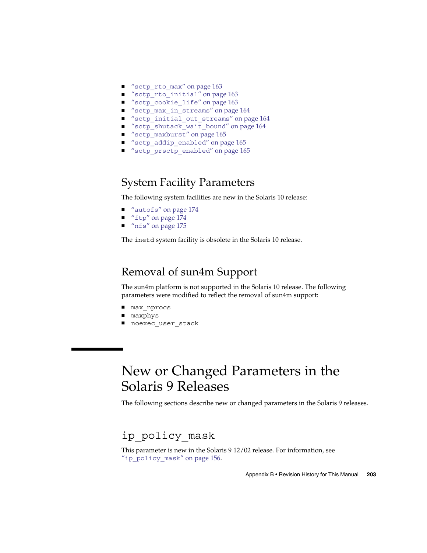- <span id="page-202-0"></span>■ "[sctp\\_rto\\_max](#page-162-0)" on page 163
- "[sctp\\_rto\\_initial](#page-162-0)" on page 163
- "[sctp\\_cookie\\_life](#page-162-0)" on page 163
- "[sctp\\_max\\_in\\_streams](#page-163-0)" on page 164
- "[sctp\\_initial\\_out\\_streams](#page-163-0)" on page 164
- "[sctp\\_shutack\\_wait\\_bound](#page-163-0)" on page 164
- "[sctp\\_maxburst](#page-164-0)" on page 165
- "[sctp\\_addip\\_enabled](#page-164-0)" on page 165
- "[sctp\\_prsctp\\_enabled](#page-164-0)" on page 165

## System Facility Parameters

The following system facilities are new in the Solaris 10 release:

- "autofs" [on page 174](#page-173-0)
- "ftp" [on page 174](#page-173-0)
- "nfs" [on page 175](#page-174-0)

The inetd system facility is obsolete in the Solaris 10 release.

## Removal of sun4m Support

The sun4m platform is not supported in the Solaris 10 release. The following parameters were modified to reflect the removal of sun4m support:

- max nprocs
- maxphys
- noexec\_user\_stack

# New or Changed Parameters in the Solaris 9 Releases

The following sections describe new or changed parameters in the Solaris 9 releases.

## ip\_policy\_mask

This parameter is new in the Solaris 9 12/02 release. For information, see "ip policy mask" on page 156.

Appendix B • Revision History for This Manual **203**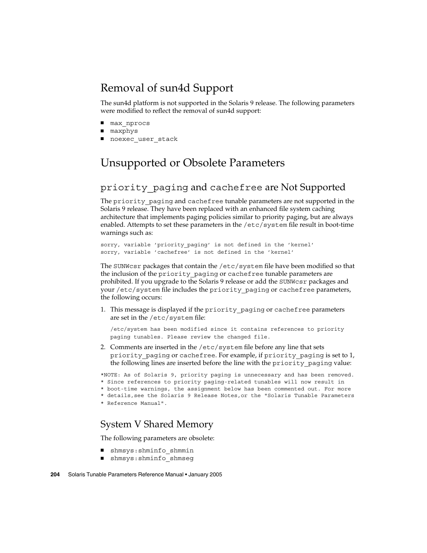## <span id="page-203-0"></span>Removal of sun4d Support

The sun4d platform is not supported in the Solaris 9 release. The following parameters were modified to reflect the removal of sun4d support:

- max nprocs
- maxphys
- noexec\_user\_stack

## Unsupported or Obsolete Parameters

### priority\_paging and cachefree are Not Supported

The priority paging and cachefree tunable parameters are not supported in the Solaris 9 release. They have been replaced with an enhanced file system caching architecture that implements paging policies similar to priority paging, but are always enabled. Attempts to set these parameters in the /etc/system file result in boot-time warnings such as:

sorry, variable 'priority\_paging' is not defined in the 'kernel' sorry, variable 'cachefree' is not defined in the 'kernel'

The SUNWcsr packages that contain the /etc/system file have been modified so that the inclusion of the priority\_paging or cachefree tunable parameters are prohibited. If you upgrade to the Solaris 9 release or add the SUNWcsr packages and your /etc/system file includes the priority paging or cachefree parameters, the following occurs:

1. This message is displayed if the priority\_paging or cachefree parameters are set in the /etc/system file:

/etc/system has been modified since it contains references to priority paging tunables. Please review the changed file.

2. Comments are inserted in the /etc/system file before any line that sets priority paging or cachefree. For example, if priority paging is set to 1, the following lines are inserted before the line with the priority\_paging value:

\*NOTE: As of Solaris 9, priority paging is unnecessary and has been removed.

- \* Since references to priority paging-related tunables will now result in
- \* boot-time warnings, the assignment below has been commented out. For more
- \* details,see the Solaris 9 Release Notes,or the "Solaris Tunable Parameters
- \* Reference Manual".

## System V Shared Memory

The following parameters are obsolete:

- shmsys: shminfo\_shmmin
- shmsys: shminfo\_shmseg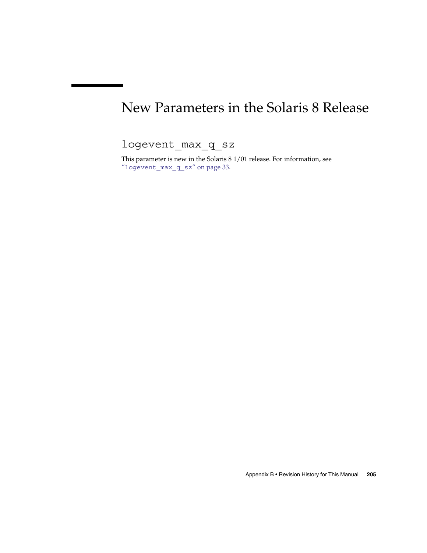# <span id="page-204-0"></span>New Parameters in the Solaris 8 Release

logevent max q sz

This parameter is new in the Solaris 8 1/01 release. For information, see "[logevent\\_max\\_q\\_sz](#page-32-0)" on page 33.

Appendix B • Revision History for This Manual **205**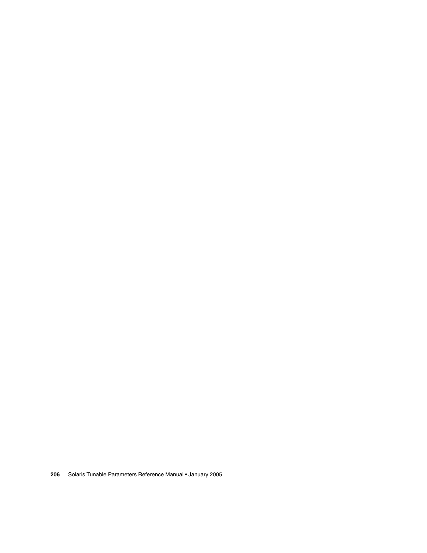Solaris Tunable Parameters Reference Manual • January 2005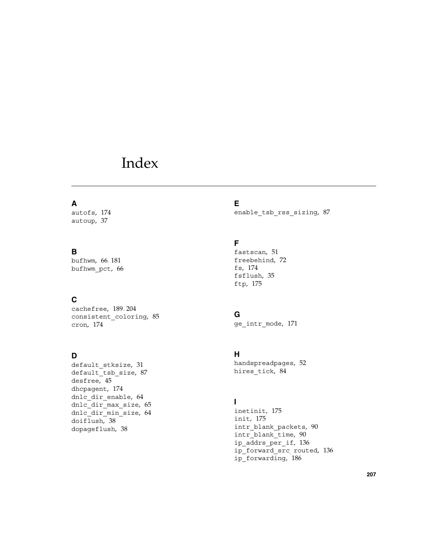# Index

### **A**

autofs, [174](#page-173-0) autoup, [37](#page-36-0)

#### **B**

bufhwm, [66,](#page-65-0) [181](#page-180-0) bufhwm\_pct, [66](#page-65-0)

### **C**

cachefree, [189,](#page-188-0) [204](#page-203-0) consistent\_coloring, [85](#page-84-0) cron, [174](#page-173-0)

### **D**

default\_stksize, [31](#page-30-0) default\_tsb\_size, [87](#page-86-0) desfree, [45](#page-44-0) dhcpagent, [174](#page-173-0) dnlc\_dir\_enable, [64](#page-63-0) dnlc dir max size, [65](#page-64-0) dnlc\_dir\_min\_size, [64](#page-63-0) doiflush, [38](#page-37-0) dopageflush, [38](#page-37-0)

### **E**

enable\_tsb\_rss\_sizing, [87](#page-86-0)

### **F**

fastscan, [51](#page-50-0) freebehind, [72](#page-71-0) fs, [174](#page-173-0) fsflush, [35](#page-34-0) ftp, [175](#page-174-0)

#### **G**

ge\_intr\_mode, [171](#page-170-0)

#### **H**

handspreadpages, [52](#page-51-0) hires\_tick, [84](#page-83-0)

#### **I**

inetinit, [175](#page-174-0) init, [175](#page-174-0) intr\_blank\_packets, [90](#page-89-0) intr blank time, [90](#page-89-0) ip\_addrs\_per\_if, [136](#page-135-0) ip\_forward\_src\_routed, [136](#page-135-0) ip\_forwarding, [186](#page-185-0)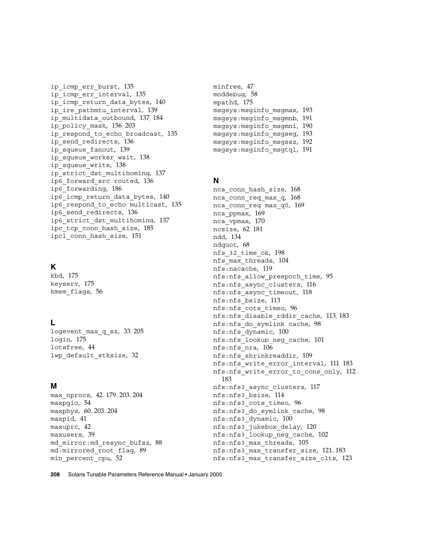ip\_icmp\_err\_burst, [135](#page-134-0) ip\_icmp\_err\_interval, [135](#page-134-0) ip\_icmp\_return\_data\_bytes, [140](#page-139-0) ip ire pathmtu interval, [139](#page-138-0) ip\_multidata\_outbound, [137,](#page-136-0) [184](#page-183-0) ip\_policy\_mask, [156,](#page-155-0) [203](#page-202-0) ip respond to echo broadcast, [135](#page-134-0) ip\_send\_redirects, [136](#page-135-0) ip squeue fanout, [139](#page-138-0) ip squeue worker wait, [138](#page-137-0) ip\_squeue\_write, [138](#page-137-0) ip\_strict\_dst\_multihoming, [137](#page-136-0) ip6\_forward\_src\_routed, [136](#page-135-0) ip6\_forwarding, [186](#page-185-0) ip6\_icmp\_return\_data\_bytes, [140](#page-139-0) ip6 respond to echo multicast, [135](#page-134-0) ip6\_send\_redirects, [136](#page-135-0) ip6\_strict\_dst\_multihoming, [137](#page-136-0) ipc\_tcp\_conn\_hash\_size, [185](#page-184-0) ipcl\_conn\_hash\_size, [151](#page-150-0)

#### **K**

kbd, [175](#page-174-0) keyserv, [175](#page-174-0) kmem\_flags, [56](#page-55-0)

### **L**

logevent max q sz, [33,](#page-32-0) [205](#page-204-0) login, [175](#page-174-0) lotsfree, [44](#page-43-0) lwp\_default\_stksize, [32](#page-31-0)

#### **M**

max\_nprocs, [42,](#page-41-0) [179,](#page-178-0) [203,](#page-202-0) [204](#page-203-0) maxpgio, [54](#page-53-0) maxphys, [60,](#page-59-0) [203,](#page-202-0) [204](#page-203-0) maxpid, [41](#page-40-0) maxuprc, [42](#page-41-0) maxusers, [39](#page-38-0) md\_mirror:md\_resync\_bufsz, [88](#page-87-0) md:mirrored\_root\_flag, [89](#page-88-0) min percent cpu, [52](#page-51-0)

minfree, [47](#page-46-0) moddebug, [58](#page-57-0) mpathd, [175](#page-174-0) msgsys:msginfo\_msgmax, [193](#page-192-0) msgsys:msginfo\_msgmnb, [191](#page-190-0) msgsys:msginfo\_msgmni, [190](#page-189-0) msgsys:msginfo\_msgseg, [193](#page-192-0) msgsys:msginfo\_msgssz, [192](#page-191-0) msgsys:msginfo\_msgtql, [191](#page-190-0)

#### **N**

nca conn hash size, [168](#page-167-0) nca\_conn\_req\_max\_q, [168](#page-167-0) nca conn req max q0, [169](#page-168-0) nca\_ppmax, [169](#page-168-0) nca\_vpmax, [170](#page-169-0) ncsize, [62,](#page-61-0) [181](#page-180-0) ndd, [134](#page-133-0) ndquot, [68](#page-67-0) nfs\_32\_time\_ok, [198](#page-197-0) nfs\_max\_threads, [104](#page-103-0) nfs:nacache, [119](#page-118-0) nfs:nfs\_allow\_preepoch\_time, [95](#page-94-0) nfs:nfs\_async\_clusters, [116](#page-115-0) nfs:nfs\_async\_timeout, [118](#page-117-0) nfs:nfs\_bsize, [113](#page-112-0) nfs:nfs\_cots\_timeo, [96](#page-95-0) nfs:nfs\_disable\_rddir\_cache, [113,](#page-112-0) [183](#page-182-0) nfs:nfs\_do\_symlink\_cache, [98](#page-97-0) nfs:nfs\_dynamic, [100](#page-99-0) nfs:nfs\_lookup\_neg\_cache, [101](#page-100-0) nfs:nfs\_nra, [106](#page-105-0) nfs:nfs\_shrinkreaddir, [109](#page-108-0) nfs:nfs\_write\_error\_interval, [111,](#page-110-0) [183](#page-182-0) nfs:nfs\_write\_error\_to\_cons\_only, [112,](#page-111-0) [183](#page-182-0) nfs:nfs3\_async\_clusters, [117](#page-116-0) nfs:nfs3\_bsize, [114](#page-113-0) nfs:nfs3\_cots\_timeo, [96](#page-95-0) nfs:nfs3\_do\_symlink\_cache, [98](#page-97-0) nfs:nfs3\_dynamic, [100](#page-99-0) nfs:nfs3\_jukebox\_delay, [120](#page-119-0) nfs:nfs3\_lookup\_neg\_cache, [102](#page-101-0) nfs:nfs3\_max\_threads, [105](#page-104-0) nfs:nfs3\_max\_transfer\_size, [121,](#page-120-0) [183](#page-182-0) nfs:nfs3\_max\_transfer\_size\_clts, [123](#page-122-0)

**208** Solaris Tunable Parameters Reference Manual • January 2005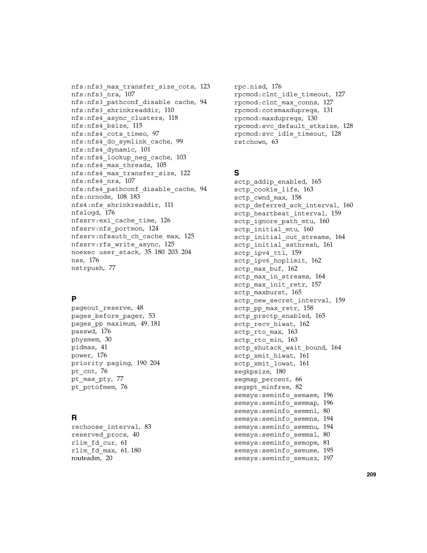nfs:nfs3\_max\_transfer\_size\_cots, [123](#page-122-0) nfs:nfs3\_nra, [107](#page-106-0) nfs:nfs3\_pathconf\_disable\_cache, [94](#page-93-0) nfs:nfs3\_shrinkreaddir, [110](#page-109-0) nfs:nfs4\_async\_clusters, [118](#page-117-0) nfs:nfs4\_bsize, [115](#page-114-0) nfs:nfs4\_cots\_timeo, [97](#page-96-0) nfs:nfs4\_do\_symlink\_cache, [99](#page-98-0) nfs:nfs4\_dynamic, [101](#page-100-0) nfs:nfs4\_lookup\_neg\_cache, [103](#page-102-0) nfs:nfs4\_max\_threads, [105](#page-104-0) nfs:nfs4\_max\_transfer\_size, [122](#page-121-0) nfs:nfs4\_nra, [107](#page-106-0) nfs:nfs4\_pathconf\_disable\_cache, [94](#page-93-0) nfs:nrnode, [108,](#page-107-0) [183](#page-182-0) nfs4:nfs\_shrinkreaddir, [111](#page-110-0) nfslogd, [176](#page-175-0) nfssrv:exi\_cache\_time, [126](#page-125-0) nfssrv:nfs\_portmon, [124](#page-123-0) nfssrv:nfsauth\_ch\_cache\_max, [125](#page-124-0) nfssrv:rfs\_write\_async, [125](#page-124-0) noexec\_user\_stack, [35,](#page-34-0) [180,](#page-179-0) [203,](#page-202-0) [204](#page-203-0) nss, [176](#page-175-0) nstrpush, [77](#page-76-0)

#### **P**

pageout reserve,  $48$ pages\_before\_pager, [53](#page-52-0) pages\_pp\_maximum, [49,](#page-48-0) [181](#page-180-0) passwd, [176](#page-175-0) physmem, [30](#page-29-0) pidmax, [41](#page-40-0) power, [176](#page-175-0) priority\_paging, [190,](#page-189-0) [204](#page-203-0) pt\_cnt, [76](#page-75-0) pt\_max\_pty, [77](#page-76-0) pt\_pctofmem, [76](#page-75-0)

#### **R**

rechoose\_interval, [83](#page-82-0) reserved\_procs, [40](#page-39-0) rlim\_fd\_cur, [61](#page-60-0) rlim  $f$ d max,  $61, 180$  $61, 180$ routeadm, [20](#page-19-0)

rpc.nisd, [176](#page-175-0) rpcmod:clnt\_idle\_timeout, [127](#page-126-0) rpcmod:clnt\_max\_conns, [127](#page-126-0) rpcmod:cotsmaxdupreqs, [131](#page-130-0) rpcmod:maxdupreqs, [130](#page-129-0) rpcmod:svc\_default\_stksize, [128](#page-127-0) rpcmod:svc\_idle\_timeout, [128](#page-127-0) rstchown, [63](#page-62-0)

#### **S**